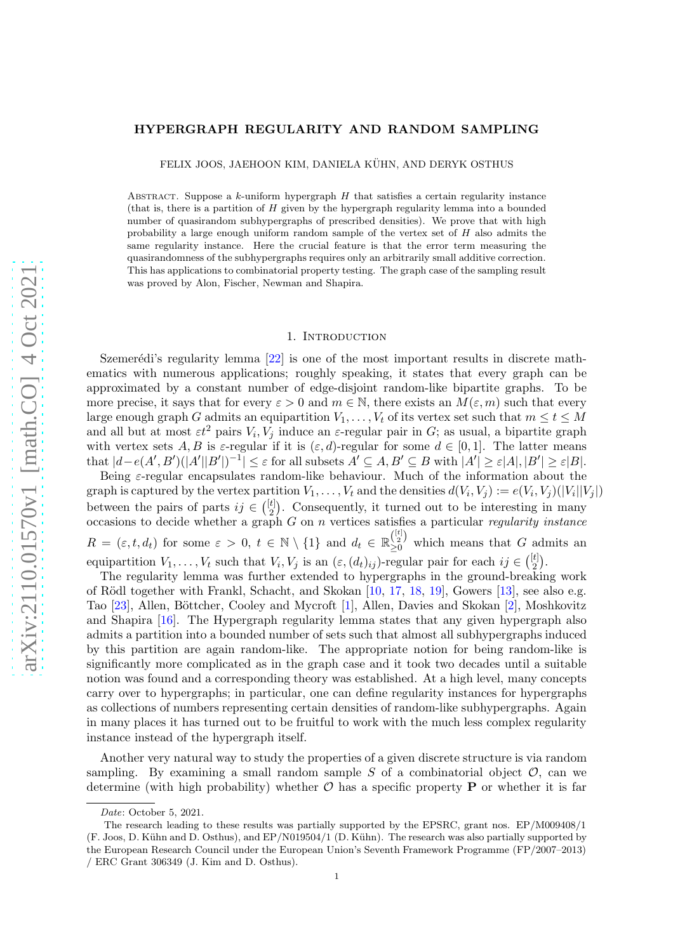# HYPERGRAPH REGULARITY AND RANDOM SAMPLING

FELIX JOOS, JAEHOON KIM, DANIELA KÜHN, AND DERYK OSTHUS

ABSTRACT. Suppose a k-uniform hypergraph  $H$  that satisfies a certain regularity instance (that is, there is a partition of  $H$  given by the hypergraph regularity lemma into a bounded number of quasirandom subhypergraphs of prescribed densities). We prove that with high probability a large enough uniform random sample of the vertex set of  $H$  also admits the same regularity instance. Here the crucial feature is that the error term measuring the quasirandomness of the subhypergraphs requires only an arbitrarily small additive correction. This has applications to combinatorial property testing. The graph case of the sampling result was proved by Alon, Fischer, Newman and Shapira.

### 1. INTRODUCTION

Szemerédi's regularity lemma  $[22]$  is one of the most important results in discrete mathematics with numerous applications; roughly speaking, it states that every graph can be approximated by a constant number of edge-disjoint random-like bipartite graphs. To be more precise, it says that for every  $\varepsilon > 0$  and  $m \in \mathbb{N}$ , there exists an  $M(\varepsilon, m)$  such that every large enough graph G admits an equipartition  $V_1, \ldots, V_t$  of its vertex set such that  $m \le t \le M$ and all but at most  $\varepsilon t^2$  pairs  $V_i$ ,  $V_j$  induce an  $\varepsilon$ -regular pair in G; as usual, a bipartite graph with vertex sets A, B is  $\varepsilon$ -regular if it is  $(\varepsilon, d)$ -regular for some  $d \in [0, 1]$ . The latter means that  $|d-e(A',B')(|A'||B'|)^{-1} \leq \varepsilon$  for all subsets  $A' \subseteq A, B' \subseteq B$  with  $|A'| \geq \varepsilon |A|, |B'| \geq \varepsilon |B|$ .

Being ε-regular encapsulates random-like behaviour. Much of the information about the graph is captured by the vertex partition  $V_1, \ldots, V_t$  and the densities  $d(V_i, V_j) := e(V_i, V_j)(|V_i||V_j|)$ between the pairs of parts  $ij \in \binom{[t]}{2}$  $\binom{t}{2}$ . Consequently, it turned out to be interesting in many occasions to decide whether a graph G on n vertices satisfies a particular regularity instance  $R = (\varepsilon, t, d_t)$  for some  $\varepsilon > 0$ ,  $t \in \mathbb{N} \setminus \{1\}$  and  $d_t \in \mathbb{R}_{\geq 0}^{\binom{[t]}{2}}$  which means that G admits an equipartition  $V_1, \ldots, V_t$  such that  $V_i, V_j$  is an  $(\varepsilon, (d_t)_{ij})$ -regular pair for each  $ij \in \binom{[t]}{2}$  $\binom{t]}{2}$ .

The regularity lemma was further extended to hypergraphs in the ground-breaking work of Rödl together with Frankl, Schacht, and Skokan [\[10,](#page-47-0) [17,](#page-48-1) [18,](#page-48-2) [19\]](#page-48-3), Gowers [\[13\]](#page-48-4), see also e.g. Tao [\[23\]](#page-48-5), Allen, Böttcher, Cooley and Mycroft [\[1\]](#page-47-1), Allen, Davies and Skokan [\[2\]](#page-47-2), Moshkovitz and Shapira [\[16\]](#page-48-6). The Hypergraph regularity lemma states that any given hypergraph also admits a partition into a bounded number of sets such that almost all subhypergraphs induced by this partition are again random-like. The appropriate notion for being random-like is significantly more complicated as in the graph case and it took two decades until a suitable notion was found and a corresponding theory was established. At a high level, many concepts carry over to hypergraphs; in particular, one can define regularity instances for hypergraphs as collections of numbers representing certain densities of random-like subhypergraphs. Again in many places it has turned out to be fruitful to work with the much less complex regularity instance instead of the hypergraph itself.

Another very natural way to study the properties of a given discrete structure is via random sampling. By examining a small random sample S of a combinatorial object  $\mathcal{O}$ , can we determine (with high probability) whether  $\mathcal O$  has a specific property **P** or whether it is far

Date: October 5, 2021.

The research leading to these results was partially supported by the EPSRC, grant nos. EP/M009408/1 (F. Joos, D. K¨uhn and D. Osthus), and EP/N019504/1 (D. K¨uhn). The research was also partially supported by the European Research Council under the European Union's Seventh Framework Programme (FP/2007–2013) / ERC Grant 306349 (J. Kim and D. Osthus).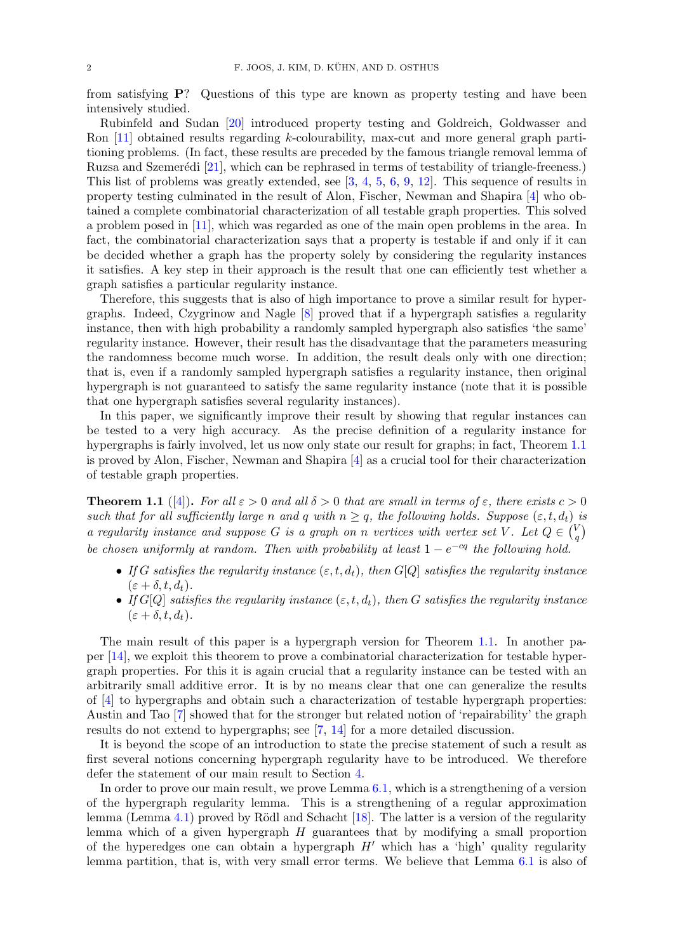from satisfying P? Questions of this type are known as property testing and have been intensively studied.

Rubinfeld and Sudan [\[20\]](#page-48-7) introduced property testing and Goldreich, Goldwasser and Ron [\[11\]](#page-47-3) obtained results regarding k-colourability, max-cut and more general graph partitioning problems. (In fact, these results are preceded by the famous triangle removal lemma of Ruzsa and Szemerédi [\[21\]](#page-48-8), which can be rephrased in terms of testability of triangle-freeness.) This list of problems was greatly extended, see [\[3,](#page-47-4) [4,](#page-47-5) [5,](#page-47-6) [6,](#page-47-7) [9,](#page-47-8) [12\]](#page-47-9). This sequence of results in property testing culminated in the result of Alon, Fischer, Newman and Shapira [\[4\]](#page-47-5) who obtained a complete combinatorial characterization of all testable graph properties. This solved a problem posed in [\[11\]](#page-47-3), which was regarded as one of the main open problems in the area. In fact, the combinatorial characterization says that a property is testable if and only if it can be decided whether a graph has the property solely by considering the regularity instances it satisfies. A key step in their approach is the result that one can efficiently test whether a graph satisfies a particular regularity instance.

Therefore, this suggests that is also of high importance to prove a similar result for hypergraphs. Indeed, Czygrinow and Nagle [\[8\]](#page-47-10) proved that if a hypergraph satisfies a regularity instance, then with high probability a randomly sampled hypergraph also satisfies 'the same' regularity instance. However, their result has the disadvantage that the parameters measuring the randomness become much worse. In addition, the result deals only with one direction; that is, even if a randomly sampled hypergraph satisfies a regularity instance, then original hypergraph is not guaranteed to satisfy the same regularity instance (note that it is possible that one hypergraph satisfies several regularity instances).

In this paper, we significantly improve their result by showing that regular instances can be tested to a very high accuracy. As the precise definition of a regularity instance for hypergraphs is fairly involved, let us now only state our result for graphs; in fact, Theorem [1.1](#page-1-0) is proved by Alon, Fischer, Newman and Shapira [\[4\]](#page-47-5) as a crucial tool for their characterization of testable graph properties.

<span id="page-1-0"></span>**Theorem 1.1** ([\[4\]](#page-47-5)). For all  $\varepsilon > 0$  and all  $\delta > 0$  that are small in terms of  $\varepsilon$ , there exists  $c > 0$ such that for all sufficiently large n and q with  $n \geq q$ , the following holds. Suppose  $(\varepsilon, t, d_t)$  is a regularity instance and suppose G is a graph on n vertices with vertex set V. Let  $Q \in \binom{V}{q}$  $_{q}^{V}$ be chosen uniformly at random. Then with probability at least  $1 - e^{-cq}$  the following hold.

- If G satisfies the regularity instance  $(\varepsilon, t, d_t)$ , then  $G[Q]$  satisfies the regularity instance  $(\varepsilon + \delta, t, d_t).$
- If G[Q] satisfies the regularity instance  $(\varepsilon, t, d_t)$ , then G satisfies the regularity instance  $(\varepsilon + \delta, t, d_t).$

The main result of this paper is a hypergraph version for Theorem [1.1.](#page-1-0) In another paper [\[14\]](#page-48-9), we exploit this theorem to prove a combinatorial characterization for testable hypergraph properties. For this it is again crucial that a regularity instance can be tested with an arbitrarily small additive error. It is by no means clear that one can generalize the results of [\[4\]](#page-47-5) to hypergraphs and obtain such a characterization of testable hypergraph properties: Austin and Tao [\[7\]](#page-47-11) showed that for the stronger but related notion of 'repairability' the graph results do not extend to hypergraphs; see [\[7,](#page-47-11) [14\]](#page-48-9) for a more detailed discussion.

It is beyond the scope of an introduction to state the precise statement of such a result as first several notions concerning hypergraph regularity have to be introduced. We therefore defer the statement of our main result to Section [4.](#page-10-0)

In order to prove our main result, we prove Lemma  $6.1$ , which is a strengthening of a version of the hypergraph regularity lemma. This is a strengthening of a regular approximation lemma (Lemma [4.1\)](#page-10-1) proved by Rödl and Schacht [\[18\]](#page-48-2). The latter is a version of the regularity lemma which of a given hypergraph  $H$  guarantees that by modifying a small proportion of the hyperedges one can obtain a hypergraph  $H'$  which has a 'high' quality regularity lemma partition, that is, with very small error terms. We believe that Lemma [6.1](#page-18-0) is also of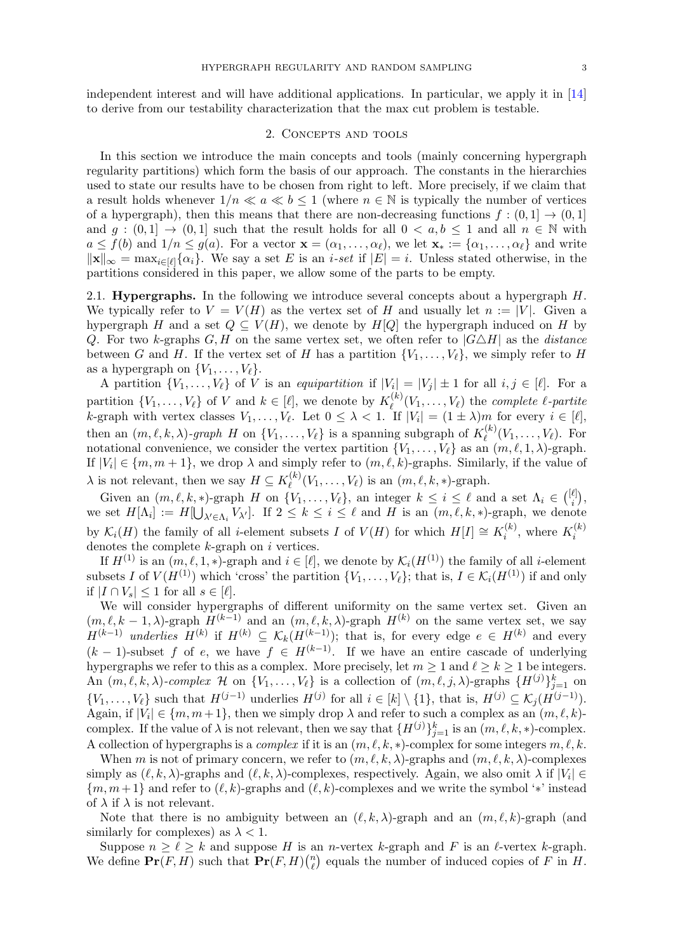<span id="page-2-0"></span>independent interest and will have additional applications. In particular, we apply it in [\[14\]](#page-48-9) to derive from our testability characterization that the max cut problem is testable.

### 2. Concepts and tools

In this section we introduce the main concepts and tools (mainly concerning hypergraph regularity partitions) which form the basis of our approach. The constants in the hierarchies used to state our results have to be chosen from right to left. More precisely, if we claim that a result holds whenever  $1/n \ll a \ll b \leq 1$  (where  $n \in \mathbb{N}$  is typically the number of vertices of a hypergraph), then this means that there are non-decreasing functions  $f : (0,1] \rightarrow (0,1]$ and  $g : (0,1] \rightarrow (0,1]$  such that the result holds for all  $0 < a,b \le 1$  and all  $n \in \mathbb{N}$  with  $a \le f(b)$  and  $1/n \le g(a)$ . For a vector  $\mathbf{x} = (\alpha_1, \dots, \alpha_\ell)$ , we let  $\mathbf{x}_* := {\alpha_1, \dots, \alpha_\ell}$  and write  $\|\mathbf{x}\|_{\infty} = \max_{i \in [\ell]} {\alpha_i}.$  We say a set E is an i-set if  $|E| = i$ . Unless stated otherwise, in the partitions considered in this paper, we allow some of the parts to be empty.

<span id="page-2-1"></span>2.1. **Hypergraphs.** In the following we introduce several concepts about a hypergraph  $H$ . We typically refer to  $V = V(H)$  as the vertex set of H and usually let  $n := |V|$ . Given a hypergraph H and a set  $Q \subseteq V(H)$ , we denote by H[Q] the hypergraph induced on H by Q. For two k-graphs  $G, H$  on the same vertex set, we often refer to  $|G \triangle H|$  as the *distance* between G and H. If the vertex set of H has a partition  $\{V_1, \ldots, V_\ell\}$ , we simply refer to H as a hypergraph on  $\{V_1, \ldots, V_\ell\}.$ 

A partition  $\{V_1, \ldots, V_\ell\}$  of V is an equipartition if  $|V_i| = |V_j| \pm 1$  for all  $i, j \in [\ell]$ . For a partition  $\{V_1, \ldots, V_\ell\}$  of V and  $k \in [\ell]$ , we denote by  $K_\ell^{(k)}$  $\ell_{\ell}^{(k)}(V_1,\ldots,V_{\ell})$  the *complete*  $\ell$ -partite k-graph with vertex classes  $V_1, \ldots, V_\ell$ . Let  $0 \leq \lambda < 1$ . If  $|V_i| = (1 \pm \lambda)m$  for every  $i \in [\ell],$ then an  $(m, \ell, k, \lambda)$ -graph H on  $\{V_1, \ldots, V_\ell\}$  is a spanning subgraph of  $K_{\ell}^{(k)}$  $\ell^{(\kappa)}(V_1,\ldots,V_\ell)$ . For notational convenience, we consider the vertex partition  $\{V_1, \ldots, V_\ell\}$  as an  $(m, \ell, 1, \lambda)$ -graph. If  $|V_i| \in \{m, m + 1\}$ , we drop  $\lambda$  and simply refer to  $(m, \ell, k)$ -graphs. Similarly, if the value of  $\lambda$  is not relevant, then we say  $H \subseteq K_{\ell}^{(k)}$  $\ell^{(k)}(V_1,\ldots,V_\ell)$  is an  $(m,\ell,k,*)$ -graph.

Given an  $(m, \ell, k, *)$ -graph H on  $\{V_1, \ldots, V_\ell\}$ , an integer  $k \leq i \leq \ell$  and a set  $\Lambda_i \in \binom{[\ell]}{i}$  $\binom{\ell}{i},$ we set  $H[\Lambda_i] := H[\bigcup_{\lambda' \in \Lambda_i} V_{\lambda'}].$  If  $2 \leq k \leq i \leq \ell$  and H is an  $(m, \ell, k, *)$ -graph, we denote by  $\mathcal{K}_i(H)$  the family of all *i*-element subsets I of  $V(H)$  for which  $H[I] \cong K_i^{(k)}$  $i^{(k)}$ , where  $K_i^{(k)}$ i denotes the complete  $k$ -graph on  $i$  vertices.

If  $H^{(1)}$  is an  $(m, \ell, 1, *)$ -graph and  $i \in [\ell]$ , we denote by  $\mathcal{K}_i(H^{(1)})$  the family of all *i*-element subsets I of  $V(H^{(1)})$  which 'cross' the partition  $\{V_1, \ldots, V_\ell\}$ ; that is,  $I \in \mathcal{K}_i(H^{(1)})$  if and only if  $|I \cap V_s| \leq 1$  for all  $s \in [\ell]$ .

We will consider hypergraphs of different uniformity on the same vertex set. Given an  $(m, \ell, k-1, \lambda)$ -graph  $H^{(k-1)}$  and an  $(m, \ell, k, \lambda)$ -graph  $H^{(k)}$  on the same vertex set, we say  $H^{(k-1)}$  underlies  $H^{(k)}$  if  $H^{(k)} \subseteq \mathcal{K}_k(H^{(k-1)})$ ; that is, for every edge  $e \in H^{(k)}$  and every  $(k-1)$ -subset f of e, we have f  $\in H^{(k-1)}$ . If we have an entire cascade of underlying hypergraphs we refer to this as a complex. More precisely, let  $m \geq 1$  and  $\ell \geq k \geq 1$  be integers. An  $(m, \ell, k, \lambda)$ -complex H on  $\{V_1, \ldots, V_\ell\}$  is a collection of  $(m, \ell, j, \lambda)$ -graphs  $\{H^{(j)}\}_{j=1}^k$  on  $\{V_1,\ldots,V_\ell\}$  such that  $H^{(j-1)}$  underlies  $H^{(j)}$  for all  $i \in [k] \setminus \{1\}$ , that is,  $H^{(j)} \subseteq \mathcal{K}_j(H^{(j-1)})$ . Again, if  $|V_i| \in \{m, m+1\}$ , then we simply drop  $\lambda$  and refer to such a complex as an  $(m, \ell, k)$ complex. If the value of  $\lambda$  is not relevant, then we say that  $\{H^{(j)}\}_{j=1}^k$  is an  $(m, \ell, k, *)$ -complex. A collection of hypergraphs is a *complex* if it is an  $(m, \ell, k, *)$ -complex for some integers  $m, \ell, k$ .

When m is not of primary concern, we refer to  $(m, \ell, k, \lambda)$ -graphs and  $(m, \ell, k, \lambda)$ -complexes simply as  $(\ell, k, \lambda)$ -graphs and  $(\ell, k, \lambda)$ -complexes, respectively. Again, we also omit  $\lambda$  if  $|V_i| \in$  ${m, m+1}$  and refer to  $(\ell, k)$ -graphs and  $(\ell, k)$ -complexes and we write the symbol '\*' instead of  $\lambda$  if  $\lambda$  is not relevant.

Note that there is no ambiguity between an  $(\ell, k, \lambda)$ -graph and an  $(m, \ell, k)$ -graph (and similarly for complexes) as  $\lambda < 1$ .

Suppose  $n \geq \ell \geq k$  and suppose H is an *n*-vertex k-graph and F is an  $\ell$ -vertex k-graph. We define  $\Pr(F, H)$  such that  $\Pr(F, H)$  $\binom{n}{\ell}$  $\binom{n}{\ell}$  equals the number of induced copies of F in H.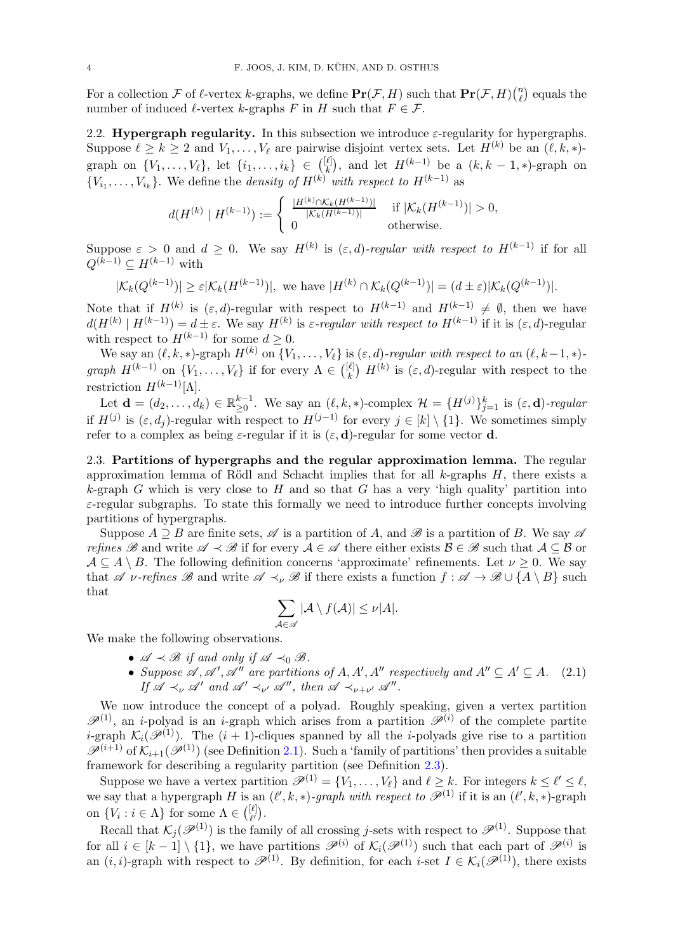For a collection F of  $\ell$ -vertex k-graphs, we define  $\Pr(\mathcal{F}, H)$  such that  $\Pr(\mathcal{F}, H)$  $\binom{n}{\ell}$  equals the number of induced  $\ell$ -vertex k-graphs F in H such that  $F \in \mathcal{F}$ .

<span id="page-3-0"></span>2.2. Hypergraph regularity. In this subsection we introduce  $\varepsilon$ -regularity for hypergraphs. Suppose  $\ell \geq k \geq 2$  and  $V_1, \ldots, V_\ell$  are pairwise disjoint vertex sets. Let  $H^{(k)}$  be an  $(\ell, k, *)$ graph on  $\{V_1, \ldots, V_{\ell}\}\,$  let  $\{i_1, \ldots, i_k\} \in \binom{[\ell]}{k}$  $\binom{\ell}{k}$ , and let  $H^{(k-1)}$  be a  $(k, k-1, *)$ -graph on  ${V_{i_1}, \ldots, V_{i_k}}$ . We define the *density of*  $H^{(k)}$  with respect to  $H^{(k-1)}$  as

$$
d(H^{(k)} | H^{(k-1)}): = \begin{cases} \frac{|H^{(k)} \cap \mathcal{K}_k(H^{(k-1)})|}{|\mathcal{K}_k(H^{(k-1)})|} & \text{if } |\mathcal{K}_k(H^{(k-1)})| > 0, \\ 0 & \text{otherwise.} \end{cases}
$$

Suppose  $\varepsilon > 0$  and  $d \geq 0$ . We say  $H^{(k)}$  is  $(\varepsilon, d)$ -regular with respect to  $H^{(k-1)}$  if for all  $Q^{(k-1)} \subset H^{(k-1)}$  with

$$
|\mathcal{K}_k(Q^{(k-1)})| \ge \varepsilon |\mathcal{K}_k(H^{(k-1)})|, \text{ we have } |H^{(k)} \cap \mathcal{K}_k(Q^{(k-1)})| = (d \pm \varepsilon)|\mathcal{K}_k(Q^{(k-1)})|.
$$

Note that if  $H^{(k)}$  is  $(\varepsilon, d)$ -regular with respect to  $H^{(k-1)}$  and  $H^{(k-1)} \neq \emptyset$ , then we have  $d(H^{(k)} | H^{(k-1)}) = d \pm \varepsilon$ . We say  $H^{(k)}$  is  $\varepsilon$ -regular with respect to  $H^{(k-1)}$  if it is  $(\varepsilon, d)$ -regular with respect to  $H^{(k-1)}$  for some  $d \geq 0$ .

We say an  $(\ell, k, *)$ -graph  $H^{(k)}$  on  $\{V_1, \ldots, V_\ell\}$  is  $(\varepsilon, d)$ -regular with respect to an  $(\ell, k-1, *)$ graph  $H^{(k-1)}$  on  $\{V_1,\ldots,V_\ell\}$  if for every  $\Lambda \in \binom{[\ell]}{k}$  $\binom{\ell}{k}$   $H^{(k)}$  is  $(\varepsilon, d)$ -regular with respect to the restriction  $H^{(k-1)}[\Lambda]$ .

Let  $\mathbf{d} = (d_2, \dots, d_k) \in \mathbb{R}_{\geq 0}^{k-1}$ . We say an  $(\ell, k, *)$ -complex  $\mathcal{H} = \{H^{(j)}\}_{j=1}^k$  is  $(\varepsilon, \mathbf{d})$ -regular if  $H^{(j)}$  is  $(\varepsilon, d_j)$ -regular with respect to  $H^{(j-1)}$  for every  $j \in [k] \setminus \{1\}$ . We sometimes simply refer to a complex as being  $\varepsilon$ -regular if it is  $(\varepsilon, \mathbf{d})$ -regular for some vector **d**.

<span id="page-3-1"></span>2.3. Partitions of hypergraphs and the regular approximation lemma. The regular approximation lemma of Rödl and Schacht implies that for all  $k$ -graphs  $H$ , there exists a k-graph G which is very close to H and so that G has a very 'high quality' partition into  $\varepsilon$ -regular subgraphs. To state this formally we need to introduce further concepts involving partitions of hypergraphs.

Suppose  $A \supseteq B$  are finite sets,  $\mathscr A$  is a partition of A, and  $\mathscr B$  is a partition of B. We say  $\mathscr A$ refines B and write  $\mathscr{A} \prec \mathscr{B}$  if for every  $\mathscr{A} \in \mathscr{A}$  there either exists  $\mathscr{B} \in \mathscr{B}$  such that  $\mathscr{A} \subseteq \mathscr{B}$  or  $A \subseteq A \setminus B$ . The following definition concerns 'approximate' refinements. Let  $\nu \geq 0$ . We say that A v-refines B and write  $\mathscr{A} \prec_{\nu} \mathscr{B}$  if there exists a function  $f : \mathscr{A} \to \mathscr{B} \cup \{A \setminus B\}$  such that

$$
\sum_{\mathcal{A}\in\mathscr{A}}|\mathcal{A}\setminus f(\mathcal{A})|\leq \nu|\mathcal{A}|.
$$

We make the following observations.

- $\mathscr{A} \prec \mathscr{B}$  if and only if  $\mathscr{A} \prec_0 \mathscr{B}$ .
- <span id="page-3-2"></span>• Suppose  $\mathscr{A}, \mathscr{A}', \mathscr{A}''$  are partitions of  $A, A', A''$  respectively and  $A'' \subseteq A' \subseteq A$ . (2.1) If  $\mathscr{A} \prec_{\nu} \mathscr{A}'$  and  $\mathscr{A}' \prec_{\nu'} \mathscr{A}'$ , then  $\mathscr{A} \prec_{\nu+\nu'} \mathscr{A}''$ .

We now introduce the concept of a polyad. Roughly speaking, given a vertex partition  $\mathscr{P}^{(1)}$ , an *i*-polyad is an *i*-graph which arises from a partition  $\mathscr{P}^{(i)}$  of the complete partite *i*-graph  $\mathcal{K}_i(\mathscr{P}^{(1)})$ . The  $(i + 1)$ -cliques spanned by all the *i*-polyads give rise to a partition  $\mathscr{P}^{(i+1)}$  of  $\mathcal{K}_{i+1}(\mathscr{P}^{(1)})$  (see Definition [2.1\)](#page-4-0). Such a 'family of partitions' then provides a suitable framework for describing a regularity partition (see Definition [2.3\)](#page-4-1).

Suppose we have a vertex partition  $\mathscr{P}^{(1)} = \{V_1, \ldots, V_\ell\}$  and  $\ell \geq k$ . For integers  $k \leq \ell' \leq \ell$ , we say that a hypergraph H is an  $(\ell', k, *)$ -graph with respect to  $\mathscr{P}^{(1)}$  if it is an  $(\ell', k, *)$ -graph on  $\{V_i : i \in \Lambda\}$  for some  $\Lambda \in \binom{[\ell]}{\ell'}$  $_{\ell^{\prime}}^{_{\left[ \ell^{\prime}\right] }}).$ 

Recall that  $\mathcal{K}_j(\mathcal{P}^{(1)})$  is the family of all crossing j-sets with respect to  $\mathcal{P}^{(1)}$ . Suppose that for all  $i \in [k-1] \setminus \{1\}$ , we have partitions  $\mathscr{P}^{(i)}$  of  $\mathcal{K}_i(\mathscr{P}^{(1)})$  such that each part of  $\mathscr{P}^{(i)}$  is an  $(i, i)$ -graph with respect to  $\mathscr{P}^{(1)}$ . By definition, for each  $i$ -set  $I \in \mathcal{K}_i(\mathscr{P}^{(1)})$ , there exists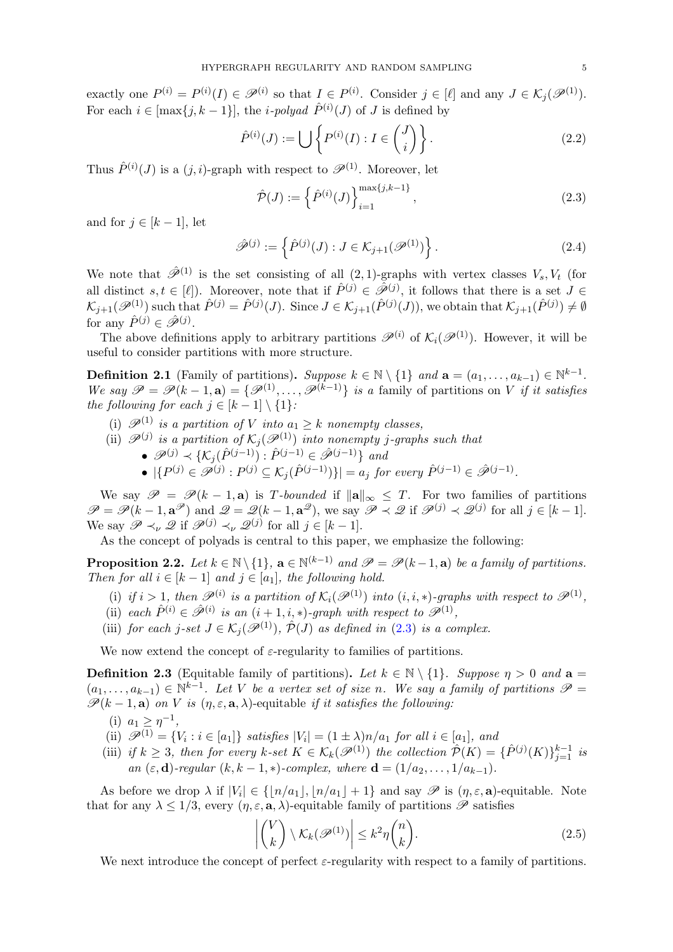exactly one  $P^{(i)} = P^{(i)}(I) \in \mathscr{P}^{(i)}$  so that  $I \in P^{(i)}$ . Consider  $j \in [\ell]$  and any  $J \in \mathcal{K}_j(\mathscr{P}^{(1)})$ . For each  $i \in [\max\{j, k-1\}]$ , the *i-polyad*  $\hat{P}^{(i)}(J)$  of J is defined by

$$
\hat{P}^{(i)}(J) := \bigcup \left\{ P^{(i)}(I) : I \in \binom{J}{i} \right\}.
$$
\n(2.2)

Thus  $\hat{P}^{(i)}(J)$  is a  $(j, i)$ -graph with respect to  $\mathscr{P}^{(1)}$ . Moreover, let

<span id="page-4-3"></span><span id="page-4-2"></span>
$$
\hat{\mathcal{P}}(J) := \left\{ \hat{P}^{(i)}(J) \right\}_{i=1}^{\max\{j,k-1\}},\tag{2.3}
$$

and for  $j \in [k-1]$ , let

$$
\hat{\mathscr{P}}^{(j)} := \left\{ \hat{P}^{(j)}(J) : J \in \mathcal{K}_{j+1}(\mathscr{P}^{(1)}) \right\}.
$$
\n(2.4)

We note that  $\hat{\mathscr{P}}^{(1)}$  is the set consisting of all  $(2, 1)$ -graphs with vertex classes  $V_s, V_t$  (for all distinct  $s, t \in [\ell]$ ). Moreover, note that if  $\hat{P}^{(j)} \in \hat{\mathscr{P}}^{(j)}$ , it follows that there is a set  $J \in$  $\mathcal{K}_{j+1}(\mathscr{P}^{(1)})$  such that  $\hat{P}^{(j)} = \hat{P}^{(j)}(J)$ . Since  $J \in \mathcal{K}_{j+1}(\hat{P}^{(j)}(J))$ , we obtain that  $\mathcal{K}_{j+1}(\hat{P}^{(j)}) \neq \emptyset$ for any  $\hat{P}^{(j)} \in \hat{\mathscr{P}}^{(j)}$ .

The above definitions apply to arbitrary partitions  $\mathscr{P}^{(i)}$  of  $\mathcal{K}_i(\mathscr{P}^{(1)})$ . However, it will be useful to consider partitions with more structure.

<span id="page-4-0"></span>**Definition 2.1** (Family of partitions). Suppose  $k \in \mathbb{N} \setminus \{1\}$  and  $\mathbf{a} = (a_1, \ldots, a_{k-1}) \in \mathbb{N}^{k-1}$ . We say  $\mathscr{P} = \mathscr{P}(k-1, a) = \{ \mathscr{P}^{(1)}, \ldots, \mathscr{P}^{(k-1)} \}$  is a family of partitions on V if it satisfies the following for each  $j \in [k-1] \setminus \{1\}$ :

- (i)  $\mathscr{P}^{(1)}$  is a partition of V into  $a_1 \geq k$  nonempty classes,
- (ii)  $\mathscr{P}^{(j)}$  is a partition of  $\mathcal{K}_j(\mathscr{P}^{(1)})$  into nonempty j-graphs such that
	- $\mathscr{P}^{(j)} \prec \{ \mathcal{K}_j(\hat{P}^{(j-1)}): \hat{P}^{(j-1)} \in \hat{\mathscr{P}}^{(j-1)} \}$  and
	- $|\{P^{(j)} \in \mathscr{P}^{(j)} : P^{(j)} \subseteq \mathcal{K}_j(\hat{P}^{(j-1)})\}| = a_j \text{ for every } \hat{P}^{(j-1)} \in \hat{\mathscr{P}}^{(j-1)}$ .

We say  $\mathscr{P} = \mathscr{P}(k-1, a)$  is T-bounded if  $\|\mathbf{a}\|_{\infty} \leq T$ . For two families of partitions  $\mathscr{P} = \mathscr{P}(k-1, \mathbf{a}^{\mathscr{P}})$  and  $\mathscr{Q} = \mathscr{Q}(k-1, \mathbf{a}^{\mathscr{Q}})$ , we say  $\mathscr{P} \prec \mathscr{Q}$  if  $\mathscr{P}^{(j)} \prec \mathscr{Q}^{(j)}$  for all  $j \in [k-1]$ . We say  $\mathscr{P} \prec_{\nu} \mathscr{Q}$  if  $\mathscr{P}^{(j)} \prec_{\nu} \mathscr{Q}^{(j)}$  for all  $j \in [k-1]$ .

As the concept of polyads is central to this paper, we emphasize the following:

**Proposition 2.2.** Let  $k \in \mathbb{N} \setminus \{1\}$ ,  $\mathbf{a} \in \mathbb{N}^{(k-1)}$  and  $\mathscr{P} = \mathscr{P}(k-1, \mathbf{a})$  be a family of partitions. Then for all  $i \in [k-1]$  and  $j \in [a_1]$ , the following hold.

- (i) if  $i > 1$ , then  $\mathscr{P}^{(i)}$  is a partition of  $\mathcal{K}_i(\mathscr{P}^{(1)})$  into  $(i, i, *)$ -graphs with respect to  $\mathscr{P}^{(1)}$ ,
- (ii) each  $\hat{P}^{(i)} \in \hat{\mathscr{P}}^{(i)}$  is an  $(i+1,i,*)$ -graph with respect to  $\mathscr{P}^{(1)}$ ,
- (iii) for each j-set  $J \in \mathcal{K}_i(\mathscr{P}^{(1)})$ ,  $\hat{\mathcal{P}}(J)$  as defined in [\(2.3\)](#page-4-2) is a complex.

We now extend the concept of  $\varepsilon$ -regularity to families of partitions.

<span id="page-4-1"></span>**Definition 2.3** (Equitable family of partitions). Let  $k \in \mathbb{N} \setminus \{1\}$ . Suppose  $\eta > 0$  and  $a =$  $(a_1, \ldots, a_{k-1}) \in \mathbb{N}^{k-1}$ . Let V be a vertex set of size n. We say a family of partitions  $\mathscr{P} =$  $\mathscr{P}(k-1,\mathbf{a})$  on V is  $(\eta,\varepsilon,\mathbf{a},\lambda)$ -equitable if it satisfies the following:

- (i)  $a_1 \geq \eta^{-1}$ ,
- (ii)  $\mathscr{P}^{(1)} = \{V_i : i \in [a_1]\}$  satisfies  $|V_i| = (1 \pm \lambda)n/a_1$  for all  $i \in [a_1]$ , and
- (iii) if  $k \geq 3$ , then for every  $k$ -set  $K \in \mathcal{K}_k(\mathscr{P}^{(1)})$  the collection  $\hat{\mathcal{P}}(K) = \{\hat{P}^{(j)}(K)\}_{j=1}^{k-1}$  is an  $(\varepsilon, \mathbf{d})$ -regular  $(k, k-1, *)$ -complex, where  $\mathbf{d} = (1/a_2, \ldots, 1/a_{k-1}).$

As before we drop  $\lambda$  if  $|V_i| \in \{|n/a_1|, |n/a_1| + 1\}$  and say  $\mathscr P$  is  $(\eta, \varepsilon, \mathbf{a})$ -equitable. Note that for any  $\lambda \leq 1/3$ , every  $(\eta, \varepsilon, \mathbf{a}, \lambda)$ -equitable family of partitions  $\mathscr P$  satisfies

<span id="page-4-4"></span>
$$
\left| \binom{V}{k} \setminus \mathcal{K}_k(\mathscr{P}^{(1)}) \right| \leq k^2 \eta \binom{n}{k}.\tag{2.5}
$$

We next introduce the concept of perfect  $\varepsilon$ -regularity with respect to a family of partitions.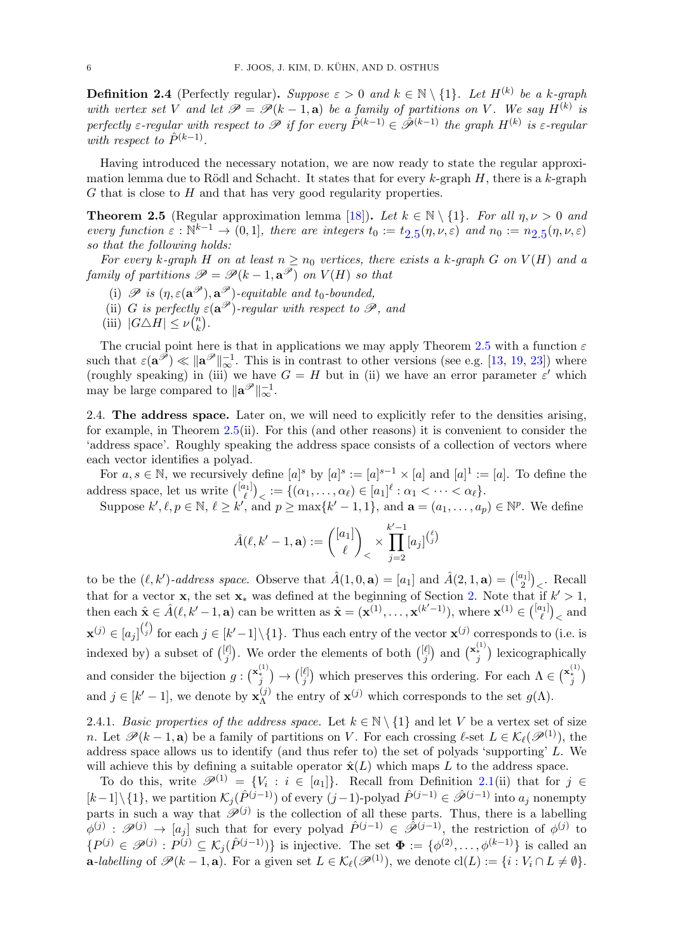**Definition 2.4** (Perfectly regular). Suppose  $\varepsilon > 0$  and  $k \in \mathbb{N} \setminus \{1\}$ . Let  $H^{(k)}$  be a k-graph with vertex set V and let  $\mathscr{P} = \mathscr{P}(k-1, a)$  be a family of partitions on V. We say  $H^{(k)}$  is perfectly  $\varepsilon$ -regular with respect to  $\mathscr P$  if for every  $\hat P^{(k-1)} \in \hat{\mathscr P}^{(k-1)}$  the graph  $H^{(k)}$  is  $\varepsilon$ -regular with respect to  $\hat{P}^{(k-1)}$ .

Having introduced the necessary notation, we are now ready to state the regular approximation lemma due to Rödl and Schacht. It states that for every k-graph  $H$ , there is a k-graph  $G$  that is close to  $H$  and that has very good regularity properties.

<span id="page-5-0"></span>**Theorem 2.5** (Regular approximation lemma [\[18\]](#page-48-2)). Let  $k \in \mathbb{N} \setminus \{1\}$ . For all  $\eta, \nu > 0$  and every function  $\varepsilon : \mathbb{N}^{k-1} \to (0,1]$ , there are integers  $t_0 := t_{2.5}(\eta,\nu,\varepsilon)$  $t_0 := t_{2.5}(\eta,\nu,\varepsilon)$  $t_0 := t_{2.5}(\eta,\nu,\varepsilon)$  and  $n_0 := n_{2.5}(\eta,\nu,\varepsilon)$ so that the following holds:

For every k-graph H on at least  $n \geq n_0$  vertices, there exists a k-graph G on  $V(H)$  and a family of partitions  $\mathscr{P} = \mathscr{P}(k-1, \mathbf{a}^{\mathscr{P}})$  on  $V(H)$  so that

- (i)  $\mathscr P$  is  $(\eta, \varepsilon(\mathbf{a}^{\mathscr P}), \mathbf{a}^{\mathscr P})$ -equitable and t<sub>0</sub>-bounded,
- (ii) G is perfectly  $\varepsilon(\mathbf{a}^{\mathscr{P}})$ -regular with respect to  $\mathscr{P}$ , and
- (iii)  $|G \triangle H| \leq \nu \binom{n}{k}$  $\binom{n}{k}$ .

The crucial point here is that in applications we may apply Theorem [2.5](#page-5-0) with a function  $\varepsilon$ such that  $\varepsilon(\mathbf{a}^{\mathscr{P}}) \ll \|\mathbf{a}^{\mathscr{P}}\|_{\infty}^{-1}$ . This is in contrast to other versions (see e.g. [\[13,](#page-48-4) [19,](#page-48-3) [23\]](#page-48-5)) where (roughly speaking) in (iii) we have  $G = H$  but in (ii) we have an error parameter  $\varepsilon'$  which may be large compared to  $\|\mathbf{a}^{\mathscr{P}}\|_{\infty}^{-1}$ .

<span id="page-5-1"></span>2.4. The address space. Later on, we will need to explicitly refer to the densities arising, for example, in Theorem [2.5\(](#page-5-0)ii). For this (and other reasons) it is convenient to consider the 'address space'. Roughly speaking the address space consists of a collection of vectors where each vector identifies a polyad.

For  $a, s \in \mathbb{N}$ , we recursively define  $[a]^s$  by  $[a]^s := [a]^{s-1} \times [a]$  and  $[a]^1 := [a]$ . To define the address space, let us write  $\binom{[a_1]}{\ell}$  $\left\{ \left( \alpha_{1}, \ldots, \alpha_{\ell} \right) \in [a_{1}]^{\ell} : \alpha_{1} < \cdots < \alpha_{\ell} \right\}.$ 

Suppose  $k', \ell, p \in \mathbb{N}, \ell \geq k'$ , and  $p \geq \max\{k'-1, 1\}$ , and  $\mathbf{a} = (a_1, \ldots, a_p) \in \mathbb{N}^p$ . We define

$$
\hat{A}(\ell, k'-1, \mathbf{a}) := \binom{[a_1]}{\ell}_{\ell} \times \prod_{j=2}^{k'-1} [a_j]^{(\ell_j)}
$$

to be the  $(\ell, k')$ -address space. Observe that  $\hat{A}(1,0,\mathbf{a}) = [a_1]$  and  $\hat{A}(2,1,\mathbf{a}) = \binom{[a_1]}{2}$  $\binom{n_1}{2}_<$ . Recall that for a vector **x**, the set  $\mathbf{x}_*$  was defined at the beginning of Section [2.](#page-2-0) Note that if  $k' > 1$ , then each  $\hat{\mathbf{x}} \in \hat{A}(\ell, k'-1, \mathbf{a})$  can be written as  $\hat{\mathbf{x}} = (\mathbf{x}^{(1)}, \dots, \mathbf{x}^{(k'-1)})$ , where  $\mathbf{x}^{(1)} \in {\binom{[a_1]}{\ell}}$  $\binom{l_1}{\ell}_<$  and  $\mathbf{x}^{(j)} \in [a_j]^{(\ell)}$  for each  $j \in [k'-1] \setminus \{1\}$ . Thus each entry of the vector  $\mathbf{x}^{(j)}$  corresponds to (i.e. is indexed by) a subset of  $\binom{[\ell]}{i}$  $\binom{\ell}{j}$ . We order the elements of both  $\binom{[\ell]}{j}$  $\binom{\ell}{j}$  and  $\binom{\mathbf{x}_*^{(1)}}{j}$  lexicographically and consider the bijection  $g: \binom{\mathbf{x}_i^{(1)}}{j} \to \binom{[\ell]}{j}$ <sup> $\ell$ </sup>) which preserves this ordering. For each  $Λ ∈ \binom{\mathbf{x}_i^{(1)}}{j}$ and  $j \in [k'-1]$ , we denote by  $\mathbf{x}_{\Lambda}^{(j)}$  $\chi_{\Lambda}^{(j)}$  the entry of  $\mathbf{x}^{(j)}$  which corresponds to the set  $g(\Lambda)$ .

2.4.1. Basic properties of the address space. Let  $k \in \mathbb{N} \setminus \{1\}$  and let V be a vertex set of size n. Let  $\mathscr{P}(k-1, a)$  be a family of partitions on V. For each crossing  $\ell$ -set  $L \in \mathcal{K}_{\ell}(\mathscr{P}^{(1)})$ , the address space allows us to identify (and thus refer to) the set of polyads 'supporting' L. We will achieve this by defining a suitable operator  $\hat{\mathbf{x}}(L)$  which maps L to the address space.

To do this, write  $\mathscr{P}^{(1)} = \{V_i : i \in [a_1]\}\$ . Recall from Definition [2.1\(](#page-4-0)ii) that for  $j \in \mathbb{Z}$  $[k-1]\setminus\{1\}$ , we partition  $\mathcal{K}_j(\hat{P}^{(j-1)})$  of every  $(j-1)$ -polyad  $\hat{P}^{(j-1)} \in \hat{\mathscr{P}}^{(j-1)}$  into  $a_j$  nonempty parts in such a way that  $\mathscr{P}^{(j)}$  is the collection of all these parts. Thus, there is a labelling  $\phi^{(j)}$ :  $\mathscr{P}^{(j)} \to [a_j]$  such that for every polyad  $\hat{P}^{(j-1)} \in \hat{\mathscr{P}}^{(j-1)}$ , the restriction of  $\phi^{(j)}$  to  $\{P^{(j)} \in \mathscr{P}^{(j)} : P^{(j)} \subseteq \mathcal{K}_j(\hat{P}^{(j-1)})\}$  is injective. The set  $\Phi := \{\phi^{(2)}, \ldots, \phi^{(k-1)}\}$  is called an **a**-labelling of  $\mathcal{P}(k-1, a)$ . For a given set  $L \in \mathcal{K}_{\ell}(\mathcal{P}^{(1)})$ , we denote  $\text{cl}(L) := \{i : V_i \cap L \neq \emptyset\}.$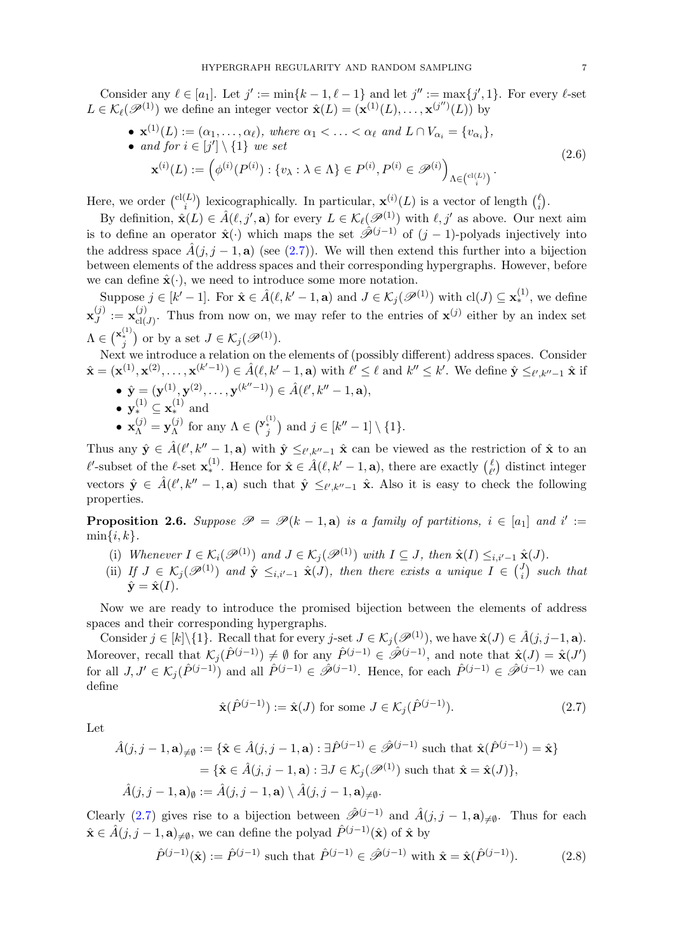Consider any  $\ell \in [a_1]$ . Let  $j' := \min\{k-1, \ell-1\}$  and let  $j'' := \max\{j', 1\}$ . For every  $\ell$ -set  $L \in \mathcal{K}_{\ell}(\mathscr{P}^{(1)})$  we define an integer vector  $\hat{\mathbf{x}}(L) = (\mathbf{x}^{(1)}(L), \ldots, \mathbf{x}^{(j'')}(L))$  by

•  $\mathbf{x}^{(1)}(L) := (\alpha_1, \ldots, \alpha_\ell)$ , where  $\alpha_1 < \ldots < \alpha_\ell$  and  $L \cap V_{\alpha_i} = \{v_{\alpha_i}\}\$ ,

<span id="page-6-3"></span>• and for 
$$
i \in [j'] \setminus \{1\}
$$
 we set

$$
\mathbf{x}^{(i)}(L) := \left(\phi^{(i)}(P^{(i)}) : \{v_{\lambda} : \lambda \in \Lambda\} \in P^{(i)}, P^{(i)} \in \mathcal{P}^{(i)}\right)_{\Lambda \in \binom{c_1(L)}{i}}.
$$
\n(2.6)

Here, we order  $\binom{cl(L)}{i}$  $\binom{L}{i}$  lexicographically. In particular,  $\mathbf{x}^{(i)}(L)$  is a vector of length  $\binom{\ell}{i}$  $\binom{\ell}{i}$ .

By definition,  $\hat{\mathbf{x}}(L) \in \hat{A}(\ell, j', \mathbf{a})$  for every  $L \in \mathcal{K}_{\ell}(\mathscr{P}^{(1)})$  with  $\ell, j'$  as above. Our next aim is to define an operator  $\hat{\mathbf{x}}(\cdot)$  which maps the set  $\hat{\hat{\mathcal{P}}}^{(j-1)}$  of  $(j-1)$ -polyads injectively into the address space  $\hat{A}(j, j - 1, a)$  (see [\(2.7\)](#page-6-0)). We will then extend this further into a bijection between elements of the address spaces and their corresponding hypergraphs. However, before we can define  $\hat{\mathbf{x}}(\cdot)$ , we need to introduce some more notation.

Suppose  $j \in [k'-1]$ . For  $\hat{\mathbf{x}} \in \hat{A}(\ell, k'-1, \mathbf{a})$  and  $J \in \mathcal{K}_j(\mathscr{P}^{(1)})$  with  $\text{cl}(J) \subseteq \mathbf{x}_{*}^{(1)}$ , we define  $\mathbf{x}_J^{(j)}$  $\mathbf{y}^{(j)}_J := \mathbf{x}_{\text{cl}(J)}^{(j)}$  $\chi_{\text{cl}(J)}^{(j)}$ . Thus from now on, we may refer to the entries of  $\mathbf{x}^{(j)}$  either by an index set  $\Lambda \in \binom{\mathbf{x}_*^{(1)}}{j}$  or by a set  $J \in \mathcal{K}_j(\mathscr{P}^{(1)})$ .

Next we introduce a relation on the elements of (possibly different) address spaces. Consider  $\hat{\mathbf{x}} = (\mathbf{x}^{(1)}, \mathbf{x}^{(2)}, \dots, \mathbf{x}^{(k'-1)}) \in \hat{A}(\ell, k'-1, \mathbf{a})$  with  $\ell' \leq \ell$  and  $k'' \leq k'$ . We define  $\hat{\mathbf{y}} \leq_{\ell', k''-1} \hat{\mathbf{x}}$  if

- $\hat{\mathbf{y}} = (\mathbf{y}^{(1)}, \mathbf{y}^{(2)}, \dots, \mathbf{y}^{(k''-1)}) \in \hat{A}(\ell', k'' 1, \mathbf{a}),$
- $\mathbf{y}_{*}^{(1)} \subseteq \mathbf{x}_{*}^{(1)}$  and
- $\mathbf{x}_{\Lambda}^{(j)} = \mathbf{y}_{\Lambda}^{(j)}$  $\Lambda(\Lambda)$  for any  $\Lambda \in \binom{\mathbf{y}_{i}^{(1)}}{j}$  and  $j \in [k''-1] \setminus \{1\}.$

Thus any  $\hat{\mathbf{y}} \in \hat{A}(\ell', k'' - 1, \mathbf{a})$  with  $\hat{\mathbf{y}} \leq_{\ell', k'' - 1} \hat{\mathbf{x}}$  can be viewed as the restriction of  $\hat{\mathbf{x}}$  to an  $\ell'$ -subset of the  $\ell$ -set  $\mathbf{x}_{*}^{(1)}$ . Hence for  $\hat{\mathbf{x}} \in \hat{A}(\ell, k'-1, \mathbf{a})$ , there are exactly  $\ell_{\ell'}$  $\ell$ <sup> $\ell$ </sup>) distinct integer vectors  $\hat{\mathbf{y}} \in \hat{A}(\ell', k'' - 1, \mathbf{a})$  such that  $\hat{\mathbf{y}} \leq_{\ell', k'' - 1} \hat{\mathbf{x}}$ . Also it is easy to check the following properties.

<span id="page-6-2"></span>**Proposition 2.6.** Suppose  $\mathscr{P} = \mathscr{P}(k-1, a)$  is a family of partitions,  $i \in [a_1]$  and  $i' :=$  $\min\{i,k\}.$ 

- (i) Whenever  $I \in \mathcal{K}_i(\mathcal{P}^{(1)})$  and  $J \in \mathcal{K}_j(\mathcal{P}^{(1)})$  with  $I \subseteq J$ , then  $\hat{\mathbf{x}}(I) \leq_{i,i'-1} \hat{\mathbf{x}}(J)$ .
- (ii) If  $J \in \mathcal{K}_j(\mathscr{P}^{(1)})$  and  $\hat{\mathbf{y}} \leq_{i,i'-1} \hat{\mathbf{x}}(J)$ , then there exists a unique  $I \in \binom{J}{i}$  $\binom{J}{i}$  such that  $\hat{\mathbf{y}} = \hat{\mathbf{x}}(I).$

Now we are ready to introduce the promised bijection between the elements of address spaces and their corresponding hypergraphs.

Consider  $j \in [k]\setminus\{1\}$ . Recall that for every j-set  $J \in \mathcal{K}_j(\mathscr{P}^{(1)})$ , we have  $\hat{\mathbf{x}}(J) \in \hat{A}(j, j-1, \mathbf{a})$ . Moreover, recall that  $\mathcal{K}_j(\hat{P}^{(j-1)}) \neq \emptyset$  for any  $\hat{P}^{(j-1)} \in \hat{\mathscr{P}}^{(j-1)}$ , and note that  $\hat{\mathbf{x}}(J) = \hat{\mathbf{x}}(J')$ for all  $J, J' \in \mathcal{K}_j(\hat{P}^{(j-1)})$  and all  $\hat{P}^{(j-1)} \in \tilde{\mathcal{P}}^{(j-1)}$ . Hence, for each  $\hat{P}^{(j-1)} \in \tilde{\mathcal{P}}^{(j-1)}$  we can define

<span id="page-6-1"></span><span id="page-6-0"></span>
$$
\hat{\mathbf{x}}(\hat{P}^{(j-1)}) := \hat{\mathbf{x}}(J) \text{ for some } J \in \mathcal{K}_j(\hat{P}^{(j-1)}). \tag{2.7}
$$

Let

$$
\hat{A}(j, j-1, \mathbf{a})_{\neq \emptyset} := \{ \hat{\mathbf{x}} \in \hat{A}(j, j-1, \mathbf{a}) : \exists \hat{P}^{(j-1)} \in \hat{\mathscr{P}}^{(j-1)} \text{ such that } \hat{\mathbf{x}}(\hat{P}^{(j-1)}) = \hat{\mathbf{x}} \}
$$

$$
= \{ \hat{\mathbf{x}} \in \hat{A}(j, j-1, \mathbf{a}) : \exists J \in \mathcal{K}_j(\mathscr{P}^{(1)}) \text{ such that } \hat{\mathbf{x}} = \hat{\mathbf{x}}(J) \},
$$

$$
\hat{A}(j, j-1, \mathbf{a})_{\emptyset} := \hat{A}(j, j-1, \mathbf{a}) \setminus \hat{A}(j, j-1, \mathbf{a})_{\neq \emptyset}.
$$

Clearly [\(2.7\)](#page-6-0) gives rise to a bijection between  $\hat{\mathscr{P}}^{(j-1)}$  and  $\hat{A}(j, j-1, a)_{\neq \emptyset}$ . Thus for each  $\hat{\mathbf{x}} \in \hat{A}(j, j-1, \mathbf{a})_{\neq \emptyset}$ , we can define the polyad  $\hat{P}^{(j-1)}(\hat{\mathbf{x}})$  of  $\hat{\mathbf{x}}$  by

$$
\hat{P}^{(j-1)}(\hat{\mathbf{x}}) := \hat{P}^{(j-1)} \text{ such that } \hat{P}^{(j-1)} \in \hat{\mathscr{P}}^{(j-1)} \text{ with } \hat{\mathbf{x}} = \hat{\mathbf{x}}(\hat{P}^{(j-1)}). \tag{2.8}
$$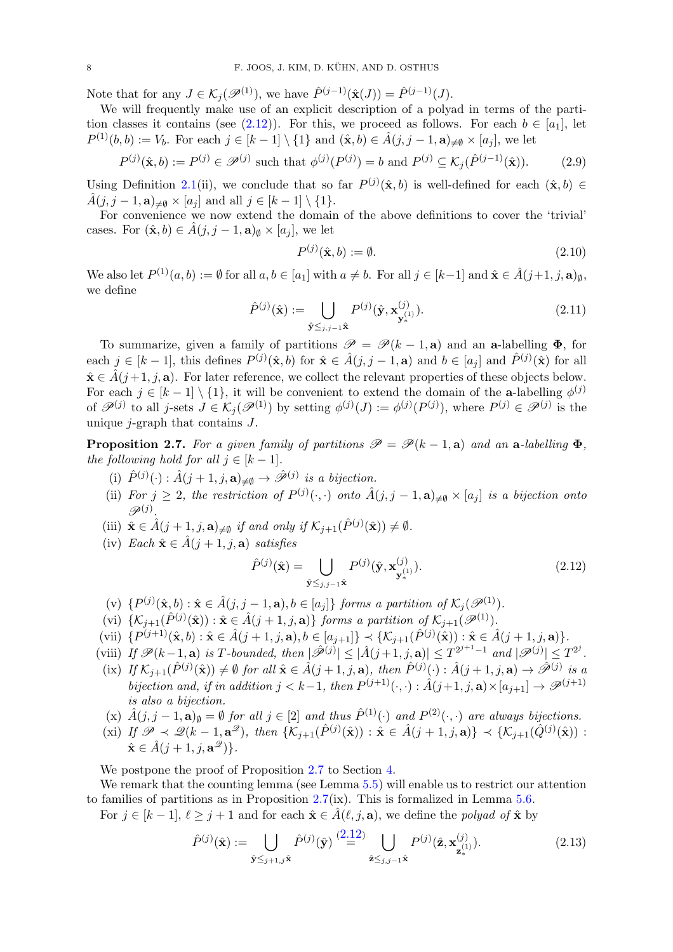Note that for any  $J \in \mathcal{K}_j(\mathscr{P}^{(1)})$ , we have  $\hat{P}^{(j-1)}(\hat{\mathbf{x}}(J)) = \hat{P}^{(j-1)}(J)$ .

We will frequently make use of an explicit description of a polyad in terms of the parti-tion classes it contains (see [\(2.12\)](#page-7-0)). For this, we proceed as follows. For each  $b \in [a_1]$ , let  $P^{(1)}(b, b) := V_b$ . For each  $j \in [k-1] \setminus \{1\}$  and  $(\hat{\mathbf{x}}, b) \in \hat{A}(j, j-1, \mathbf{a})_{\neq \emptyset} \times [a_j]$ , we let

$$
P^{(j)}(\hat{\mathbf{x}},b) := P^{(j)} \in \mathcal{P}^{(j)} \text{ such that } \phi^{(j)}(P^{(j)}) = b \text{ and } P^{(j)} \subseteq \mathcal{K}_j(\hat{P}^{(j-1)}(\hat{\mathbf{x}})). \tag{2.9}
$$

Using Definition [2.1\(](#page-4-0)ii), we conclude that so far  $P^{(j)}(\hat{\mathbf{x}},b)$  is well-defined for each  $(\hat{\mathbf{x}},b) \in$  $\hat{A}(j, j-1, \mathbf{a})_{\neq \emptyset} \times [a_j]$  and all  $j \in [k-1] \setminus \{1\}.$ 

For convenience we now extend the domain of the above definitions to cover the 'trivial' cases. For  $(\hat{\mathbf{x}}, b) \in \hat{A}(j, j - 1, \mathbf{a})_{\emptyset} \times [a_j]$ , we let

<span id="page-7-4"></span><span id="page-7-2"></span>
$$
P^{(j)}(\hat{\mathbf{x}},b) := \emptyset. \tag{2.10}
$$

We also let  $P^{(1)}(a, b) := \emptyset$  for all  $a, b \in [a_1]$  with  $a \neq b$ . For all  $j \in [k-1]$  and  $\hat{\mathbf{x}} \in \hat{A}(j+1, j, \mathbf{a})_{\emptyset}$ , we define

$$
\hat{P}^{(j)}(\hat{\mathbf{x}}) := \bigcup_{\hat{\mathbf{y}} \leq j, j-1} P^{(j)}(\hat{\mathbf{y}}, \mathbf{x}_{\mathbf{y}_{*}^{(1)}}^{(j)}).
$$
\n(2.11)

To summarize, given a family of partitions  $\mathscr{P} = \mathscr{P}(k-1, a)$  and an a-labelling  $\Phi$ , for each  $j \in [k-1]$ , this defines  $P^{(j)}(\hat{\mathbf{x}}, b)$  for  $\hat{\mathbf{x}} \in \hat{A}(j, j-1, \mathbf{a})$  and  $b \in [a_j]$  and  $\hat{P}^{(j)}(\hat{\mathbf{x}})$  for all  $\hat{\mathbf{x}} \in \hat{A}(j+1, j, \mathbf{a})$ . For later reference, we collect the relevant properties of these objects below. For each  $j \in [k-1] \setminus \{1\}$ , it will be convenient to extend the domain of the **a**-labelling  $\phi^{(j)}$ of  $\mathscr{P}^{(j)}$  to all j-sets  $J \in \mathcal{K}_j(\mathscr{P}^{(1)})$  by setting  $\phi^{(j)}(J) := \phi^{(j)}(P^{(j)})$ , where  $P^{(j)} \in \mathscr{P}^{(j)}$  is the unique  $j$ -graph that contains  $J$ .

<span id="page-7-1"></span>**Proposition 2.7.** For a given family of partitions  $\mathcal{P} = \mathcal{P}(k-1, a)$  and an a-labelling  $\Phi$ . the following hold for all  $j \in [k-1]$ .

- (i)  $\hat{P}^{(j)}(\cdot) : \hat{A}(j+1, j, \mathbf{a})_{\neq \emptyset} \to \hat{\mathscr{P}}^{(j)}$  is a bijection.
- (ii) For  $j \geq 2$ , the restriction of  $P^{(j)}(\cdot, \cdot)$  onto  $\hat{A}(j, j 1, a)_{\neq \emptyset} \times [a_j]$  is a bijection onto  $\mathscr{P}^{(j)}.$
- (iii)  $\hat{\mathbf{x}} \in \hat{A}(j+1, j, \mathbf{a})_{\neq \emptyset}$  if and only if  $\mathcal{K}_{j+1}(\hat{P}^{(j)}(\hat{\mathbf{x}})) \neq \emptyset$ .
- (iv) Each  $\hat{\mathbf{x}} \in \hat{A}(j+1, j, \mathbf{a})$  satisfies

<span id="page-7-0"></span>
$$
\hat{P}^{(j)}(\hat{\mathbf{x}}) = \bigcup_{\hat{\mathbf{y}} \leq j, j=1 \hat{\mathbf{x}}} P^{(j)}(\hat{\mathbf{y}}, \mathbf{x}_{\mathbf{y}_{*}}^{(j)}).
$$
\n(2.12)

- (v)  $\{P^{(j)}(\hat{\mathbf{x}},b) : \hat{\mathbf{x}} \in \hat{A}(j,j-1,\mathbf{a}), b \in [a_j]\}$  forms a partition of  $\mathcal{K}_j(\mathcal{P}^{(1)})$ .
- (vi)  $\{K_{j+1}(\hat{P}^{(j)}(\hat{\mathbf{x}})) : \hat{\mathbf{x}} \in \hat{A}(j+1,j,\mathbf{a})\}$  forms a partition of  $K_{j+1}(\mathscr{P}^{(1)})$ .
- (vii)  $\{P^{(j+1)}(\hat{\mathbf{x}},b) : \hat{\mathbf{x}} \in \hat{A}(j+1,j,\mathbf{a}), b \in [a_{j+1}]\} \prec \{\mathcal{K}_{j+1}(\hat{P}^{(j)}(\hat{\mathbf{x}})): \hat{\mathbf{x}} \in \hat{A}(j+1,j,\mathbf{a})\}.$
- (viii) If  $\mathscr{P}(k-1, \mathbf{a})$  is T-bounded, then  $|\hat{\mathscr{P}}^{(j)}| \leq |\hat{A}(j+1, j, \mathbf{a})| \leq T^{2^{j+1}-1}$  and  $|\mathscr{P}^{(j)}| \leq T^{2^j}$ .
- $\text{(ix)} \text{ If } \mathcal{K}_{j+1}(\hat{P}^{(j)}(\hat{\mathbf{x}})) \neq \emptyset \text{ for all } \hat{\mathbf{x}} \in \hat{A}(j+1,j,\mathbf{a}), \text{ then } \hat{P}^{(j)}(\cdot) : \hat{A}(j+1,j,\mathbf{a}) \to \hat{\mathcal{P}}^{(j)} \text{ is a}$ bijection and, if in addition  $j < k-1$ , then  $P^{(j+1)}(\cdot, \cdot) : \hat{A}(j+1, j, \mathbf{a}) \times [a_{j+1}] \to \mathscr{P}^{(j+1)}$ is also a bijection.
- (x)  $\hat{A}(j, j-1, \mathbf{a})_{\emptyset} = \emptyset$  for all  $j \in [2]$  and thus  $\hat{P}^{(1)}(\cdot)$  and  $P^{(2)}(\cdot, \cdot)$  are always bijections.
- (xi) If  $\mathscr{P} \prec \mathscr{Q}(k-1, \mathbf{a}^{\mathscr{Q}})$ , then  $\{K_{j+1}(\hat{P}^{(j)}(\hat{\mathbf{x}})) : \hat{\mathbf{x}} \in \hat{A}(j+1, j, \mathbf{a})\} \prec \{K_{j+1}(\hat{Q}^{(j)}(\hat{\mathbf{x}})) :$  $\hat{\mathbf{x}} \in \hat{A}(j+1,j,\mathbf{a}^{\mathscr{Q}})\}.$

We postpone the proof of Proposition [2.7](#page-7-1) to Section [4.](#page-10-0)

We remark that the counting lemma (see Lemma  $5.5$ ) will enable us to restrict our attention to families of partitions as in Proposition [2.7\(](#page-7-1)ix). This is formalized in Lemma [5.6.](#page-12-1)

For  $j \in [k-1], \ell \geq j+1$  and for each  $\hat{\mathbf{x}} \in \hat{A}(\ell, j, \mathbf{a})$ , we define the polyad of  $\hat{\mathbf{x}}$  by

<span id="page-7-3"></span>
$$
\hat{P}^{(j)}(\hat{\mathbf{x}}) := \bigcup_{\hat{\mathbf{y}} \leq j+1, j\hat{\mathbf{x}}} \hat{P}^{(j)}(\hat{\mathbf{y}}) \stackrel{(2.12)}{=} \bigcup_{\hat{\mathbf{z}} \leq j, j-1\hat{\mathbf{x}}} P^{(j)}(\hat{\mathbf{z}}, \mathbf{x}_{\mathbf{z}_{*}}^{(j)}). \tag{2.13}
$$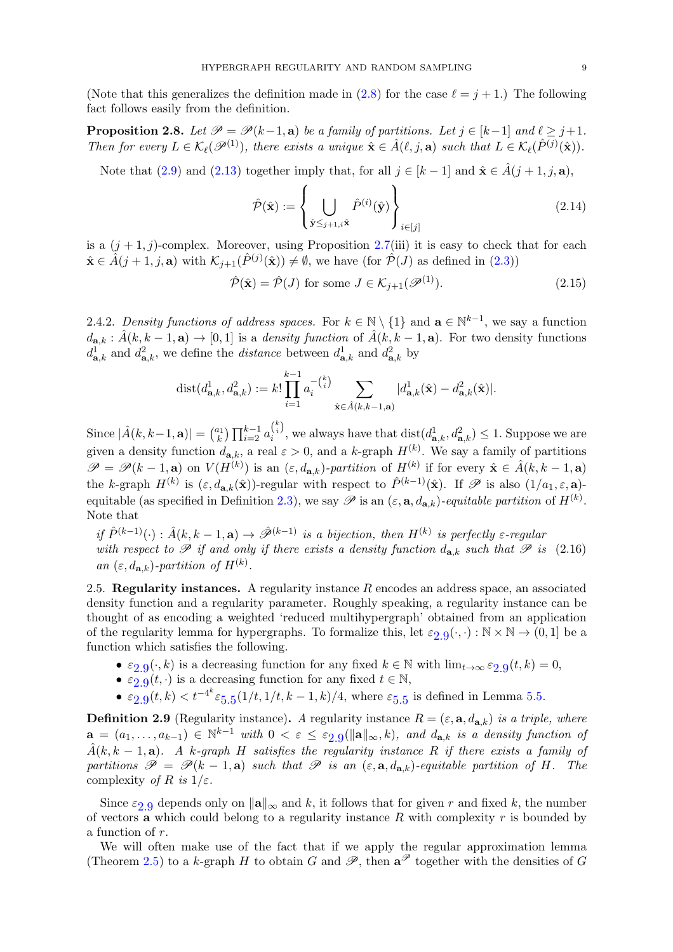(Note that this generalizes the definition made in [\(2.8\)](#page-6-1) for the case  $\ell = i + 1$ .) The following fact follows easily from the definition.

<span id="page-8-2"></span>**Proposition 2.8.** Let  $\mathcal{P} = \mathcal{P}(k-1, a)$  be a family of partitions. Let  $i \in [k-1]$  and  $\ell > i+1$ . Then for every  $L \in \mathcal{K}_{\ell}(\mathscr{P}^{(1)})$ , there exists a unique  $\hat{\mathbf{x}} \in \hat{A}(\ell, j, \mathbf{a})$  such that  $L \in \mathcal{K}_{\ell}(\hat{P}^{(j)}(\hat{\mathbf{x}})).$ 

Note that [\(2.9\)](#page-7-2) and [\(2.13\)](#page-7-3) together imply that, for all  $j \in [k-1]$  and  $\hat{\mathbf{x}} \in \hat{A}(j+1, j, \mathbf{a})$ ,

<span id="page-8-3"></span>
$$
\hat{\mathcal{P}}(\hat{\mathbf{x}}) := \left\{ \bigcup_{\hat{\mathbf{y}} \leq j+1, i\hat{\mathbf{x}}} \hat{P}^{(i)}(\hat{\mathbf{y}}) \right\}_{i \in [j]}
$$
\n(2.14)

is a  $(j + 1, j)$ -complex. Moreover, using Proposition [2.7\(](#page-7-1)iii) it is easy to check that for each  $\hat{\mathbf{x}} \in \hat{A}(j+1,j,\mathbf{a})$  with  $\mathcal{K}_{j+1}(\hat{P}^{(j)}(\hat{\mathbf{x}})) \neq \emptyset$ , we have (for  $\hat{\mathcal{P}}(J)$  as defined in  $(2.3)$ )

$$
\hat{\mathcal{P}}(\hat{\mathbf{x}}) = \hat{\mathcal{P}}(J) \text{ for some } J \in \mathcal{K}_{j+1}(\mathcal{P}^{(1)}). \tag{2.15}
$$

<span id="page-8-1"></span>2.4.2. Density functions of address spaces. For  $k \in \mathbb{N} \setminus \{1\}$  and  $\mathbf{a} \in \mathbb{N}^{k-1}$ , we say a function  $d_{\mathbf{a},k} : \hat{A}(k, k-1, \mathbf{a}) \to [0, 1]$  is a *density function* of  $\hat{A}(k, k-1, \mathbf{a})$ . For two density functions  $d^1_{\mathbf{a},k}$  and  $d^2_{\mathbf{a},k}$ , we define the *distance* between  $d^1_{\mathbf{a},k}$  and  $d^2_{\mathbf{a},k}$  by

$$
\text{dist}(d_{\mathbf{a},k}^1, d_{\mathbf{a},k}^2) := k! \prod_{i=1}^{k-1} a_i^{-\binom{k}{i}} \sum_{\hat{\mathbf{x}} \in \hat{A}(k,k-1,\mathbf{a})} |d_{\mathbf{a},k}^1(\hat{\mathbf{x}}) - d_{\mathbf{a},k}^2(\hat{\mathbf{x}})|.
$$

Since  $|\hat{A}(k, k-1, a)| = \binom{a_1}{k}$  $\prod_{i=1}^{k} \prod_{i=2}^{k-1} a_i^{k \choose i}$  $\lambda_i^{(i)}$ , we always have that  $dist(d_{\mathbf{a},k}^1, d_{\mathbf{a},k}^2) \leq 1$ . Suppose we are given a density function  $d_{\mathbf{a},k}$ , a real  $\varepsilon > 0$ , and a k-graph  $H^{(k)}$ . We say a family of partitions  $\mathscr{P} = \mathscr{P}(k-1, \mathbf{a})$  on  $V(H^{(k)})$  is an  $(\varepsilon, d_{\mathbf{a},k})$ -partition of  $H^{(k)}$  if for every  $\hat{\mathbf{x}} \in \hat{A}(k, k-1, \mathbf{a})$ the k-graph  $H^{(k)}$  is  $(\varepsilon, d_{\mathbf{a},k}(\hat{\mathbf{x}}))$ -regular with respect to  $\hat{P}^{(k-1)}(\hat{\mathbf{x}})$ . If  $\mathscr{P}$  is also  $(1/a_1, \varepsilon, \mathbf{a})$ -equitable (as specified in Definition [2.3\)](#page-4-1), we say  $\mathscr P$  is an  $(\varepsilon, \mathbf{a}, d_{\mathbf{a},k})$ -equitable partition of  $H^{(k)}$ . Note that

<span id="page-8-4"></span>if  $\hat{P}^{(k-1)}(\cdot) : \hat{A}(k, k-1, a) \to \hat{\mathscr{P}}^{(k-1)}$  is a bijection, then  $H^{(k)}$  is perfectly  $\varepsilon$ -regular with respect to  $\mathscr P$  if and only if there exists a density function  $d_{\mathbf{a},k}$  such that  $\mathscr P$  is (2.16) an  $(\varepsilon, d_{\mathbf{a},k})$ -partition of  $H^{(k)}$ .

2.5. Regularity instances. A regularity instance  $R$  encodes an address space, an associated density function and a regularity parameter. Roughly speaking, a regularity instance can be thought of as encoding a weighted 'reduced multihypergraph' obtained from an application of the regularity lemma for hypergraphs. To formalize this, let  $\varepsilon_{2,9}(\cdot,\cdot): \mathbb{N} \times \mathbb{N} \to (0,1]$  $\varepsilon_{2,9}(\cdot,\cdot): \mathbb{N} \times \mathbb{N} \to (0,1]$  $\varepsilon_{2,9}(\cdot,\cdot): \mathbb{N} \times \mathbb{N} \to (0,1]$  be a function which satisfies the following.

- $\varepsilon_{2.9}(\cdot, k)$  $\varepsilon_{2.9}(\cdot, k)$  $\varepsilon_{2.9}(\cdot, k)$  is a decreasing function for any fixed  $k \in \mathbb{N}$  with  $\lim_{t \to \infty} \varepsilon_{2.9}(t, k) = 0$ ,
- $\varepsilon_{2.9}(t, \cdot)$  $\varepsilon_{2.9}(t, \cdot)$  $\varepsilon_{2.9}(t, \cdot)$  is a decreasing function for any fixed  $t \in \mathbb{N}$ ,
- $\varepsilon_{2.9}(t, k) < t^{-4^k} \varepsilon_{5.5}(1/t, 1/t, k-1, k)/4$  $\varepsilon_{2.9}(t, k) < t^{-4^k} \varepsilon_{5.5}(1/t, 1/t, k-1, k)/4$  $\varepsilon_{2.9}(t, k) < t^{-4^k} \varepsilon_{5.5}(1/t, 1/t, k-1, k)/4$  $\varepsilon_{2.9}(t, k) < t^{-4^k} \varepsilon_{5.5}(1/t, 1/t, k-1, k)/4$  $\varepsilon_{2.9}(t, k) < t^{-4^k} \varepsilon_{5.5}(1/t, 1/t, k-1, k)/4$ , where  $\varepsilon_{5.5}$  is defined in Lemma [5.5.](#page-12-0)

<span id="page-8-0"></span>**Definition 2.9** (Regularity instance). A regularity instance  $R = (\varepsilon, \mathbf{a}, d_{\mathbf{a},k})$  is a triple, where  $\mathbf{a} = (a_1, \ldots, a_{k-1}) \in \mathbb{N}^{k-1}$  with  $0 < \varepsilon \leq \varepsilon_{2.9}(\|\mathbf{a}\|_{\infty}, k)$  $0 < \varepsilon \leq \varepsilon_{2.9}(\|\mathbf{a}\|_{\infty}, k)$  $0 < \varepsilon \leq \varepsilon_{2.9}(\|\mathbf{a}\|_{\infty}, k)$ , and  $d_{\mathbf{a},k}$  is a density function of  $\hat{A}(k, k-1, a)$ . A k-graph H satisfies the regularity instance R if there exists a family of partitions  $\mathscr{P} = \mathscr{P}(k-1, a)$  such that  $\mathscr{P}$  is an  $(\varepsilon, a, d_{a,k})$ -equitable partition of H. The complexity of R is  $1/\varepsilon$ .

Since  $\varepsilon_{2,9}$  $\varepsilon_{2,9}$  $\varepsilon_{2,9}$  depends only on  $\|\mathbf{a}\|_{\infty}$  and k, it follows that for given r and fixed k, the number of vectors a which could belong to a regularity instance  $R$  with complexity  $r$  is bounded by a function of r.

We will often make use of the fact that if we apply the regular approximation lemma (Theorem [2.5\)](#page-5-0) to a k-graph H to obtain G and  $\mathscr{P}$ , then  $\mathbf{a}^{\mathscr{P}}$  together with the densities of G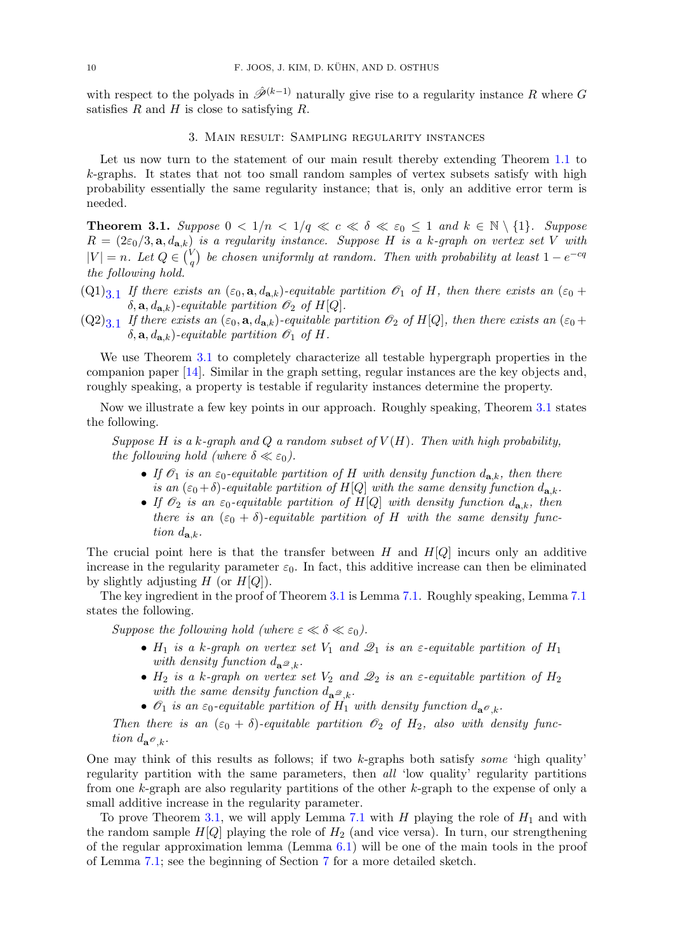with respect to the polyads in  $\hat{\mathcal{P}}^{(k-1)}$  naturally give rise to a regularity instance R where G satisfies R and H is close to satisfying R.

## 3. Main result: Sampling regularity instances

Let us now turn to the statement of our main result thereby extending Theorem [1.1](#page-1-0) to k-graphs. It states that not too small random samples of vertex subsets satisfy with high probability essentially the same regularity instance; that is, only an additive error term is needed.

<span id="page-9-0"></span>**Theorem 3.1.** Suppose  $0 < 1/n < 1/q \ll c \ll \delta \ll \varepsilon_0 \leq 1$  and  $k \in \mathbb{N} \setminus \{1\}$ . Suppose  $R = (2\varepsilon_0/3, \mathbf{a}, d_{\mathbf{a},k})$  is a regularity instance. Suppose H is a k-graph on vertex set V with  $|V| = n.$  Let  $Q \in {V \choose q}$  $\sigma_q^{(V)}$  be chosen uniformly at random. Then with probability at least  $1-e^{-cq}$ the following hold.

- $(Q1)_{3.1}$  If there exists an  $(\epsilon_0, \mathbf{a}, d_{\mathbf{a},k})$ -equitable partition  $\mathscr{O}_1$  of H, then there exists an  $(\epsilon_0 +$  $\delta$ ,  $\mathbf{a}, d_{\mathbf{a},k}$ )-equitable partition  $\mathcal{O}_2$  of H[Q].
- $(Q2)_{3.1}$  If there exists an  $(\varepsilon_0, \mathbf{a}, d_{\mathbf{a},k})$ -equitable partition  $\mathscr{O}_2$  of H[Q], then there exists an  $(\varepsilon_0 +$  $\delta$ ,  $\mathbf{a}, d_{\mathbf{a},k}$ )-equitable partition  $\mathcal{O}_1$  of H.

We use Theorem [3.1](#page-9-0) to completely characterize all testable hypergraph properties in the companion paper [\[14\]](#page-48-9). Similar in the graph setting, regular instances are the key objects and, roughly speaking, a property is testable if regularity instances determine the property.

Now we illustrate a few key points in our approach. Roughly speaking, Theorem [3.1](#page-9-0) states the following.

Suppose H is a k-graph and Q a random subset of  $V(H)$ . Then with high probability, the following hold (where  $\delta \ll \varepsilon_0$ ).

- If  $\mathcal{O}_1$  is an  $\varepsilon_0$ -equitable partition of H with density function  $d_{\mathbf{a},k}$ , then there is an  $(\varepsilon_0 + \delta)$ -equitable partition of H[Q] with the same density function  $d_{\mathbf{a},k}$ .
- If  $\mathcal{O}_2$  is an  $\varepsilon_0$ -equitable partition of H[Q] with density function  $d_{\mathbf{a},k}$ , then there is an  $(\varepsilon_0 + \delta)$ -equitable partition of H with the same density function  $d_{\mathbf{a},k}$ .

The crucial point here is that the transfer between  $H$  and  $H[Q]$  incurs only an additive increase in the regularity parameter  $\varepsilon_0$ . In fact, this additive increase can then be eliminated by slightly adjusting  $H$  (or  $H[Q]$ ).

The key ingredient in the proof of Theorem [3.1](#page-9-0) is Lemma [7.1.](#page-33-0) Roughly speaking, Lemma [7.1](#page-33-0) states the following.

Suppose the following hold (where  $\varepsilon \ll \delta \ll \varepsilon_0$ ).

- $H_1$  is a k-graph on vertex set  $V_1$  and  $\mathscr{Q}_1$  is an  $\varepsilon$ -equitable partition of  $H_1$ with density function  $d_{\mathbf{a}}\mathcal{Q}_k$ .
- $H_2$  is a k-graph on vertex set  $V_2$  and  $\mathcal{Q}_2$  is an  $\varepsilon$ -equitable partition of  $H_2$ with the same density function  $d_{\mathbf{a}^{\mathcal{Q}},k}$ .
- $\mathscr{O}_1$  is an  $\varepsilon_0$ -equitable partition of  $H_1$  with density function  $d_{\mathbf{a}}\mathscr{O}_k$ .

Then there is an  $(\varepsilon_0 + \delta)$ -equitable partition  $\mathcal{O}_2$  of  $H_2$ , also with density function  $d_{\mathbf{a}}\mathbf{\sigma}_k$ .

One may think of this results as follows; if two  $k$ -graphs both satisfy some 'high quality' regularity partition with the same parameters, then all 'low quality' regularity partitions from one k-graph are also regularity partitions of the other k-graph to the expense of only a small additive increase in the regularity parameter.

To prove Theorem [3.1,](#page-9-0) we will apply Lemma [7.1](#page-33-0) with  $H$  playing the role of  $H_1$  and with the random sample  $H[Q]$  playing the role of  $H_2$  (and vice versa). In turn, our strengthening of the regular approximation lemma (Lemma  $6.1$ ) will be one of the main tools in the proof of Lemma [7.1;](#page-33-0) see the beginning of Section [7](#page-33-1) for a more detailed sketch.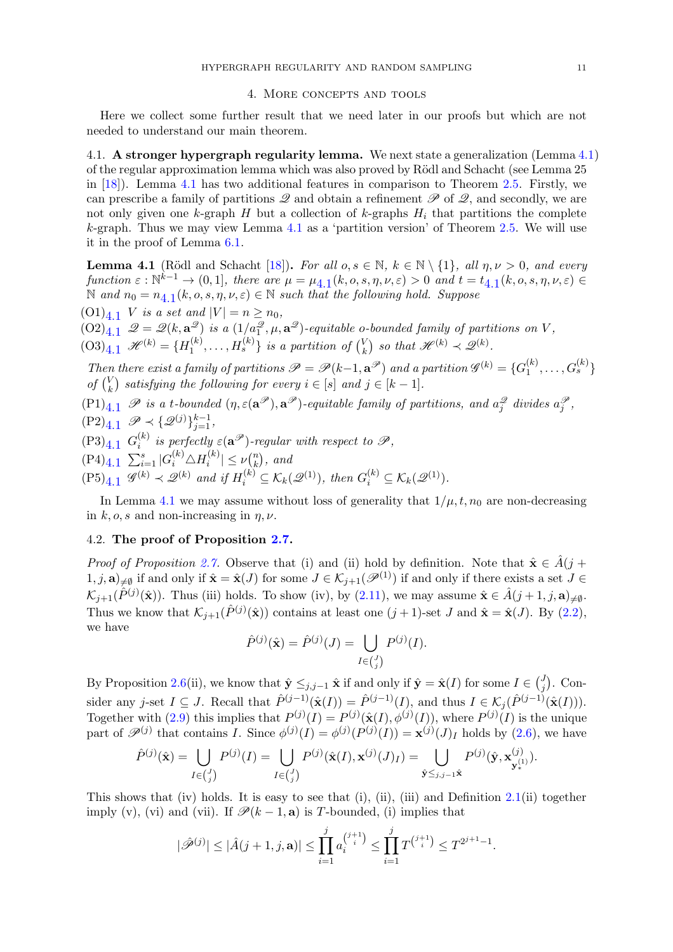#### 4. More concepts and tools

<span id="page-10-0"></span>Here we collect some further result that we need later in our proofs but which are not needed to understand our main theorem.

4.1. A stronger hypergraph regularity lemma. We next state a generalization (Lemma [4.1\)](#page-10-1) of the regular approximation lemma which was also proved by Rödl and Schacht (see Lemma 25 in [\[18\]](#page-48-2)). Lemma [4.1](#page-10-1) has two additional features in comparison to Theorem [2.5.](#page-5-0) Firstly, we can prescribe a family of partitions  $\mathscr Q$  and obtain a refinement  $\mathscr P$  of  $\mathscr Q$ , and secondly, we are not only given one k-graph H but a collection of k-graphs  $H_i$  that partitions the complete k-graph. Thus we may view Lemma  $4.1$  as a 'partition version' of Theorem [2.5.](#page-5-0) We will use it in the proof of Lemma [6.1.](#page-18-0)

<span id="page-10-1"></span>**Lemma 4.1** (Rödl and Schacht [\[18\]](#page-48-2)). For all  $o, s \in \mathbb{N}$ ,  $k \in \mathbb{N} \setminus \{1\}$ , all  $\eta, \nu > 0$ , and every function  $\varepsilon : \mathbb{N}^{k-1} \to (0,1]$ , there are  $\mu = \mu_{4,1}(k, o, s, \eta, \nu, \varepsilon) > 0$  $\mu = \mu_{4,1}(k, o, s, \eta, \nu, \varepsilon) > 0$  $\mu = \mu_{4,1}(k, o, s, \eta, \nu, \varepsilon) > 0$  and  $t = t_{4,1}(k, o, s, \eta, \nu, \varepsilon) \in$  $\mathbb N$  and  $n_0 = n_{4,1}(k, o, s, \eta, \nu, \varepsilon) \in \mathbb N$  $n_0 = n_{4,1}(k, o, s, \eta, \nu, \varepsilon) \in \mathbb N$  $n_0 = n_{4,1}(k, o, s, \eta, \nu, \varepsilon) \in \mathbb N$  such that the following hold. Suppose

 $(0,1)_{4,1}$  V is a set and  $|V| = n \geq n_0$ ,  $(02)_{4,1}$   $\mathscr{Q} = \mathscr{Q}(k, \mathbf{a}^{\mathscr{Q}})$  is a  $(1/a_1^{\mathscr{Q}}, \mu, \mathbf{a}^{\mathscr{Q}})$ -equitable o-bounded family of partitions on V,  $(03)_{4.1}$   $\mathscr{H}^{(k)} = \{H_1^{(k)}\}$  $\{a_1^{(k)},\ldots,H_s^{(k)}\}$  is a partition of  $\binom{V_k}{k}$  $\binom{V}{k}$  so that  $\mathscr{H}^{(k)} \prec \mathscr{Q}^{(k)}$ .

Then there exist a family of partitions  $\mathscr{P} = \mathscr{P}(k-1, \mathbf{a}^{\mathscr{P}})$  and a partition  $\mathscr{G}^{(k)} = \{G_1^{(k)}\}$  $\binom{(k)}{1},\ldots,G_s^{(k)}\}$ of  $\binom{V}{k}$  $\binom{V}{k}$  satisfying the following for every  $i \in [s]$  and  $j \in [k-1]$ .

 $(P1)_{4.1}$  P is a t-bounded  $(\eta, \varepsilon(\mathbf{a}^{\mathscr{P}}), \mathbf{a}^{\mathscr{P}})$ -equitable family of partitions, and  $a_j^{\mathscr{Q}}$  divides  $a_j^{\mathscr{P}}$ ,  $(P2)_{4.1} \mathscr{P} \prec \{\mathscr{Q}^{(j)}\}_{j=1}^{k-1},$ 

 $(P3)_{4.1}$   $G_i^{(k)}$  is perfectly  $\varepsilon(\mathbf{a}^{\mathscr{P}})$ -regular with respect to  $\mathscr{P},$ i

 $(P4)_{4.1} \sum_{i=1}^{s} |G_i^{(k)} \triangle H_i^{(k)}$  $|k \choose i}| \leq \nu \binom{n}{k}$  $\binom{n}{k}$ , and

 $(P5)_{4.1}$   $\mathscr{G}^{(k)} \prec \mathscr{Q}^{(k)}$  and if  $H_i^{(k)} \subseteq \mathcal{K}_k(\mathscr{Q}^{(1)})$ , then  $G_i^{(k)} \subseteq \mathcal{K}_k(\mathscr{Q}^{(1)})$ .

In Lemma [4.1](#page-10-1) we may assume without loss of generality that  $1/\mu$ ,  $t$ ,  $n_0$  are non-decreasing in k, o, s and non-increasing in  $\eta$ ,  $\nu$ .

# 4.2. The proof of Proposition [2.7.](#page-7-1)

*Proof of Proposition [2.7.](#page-7-1)* Observe that (i) and (ii) hold by definition. Note that  $\hat{\mathbf{x}} \in \hat{A}(j + \hat{A}(j))$  $(1, j, \mathbf{a})_{\neq \emptyset}$  if and only if  $\hat{\mathbf{x}} = \hat{\mathbf{x}}(J)$  for some  $J \in \mathcal{K}_{j+1}(\mathscr{P}^{(1)})$  if and only if there exists a set  $J \in$  $\mathcal{K}_{j+1}(\hat{P}^{(j)}(\hat{\mathbf{x}}))$ . Thus (iii) holds. To show (iv), by [\(2.11\)](#page-7-4), we may assume  $\hat{\mathbf{x}} \in \hat{A}(j+1, j, \mathbf{a})_{\neq \emptyset}$ . Thus we know that  $\mathcal{K}_{j+1}(\hat{P}^{(j)}(\hat{\mathbf{x}}))$  contains at least one  $(j+1)$ -set J and  $\hat{\mathbf{x}} = \hat{\mathbf{x}}(J)$ . By  $(2.2)$ , we have

$$
\hat{P}^{(j)}(\hat{\mathbf{x}}) = \hat{P}^{(j)}(J) = \bigcup_{I \in {J \choose j}} P^{(j)}(I).
$$

By Proposition [2.6\(](#page-6-2)ii), we know that  $\hat{\mathbf{y}} \leq_{j,j-1} \hat{\mathbf{x}}$  if and only if  $\hat{\mathbf{y}} = \hat{\mathbf{x}}(I)$  for some  $I \in \binom{J}{j}$  $j^{J}$ ). Consider any j-set  $I \subseteq J$ . Recall that  $\hat{P}^{(j-1)}(\hat{\mathbf{x}}(I)) = \hat{P}^{(j-1)}(I)$ , and thus  $I \in \mathcal{K}_j(\hat{P}^{(j-1)}(\hat{\mathbf{x}}(I))).$ Together with [\(2.9\)](#page-7-2) this implies that  $P^{(j)}(I) = P^{(j)}(\hat{\mathbf{x}}(I), \phi^{(j)}(I))$ , where  $P^{(j)}(I)$  is the unique part of  $\mathscr{P}^{(j)}$  that contains I. Since  $\phi^{(j)}(I) = \phi^{(j)}(P^{(j)}(I)) = \mathbf{x}^{(j)}(J)_I$  holds by  $(2.6)$ , we have

$$
\hat{P}^{(j)}(\hat{\mathbf{x}}) = \bigcup_{I \in {J \choose j}} P^{(j)}(I) = \bigcup_{I \in {J \choose j}} P^{(j)}(\hat{\mathbf{x}}(I), \mathbf{x}^{(j)}(J)_I) = \bigcup_{\hat{\mathbf{y}} \leq j, j-1} P^{(j)}(\hat{\mathbf{y}}, \mathbf{x}^{(j)}_{\mathbf{y}^{(1)}_*}).
$$

This shows that (iv) holds. It is easy to see that (i), (ii), (iii) and Definition  $2.1$ (ii) together imply (v), (vi) and (vii). If  $\mathscr{P}(k-1,\mathbf{a})$  is T-bounded, (i) implies that

$$
|\hat{\mathscr{P}}^{(j)}| \leq |\hat{A}(j+1,j,\mathbf{a})| \leq \prod_{i=1}^{j} a_i^{j+1} \leq \prod_{i=1}^{j} T^{j+1} \leq T^{2^{j+1}-1}.
$$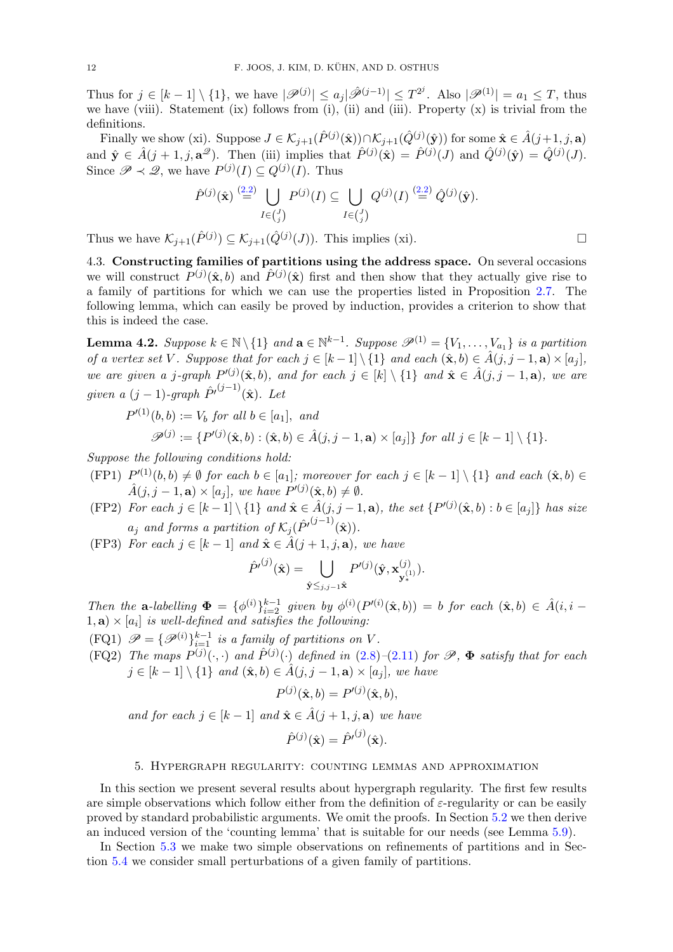Thus for  $j \in [k-1] \setminus \{1\}$ , we have  $|\mathscr{P}^{(j)}| \leq a_j |\hat{\mathscr{P}}^{(j-1)}| \leq T^{2^j}$ . Also  $|\mathscr{P}^{(1)}| = a_1 \leq T$ , thus we have (viii). Statement (ix) follows from (i), (ii) and (iii). Property  $(x)$  is trivial from the definitions.

Finally we show (xi). Suppose  $J \in \mathcal{K}_{j+1}(\hat{P}^{(j)}(\hat{\mathbf{x}})) \cap \mathcal{K}_{j+1}(\hat{Q}^{(j)}(\hat{\mathbf{y}}))$  for some  $\hat{\mathbf{x}} \in \hat{A}(j+1, j, \mathbf{a})$ and  $\hat{\mathbf{y}} \in \hat{A}(j+1,j,\mathbf{a}^{\mathcal{D}})$ . Then (iii) implies that  $\hat{P}^{(j)}(\hat{\mathbf{x}}) = \hat{P}^{(j)}(J)$  and  $\hat{Q}^{(j)}(\hat{\mathbf{y}}) = \hat{Q}^{(j)}(J)$ . Since  $\mathscr{P} \prec \mathscr{Q}$ , we have  $P^{(j)}(I) \subseteq Q^{(j)}(I)$ . Thus

$$
\hat{P}^{(j)}(\hat{\mathbf{x}}) \stackrel{(2.2)}{=} \bigcup_{I \in {J \choose j}} P^{(j)}(I) \subseteq \bigcup_{I \in {J \choose j}} Q^{(j)}(I) \stackrel{(2.2)}{=} \hat{Q}^{(j)}(\hat{\mathbf{y}}).
$$

Thus we have  $\mathcal{K}_{j+1}(\hat{P}^{(j)}) \subseteq \mathcal{K}_{j+1}(\hat{Q}^{(j)}(J))$ . This implies (xi).

4.3. Constructing families of partitions using the address space. On several occasions we will construct  $P^{(j)}(\hat{\mathbf{x}},b)$  and  $\hat{P}^{(j)}(\hat{\mathbf{x}})$  first and then show that they actually give rise to a family of partitions for which we can use the properties listed in Proposition [2.7.](#page-7-1) The following lemma, which can easily be proved by induction, provides a criterion to show that this is indeed the case.

<span id="page-11-0"></span>**Lemma 4.2.** Suppose  $k \in \mathbb{N} \setminus \{1\}$  and  $\mathbf{a} \in \mathbb{N}^{k-1}$ . Suppose  $\mathscr{P}^{(1)} = \{V_1, \ldots, V_{a_1}\}$  is a partition of a vertex set V. Suppose that for each  $j \in [k-1] \setminus \{1\}$  and each  $(\hat{\mathbf{x}}, b) \in \hat{A}(j, j-1, \mathbf{a}) \times [a_j]$ , we are given a j-graph  $P^{(j)}(\hat{\mathbf{x}},b)$ , and for each  $j \in [k] \setminus \{1\}$  and  $\hat{\mathbf{x}} \in \hat{A}(j, j-1, \mathbf{a})$ , we are given a  $(j-1)$ -graph  $\hat{P'}^{(j-1)}(\hat{\mathbf{x}})$ . Let

$$
P'^{(1)}(b,b) := V_b \text{ for all } b \in [a_1], \text{ and}
$$
  

$$
\mathscr{P}^{(j)} := \{P'^{(j)}(\hat{\mathbf{x}},b) : (\hat{\mathbf{x}},b) \in \hat{A}(j,j-1,\mathbf{a}) \times [a_j]\} \text{ for all } j \in [k-1] \setminus \{1\}.
$$

<span id="page-11-1"></span>Suppose the following conditions hold:

- $(FP1)$   $P^{(1)}(b, b) \neq \emptyset$  for each  $b \in [a_1]$ ; moreover for each  $j \in [k-1] \setminus \{1\}$  and each  $(\hat{\mathbf{x}}, b) \in$  $\hat{A}(j, j-1, \mathbf{a}) \times [a_j]$ , we have  $P'(j)(\hat{\mathbf{x}}, b) \neq \emptyset$ .
- <span id="page-11-3"></span>(FP2) For each  $j \in [k-1] \setminus \{1\}$  and  $\hat{\mathbf{x}} \in \hat{A}(j, j-1, \mathbf{a})$ , the set  $\{P^{(j)}(\hat{\mathbf{x}}, b) : b \in [a_j]\}$  has size  $a_j$  and forms a partition of  $\mathcal{K}_j(\hat{P'}^{(j-1)}(\hat{\mathbf{x}})).$
- <span id="page-11-2"></span>(FP3) For each  $j \in [k-1]$  and  $\hat{\mathbf{x}} \in \hat{A}(j+1, j, \mathbf{a})$ , we have

$$
\hat{P}'^{(j)}(\hat{\mathbf{x}}) = \bigcup_{\hat{\mathbf{y}} \leq j, j=1 \hat{\mathbf{x}}} P'^{(j)}(\hat{\mathbf{y}}, \mathbf{x}_{\mathbf{y}_{*}}^{(j)}).
$$

Then the **a**-labelling  $\Phi = {\phi^{(i)}}_{i=2}^{k-1}$  given by  $\phi^{(i)}(P^{(i)}(\hat{\mathbf{x}},b)) = b$  for each  $(\hat{\mathbf{x}},b) \in \hat{A}(i,i-1)$  $(1, a) \times [a_i]$  is well-defined and satisfies the following:

- $(\text{FQ1}) \ \mathscr{P} = \{ \mathscr{P}^{(i)} \}_{i=1}^{k-1}$  is a family of partitions on V.
- (FQ2) The maps  $P^{(j)}(\cdot, \cdot)$  and  $\hat{P}^{(j)}(\cdot)$  defined in [\(2.8\)](#page-6-1)–[\(2.11\)](#page-7-4) for  $\mathscr{P}$ ,  $\Phi$  satisfy that for each  $j \in [k-1] \setminus \{1\}$  and  $(\hat{\mathbf{x}}, b) \in \hat{A}(j, j-1, \mathbf{a}) \times [a_j]$ , we have

$$
P^{(j)}(\hat{\mathbf{x}},b) = P'^{(j)}(\hat{\mathbf{x}},b),
$$

and for each  $j \in [k-1]$  and  $\hat{\mathbf{x}} \in \hat{A}(j+1, j, \mathbf{a})$  we have

$$
\hat{P}^{(j)}(\hat{\mathbf{x}}) = \hat{P'}^{(j)}(\hat{\mathbf{x}}).
$$

#### 5. Hypergraph regularity: counting lemmas and approximation

In this section we present several results about hypergraph regularity. The first few results are simple observations which follow either from the definition of  $\varepsilon$ -regularity or can be easily proved by standard probabilistic arguments. We omit the proofs. In Section [5.2](#page-12-2) we then derive an induced version of the 'counting lemma' that is suitable for our needs (see Lemma [5.9\)](#page-14-0).

In Section [5.3](#page-16-0) we make two simple observations on refinements of partitions and in Section [5.4](#page-16-1) we consider small perturbations of a given family of partitions.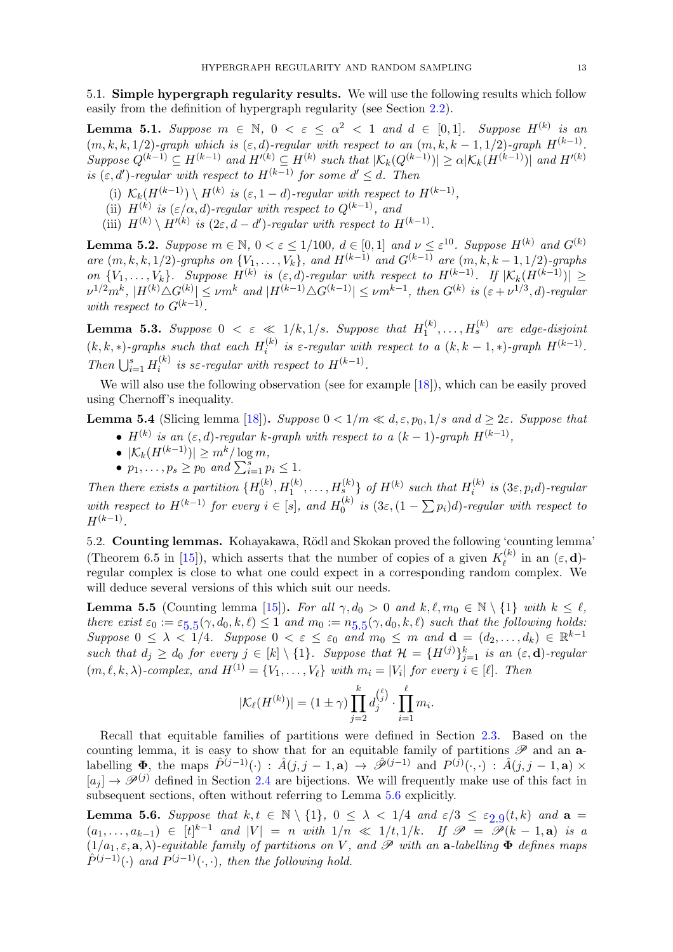5.1. Simple hypergraph regularity results. We will use the following results which follow easily from the definition of hypergraph regularity (see Section [2.2\)](#page-3-0).

<span id="page-12-4"></span>**Lemma 5.1.** Suppose  $m \in \mathbb{N}$ ,  $0 < \varepsilon \le \alpha^2 < 1$  and  $d \in [0,1]$ . Suppose  $H^{(k)}$  is an  $(m, k, k, 1/2)$ -graph which is  $(\varepsilon, d)$ -regular with respect to an  $(m, k, k - 1, 1/2)$ -graph  $H^{(k-1)}$ . Suppose  $Q^{(k-1)} \subseteq H^{(k-1)}$  and  $H'(k) \subseteq H^{(k)}$  such that  $|\mathcal{K}_k(Q^{(k-1)})| \ge \alpha |\mathcal{K}_k(H^{(k-1)})|$  and  $H'(k)$ is  $(\varepsilon, d')$ -regular with respect to  $H^{(k-1)}$  for some  $d' \leq d$ . Then

- (i)  $\mathcal{K}_k(H^{(k-1)}) \setminus H^{(k)}$  is  $(\varepsilon, 1-d)$ -regular with respect to  $H^{(k-1)}$ ,
- (ii)  $H^{(k)}$  is  $(\varepsilon/\alpha,d)$ -regular with respect to  $Q^{(k-1)}$ , and
- (iii)  $H^{(k)} \setminus H'^{(k)}$  is  $(2\varepsilon, d d')$ -regular with respect to  $H^{(k-1)}$ .

**Lemma 5.2.** Suppose  $m \in \mathbb{N}$ ,  $0 < \varepsilon \le 1/100$ ,  $d \in [0,1]$  and  $\nu \le \varepsilon^{10}$ . Suppose  $H^{(k)}$  and  $G^{(k)}$ are  $(m, k, k, 1/2)$ -graphs on  $\{V_1, \ldots, V_k\}$ , and  $H^{(k-1)}$  and  $G^{(k-1)}$  are  $(m, k, k-1, 1/2)$ -graphs on  $\{V_1,\ldots,V_k\}$ . Suppose  $H^{(k)}$  is  $(\varepsilon,d)$ -regular with respect to  $H^{(k-1)}$ . If  $|\mathcal{K}_k(H^{(k-1)})| \ge$  $|\nu^{1/2}m^k|, |H^{(k)}\triangle G^{(k)}| \le \nu m^k$  and  $|H^{(k-1)}\triangle G^{(k-1)}| \le \nu m^{k-1}$ , then  $G^{(k)}$  is  $(\varepsilon+\nu^{1/3},d)$ -regular with respect to  $G^{(k-1)}$ .

<span id="page-12-5"></span>**Lemma 5.3.** Suppose  $0 < \varepsilon \ll 1/k, 1/s$ . Suppose that  $H_1^{(k)}$  $H_1^{(k)}, \ldots, H_s^{(k)}$  are edge-disjoint  $(k, k, *)$ -graphs such that each  $H_i^{(k)}$ <sup>(k)</sup> is  $\varepsilon$ -regular with respect to a  $(k, k - 1, *)$ -graph  $H^{(k-1)}$ . Then  $\bigcup_{i=1}^s H_i^{(k)}$  $i^{(k)}$  is s $\varepsilon$ -regular with respect to  $H^{(k-1)}$ .

We will also use the following observation (see for example [\[18\]](#page-48-2)), which can be easily proved using Chernoff's inequality.

<span id="page-12-3"></span>**Lemma 5.4** (Slicing lemma [\[18\]](#page-48-2)). Suppose  $0 < 1/m \ll d, \epsilon, p_0, 1/s$  and  $d \geq 2\epsilon$ . Suppose that

- $H^{(k)}$  is an  $(\varepsilon, d)$ -regular k-graph with respect to a  $(k-1)$ -graph  $H^{(k-1)}$ ,
- $|\mathcal{K}_k(H^{(k-1)})| > m^k/\log m$ ,
- $p_1, \ldots, p_s \geq p_0$  and  $\sum_{i=1}^s p_i \leq 1$ .

Then there exists a partition  $\{H_0^{(k)}\}$  $\{a_0^{(k)}, H_1^{(k)}, \ldots, H_{s}^{(k)}\}$  of  $H^{(k)}$  such that  $H_i^{(k)}$  $i^{(\kappa)}$  is  $(3\varepsilon, p_i d)$ -regular with respect to  $H^{(k-1)}$  for every  $i \in [s]$ , and  $H_0^{(k)}$  $\int_0^{(k)}$  is  $(3\varepsilon,(1-\sum p_i)d)$ -regular with respect to  $H^{(k-1)}$ .

<span id="page-12-2"></span>5.2. Counting lemmas. Kohayakawa, Rödl and Skokan proved the following 'counting lemma' (Theorem 6.5 in [\[15\]](#page-48-10)), which asserts that the number of copies of a given  $K_{\ell}^{(k)}$  $\ell^{(\kappa)}$  in an  $(\varepsilon, \mathbf{d})$ regular complex is close to what one could expect in a corresponding random complex. We will deduce several versions of this which suit our needs.

<span id="page-12-0"></span>**Lemma 5.5** (Counting lemma [\[15\]](#page-48-10)). For all  $\gamma$ ,  $d_0 > 0$  and  $k, \ell, m_0 \in \mathbb{N} \setminus \{1\}$  with  $k \leq \ell$ , there exist  $\varepsilon_0 := \varepsilon_{5.5}(\gamma, d_0, k, \ell) \leq 1$  $\varepsilon_0 := \varepsilon_{5.5}(\gamma, d_0, k, \ell) \leq 1$  $\varepsilon_0 := \varepsilon_{5.5}(\gamma, d_0, k, \ell) \leq 1$  and  $m_0 := n_{5.5}(\gamma, d_0, k, \ell)$  such that the following holds: Suppose  $0 \leq \lambda < 1/4$ . Suppose  $0 < \varepsilon \leq \varepsilon_0$  and  $m_0 \leq m$  and  $\mathbf{d} = (d_2, \dots, d_k) \in \mathbb{R}^{k-1}$ such that  $d_j \geq d_0$  for every  $j \in [k] \setminus \{1\}$ . Suppose that  $\mathcal{H} = \{H^{(j)}\}_{j=1}^k$  is an  $(\varepsilon, \mathbf{d})$ -regular  $(m, \ell, k, \lambda)$ -complex, and  $H^{(1)} = \{V_1, \ldots, V_\ell\}$  with  $m_i = |V_i|$  for every  $i \in [\ell]$ . Then

$$
|\mathcal{K}_{\ell}(H^{(k)})| = (1 \pm \gamma) \prod_{j=2}^{k} d_j^{(\ell)} \cdot \prod_{i=1}^{\ell} m_i.
$$

Recall that equitable families of partitions were defined in Section [2.3.](#page-3-1) Based on the counting lemma, it is easy to show that for an equitable family of partitions  $\mathscr P$  and an **a**labelling  $\Phi$ , the maps  $\hat{P}^{(j-1)}(\cdot) : \hat{A}(j, j-1, a) \to \hat{\mathscr{P}}^{(j-1)}$  and  $P^{(j)}(\cdot, \cdot) : \hat{A}(j, j-1, a) \times$  $[a_j] \rightarrow \mathscr{P}^{(j)}$  defined in Section [2.4](#page-5-1) are bijections. We will frequently make use of this fact in subsequent sections, often without referring to Lemma [5.6](#page-12-1) explicitly.

<span id="page-12-1"></span>**Lemma 5.6.** Suppose that  $k, t \in \mathbb{N} \setminus \{1\}$ ,  $0 \leq \lambda < 1/4$  and  $\varepsilon/3 \leq \varepsilon_{2.9}(t, k)$  $\varepsilon/3 \leq \varepsilon_{2.9}(t, k)$  $\varepsilon/3 \leq \varepsilon_{2.9}(t, k)$  and  $a =$  $(a_1,\ldots,a_{k-1}) \in [t]^{k-1}$  and  $|V| = n$  with  $1/n \ll 1/t, 1/k$ . If  $\mathscr{P} = \mathscr{P}(k-1,\mathbf{a})$  is a  $(1/a_1, \varepsilon, \mathbf{a}, \lambda)$ -equitable family of partitions on V, and P with an  $\mathbf{a}$ -labelling  $\mathbf{\Phi}$  defines maps  $\hat{P}^{(j-1)}(\cdot)$  and  $P^{(j-1)}(\cdot,\cdot)$ , then the following hold.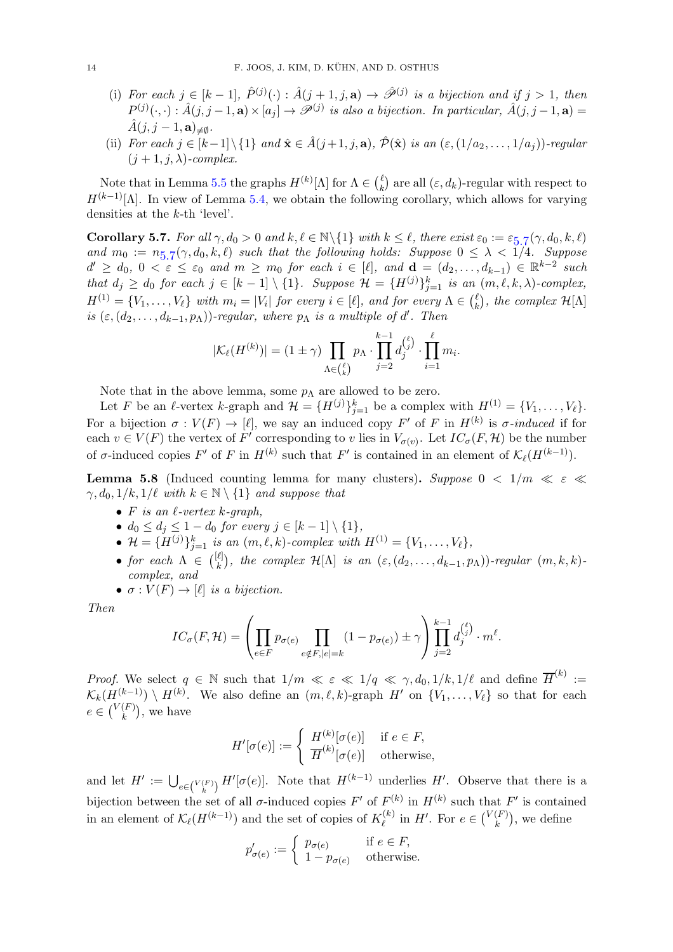- (i) For each  $j \in [k-1], \hat{P}^{(j)}(\cdot) : \hat{A}(j+1,j,\mathbf{a}) \to \hat{\mathscr{P}}^{(j)}$  is a bijection and if  $j > 1$ , then  $P^{(j)}(\cdot, \cdot): \hat{A}(j, j-1, \mathbf{a}) \times [a_j] \to \mathscr{P}^{(j)}$  is also a bijection. In particular,  $\hat{A}(j, j-1, \mathbf{a}) =$  $\hat{A}(j,j-1,\mathbf{a})_{\neq\emptyset}.$
- (ii) For each  $j \in [k-1] \setminus \{1\}$  and  $\hat{\mathbf{x}} \in \hat{A}(j+1, j, \mathbf{a}), \hat{\mathcal{P}}(\hat{\mathbf{x}})$  is an  $(\varepsilon, (1/a_2, \ldots, 1/a_j))$ -regular  $(j + 1, j, \lambda)$ -complex.

Note that in Lemma [5.5](#page-12-0) the graphs  $H^{(k)}[\Lambda]$  for  $\Lambda \in \binom{\ell}{k}$  $\binom{k}{k}$  are all  $(\varepsilon, d_k)$ -regular with respect to  $H^{(k-1)}[\Lambda]$ . In view of Lemma [5.4,](#page-12-3) we obtain the following corollary, which allows for varying densities at the k-th 'level'.

<span id="page-13-0"></span>**Corollary [5](#page-13-0).7.** For all  $\gamma, d_0 > 0$  and  $k, \ell \in \mathbb{N} \setminus \{1\}$  with  $k \leq \ell$ , there exist  $\varepsilon_0 := \varepsilon_{5,7}(\gamma, d_0, k, \ell)$ and  $m_0 := n_{5.7}(\gamma, d_0, k, \ell)$  $m_0 := n_{5.7}(\gamma, d_0, k, \ell)$  $m_0 := n_{5.7}(\gamma, d_0, k, \ell)$  such that the following holds: Suppose  $0 \leq \lambda < 1/4$ . Suppose  $d' \geq d_0, 0 < \varepsilon \leq \varepsilon_0$  and  $m \geq m_0$  for each  $i \in [\ell],$  and  $\mathbf{d} = (d_2, \ldots, d_{k-1}) \in \mathbb{R}^{k-2}$  such that  $d_j \geq d_0$  for each  $j \in [k-1] \setminus \{1\}$ . Suppose  $\mathcal{H} = \{H^{(j)}\}_{j=1}^k$  is an  $(m, \ell, k, \lambda)$ -complex,  $H^{(1)} = \{V_1, \ldots, V_\ell\}$  with  $m_i = |V_i|$  for every  $i \in [\ell]$ , and for every  $\Lambda \in {\ell \choose k}$  $\binom{k}{k}$ , the complex  $\mathcal{H}[\Lambda]$ is  $(\varepsilon, (d_2, \ldots, d_{k-1}, p_\Lambda))$ -regular, where  $p_\Lambda$  is a multiple of d'. Then

$$
|\mathcal{K}_{\ell}(H^{(k)})| = (1 \pm \gamma) \prod_{\Lambda \in \binom{\ell}{k}} p_{\Lambda} \cdot \prod_{j=2}^{k-1} d_j^{\binom{\ell}{j}} \cdot \prod_{i=1}^{\ell} m_i.
$$

Note that in the above lemma, some  $p_{\Lambda}$  are allowed to be zero.

Let F be an  $\ell$ -vertex k-graph and  $\mathcal{H} = \{H^{(j)}\}_{j=1}^k$  be a complex with  $H^{(1)} = \{V_1, \ldots, V_\ell\}.$ For a bijection  $\sigma: V(F) \to [\ell],$  we say an induced copy  $F'$  of F in  $H^{(k)}$  is  $\sigma$ -induced if for each  $v \in V(F)$  the vertex of  $F'$  corresponding to v lies in  $V_{\sigma(v)}$ . Let  $IC_{\sigma}(F, \mathcal{H})$  be the number of  $\sigma$ -induced copies  $F'$  of F in  $H^{(k)}$  such that  $F'$  is contained in an element of  $\mathcal{K}_{\ell}(H^{(k-1)})$ .

<span id="page-13-1"></span>**Lemma 5.8** (Induced counting lemma for many clusters). Suppose  $0 < 1/m \ll \varepsilon \ll$  $\gamma, d_0, 1/k, 1/\ell$  with  $k \in \mathbb{N} \setminus \{1\}$  and suppose that

- F is an  $\ell$ -vertex  $k$ -graph,
- $d_0 \leq d_j \leq 1 d_0$  for every  $j \in [k-1] \setminus \{1\},$
- $\mathcal{H} = \{H^{(j)}\}_{j=1}^k$  is an  $(m, \ell, k)$ -complex with  $H^{(1)} = \{V_1, \ldots, V_\ell\},$
- for each  $\Lambda \in \binom{[\ell]}{k}$  $\mathcal{L}_{k}^{[l]}$ , the complex  $\mathcal{H}[\Lambda]$  is an  $(\varepsilon,(d_2,\ldots,d_{k-1},p_\Lambda))$ -regular  $(m,k,k)$ complex, and
- $\sigma: V(F) \to [\ell]$  is a bijection.

Then

$$
IC_{\sigma}(F, \mathcal{H}) = \left(\prod_{e \in F} p_{\sigma(e)} \prod_{e \notin F, |e|=k} (1-p_{\sigma(e)}) \pm \gamma \right) \prod_{j=2}^{k-1} d_j^{(\ell)} \cdot m^{\ell}.
$$

*Proof.* We select  $q \in \mathbb{N}$  such that  $1/m \ll \varepsilon \ll 1/q \ll \gamma, d_0, 1/k, 1/\ell$  and define  $\overline{H}^{(k)} :=$  $\mathcal{K}_k(H^{(k-1)}) \setminus H^{(k)}$ . We also define an  $(m, \ell, k)$ -graph H' on  $\{V_1, \ldots, V_\ell\}$  so that for each  $e \in {V(F) \choose k}$  $\binom{F}{k}$ , we have

$$
H'[\sigma(e)] := \begin{cases} H^{(k)}[\sigma(e)] & \text{if } e \in F, \\ \overline{H}^{(k)}[\sigma(e)] & \text{otherwise,} \end{cases}
$$

and let  $H' := \bigcup_{e \in {V(F) \choose k}} H'[\sigma(e)]$ . Note that  $H^{(k-1)}$  underlies  $H'$ . Observe that there is a bijection between the set of all  $\sigma$ -induced copies F' of  $F^{(k)}$  in  $H^{(k)}$  such that F' is contained in an element of  $\mathcal{K}_{\ell}(H^{(k-1)})$  and the set of copies of  $K_{\ell}^{(k)}$  $\ell^{(k)}$  in H'. For  $e \in \binom{V(F)}{k}$  $\binom{F}{k}$ , we define

$$
p_{\sigma(e)}':=\left\{\begin{array}{ll}p_{\sigma(e)}&\text{if }e\in F,\\1-p_{\sigma(e)}&\text{otherwise.}\end{array}\right.
$$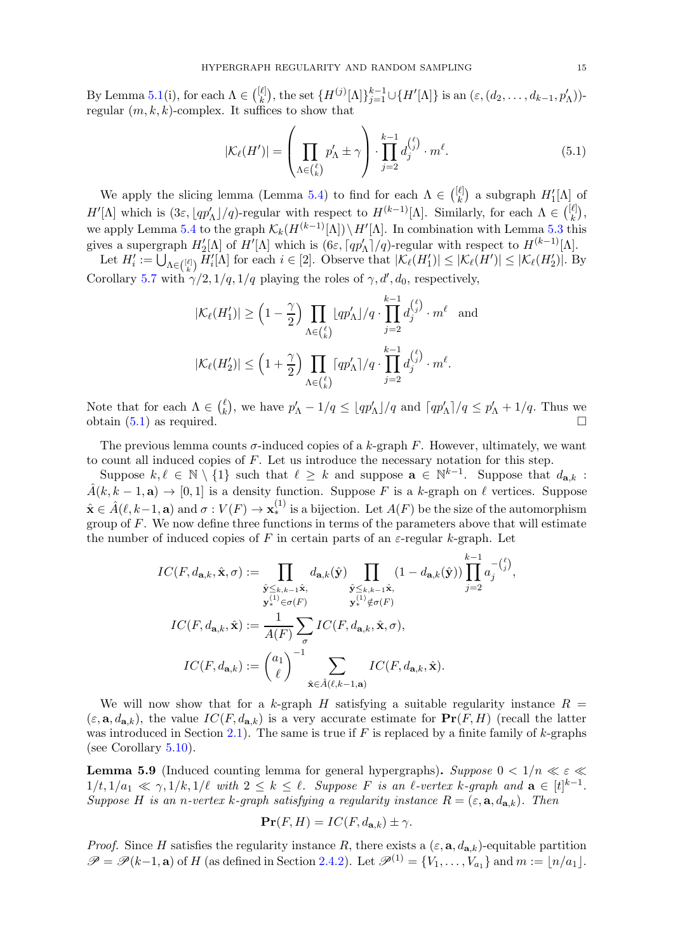By Lemma [5.1\(](#page-12-4)i), for each  $\Lambda \in \binom{[\ell]}{k}$ <sup>ℓ|</sup>, the set {H<sup>(j)</sup>[Λ]}<sup>k-1</sup><sub>j=1</sub>∪{H'[Λ]} is an (ε, (d<sub>2</sub>, . . . , d<sub>k-1</sub>, p'<sub>Λ</sub>))regular  $(m, k, k)$ -complex. It suffices to show that

<span id="page-14-1"></span>
$$
|\mathcal{K}_{\ell}(H')| = \left(\prod_{\Lambda \in \binom{\ell}{k}} p'_{\Lambda} \pm \gamma\right) \cdot \prod_{j=2}^{k-1} d_j^{\binom{\ell}{j}} \cdot m^{\ell}.\tag{5.1}
$$

We apply the slicing lemma (Lemma [5.4\)](#page-12-3) to find for each  $\Lambda \in \binom{[\ell]}{k}$  $\binom{\ell}{k}$  a subgraph  $H'_1[\Lambda]$  of  $H'[\Lambda]$  which is  $(3\varepsilon, \lfloor qp'_\Lambda\rfloor/q)$ -regular with respect to  $H^{(k-1)}[\Lambda]$ . Similarly, for each  $\Lambda \in \binom{[\ell]}{k}$  $\binom{\ell}{k}$ , we apply Lemma [5.4](#page-12-3) to the graph  $\mathcal{K}_k(H^{(k-1)}[\Lambda]) \setminus H'[\Lambda]$ . In combination with Lemma [5.3](#page-12-5) this gives a supergraph  $H'_2[\Lambda]$  of  $H'[\Lambda]$  which is  $(6\varepsilon, \lceil qp'_\Lambda\rceil/q)$ -regular with respect to  $H^{(k-1)}[\Lambda]$ .

Let  $H'_i := \bigcup_{\Lambda \in \binom{[\ell]}{k}} \overline{H}'_i[\Lambda]$  for each  $i \in [2]$ . Observe that  $|\mathcal{K}_{\ell}(H'_1)| \leq |\mathcal{K}_{\ell}(H')| \leq |\mathcal{K}_{\ell}(H'_2)|$ . By Corollary [5.7](#page-13-0) with  $\gamma/2$ ,  $1/q$ ,  $1/q$  playing the roles of  $\gamma$ ,  $d'$ ,  $d_0$ , respectively,

$$
|\mathcal{K}_{\ell}(H'_1)| \ge \left(1 - \frac{\gamma}{2}\right) \prod_{\Lambda \in \binom{\ell}{k}} \lfloor qp'_\Lambda \rfloor / q \cdot \prod_{j=2}^{k-1} d_j^{\binom{\ell}{j}} \cdot m^{\ell} \text{ and}
$$
  

$$
|\mathcal{K}_{\ell}(H'_2)| \le \left(1 + \frac{\gamma}{2}\right) \prod_{\Lambda \in \binom{\ell}{k}} \lceil qp'_\Lambda \rceil / q \cdot \prod_{j=2}^{k-1} d_j^{\binom{\ell}{j}} \cdot m^{\ell}.
$$

Note that for each  $\Lambda \in \binom{\ell}{k}$ k, we have  $p'_\Lambda - 1/q \leq \lfloor qp'_\Lambda \rfloor/q$  and  $\lceil qp'_\Lambda \rceil/q \leq p'_\Lambda + 1/q$ . Thus we obtain  $(5.1)$  as required.

The previous lemma counts  $\sigma$ -induced copies of a k-graph F. However, ultimately, we want to count all induced copies of  $F$ . Let us introduce the necessary notation for this step.

Suppose  $k, \ell \in \mathbb{N} \setminus \{1\}$  such that  $\ell \geq k$  and suppose  $\mathbf{a} \in \mathbb{N}^{k-1}$ . Suppose that  $d_{\mathbf{a},k}$ :  $\hat{A}(k, k-1, a) \rightarrow [0, 1]$  is a density function. Suppose F is a k-graph on  $\ell$  vertices. Suppose  $\hat{\mathbf{x}} \in \hat{A}(\ell, k-1, \mathbf{a})$  and  $\sigma: V(F) \to \mathbf{x}_*^{(1)}$  is a bijection. Let  $A(F)$  be the size of the automorphism group of  $F$ . We now define three functions in terms of the parameters above that will estimate the number of induced copies of F in certain parts of an  $\varepsilon$ -regular k-graph. Let

$$
IC(F, d_{\mathbf{a},k}, \hat{\mathbf{x}}, \sigma) := \prod_{\substack{\hat{\mathbf{y}} \leq k, k-1 \\ \mathbf{y}^{(1)}_{*} \in \sigma(F)}} d_{\mathbf{a},k}(\hat{\mathbf{y}}) \prod_{\substack{\hat{\mathbf{y}} \leq k, k-1 \\ \mathbf{y}^{(1)}_{*} \notin \sigma(F)}} (1 - d_{\mathbf{a},k}(\hat{\mathbf{y}})) \prod_{j=2}^{k-1} a_j^{-(\ell)}
$$
  

$$
IC(F, d_{\mathbf{a},k}, \hat{\mathbf{x}}) := \frac{1}{A(F)} \sum_{\sigma} IC(F, d_{\mathbf{a},k}, \hat{\mathbf{x}}, \sigma),
$$
  

$$
IC(F, d_{\mathbf{a},k}) := {\binom{a_1}{\ell}}^{-1} \sum_{\hat{\mathbf{x}} \in \hat{A}(\ell, k-1, \mathbf{a})} IC(F, d_{\mathbf{a},k}, \hat{\mathbf{x}}).
$$

We will now show that for a k-graph H satisfying a suitable regularity instance  $R =$  $(\varepsilon, \mathbf{a}, d_{\mathbf{a},k})$ , the value  $IC(F, d_{\mathbf{a},k})$  is a very accurate estimate for  $\Pr(F, H)$  (recall the latter was introduced in Section [2.1\)](#page-2-1). The same is true if  $F$  is replaced by a finite family of k-graphs (see Corollary [5.10\)](#page-16-2).

<span id="page-14-0"></span>**Lemma 5.9** (Induced counting lemma for general hypergraphs). Suppose  $0 < 1/n \ll \varepsilon \ll$  $1/t, 1/a_1 \ll \gamma, 1/k, 1/\ell$  with  $2 \leq k \leq \ell$ . Suppose F is an  $\ell$ -vertex k-graph and  $\mathbf{a} \in [t]^{k-1}$ . Suppose H is an n-vertex k-graph satisfying a regularity instance  $R = (\varepsilon, \mathbf{a}, d_{\mathbf{a},k})$ . Then

$$
\mathbf{Pr}(F, H) = IC(F, d_{\mathbf{a},k}) \pm \gamma.
$$

*Proof.* Since H satisfies the regularity instance R, there exists a  $(\varepsilon, \mathbf{a}, d_{\mathbf{a},k})$ -equitable partition  $\mathscr{P} = \mathscr{P}(k-1, \mathbf{a})$  of H (as defined in Section [2.4.2\)](#page-8-1). Let  $\mathscr{P}^{(1)} = \{V_1, \ldots, V_{a_1}\}$  and  $m := \lfloor n/a_1 \rfloor$ .

,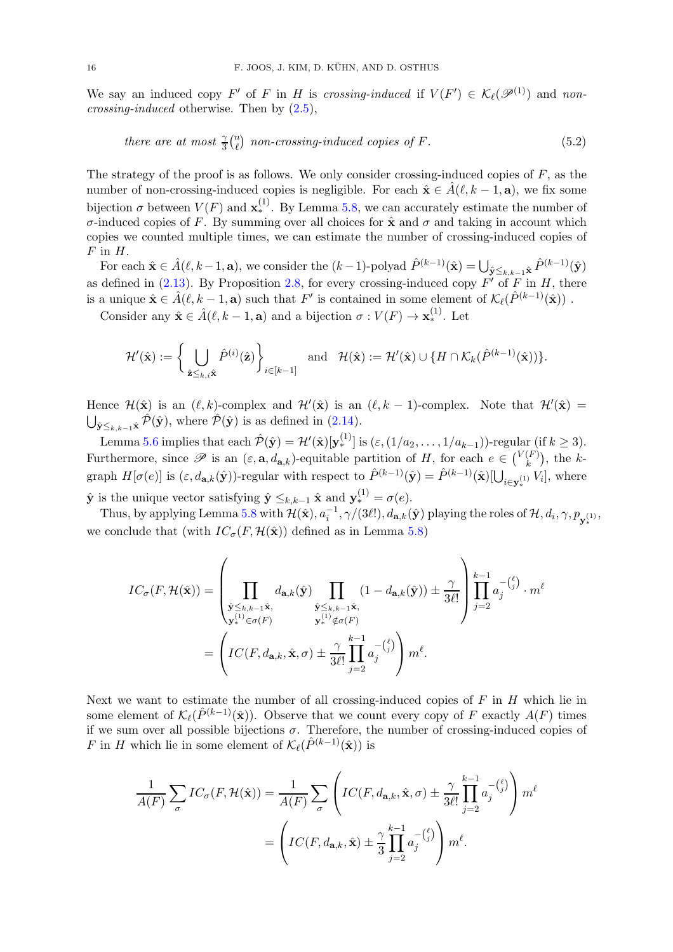We say an induced copy F' of F in H is crossing-induced if  $V(F') \in \mathcal{K}_{\ell}(\mathscr{P}^{(1)})$  and noncrossing-induced otherwise. Then by [\(2.5\)](#page-4-4),

<span id="page-15-0"></span>there are at most 
$$
\frac{\gamma}{3} {n \choose \ell}
$$
 non-crossing-induced copies of F. (5.2)

The strategy of the proof is as follows. We only consider crossing-induced copies of  $F$ , as the number of non-crossing-induced copies is negligible. For each  $\hat{\mathbf{x}} \in \hat{A}(\ell, k-1, \mathbf{a})$ , we fix some bijection  $\sigma$  between  $V(F)$  and  $\mathbf{x}_{*}^{(1)}$ . By Lemma [5.8,](#page-13-1) we can accurately estimate the number of σ-induced copies of F. By summing over all choices for xˆ and σ and taking in account which copies we counted multiple times, we can estimate the number of crossing-induced copies of  $F$  in  $H$ .

For each  $\hat{\mathbf{x}} \in \hat{A}(\ell, k-1, \mathbf{a})$ , we consider the  $(k-1)$ -polyad  $\hat{P}^{(k-1)}(\hat{\mathbf{x}}) = \bigcup_{\hat{\mathbf{y}} \leq k, k-1} \hat{\mathbf{x}} \hat{P}^{(k-1)}(\hat{\mathbf{y}})$ as defined in  $(2.13)$ . By Proposition [2.8,](#page-8-2) for every crossing-induced copy  $F'$  of F in H, there is a unique  $\hat{\mathbf{x}} \in \hat{A}(\ell, k-1, \mathbf{a})$  such that  $F'$  is contained in some element of  $\mathcal{K}_{\ell}(\hat{P}^{(k-1)}(\hat{\mathbf{x}}))$ .

Consider any  $\hat{\mathbf{x}} \in \hat{A}(\ell, k-1, \mathbf{a})$  and a bijection  $\sigma: V(F) \to \mathbf{x}_{*}^{(1)}$ . Let

$$
\mathcal{H}'(\hat{\mathbf{x}}) := \bigg\{ \bigcup_{\hat{\mathbf{z}} \leq k, i\hat{\mathbf{x}}} \hat{P}^{(i)}(\hat{\mathbf{z}}) \bigg\}_{i \in [k-1]} \quad \text{and} \quad \mathcal{H}(\hat{\mathbf{x}}) := \mathcal{H}'(\hat{\mathbf{x}}) \cup \{ H \cap \mathcal{K}_k(\hat{P}^{(k-1)}(\hat{\mathbf{x}})) \}.
$$

Hence  $\mathcal{H}(\hat{\mathbf{x}})$  is an  $(\ell, k)$ -complex and  $\mathcal{H}'(\hat{\mathbf{x}})$  is an  $(\ell, k-1)$ -complex. Note that  $\mathcal{H}'(\hat{\mathbf{x}})$  =  $\bigcup_{\hat{\mathbf{y}} \leq k, k-1} \hat{\mathcal{P}}(\hat{\mathbf{y}})$ , where  $\hat{\mathcal{P}}(\hat{\mathbf{y}})$  is as defined in [\(2.14\)](#page-8-3).

Lemma [5.6](#page-12-1) implies that each  $\hat{\mathcal{P}}(\hat{\mathbf{y}}) = \mathcal{H}'(\hat{\mathbf{x}})[\mathbf{y}_*^{(1)}]$  is  $(\varepsilon, (1/a_2, \dots, 1/a_{k-1}))$ -regular (if  $k \geq 3$ ). Furthermore, since  $\mathscr P$  is an  $(\varepsilon, \mathbf{a}, d_{\mathbf{a},k})$ -equitable partition of H, for each  $e \in {V(F) \choose k}$  $\binom{F}{k}$ , the kgraph  $H[\sigma(e)]$  is  $(\varepsilon, d_{\mathbf{a},k}(\hat{\mathbf{y}}))$ -regular with respect to  $\hat{P}^{(k-1)}(\hat{\mathbf{y}}) = \hat{P}^{(k-1)}(\hat{\mathbf{x}})[\bigcup_{i \in \mathbf{y}_{*}^{(1)}} V_i]$ , where

 $\hat{\mathbf{y}}$  is the unique vector satisfying  $\hat{\mathbf{y}} \leq_{k,k-1} \hat{\mathbf{x}}$  and  $\mathbf{y}_{*}^{(1)} = \sigma(e)$ .

Thus, by applying Lemma [5.8](#page-13-1) with  $\mathcal{H}(\hat{\mathbf{x}}), a_i^{-1}, \gamma/(3\ell!)$ ,  $d_{\mathbf{a},k}(\hat{\mathbf{y}})$  playing the roles of  $\mathcal{H}, d_i, \gamma, p_{\mathbf{y}_{*}^{(1)}},$ we conclude that (with  $IC_{\sigma}(F, \mathcal{H}(\hat{\mathbf{x}}))$  defined as in Lemma [5.8\)](#page-13-1)

$$
IC_{\sigma}(F, \mathcal{H}(\hat{\mathbf{x}})) = \left(\prod_{\substack{\hat{\mathbf{y}} \leq k, k-1\hat{\mathbf{x}}, \\ \mathbf{y}_{*}^{(1)} \in \sigma(F)}} d_{\mathbf{a},k}(\hat{\mathbf{y}}) \prod_{\substack{\hat{\mathbf{y}} \leq k, k-1\hat{\mathbf{x}}, \\ \mathbf{y}_{*}^{(1)} \notin \sigma(F)}} (1 - d_{\mathbf{a},k}(\hat{\mathbf{y}})) \pm \frac{\gamma}{3\ell!} \right) \prod_{j=2}^{k-1} a_{j}^{-(\ell_{j})} \cdot m^{\ell}
$$

$$
= \left( IC(F, d_{\mathbf{a},k}, \hat{\mathbf{x}}, \sigma) \pm \frac{\gamma}{3\ell!} \prod_{j=2}^{k-1} a_{j}^{-(\ell_{j})} \right) m^{\ell}.
$$

Next we want to estimate the number of all crossing-induced copies of  $F$  in  $H$  which lie in some element of  $\mathcal{K}_{\ell}(\hat{P}^{(k-1)}(\hat{\mathbf{x}}))$ . Observe that we count every copy of F exactly  $A(F)$  times if we sum over all possible bijections  $\sigma$ . Therefore, the number of crossing-induced copies of F in H which lie in some element of  $\mathcal{K}_{\ell}(\hat{P}^{(k-1)}(\hat{\mathbf{x}}))$  is

$$
\frac{1}{A(F)}\sum_{\sigma}IC_{\sigma}(F,\mathcal{H}(\hat{\mathbf{x}})) = \frac{1}{A(F)}\sum_{\sigma}\left(IC(F,d_{\mathbf{a},k},\hat{\mathbf{x}},\sigma) \pm \frac{\gamma}{3\ell!} \prod_{j=2}^{k-1} a_j^{-\binom{\ell}{j}}\right) m^{\ell}
$$

$$
= \left(IC(F,d_{\mathbf{a},k},\hat{\mathbf{x}}) \pm \frac{\gamma}{3} \prod_{j=2}^{k-1} a_j^{-\binom{\ell}{j}}\right) m^{\ell}.
$$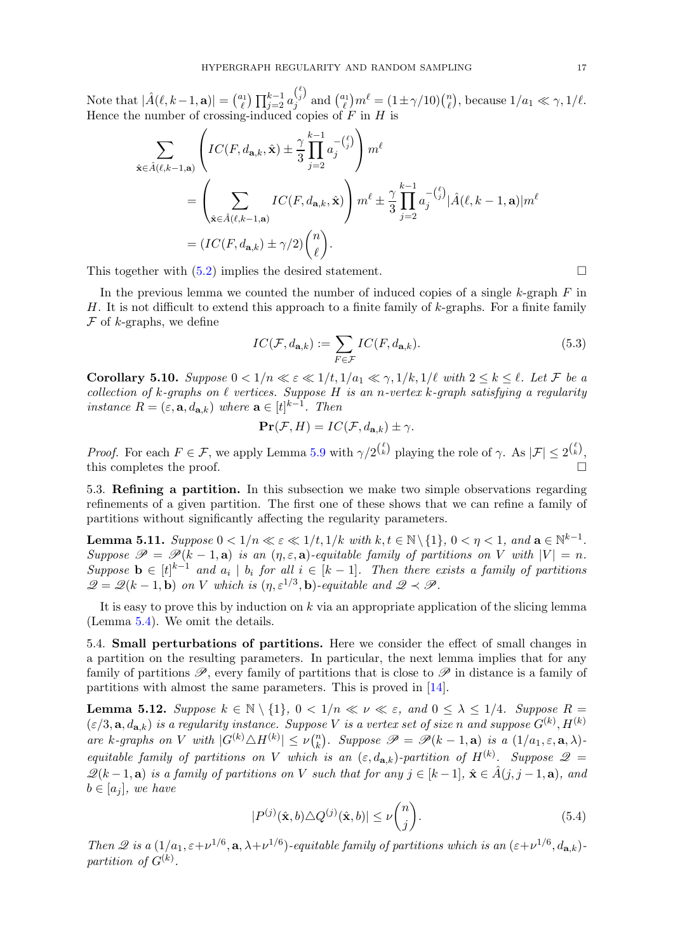Note that  $|\hat{A}(\ell, k-1, a)| = \binom{a_1}{\ell}$  $\prod_{j=2}^{l_1}\prod_{j=2}^{k-1}a_j^{\binom{\ell}{j}}$  $j^{(j)}$  and  $\binom{a_1}{\ell}$  $\binom{n_1}{\ell}m^\ell=(1\pm\gamma/10)\binom{n_\ell}{\ell}$  $\binom{n}{\ell}$ , because  $1/a_1 \ll \gamma$ ,  $1/\ell$ . Hence the number of crossing-induced copies of  $F$  in  $H$  is

$$
\sum_{\hat{\mathbf{x}} \in \hat{A}(\ell,k-1,\mathbf{a})} \left( IC(F,d_{\mathbf{a},k},\hat{\mathbf{x}}) \pm \frac{\gamma}{3} \prod_{j=2}^{k-1} a_j^{-(\ell)} \right) m^{\ell}
$$
\n
$$
= \left( \sum_{\hat{\mathbf{x}} \in \hat{A}(\ell,k-1,\mathbf{a})} IC(F,d_{\mathbf{a},k},\hat{\mathbf{x}}) \right) m^{\ell} \pm \frac{\gamma}{3} \prod_{j=2}^{k-1} a_j^{-(\ell)} |\hat{A}(\ell,k-1,\mathbf{a})| m^{\ell}
$$
\n
$$
= (IC(F,d_{\mathbf{a},k}) \pm \gamma/2) {n \choose \ell}.
$$

This together with  $(5.2)$  implies the desired statement.

In the previous lemma we counted the number of induced copies of a single  $k$ -graph  $F$  in H. It is not difficult to extend this approach to a finite family of  $k$ -graphs. For a finite family  $\mathcal F$  of *k*-graphs, we define

$$
IC(\mathcal{F}, d_{\mathbf{a},k}) := \sum_{F \in \mathcal{F}} IC(F, d_{\mathbf{a},k}).
$$
\n(5.3)

<span id="page-16-2"></span>Corollary 5.10. Suppose  $0 < 1/n \ll \varepsilon \ll 1/t, 1/a_1 \ll \gamma, 1/k, 1/\ell$  with  $2 \leq k \leq \ell$ . Let F be a collection of k-graphs on  $\ell$  vertices. Suppose H is an n-vertex k-graph satisfying a regularity instance  $R = (\varepsilon, \mathbf{a}, d_{\mathbf{a},k})$  where  $\mathbf{a} \in [t]^{k-1}$ . Then

$$
\mathbf{Pr}(\mathcal{F}, H) = IC(\mathcal{F}, d_{\mathbf{a},k}) \pm \gamma.
$$

*Proof.* For each  $F \in \mathcal{F}$ , we apply Lemma [5.9](#page-14-0) with  $\gamma/2^{\binom{\ell}{k}}$  playing the role of  $\gamma$ . As  $|\mathcal{F}| \leq 2^{\binom{\ell}{k}}$ , this completes the proof.

<span id="page-16-0"></span>5.3. Refining a partition. In this subsection we make two simple observations regarding refinements of a given partition. The first one of these shows that we can refine a family of partitions without significantly affecting the regularity parameters.

<span id="page-16-4"></span>Lemma 5.11. Suppose  $0 < 1/n \ll \varepsilon \ll 1/t, 1/k$  with  $k,t \in \mathbb{N} \setminus \{1\}, \, 0 < \eta < 1, \text{ and } \mathbf{a} \in \mathbb{N}^{k-1}.$ Suppose  $\mathscr{P} = \mathscr{P}(k-1, a)$  is an  $(\eta, \varepsilon, a)$ -equitable family of partitions on V with  $|V| = n$ . Suppose  $\mathbf{b} \in [t]^{k-1}$  and  $a_i \mid b_i$  for all  $i \in [k-1]$ . Then there exists a family of partitions  $\mathscr{Q} = \mathscr{Q}(k-1, \mathbf{b})$  on V which is  $(\eta, \varepsilon^{1/3}, \mathbf{b})$ -equitable and  $\mathscr{Q} \prec \mathscr{P}$ .

It is easy to prove this by induction on  $k$  via an appropriate application of the slicing lemma (Lemma [5.4\)](#page-12-3). We omit the details.

<span id="page-16-1"></span>5.4. Small perturbations of partitions. Here we consider the effect of small changes in a partition on the resulting parameters. In particular, the next lemma implies that for any family of partitions  $\mathscr{P}$ , every family of partitions that is close to  $\mathscr{P}$  in distance is a family of partitions with almost the same parameters. This is proved in [\[14\]](#page-48-9).

<span id="page-16-3"></span>**Lemma 5.12.** Suppose  $k \in \mathbb{N} \setminus \{1\}$ ,  $0 < 1/n \ll \nu \ll \varepsilon$ , and  $0 \leq \lambda \leq 1/4$ . Suppose  $R =$  $(\varepsilon/3, \mathbf{a}, d_{\mathbf{a},k})$  is a regularity instance. Suppose V is a vertex set of size n and suppose  $G^{(k)}, H^{(k)}$ are k-graphs on V with  $|G^{(k)} \triangle H^{(k)}| \leq \nu \binom{n}{k}$ <sup>n</sup><sub>k</sub>). Suppose  $\mathscr{P} = \mathscr{P}(k-1, \mathbf{a})$  is a  $(1/a_1, \varepsilon, \mathbf{a}, \lambda)$ equitable family of partitions on V which is an  $(\varepsilon, d_{\mathbf{a},k})$ -partition of  $H^{(k)}$ . Suppose  $\mathscr{Q}$  =  $\mathscr{Q}(k-1,\mathbf{a})$  is a family of partitions on V such that for any  $j \in [k-1], \hat{\mathbf{x}} \in \hat{A}(j,j-1,\mathbf{a})$ , and  $b \in [a_i]$ , we have

$$
|P^{(j)}(\hat{\mathbf{x}},b)\triangle Q^{(j)}(\hat{\mathbf{x}},b)| \le \nu \binom{n}{j}.\tag{5.4}
$$

Then 2 is a  $(1/a_1, \varepsilon + \nu^{1/6}, \mathbf{a}, \lambda + \nu^{1/6})$ -equitable family of partitions which is an  $(\varepsilon + \nu^{1/6}, d_{\mathbf{a},k})$ partition of  $G^{(k)}$ .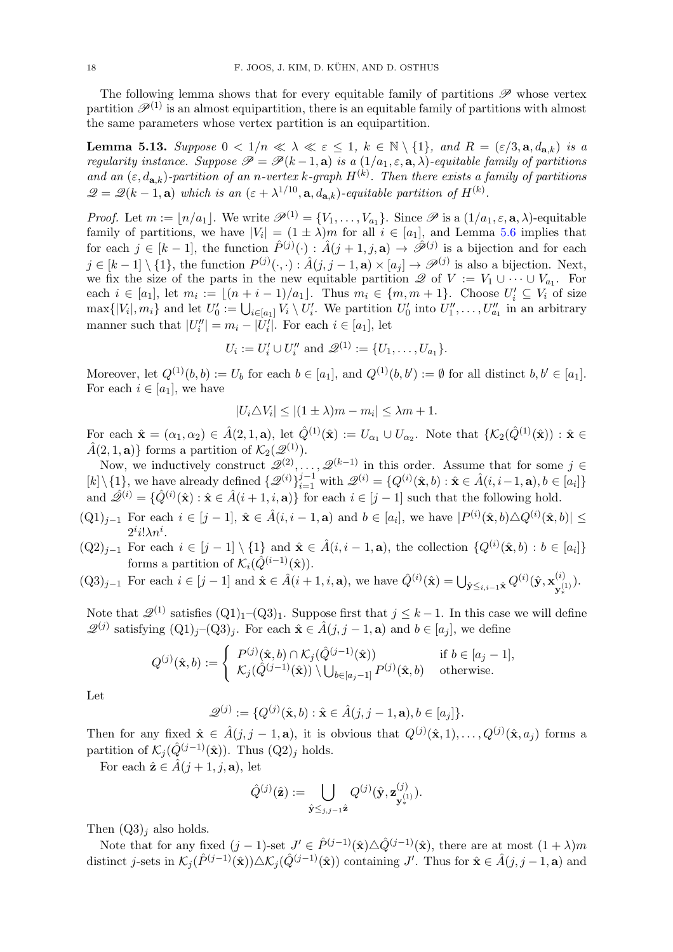The following lemma shows that for every equitable family of partitions  $\mathscr P$  whose vertex partition  $\mathscr{P}^{(1)}$  is an almost equipartition, there is an equitable family of partitions with almost the same parameters whose vertex partition is an equipartition.

<span id="page-17-0"></span>**Lemma 5.13.** Suppose  $0 < 1/n \ll \lambda \ll \varepsilon \leq 1$ ,  $k \in \mathbb{N} \setminus \{1\}$ , and  $R = (\varepsilon/3, \mathbf{a}, d_{\mathbf{a},k})$  is a regularity instance. Suppose  $\mathscr{P} = \mathscr{P}(k-1, \mathbf{a})$  is a  $(1/a_1, \varepsilon, \mathbf{a}, \lambda)$ -equitable family of partitions and an  $(\varepsilon, d_{\mathbf{a},k})$ -partition of an n-vertex k-graph  $H^{(k)}$ . Then there exists a family of partitions  $\mathscr{Q} = \mathscr{Q}(k-1, \mathbf{a})$  which is an  $(\varepsilon + \lambda^{1/10}, \mathbf{a}, d_{\mathbf{a},k})$ -equitable partition of  $H^{(k)}$ .

*Proof.* Let  $m := \lfloor n/a_1 \rfloor$ . We write  $\mathscr{P}^{(1)} = \{V_1, \ldots, V_{a_1}\}$ . Since  $\mathscr{P}$  is a  $(1/a_1, \varepsilon, \mathbf{a}, \lambda)$ -equitable family of partitions, we have  $|V_i| = (1 \pm \lambda)m$  for all  $i \in [a_1]$ , and Lemma [5.6](#page-12-1) implies that for each  $j \in [k-1]$ , the function  $\hat{P}^{(j)}(\cdot) : \hat{A}(j+1,j,\mathbf{a}) \to \hat{\mathscr{P}}^{(j)}$  is a bijection and for each  $j \in [k-1] \setminus \{1\}$ , the function  $P^{(j)}(\cdot, \cdot) : \hat{A}(j, j-1, \mathbf{a}) \times [a_j] \to \mathscr{P}^{(j)}$  is also a bijection. Next, we fix the size of the parts in the new equitable partition  $\mathscr{Q}$  of  $V := V_1 \cup \cdots \cup V_{a_1}$ . For each  $i \in [a_1]$ , let  $m_i := \lfloor (n+i-1)/a_1 \rfloor$ . Thus  $m_i \in \{m, m+1\}$ . Choose  $U_i' \subseteq V_i$  of size  $\max\{|V_i|, m_i\}$  and let  $U'_0 := \bigcup_{i \in [a_1]} V_i \setminus U'_i$ . We partition  $U'_0$  into  $U''_1, \ldots, U''_{a_1}$  in an arbitrary manner such that  $|U''_i| = m_i - |U'_i|$ . For each  $i \in [a_1]$ , let

$$
U_i := U'_i \cup U''_i
$$
 and  $\mathcal{Q}^{(1)} := \{U_1, \ldots, U_{a_1}\}.$ 

Moreover, let  $Q^{(1)}(b, b) := U_b$  for each  $b \in [a_1]$ , and  $Q^{(1)}(b, b') := \emptyset$  for all distinct  $b, b' \in [a_1]$ . For each  $i \in [a_1]$ , we have

$$
|U_i \triangle V_i| \le |(1 \pm \lambda)m - m_i| \le \lambda m + 1.
$$

For each  $\hat{\mathbf{x}} = (\alpha_1, \alpha_2) \in \hat{A}(2, 1, \mathbf{a})$ , let  $\hat{Q}^{(1)}(\hat{\mathbf{x}}) := U_{\alpha_1} \cup U_{\alpha_2}$ . Note that  $\{ \mathcal{K}_2(\hat{Q}^{(1)}(\hat{\mathbf{x}})) : \hat{\mathbf{x}} \in \mathcal{K}_2(\hat{Q}^{(1)}(\hat{\mathbf{x}})) \}$  $\hat{A}(2, 1, a)$ } forms a partition of  $\mathcal{K}_2(\mathscr{Q}^{(1)})$ .

Now, we inductively construct  $\mathscr{Q}^{(2)}, \ldots, \mathscr{Q}^{(k-1)}$  in this order. Assume that for some  $j \in$  $[k] \setminus \{1\}$ , we have already defined  $\{\mathscr{Q}^{(i)}\}_{i=1}^{j-1}$  with  $\mathscr{Q}^{(i)} = \{Q^{(i)}(\hat{\mathbf{x}},b) : \hat{\mathbf{x}} \in \hat{A}(i, i-1, \mathbf{a}), b \in [a_i]\}$ and  $\hat{\mathscr{Q}}^{(i)} = \{ \hat{Q}^{(i)}(\hat{\mathbf{x}}) : \hat{\mathbf{x}} \in \hat{A}(i+1,i,\mathbf{a}) \}$  for each  $i \in [j-1]$  such that the following hold.

- $(Q1)_{j-1}$  For each  $i \in [j-1]$ ,  $\hat{\mathbf{x}} \in \hat{A}(i, i-1, \mathbf{a})$  and  $b \in [a_i]$ , we have  $|P^{(i)}(\hat{\mathbf{x}}, b) \triangle Q^{(i)}(\hat{\mathbf{x}}, b)| \le$  $2^i i! \lambda n^i$ .
- $(Q2)_{j-1}$  For each  $i \in [j-1] \setminus \{1\}$  and  $\hat{\mathbf{x}} \in \hat{A}(i, i-1, \mathbf{a})$ , the collection  $\{Q^{(i)}(\hat{\mathbf{x}}, b) : b \in [a_i]\}$ forms a partition of  $\mathcal{K}_i(\hat{Q}^{(i-1)}(\hat{\mathbf{x}})).$

$$
(Q3)_{j-1} \text{ For each } i \in [j-1] \text{ and } \hat{\mathbf{x}} \in \hat{A}(i+1, i, \mathbf{a}), \text{ we have } \hat{Q}^{(i)}(\hat{\mathbf{x}}) = \bigcup_{\hat{\mathbf{y}} \leq i, i-1} \hat{\mathbf{x}} Q^{(i)}(\hat{\mathbf{y}}, \mathbf{x}_{\mathbf{y}_*}^{(i)}).
$$

Note that  $\mathcal{Q}^{(1)}$  satisfies  $(Q1)_1-(Q3)_1$ . Suppose first that  $j \leq k-1$ . In this case we will define  $\mathscr{Q}^{(j)}$  satisfying  $(Q1)_j-(Q3)_j$ . For each  $\hat{\mathbf{x}} \in \hat{A}(j, j-1, \mathbf{a})$  and  $b \in [a_j]$ , we define

$$
Q^{(j)}(\hat{\mathbf{x}},b) := \begin{cases} P^{(j)}(\hat{\mathbf{x}},b) \cap \mathcal{K}_j(\hat{Q}^{(j-1)}(\hat{\mathbf{x}})) & \text{if } b \in [a_j - 1], \\ \mathcal{K}_j(\hat{Q}^{(j-1)}(\hat{\mathbf{x}})) \setminus \bigcup_{b \in [a_j - 1]} P^{(j)}(\hat{\mathbf{x}},b) & \text{otherwise.} \end{cases}
$$

Let

$$
\mathcal{Q}^{(j)} := \{Q^{(j)}(\hat{\mathbf{x}},b) : \hat{\mathbf{x}} \in \hat{A}(j,j-1,\mathbf{a}), b \in [a_j]\}.
$$

Then for any fixed  $\hat{\mathbf{x}} \in \hat{A}(j, j-1, \mathbf{a})$ , it is obvious that  $Q^{(j)}(\hat{\mathbf{x}}, 1), \ldots, Q^{(j)}(\hat{\mathbf{x}}, a_j)$  forms a partition of  $\mathcal{K}_i(\hat{Q}^{(j-1)}(\hat{\mathbf{x}}))$ . Thus  $(Q2)_i$  holds.

For each  $\hat{\mathbf{z}} \in \hat{A}(i+1, i, \mathbf{a})$ , let

$$
\hat{Q}^{(j)}(\hat{\mathbf{z}}) := \bigcup_{\hat{\mathbf{y}} \leq j, j-1} \hat{\mathbf{z}} Q^{(j)}(\hat{\mathbf{y}}, \mathbf{z}^{(j)}_{\mathbf{y}^{(1)}_*}).
$$

Then  $(Q3)_i$  also holds.

Note that for any fixed  $(j-1)$ -set  $J' \in \hat{P}^{(j-1)}(\hat{\mathbf{x}}) \triangle \hat{Q}^{(j-1)}(\hat{\mathbf{x}})$ , there are at most  $(1+\lambda)m$ distinct j-sets in  $\mathcal{K}_j(\hat{P}^{(j-1)}(\hat{\mathbf{x}})) \triangle \mathcal{K}_j(\hat{Q}^{(j-1)}(\hat{\mathbf{x}}))$  containing J'. Thus for  $\hat{\mathbf{x}} \in \hat{A}(j, j-1, \mathbf{a})$  and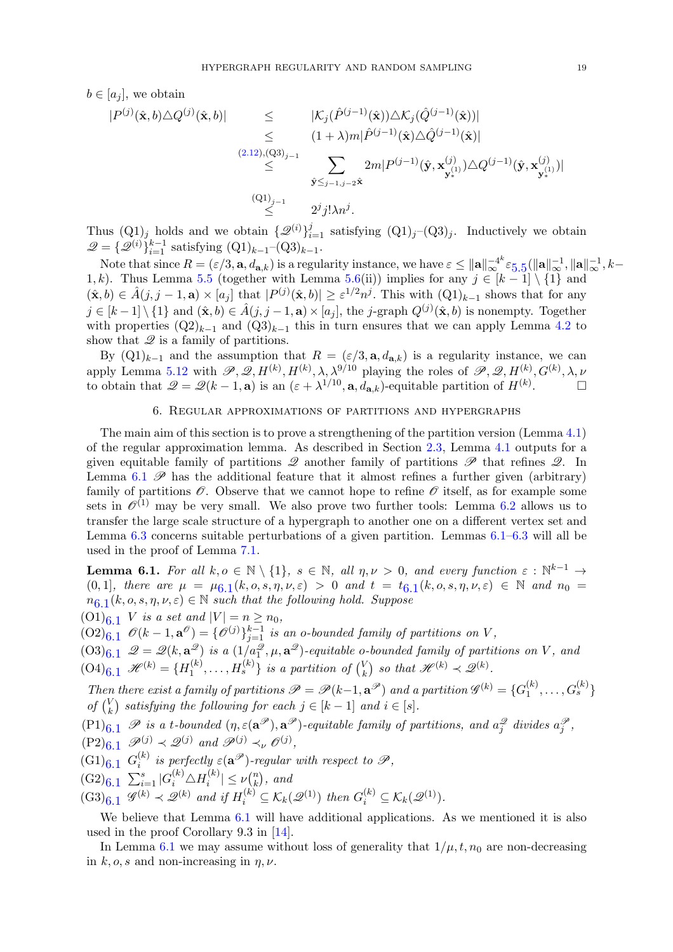$b \in [a_i]$ , we obtain

$$
\begin{array}{rcl}\n|P^{(j)}(\hat{\mathbf{x}},b)\triangle Q^{(j)}(\hat{\mathbf{x}},b)| & \leq & |\mathcal{K}_j(\hat{P}^{(j-1)}(\hat{\mathbf{x}}))\triangle \mathcal{K}_j(\hat{Q}^{(j-1)}(\hat{\mathbf{x}}))| \\
& \leq & (1+\lambda)m|\hat{P}^{(j-1)}(\hat{\mathbf{x}})\triangle \hat{Q}^{(j-1)}(\hat{\mathbf{x}})| \\
& \leq & \sum_{\hat{\mathbf{y}}\leq_{j-1,j-2}\hat{\mathbf{x}}} 2m|P^{(j-1)}(\hat{\mathbf{y}},\mathbf{x}_{\mathbf{y}_*}^{(j)})\triangle Q^{(j-1)}(\hat{\mathbf{y}},\mathbf{x}_{\mathbf{y}_*}^{(j)})| \\
& \leq & 2^j j!\lambda n^j.\n\end{array}
$$

Thus  $(Q_1)_j$  holds and we obtain  $\{\mathcal{Q}^{(i)}\}_{i=1}^j$  satisfying  $(Q_1)_j$ – $(Q_3)_j$ . Inductively we obtain  $\mathscr{Q} = {\{\mathscr{Q}^{(i)}\}_{i=1}^{k-1}}$  satisfying  $(Q1)_{k-1}-(Q3)_{k-1}$ .

Note that since  $R = (\varepsilon/3, \mathbf{a}, d_{\mathbf{a},k})$  is a regularity instance, we have  $\varepsilon \leq ||\mathbf{a}||_{\infty}^{-4k} \varepsilon_{5.5} (||\mathbf{a}||_{\infty}^{-1}, ||\mathbf{a}||_{\infty}^{-1}, k \varepsilon \leq ||\mathbf{a}||_{\infty}^{-4k} \varepsilon_{5.5} (||\mathbf{a}||_{\infty}^{-1}, ||\mathbf{a}||_{\infty}^{-1}, k \varepsilon \leq ||\mathbf{a}||_{\infty}^{-4k} \varepsilon_{5.5} (||\mathbf{a}||_{\infty}^{-1}, ||\mathbf{a}||_{\infty}^{-1}, k-$ 1, k). Thus Lemma [5.5](#page-12-0) (together with Lemma [5.6\(](#page-12-1)ii)) implies for any  $j \in [k-1] \setminus \{1\}$  and  $(\hat{\mathbf{x}},b) \in \hat{A}(j,j-1,\mathbf{a}) \times [a_j]$  that  $|P^{(j)}(\hat{\mathbf{x}},b)| \geq \varepsilon^{1/2} n^j$ . This with  $(Q1)_{k-1}$  shows that for any  $j \in [k-1] \setminus \{1\}$  and  $(\hat{\mathbf{x}}, b) \in \hat{A}(j, j-1, \mathbf{a}) \times [a_j]$ , the j-graph  $Q^{(j)}(\hat{\mathbf{x}}, b)$  is nonempty. Together with properties  $(Q2)_{k-1}$  and  $(Q3)_{k-1}$  this in turn ensures that we can apply Lemma [4.2](#page-11-0) to show that  $\mathscr Q$  is a family of partitions.

By  $(Q_1)_{k-1}$  and the assumption that  $R = (\varepsilon/3, \mathbf{a}, d_{\mathbf{a},k})$  is a regularity instance, we can apply Lemma [5.12](#page-16-3) with  $\mathscr{P}, \mathscr{Q}, H^{(k)}, H^{(k)}, \lambda, \lambda^{9/10}$  playing the roles of  $\mathscr{P}, \mathscr{Q}, H^{(k)}, G^{(k)}, \lambda, \nu$ to obtain that  $\mathcal{Q} = \mathcal{Q}(k-1, \mathbf{a})$  is an  $(\varepsilon + \lambda^{1/10}, \mathbf{a}, d_{\mathbf{a},k})$ -equitable partition of  $H^{(k)}$ .

### 6. Regular approximations of partitions and hypergraphs

The main aim of this section is to prove a strengthening of the partition version (Lemma [4.1\)](#page-10-1) of the regular approximation lemma. As described in Section [2.3,](#page-3-1) Lemma [4.1](#page-10-1) outputs for a given equitable family of partitions  $\mathscr Q$  another family of partitions  $\mathscr P$  that refines  $\mathscr Q$ . In Lemma [6.1](#page-18-0)  $\mathscr P$  has the additional feature that it almost refines a further given (arbitrary) family of partitions  $\mathscr O$ . Observe that we cannot hope to refine  $\mathscr O$  itself, as for example some sets in  $\mathcal{O}^{(1)}$  may be very small. We also prove two further tools: Lemma [6.2](#page-26-0) allows us to transfer the large scale structure of a hypergraph to another one on a different vertex set and Lemma [6.3](#page-30-0) concerns suitable perturbations of a given partition. Lemmas [6.1–](#page-18-0)[6.3](#page-30-0) will all be used in the proof of Lemma [7.1.](#page-33-0)

<span id="page-18-0"></span>**Lemma 6.1.** For all  $k, o \in \mathbb{N} \setminus \{1\}$ ,  $s \in \mathbb{N}$ , all  $\eta, \nu > 0$ , and every function  $\varepsilon : \mathbb{N}^{k-1} \to$  $(0,1]$ , there are  $\mu = \mu_{0.1}(k, o, s, \eta, \nu, \varepsilon) > 0$  and  $t = t_{0.1}(k, o, s, \eta, \nu, \varepsilon) \in \mathbb{N}$  and  $n_0 =$  $n_{6.1}(k, o, s, \eta, \nu, \varepsilon) \in \mathbb{N}$  $n_{6.1}(k, o, s, \eta, \nu, \varepsilon) \in \mathbb{N}$  $n_{6.1}(k, o, s, \eta, \nu, \varepsilon) \in \mathbb{N}$  such that the following hold. Suppose

 $(01)_{6.1}$  V is a set and  $|V| = n \ge n_0$ ,

 $(02)_{6,1}$   $\mathscr{O}(k-1,\mathbf{a}^{\mathscr{O}}) = {\mathscr{O}}^{(j)}\}_{j=1}^{k-1}$  is an o-bounded family of partitions on V,

 $(0.03)_{6.1}$   $\mathscr{Q} = \mathscr{Q}(k, \mathbf{a}_{\perp}^{\mathscr{Q}})$  is a  $(1/a_1^{\mathscr{Q}}, \mu, \mathbf{a}^{\mathscr{Q}})$ -equitable o-bounded family of partitions on V, and  $(O4)_{6.1}$   $\mathscr{H}^{(k)} = {H_1^{(k)}}$  $\{a_1^{(k)},\ldots,H_s^{(k)}\}$  is a partition of  $\binom{V_k}{k}$  $\binom{V}{k}$  so that  $\mathscr{H}^{(k)} \prec \mathscr{Q}^{(k)}$ .

Then there exist a family of partitions  $\mathscr{P} = \mathscr{P}(k-1, \mathbf{a}^{\mathscr{P}})$  and a partition  $\mathscr{G}^{(k)} = \{G_1^{(k)}\}$  $\binom{(k)}{1}, \ldots, G_s^{(k)}\}$ of  $\binom{V}{k}$  $\binom{V}{k}$  satisfying the following for each  $j \in [k-1]$  and  $i \in [s]$ .

 $(P1)_{6.1}$  P is a t-bounded  $(\eta, \varepsilon(\mathbf{a}^{\mathscr{P}}), \mathbf{a}^{\mathscr{P}})$ -equitable family of partitions, and  $a_j^{\mathscr{Q}}$  divides  $a_j^{\mathscr{P}}$ ,

 $(\text{P2})_{6.1}$   $\mathscr{P}^{(j)} \prec \mathscr{Q}^{(j)}$  and  $\mathscr{P}^{(j)} \prec_{\nu} \mathscr{O}^{(j)}$ ,

 $(G1)_{6.1}$   $G_i^{(k)}$  $i^{(k)}$  is perfectly  $\varepsilon(\mathbf{a}^{\mathscr{P}})$ -regular with respect to  $\mathscr{P},$ 

 $(G2)_{6.1} \sum_{i=1}^{s} |G_i^{(k)} \triangle H_i^{(k)}$  $|k \choose i}| \leq \nu {n \choose k}$  $\binom{n}{k}$ , and

$$
(\mathrm{G3})_{6.1} \mathscr{G}^{(k)} \prec \mathscr{Q}^{(k)} \text{ and if } H_i^{(k)} \subseteq \mathcal{K}_k(\mathscr{Q}^{(1)}) \text{ then } G_i^{(k)} \subseteq \mathcal{K}_k(\mathscr{Q}^{(1)}).
$$

We believe that Lemma [6.1](#page-18-0) will have additional applications. As we mentioned it is also used in the proof Corollary 9.3 in [\[14\]](#page-48-9).

In Lemma [6.1](#page-18-0) we may assume without loss of generality that  $1/\mu$ ,  $t$ ,  $n_0$  are non-decreasing in k, o, s and non-increasing in  $\eta$ ,  $\nu$ .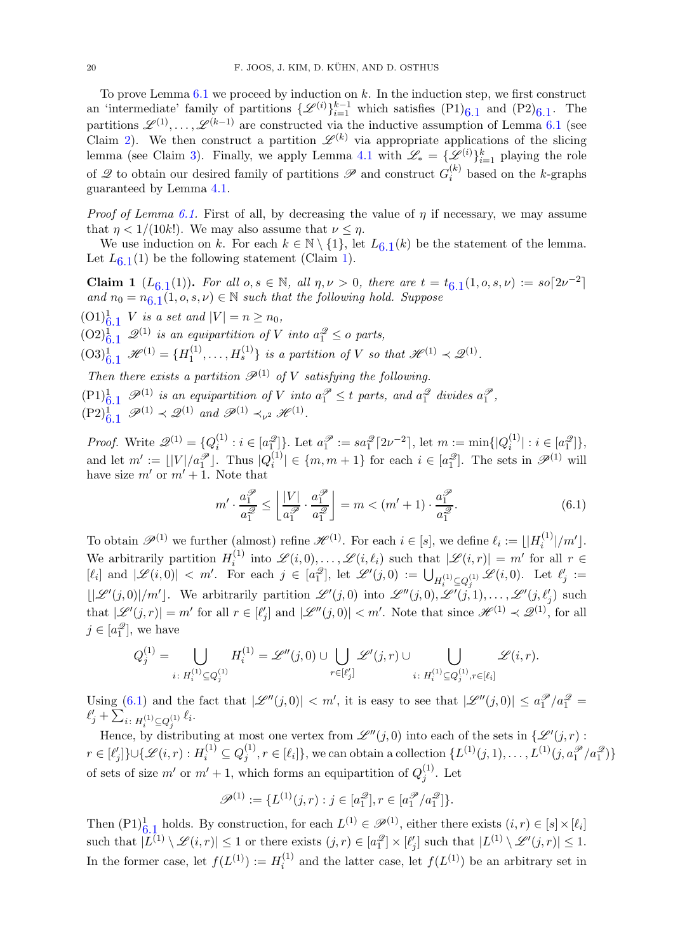To prove Lemma  $6.1$  we proceed by induction on k. In the induction step, we first construct an 'intermediate' family of partitions  $\{\mathscr{L}^{(i)}\}_{i=1}^{k-1}$  which satisfies  $(P1)_{6,1}$  and  $(P2)_{6,1}$ . The partitions  $\mathscr{L}^{(1)}, \ldots, \mathscr{L}^{(k-1)}$  are constructed via the inductive assumption of Lemma [6.1](#page-18-0) (see Claim [2\)](#page-21-0). We then construct a partition  $\mathscr{L}^{(k)}$  via appropriate applications of the slicing lemma (see Claim [3\)](#page-39-0). Finally, we apply Lemma [4.1](#page-10-1) with  $\mathscr{L}_* = {\{\mathscr{L}^{(i)}\}_{i=1}^k}$  playing the role of  $\mathscr Q$  to obtain our desired family of partitions  $\mathscr P$  and construct  $G_i^{(k)}$  $i^{(k)}$  based on the k-graphs guaranteed by Lemma [4.1.](#page-10-1)

*Proof of Lemma [6.1.](#page-18-0)* First of all, by decreasing the value of  $\eta$  if necessary, we may assume that  $\eta < 1/(10k!)$ . We may also assume that  $\nu \leq \eta$ .

We use induction on k. For each  $k \in \mathbb{N} \setminus \{1\}$ , let  $L_{6,1}(k)$  $L_{6,1}(k)$  $L_{6,1}(k)$  be the statement of the lemma. Let  $L_{6,1}(1)$  $L_{6,1}(1)$  $L_{6,1}(1)$  $L_{6,1}(1)$  be the following statement (Claim 1).

Claim 1  $(L_{6,1}(1))$  $(L_{6,1}(1))$  $(L_{6,1}(1))$ . For all  $o, s \in \mathbb{N}$ , all  $\eta, \nu > 0$ , there are  $t = t_{6,1}(1, o, s, \nu) := so[2\nu^{-2}]$ and  $n_0 = n_{6.1}(1, o, s, \nu) \in \mathbb{N}$  $n_0 = n_{6.1}(1, o, s, \nu) \in \mathbb{N}$  $n_0 = n_{6.1}(1, o, s, \nu) \in \mathbb{N}$  such that the following hold. Suppose

 $(0,1)^{1}_{6,1}$  $(0,1)^{1}_{6,1}$  $(0,1)^{1}_{6,1}$  V is a set and  $|V| = n \ge n_0$ ,

 $(0,0)_{6,1}^{1}$  $(0,0)_{6,1}^{1}$  $(0,0)_{6,1}^{1}$   $\mathscr{Q}^{(1)}$  is an equipartition of V into  $a_{1}^{\mathscr{Q}} \leq o$  parts,

 $(03)^1_{6.1}$  $(03)^1_{6.1}$  $(03)^1_{6.1}$   $\mathscr{H}^{(1)} = \{H_1^{(1)}\}$  $\{1 \atop 1}, \ldots, H_s^{(1)}\}$  is a partition of V so that  $\mathscr{H}^{(1)} \prec \mathscr{Q}^{(1)}$ .

Then there exists a partition  $\mathscr{P}^{(1)}$  of V satisfying the following.

 $(1)^{1}_{6,1}$  $(1)^{1}_{6,1}$  $(1)^{1}_{6,1}$   $\mathscr{P}^{(1)}$  is an equipartition of V into  $a_1^{\mathscr{P}} \leq t$  parts, and  $a_1^{\mathscr{Q}}$  divides  $a_1^{\mathscr{P}}$ ,

 $(\text{P2})^1_{6,1} \ \mathscr{P}^{(1)} \prec \mathscr{Q}^{(1)} \text{ and } \mathscr{P}^{(1)} \prec_{\nu^2} \mathscr{H}^{(1)}.$  $(\text{P2})^1_{6,1} \ \mathscr{P}^{(1)} \prec \mathscr{Q}^{(1)} \text{ and } \mathscr{P}^{(1)} \prec_{\nu^2} \mathscr{H}^{(1)}.$  $(\text{P2})^1_{6,1} \ \mathscr{P}^{(1)} \prec \mathscr{Q}^{(1)} \text{ and } \mathscr{P}^{(1)} \prec_{\nu^2} \mathscr{H}^{(1)}.$ 

*Proof.* Write  $\mathscr{Q}^{(1)} = \{Q_i^{(1)}\}$  $a_i^{(1)}: i \in [a_1^{\mathscr{Q}}] \}$ . Let  $a_1^{\mathscr{P}} := sa_1^{\mathscr{Q}} \lceil 2\nu^{-2} \rceil$ , let  $m := \min\{ |Q_i^{(1)}| \}$  $\{a_i^{(1)}|: i \in [a_1^{2}]\},\$ and let  $m' := \lfloor |V|/a_1^{\mathcal{P}} \rfloor$ . Thus  $|Q_i^{(1)}|$  $\binom{[1]}{i} \in \{m, m+1\}$  for each  $i \in [a_1^2]$ . The sets in  $\mathscr{P}^{(1)}$  will have size  $m'$  or  $m'+1$ . Note that

<span id="page-19-0"></span>
$$
m' \cdot \frac{a_1^{\mathcal{P}}}{a_1^{\mathcal{Q}}} \le \left\lfloor \frac{|V|}{a_1^{\mathcal{P}}} \cdot \frac{a_1^{\mathcal{P}}}{a_1^{\mathcal{Q}}} \right\rfloor = m < (m' + 1) \cdot \frac{a_1^{\mathcal{P}}}{a_1^{\mathcal{Q}}}.
$$
 (6.1)

To obtain  $\mathscr{P}^{(1)}$  we further (almost) refine  $\mathscr{H}^{(1)}$ . For each  $i \in [s]$ , we define  $\ell_i := \lfloor |H_i^{(1)}| \rfloor$  $\binom{1}{i}/m'$ . We arbitrarily partition  $H_i^{(1)}$  $\mathscr{L}(i, 0), \ldots, \mathscr{L}(i, \ell_i)$  such that  $|\mathscr{L}(i, r)| = m'$  for all  $r \in$  $[\ell_i]$  and  $|\mathscr{L}(i,0)| < m'$ . For each  $j \in [a_1^{\mathscr{Q}}]$ , let  $\mathscr{L}'(j,0) := \bigcup_{H_i^{(1)} \subseteq Q_j^{(1)}} \mathscr{L}(i,0)$ . Let  $\ell'_j :=$  $\lfloor \lvert \mathscr{L}'(j,0) \rvert/m' \rfloor$ . We arbitrarily partition  $\mathscr{L}'(j,0)$  into  $\mathscr{L}''(j,0), \mathscr{L}'(j,1), \ldots, \mathscr{L}'(j,\ell'_j)$  such that  $|\mathscr{L}'(j,r)| = m'$  for all  $r \in [\ell'_j]$  and  $|\mathscr{L}''(j,0)| < m'$ . Note that since  $\mathscr{H}^{(1)} \prec \mathscr{Q}^{(1)}$ , for all  $j \in [a_1^{\mathscr{Q}}]$ , we have

$$
Q_j^{(1)}=\bigcup_{i\colon H_i^{(1)}\subseteq Q_j^{(1)}}H_i^{(1)}=\mathscr{L}''(j,0)\cup\bigcup_{r\in [\ell_j']} \mathscr{L}'(j,r)\cup\bigcup_{i\colon H_i^{(1)}\subseteq Q_j^{(1)}, r\in [\ell_i]} \mathscr{L}(i,r).
$$

Using [\(6.1\)](#page-19-0) and the fact that  $|\mathscr{L}''(j,0)| < m'$ , it is easy to see that  $|\mathscr{L}''(j,0)| \le a_1^{\mathcal{P}}/a_1^{\mathcal{Q}} =$  $\ell'_j + \sum_{i \colon H_i^{(1)} \subseteq Q_j^{(1)}} \ell_i.$ 

Hence, by distributing at most one vertex from  $\mathscr{L}''(j,0)$  into each of the sets in  $\{\mathscr{L}'(j,r):$  $r \in [\ell_j']\} \cup \{\mathscr{L}(i,r): H_i^{(1)} \subseteq Q_j^{(1)}$  $\{f_j^{(1)}, r \in [\ell_i]\},\,$  we can obtain a collection  $\{L^{(1)}(j,1),\ldots,L^{(1)}(j,a_1^{2^k}/a_1^{2^k})\}$ of sets of size m' or  $m' + 1$ , which forms an equipartition of  $Q_i^{(1)}$  $j^{(1)}$ . Let

$$
\mathscr{P}^{(1)} := \{ L^{(1)}(j,r) : j \in [a_1^{\mathscr{D}}], r \in [a_1^{\mathscr{P}}/a_1^{\mathscr{D}}] \}.
$$

Then  $(P1)^{1}_{6,\,1}$  $(P1)^{1}_{6,\,1}$  $(P1)^{1}_{6,\,1}$  holds. By construction, for each  $L^{(1)} \in \mathscr{P}^{(1)}$ , either there exists  $(i, r) \in [s] \times [\ell_i]$ such that  $|L^{(1)} \setminus \mathscr{L}(i,r)| \leq 1$  or there exists  $(j,r) \in [a_1^2] \times [\ell'_j]$  such that  $|L^{(1)} \setminus \mathscr{L}'(j,r)| \leq 1$ . In the former case, let  $f(L^{(1)}) := H_i^{(1)}$  $i^{(1)}$  and the latter case, let  $f(L^{(1)})$  be an arbitrary set in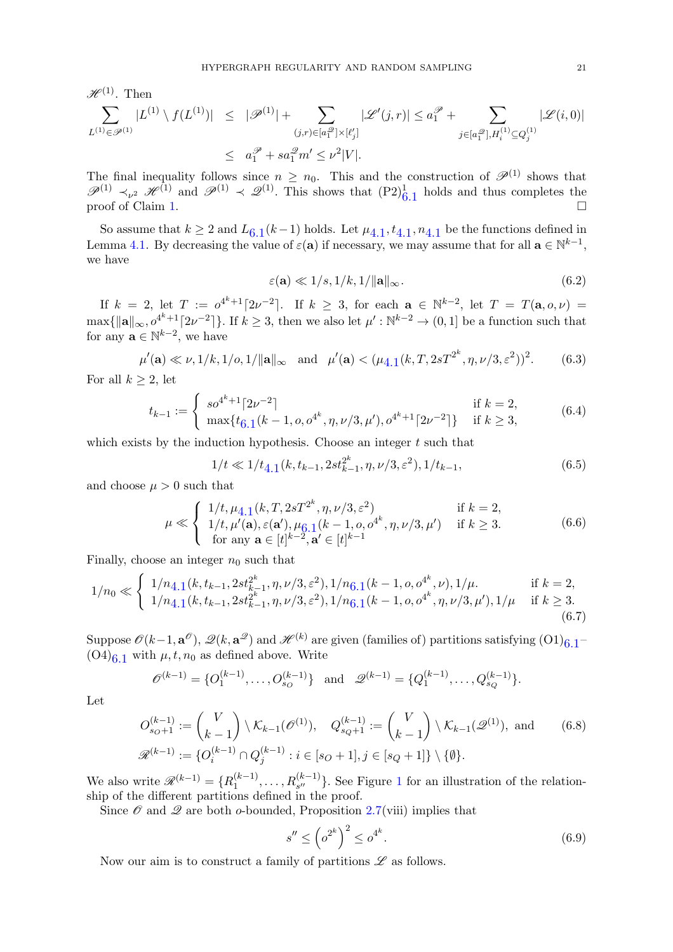$\mathscr{H}^{(1)}$ . Then

$$
\sum_{L^{(1)} \in \mathscr{P}^{(1)}} |L^{(1)} \setminus f(L^{(1)})| \leq |\mathscr{P}^{(1)}| + \sum_{(j,r) \in [a_1^{\mathscr{D}}] \times [\ell'_j]} |\mathscr{L}'(j,r)| \leq a_1^{\mathscr{P}} + \sum_{j \in [a_1^{\mathscr{D}}], H_i^{(1)} \subseteq Q_j^{(1)}} |\mathscr{L}(i,0)|
$$
  

$$
\leq a_1^{\mathscr{P}} + sa_1^{\mathscr{D}} m' \leq \nu^2 |V|.
$$

The final inequality follows since  $n \geq n_0$ . This and the construction of  $\mathscr{P}^{(1)}$  shows that  $\mathscr{P}^{(1)} \prec_{\nu^2} \mathscr{H}^{(1)}$  and  $\mathscr{P}^{(1)} \prec \mathscr{Q}^{(1)}$ . This shows that  $(P2)^1_{6,1}$  $(P2)^1_{6,1}$  $(P2)^1_{6,1}$  holds and thus completes the proof of Claim [1.](#page-35-0)

So assume that  $k \geq 2$  and  $L_{6,1}(k-1)$  $L_{6,1}(k-1)$  $L_{6,1}(k-1)$  holds. Let  $\mu_{4,1}, t_{4,1}, n_{4,1}$  $\mu_{4,1}, t_{4,1}, n_{4,1}$  $\mu_{4,1}, t_{4,1}, n_{4,1}$  be the functions defined in Lemma [4.1.](#page-10-1) By decreasing the value of  $\varepsilon(\mathbf{a})$  if necessary, we may assume that for all  $\mathbf{a} \in \mathbb{N}^{k-1}$ , we have

<span id="page-20-7"></span><span id="page-20-6"></span><span id="page-20-4"></span><span id="page-20-1"></span>
$$
\varepsilon(\mathbf{a}) \ll 1/s, 1/k, 1/\|\mathbf{a}\|_{\infty}.
$$
\n(6.2)

If  $k = 2$ , let  $T := o^{4^k+1} [2\nu^{-2}]$ . If  $k \geq 3$ , for each  $a \in \mathbb{N}^{k-2}$ , let  $T = T(a, o, \nu) =$  $\max\{\|\mathbf{a}\|_{\infty}, o^{4^k+1}\lceil 2\nu^{-2}\rceil\}$ . If  $k \geq 3$ , then we also let  $\mu': \mathbb{N}^{k-2} \to (0, 1]$  be a function such that for any  $\mathbf{a} \in \mathbb{N}^{k-2}$ , we have

$$
\mu'(\mathbf{a}) \ll \nu, 1/k, 1/o, 1/\|\mathbf{a}\|_{\infty}
$$
 and  $\mu'(\mathbf{a}) < (\mu_{4,1}(k, T, 2sT^{2^k}, \eta, \nu/3, \varepsilon^2))^2$ . (6.3)

For all  $k \geq 2$ , let

$$
t_{k-1} := \begin{cases} so^{4^k+1} \lceil 2\nu^{-2} \rceil & \text{if } k = 2, \\ \max\{t_{6,1}(k-1, o, o^{4^k}, \eta, \nu/3, \mu'), o^{4^k+1} \lceil 2\nu^{-2} \rceil \} & \text{if } k \ge 3, \end{cases}
$$
(6.4)

which exists by the induction hypothesis. Choose an integer  $t$  such that

<span id="page-20-2"></span>
$$
1/t \ll 1/t_{4.1}(k, t_{k-1}, 2st_{k-1}^{2^k}, \eta, \nu/3, \varepsilon^2), 1/t_{k-1},
$$
\n(6.5)

and choose  $\mu > 0$  such that

$$
\mu \ll \begin{cases} 1/t, \mu_{4,1}(k, T, 2sT^{2^k}, \eta, \nu/3, \varepsilon^2) & \text{if } k = 2, \\ 1/t, \mu'(\mathbf{a}), \varepsilon(\mathbf{a}'), \mu_{6,1}(k - 1, o, o^{4^k}, \eta, \nu/3, \mu') & \text{if } k \ge 3. \\ \text{for any } \mathbf{a} \in [t]^{k-2}, \mathbf{a}' \in [t]^{k-1} \end{cases} \tag{6.6}
$$

Finally, choose an integer  $n_0$  such that

$$
1/n_0 \ll \begin{cases} 1/n_{4.1}(k, t_{k-1}, 2st_{k-1}^{2^k}, \eta, \nu/3, \varepsilon^2), 1/n_{6.1}(k-1, o, o^{4^k}, \nu), 1/\mu, & \text{if } k = 2, \\ 1/n_{4.1}(k, t_{k-1}, 2st_{k-1}^{2^k}, \eta, \nu/3, \varepsilon^2), 1/n_{6.1}(k-1, o, o^{4^k}, \eta, \nu/3, \mu'), 1/\mu & \text{if } k \ge 3. \end{cases}
$$
(6.7)

Suppose  $\mathscr{O}(k-1, \mathbf{a}^{\mathscr{O}}), \mathscr{Q}(k, \mathbf{a}^{\mathscr{Q}})$  and  $\mathscr{H}^{(k)}$  are given (families of) partitions satisfying  $(01)_{6,1}$  $(O4)_{6,1}$  with  $\mu$ ,  $t$ ,  $n_0$  as defined above. Write

$$
\mathcal{O}^{(k-1)} = \{O_1^{(k-1)}, \dots, O_{s_O}^{(k-1)}\} \text{ and } \mathcal{Q}^{(k-1)} = \{Q_1^{(k-1)}, \dots, Q_{s_Q}^{(k-1)}\}.
$$

Let

$$
O_{s_O+1}^{(k-1)} := {V \choose k-1} \setminus \mathcal{K}_{k-1}(\mathcal{O}^{(1)}), \quad Q_{s_Q+1}^{(k-1)} := {V \choose k-1} \setminus \mathcal{K}_{k-1}(\mathcal{Q}^{(1)}), \text{ and } (6.8)
$$
  

$$
\mathcal{R}^{(k-1)} := \{O_i^{(k-1)} \cap Q_j^{(k-1)} : i \in [s_O+1], j \in [s_Q+1] \} \setminus \{\emptyset\}.
$$

We also write  $\mathscr{R}^{(k-1)} = \{R_1^{(k-1)}\}$  $\{a_1^{(k-1)}, \ldots, R_{s''}^{(k-1)}\}$  $\{a_1^{(k-1)}, \ldots, R_{s''}^{(k-1)}\}$  $\{a_1^{(k-1)}, \ldots, R_{s''}^{(k-1)}\}$ . See Figure 1 for an illustration of the relationship of the different partitions defined in the proof.

Since  $\mathcal O$  and  $\mathcal Q$  are both  $o$ -bounded, Proposition [2.7\(](#page-7-1)viii) implies that

<span id="page-20-5"></span><span id="page-20-3"></span><span id="page-20-0"></span>
$$
s'' \le \left(\sigma^{2^k}\right)^2 \le \sigma^{4^k}.\tag{6.9}
$$

Now our aim is to construct a family of partitions  $\mathscr L$  as follows.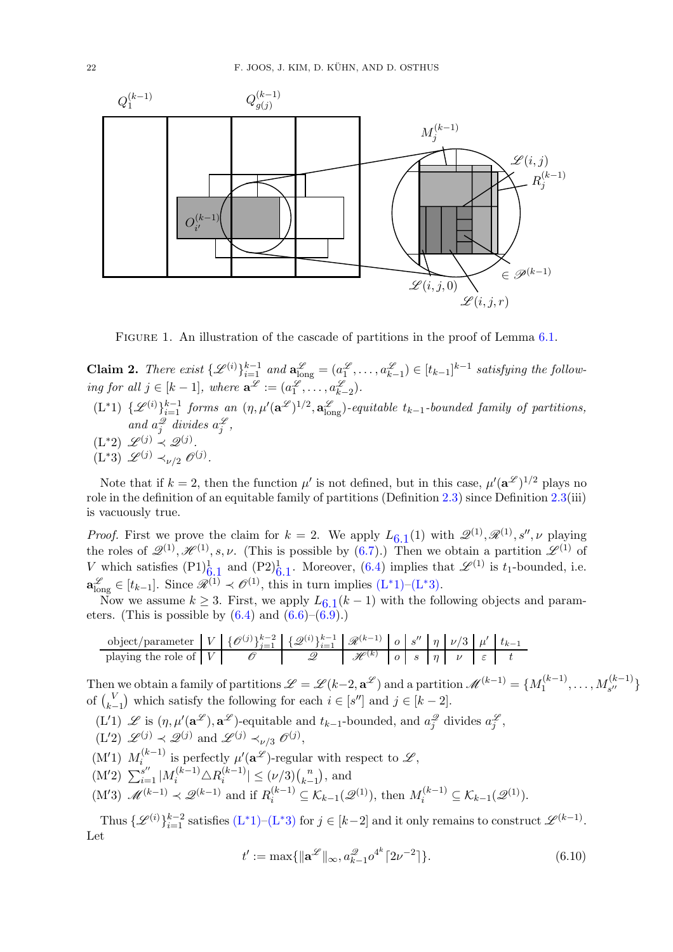

<span id="page-21-1"></span>FIGURE 1. An illustration of the cascade of partitions in the proof of Lemma [6.1.](#page-18-0)

<span id="page-21-0"></span>**Claim 2.** There exist  $\{\mathscr{L}^{(i)}\}_{i=1}^{k-1}$  and  $\mathbf{a}_{\text{long}}^{\mathscr{L}} = (a_1^{\mathscr{L}}, \ldots, a_{k-1}^{\mathscr{L}}) \in [t_{k-1}]^{k-1}$  satisfying the following for all  $j \in [k-1]$ , where  $\mathbf{a}^{\mathscr{L}} := (a_1^{\mathscr{L}}, \dots, a_{k-2}^{\mathscr{L}})$ .

- <span id="page-21-2"></span> $(L^*1) \ \{ \mathcal{L}^{(i)} \}_{i=1}^{k-1}$  forms an  $(\eta, \mu'(\mathbf{a}^{\mathcal{L}})^{1/2}, \mathbf{a}_{\text{long}}^{\mathcal{L}})$ -equitable  $t_{k-1}$ -bounded family of partitions, and  $a_j^2$  divides  $a_j^2$ ,
- <span id="page-21-5"></span><span id="page-21-3"></span> $(L^*2) \mathscr{L}^{(j)} \prec \mathscr{Q}^{(j)}.$
- $(L^*3) \mathscr{L}^{(j)} \prec_{\nu/2} \mathscr{O}^{(j)}.$

Note that if  $k = 2$ , then the function  $\mu'$  is not defined, but in this case,  $\mu'(\mathbf{a}^{\mathscr{L}})^{1/2}$  plays no role in the definition of an equitable family of partitions (Definition [2.3\)](#page-4-1) since Definition  $2.3(iii)$  $2.3(iii)$ is vacuously true.

*Proof.* First we prove the claim for  $k = 2$ . We apply  $L_{6,1}(1)$  $L_{6,1}(1)$  $L_{6,1}(1)$  with  $\mathscr{Q}^{(1)}, \mathscr{R}^{(1)}, s'', \nu$  playing the roles of  $\mathscr{Q}^{(1)}, \mathscr{H}^{(1)}, s, \nu$ . (This is possible by [\(6.7\)](#page-20-0).) Then we obtain a partition  $\mathscr{L}^{(1)}$  of V which satisfies  $(P1)_{6,1}^1$  $(P1)_{6,1}^1$  $(P1)_{6,1}^1$  $(P1)_{6,1}^1$  $(P1)_{6,1}^1$  and  $(P2)_{6,1}^1$ . Moreover,  $(6.4)$  implies that  $\mathscr{L}^{(1)}$  is  $t_1$ -bounded, i.e.  $\mathbf{a}_{\text{long}}^{\mathcal{L}} \in [t_{k-1}]$ . Since  $\mathcal{R}^{(1)} \prec \mathcal{O}^{(1)}$ , this in turn implies  $(L^*1)$  $(L^*1)$ - $(L^*3)$ .

Now we assume  $k \geq 3$ . First, we apply  $L_{6,1}(k-1)$  $L_{6,1}(k-1)$  $L_{6,1}(k-1)$  with the following objects and parameters. (This is possible by  $(6.4)$  and  $(6.6)$ – $(6.9)$ .)

k−2 <sup>i</sup>=1 <sup>R</sup>(k−1) <sup>o</sup> <sup>s</sup> k−1 ′′ η ν/3 µ ′ object/parameter V {O(j)} <sup>j</sup>=1 {Q(i)} tk−<sup>1</sup> playing the role of V O Q H (k) o s η ν ε t

Then we obtain a family of partitions  $\mathscr{L}=\mathscr{L}(k-2,\mathbf{a}^{\mathscr{L}})$  and a partition  $\mathscr{M}^{(k-1)}=\{M_1^{(k-1)}\}$  $\{a_1^{(k-1)}, \ldots, M_{s''}^{(k-1)}\}$ of  $\binom{V}{k}$  $\binom{V}{k-1}$  which satisfy the following for each  $i \in [s'']$  and  $j \in [k-2]$ .

- (L'1)  $\mathscr L$  is  $(\eta, \mu'(\mathbf{a}^{\mathscr L}), \mathbf{a}^{\mathscr L})$ -equitable and  $t_{k-1}$ -bounded, and  $a_j^{\mathscr L}$  divides  $a_j^{\mathscr L}$ ,
- $(L'2) \mathscr{L}^{(j)} \prec \mathscr{Q}^{(j)}$  and  $\mathscr{L}^{(j)} \prec_{\nu/3} \mathscr{O}^{(j)}$ ,
- $(M'1) M_i^{(k-1)}$  $\mu'_{i}(\mathbf{a}^{\mathscr{L}})$ -regular with respect to  $\mathscr{L},$
- $(M'2) \sum_{i=1}^{s''} |M_i^{(k-1)} \triangle R_i^{(k-1)}$  $\binom{k-1}{i} \leq (\nu/3) \binom{n}{k-1}$  $_{k-1}^{n}$ ), and
- $(M'3)$   $\mathscr{M}^{(k-1)} \prec \mathscr{Q}^{(k-1)}$  and if  $R_i^{(k-1)} \subseteq \mathcal{K}_{k-1}(\mathscr{Q}^{(1)})$ , then  $M_i^{(k-1)} \subseteq \mathcal{K}_{k-1}(\mathscr{Q}^{(1)})$ .

Thus  $\{\mathscr{L}^{(i)}\}_{i=1}^{k-2}$  satisfies  $(L^*1)-(L^*3)$  $(L^*1)-(L^*3)$  for  $j \in [k-2]$  and it only remains to construct  $\mathscr{L}^{(k-1)}$ . Let

<span id="page-21-4"></span>
$$
t' := \max\{\|\mathbf{a}^{\mathcal{L}}\|_{\infty}, a_{k-1}^{\mathcal{Q}}o^{4^k}[2\nu^{-2}]\}.
$$
\n(6.10)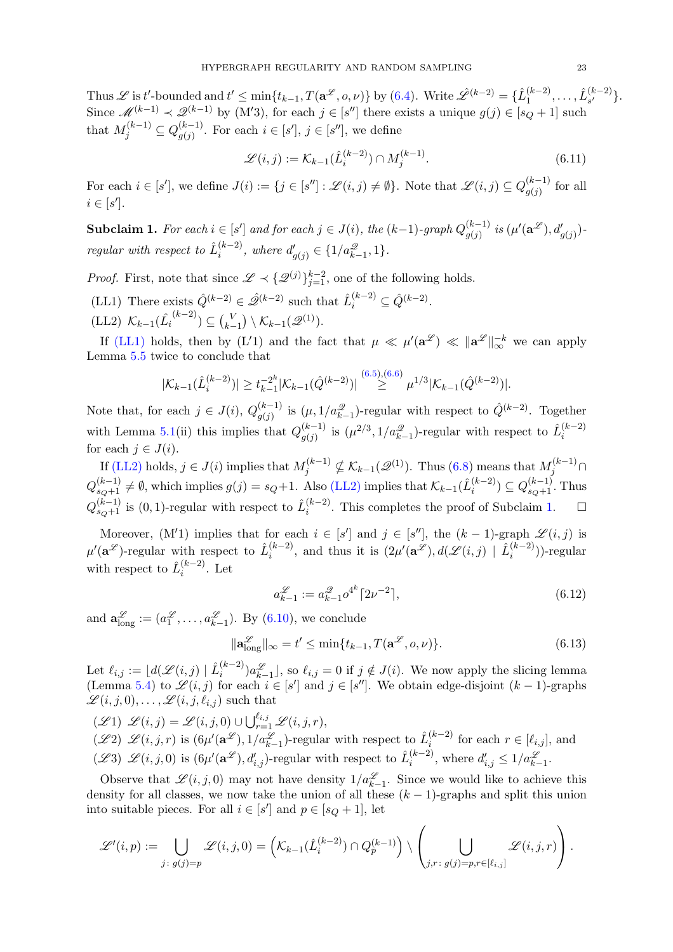Thus  $\mathscr L$  is t'-bounded and  $t' \leq \min\{t_{k-1}, T(\mathbf a^{\mathscr L},o,\nu)\}$  by [\(6.4\)](#page-20-1). Write  $\hat{\mathscr L}^{(k-2)} = \{\hat L_1^{(k-2)}\}$  $\hat{L}_{1}^{(k-2)}, \ldots, \hat{L}_{s'}^{(k-2)}$  $\binom{\kappa-2}{s'}$ . Since  $\mathscr{M}^{(k-1)} \prec \mathscr{Q}^{(k-1)}$  by (M'3), for each  $j \in [s'']$  there exists a unique  $g(j) \in [s_Q + 1]$  such that  $M_j^{(k-1)} \subseteq Q_{g(j)}^{(k-1)}$  $(g(j^{(k-1)})$ . For each  $i \in [s'], j \in [s'']$ , we define

<span id="page-22-2"></span>
$$
\mathcal{L}(i,j) := \mathcal{K}_{k-1}(\hat{L}_i^{(k-2)}) \cap M_j^{(k-1)}.
$$
\n(6.11)

For each  $i \in [s']$ , we define  $J(i) := \{j \in [s''] : \mathscr{L}(i,j) \neq \emptyset\}$ . Note that  $\mathscr{L}(i,j) \subseteq Q_{\sigma(i)}^{(k-1)}$  $\int_{g(j)}^{(\kappa-1)}$  for all  $i \in [s']$ .

**Subclaim 1.** For each  $i \in [s']$  and for each  $j \in J(i)$ , the  $(k-1)$ -graph  $Q_{a(i)}^{(k-1)}$  $\overset{(k-1)}{g(j)}$  is  $(\mu'(\mathbf{a}^\mathscr{L}), d'_{g(j)})$ regular with respect to  $\hat{L}_i^{(k-2)}$  $i^{(k-2)}$ , where  $d'_{g(j)} \in \{1/a_{k-1}^2, 1\}.$ 

<span id="page-22-0"></span>*Proof.* First, note that since  $\mathscr{L} \prec \{\mathscr{Q}^{(j)}\}_{j=1}^{k-2}$ , one of the following holds.

<span id="page-22-1"></span>(LL1) There exists  $\hat{Q}^{(k-2)} \in \hat{\mathscr{Q}}^{(k-2)}$  such that  $\hat{L}_i^{(k-2)} \subseteq \hat{Q}^{(k-2)}$ . (LL2)  $\mathcal{K}_{k-1}(\hat{L_i}^{(k-2)}) \subseteq {V \choose k-1}$  $\binom{V}{k-1} \setminus \mathcal{K}_{k-1}(\mathscr{Q}^{(1)}).$ 

If [\(LL1\)](#page-22-0) holds, then by (L'1) and the fact that  $\mu \ll \mu'(\mathbf{a}^{\mathcal{L}}) \ll \|\mathbf{a}^{\mathcal{L}}\|_{\infty}^{-k}$  we can apply Lemma [5.5](#page-12-0) twice to conclude that

$$
|\mathcal{K}_{k-1}(\hat{L}_i^{(k-2)})| \ge t_{k-1}^{-2^k} |\mathcal{K}_{k-1}(\hat{Q}^{(k-2)})| \stackrel{(6.5),(6.6)}{\ge} \mu^{1/3} |\mathcal{K}_{k-1}(\hat{Q}^{(k-2)})|.
$$

Note that, for each  $j \in J(i)$ ,  $Q_{\sigma(i)}^{(k-1)}$  $\hat{q}_{(j)}^{(k-1)}$  is  $(\mu, 1/a_{k-1}^{\mathcal{Q}})$ -regular with respect to  $\hat{Q}^{(k-2)}$ . Together with Lemma [5.1\(](#page-12-4)ii) this implies that  $Q_{a(i)}^{(k-1)}$  $\hat{\mu}_{g(j)}^{(k-1)}$  is  $(\mu^{2/3}, 1/a_{k-1}^2)$ -regular with respect to  $\hat{L}_i^{(k-2)}$ i for each  $j \in J(i)$ .

If [\(LL2\)](#page-22-1) holds,  $j \in J(i)$  implies that  $M_j^{(k-1)} \nsubseteq \mathcal{K}_{k-1}(\mathscr{Q}^{(1)})$ . Thus [\(6.8\)](#page-20-5) means that  $M_j^{(k-1)} \cap$  $Q_{s_Q+1}^{(k-1)} \neq \emptyset$ , which implies  $g(j) = s_Q+1$ . Also [\(LL2\)](#page-22-1) implies that  $\mathcal{K}_{k-1}(\hat{L}_i^{(k-2)})$  $i^{(k-2)}$ )  $\subseteq Q_{s_Q+1}^{(k-1)}$ . Thus  $Q_{s_Q+1}^{(k-1)}$  is  $(0,1)$ -regular with respect to  $\hat{L}_i^{(k-2)}$  $\binom{(k-2)}{i}$ . This completes the proof of Subclaim [1.](#page-39-1)  $\Box$ 

Moreover, (M'1) implies that for each  $i \in [s']$  and  $j \in [s'']$ , the  $(k-1)$ -graph  $\mathscr{L}(i,j)$  is  $\mu'(\mathbf{a}^{\mathscr{L}})$ -regular with respect to  $\hat{L}_i^{(k-2)}$  $i^{(k-2)}$ , and thus it is  $(2\mu'(\mathbf{a}^{\mathscr{L}}), d(\mathscr{L}(i,j) \mid \hat{L}_i^{(k-2)})$  $\binom{k-2}{i}$ )-regular with respect to  $\hat{L}_i^{(k-2)}$  $i^{(\kappa-2)}$ . Let

<span id="page-22-5"></span><span id="page-22-3"></span>
$$
a_{k-1}^{\mathcal{L}} := a_{k-1}^{\mathcal{Q}} o^{4^k} \lceil 2\nu^{-2} \rceil, \tag{6.12}
$$

and  $\mathbf{a}_{\text{long}}^{\mathscr{L}} := (a_1^{\mathscr{L}}, \dots, a_{k-1}^{\mathscr{L}})$ . By [\(6.10\)](#page-21-4), we conclude

$$
\|\mathbf{a}_{\text{long}}^{\mathcal{L}}\|_{\infty} = t' \le \min\{t_{k-1}, T(\mathbf{a}^{\mathcal{L}}, o, \nu)\}.
$$
 (6.13)

Let  $\ell_{i,j} := \lfloor d(\mathscr{L}(i,j) \mid \hat{L}^{(k-2)}_i) \rfloor$  $\binom{k-2}{i}a_{k-1}^{\mathscr{L}}$ , so  $\ell_{i,j} = 0$  if  $j \notin J(i)$ . We now apply the slicing lemma (Lemma [5.4\)](#page-12-3) to  $\mathscr{L}(i,j)$  for each  $i \in [s']$  and  $j \in [s'']$ . We obtain edge-disjoint  $(k-1)$ -graphs  $\mathscr{L}(i, j, 0), \ldots, \mathscr{L}(i, j, \ell_{i,j})$  such that

<span id="page-22-6"></span><span id="page-22-4"></span> $(\mathscr{L}1) \ \mathscr{L}(i,j) = \mathscr{L}(i,j,0) \cup \bigcup_{r=1}^{\ell_{i,j}} \mathscr{L}(i,j,r),$  $(\mathscr{L}2) \mathscr{L}(i,j,r)$  is  $(6\mu'(\mathbf{a}^{\mathscr{L}}), 1/a_{k-1}^{\mathscr{L}})$ -regular with respect to  $\hat{L}_i^{(k-2)}$  $i^{(k-2)}$  for each  $r \in [\ell_{i,j}],$  and  $(\mathscr{L}3) \mathscr{L}(i,j,0)$  is  $(6\mu'(\mathbf{a}^{\mathscr{L}}), d'_{i,j})$ -regular with respect to  $\hat{L}_i^{(k-2)}$  $i^{(k-2)}$ , where  $d'_{i,j} \leq 1/a_{k-1}^{\mathcal{L}}$ .

Observe that  $\mathscr{L}(i, j, 0)$  may not have density  $1/a_{k-1}^{\mathscr{L}}$ . Since we would like to achieve this density for all classes, we now take the union of all these  $(k-1)$ -graphs and split this union into suitable pieces. For all  $i \in [s']$  and  $p \in [s_Q + 1]$ , let

$$
\mathscr{L}'(i,p) := \bigcup_{j\colon g(j)=p} \mathscr{L}(i,j,0) = \left(\mathcal{K}_{k-1}(\hat{L}_{i}^{(k-2)}) \cap Q_{p}^{(k-1)}\right) \setminus \left(\bigcup_{j,r\colon g(j)=p,r \in [\ell_{i,j}]} \mathscr{L}(i,j,r)\right).
$$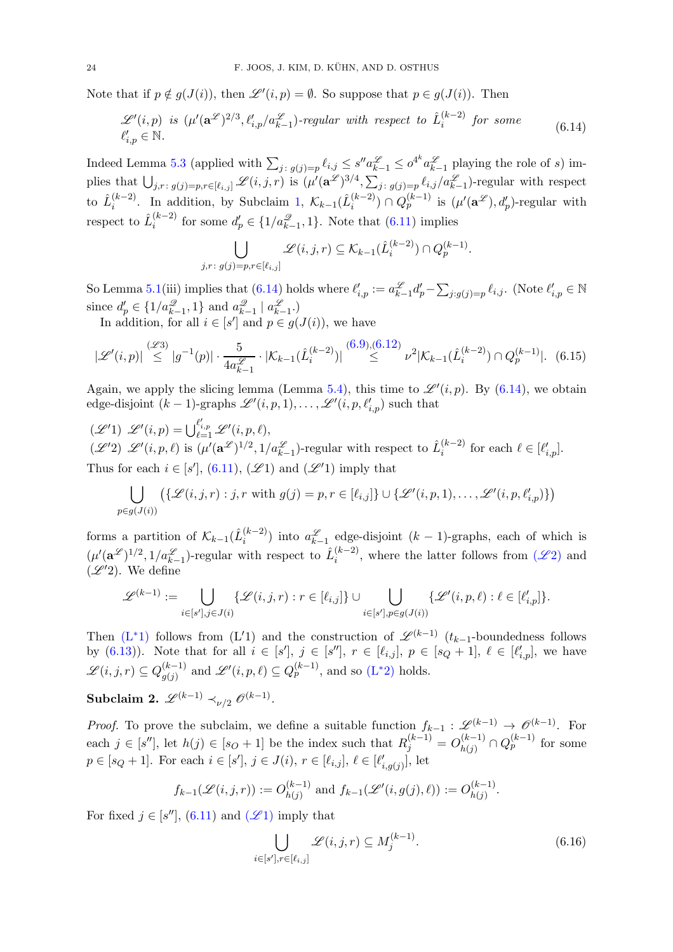Note that if  $p \notin g(J(i))$ , then  $\mathscr{L}'(i,p) = \emptyset$ . So suppose that  $p \in g(J(i))$ . Then

<span id="page-23-0"></span>
$$
\mathcal{L}'(i,p) \text{ is } (\mu'(\mathbf{a}^{\mathcal{L}})^{2/3}, \ell'_{i,p}/a_{k-1}^{\mathcal{L}}) \text{-regular with respect to } \hat{L}_i^{(k-2)} \text{ for some } (6.14)
$$
  

$$
\ell'_{i,p} \in \mathbb{N}.
$$

Indeed Lemma [5.3](#page-12-5) (applied with  $\sum_{j:\;g(j)=p} \ell_{i,j} \leq s'' a_{k-1}^{\mathscr{L}} \leq o^{4^k} a_{k-1}^{\mathscr{L}}$  playing the role of s) implies that  $\bigcup_{j,r\colon g(j)=p,r\in[\ell_{i,j}]}\mathscr{L}(i,j,r)$  is  $(\mu'(\mathbf{a}^{\mathscr{L}})^{3/4},\sum_{j\colon g(j)=p}\ell_{i,j}/a_{k-1}^{\mathscr{L}})$ -regular with respect to  $\hat{L}_i^{(k-2)}$  $\binom{(k-2)}{i}$ . In addition, by Subclaim [1,](#page-39-1)  $\mathcal{K}_{k-1}(\hat{L}_{i}^{(k-2)})$  $\binom{(k-2)}{i} \cap Q_p^{(k-1)}$  is  $(\mu'(\mathbf{a}^{\mathscr{L}}), d'_p)$ -regular with respect to  $\hat{L}_i^{(k-2)}$  $i_i^{(k-2)}$  for some  $d'_p \in \{1/a_{k-1}^2, 1\}$ . Note that  $(6.11)$  implies

<span id="page-23-2"></span>
$$
\bigcup_{j,r\colon g(j)=p,r\in [\ell_{i,j}]} \mathscr{L}(i,j,r) \subseteq \mathcal{K}_{k-1}(\hat{L}_{i}^{(k-2)}) \cap Q_{p}^{(k-1)}.
$$

So Lemma [5.1\(](#page-12-4)iii) implies that  $(6.14)$  holds where  $\ell'_{i,p} := a_{k-1}^{\mathscr{L}} d'_p - \sum_{j:g(j)=p} \ell_{i,j}$ . (Note  $\ell'_{i,p} \in \mathbb{N}$ since  $d'_p \in \{1/a_{k-1}^{\mathcal{Q}}, 1\}$  and  $a_{k-1}^{\mathcal{Q}} \mid a_{k-1}^{\mathcal{L}}$ .

In addition, for all  $i \in [s']$  and  $p \in g(J(i))$ , we have

$$
|\mathcal{L}'(i,p)| \stackrel{(\mathcal{L}3)}{\leq} |g^{-1}(p)| \cdot \frac{5}{4a_{k-1}^{\mathcal{L}}} \cdot |\mathcal{K}_{k-1}(\hat{L}_i^{(k-2)})| \stackrel{(6.9),(6.12)}{\leq} \nu^2 |\mathcal{K}_{k-1}(\hat{L}_i^{(k-2)}) \cap Q_p^{(k-1)}|.
$$
 (6.15)

Again, we apply the slicing lemma (Lemma [5.4\)](#page-12-3), this time to  $\mathscr{L}'(i,p)$ . By [\(6.14\)](#page-23-0), we obtain edge-disjoint  $(k-1)$ -graphs  $\mathscr{L}'(i,p,1),\ldots,\mathscr{L}'(i,p,\ell'_{i,p})$  such that

 $(\mathscr{L}'1) \ \mathscr{L}'(i,p) = \bigcup_{\ell=1}^{\ell'_{i,p}} \mathscr{L}'(i,p,\ell),$  $(\mathscr{L}'2) \ \mathscr{L}'(i,p,\ell)$  is  $(\mu'(\mathbf{a}^{\mathscr{L}})^{1/2}, 1/a_{k-1}^{\mathscr{L}})$ -regular with respect to  $\hat{L}_i^{(k-2)}$  $i^{(k-2)}$  for each  $\ell \in [\ell'_{i,p}].$ Thus for each  $i \in [s']$ , [\(6.11\)](#page-22-2), ( $\mathscr{L}1$ ) and ( $\mathscr{L}'1$ ) imply that

$$
\bigcup_{p\in g(J(i))} (\{\mathscr{L}(i,j,r): j,r \text{ with } g(j)=p, r\in [\ell_{i,j}]\} \cup \{\mathscr{L}'(i,p,1),\ldots,\mathscr{L}'(i,p,\ell'_{i,p})\})
$$

forms a partition of  $\mathcal{K}_{k-1}(\hat{L}_{i}^{(k-2)})$  $\binom{k-2}{i}$  into  $a_{k-1}^{\mathscr{L}}$  edge-disjoint  $(k-1)$ -graphs, each of which is  $(\mu'(\mathbf{a}^{\mathscr{L}})^{1/2}, 1/a_{k-1}^{\mathscr{L}})$ -regular with respect to  $\hat{L}_i^{(k-2)}$  $\binom{k-2}{i}$ , where the latter follows from  $(\mathscr{L}2)$  $(\mathscr{L}2)$  and  $(\mathscr{L}'2)$ . We define

$$
\mathscr{L}^{(k-1)} := \bigcup_{i \in [s'], j \in J(i)} \{ \mathscr{L}(i,j,r) : r \in [\ell_{i,j}] \} \cup \bigcup_{i \in [s'], p \in g(J(i))} \{ \mathscr{L}'(i,p,\ell) : \ell \in [\ell'_{i,p}] \}.
$$

Then  $(L^*1)$  $(L^*1)$  follows from  $(L'1)$  and the construction of  $\mathscr{L}^{(k-1)}$   $(t_{k-1}$ -boundedness follows by [\(6.13\)](#page-22-5)). Note that for all  $i \in [s']$ ,  $j \in [s'']$ ,  $r \in [\ell_{i,j}]$ ,  $p \in [s_Q + 1]$ ,  $\ell \in [\ell'_{i,p}]$ , we have  $\mathscr{L}(i,j,r) \subseteq Q_{a(i)}^{(k-1)}$  $\mathcal{L}'(i,p,\ell) \subseteq Q_p^{(k-1)}$ , and so  $(L^*2)$  $(L^*2)$  holds.

 $\text{Subclaim 2. } \mathscr{L}^{(k-1)} \prec_{\nu/2} \mathscr{O}^{(k-1)}.$ 

*Proof.* To prove the subclaim, we define a suitable function  $f_{k-1}: \mathscr{L}^{(k-1)} \to \mathscr{O}^{(k-1)}$ . For each  $j \in [s'']$ , let  $h(j) \in [s_O + 1]$  be the index such that  $R_j^{(k-1)} = O_{h(j)}^{(k-1)}$  $\binom{(k-1)}{h(j)} \cap Q_p^{(k-1)}$  for some  $p \in [s_Q + 1]$ . For each  $i \in [s']$ ,  $j \in J(i)$ ,  $r \in [\ell_{i,j}]$ ,  $\ell \in [\ell'_{i,g(j)}]$ , let

$$
f_{k-1}(\mathscr{L}(i,j,r)) := O_{h(j)}^{(k-1)}
$$
 and  $f_{k-1}(\mathscr{L}'(i,g(j),\ell)) := O_{h(j)}^{(k-1)}$ .

For fixed  $j \in [s'']$ , [\(6.11\)](#page-22-2) and ( $\mathscr{L}1$ ) imply that

<span id="page-23-1"></span>
$$
\bigcup_{i \in [s'], r \in [\ell_{i,j}]} \mathcal{L}(i,j,r) \subseteq M_j^{(k-1)}.
$$
\n(6.16)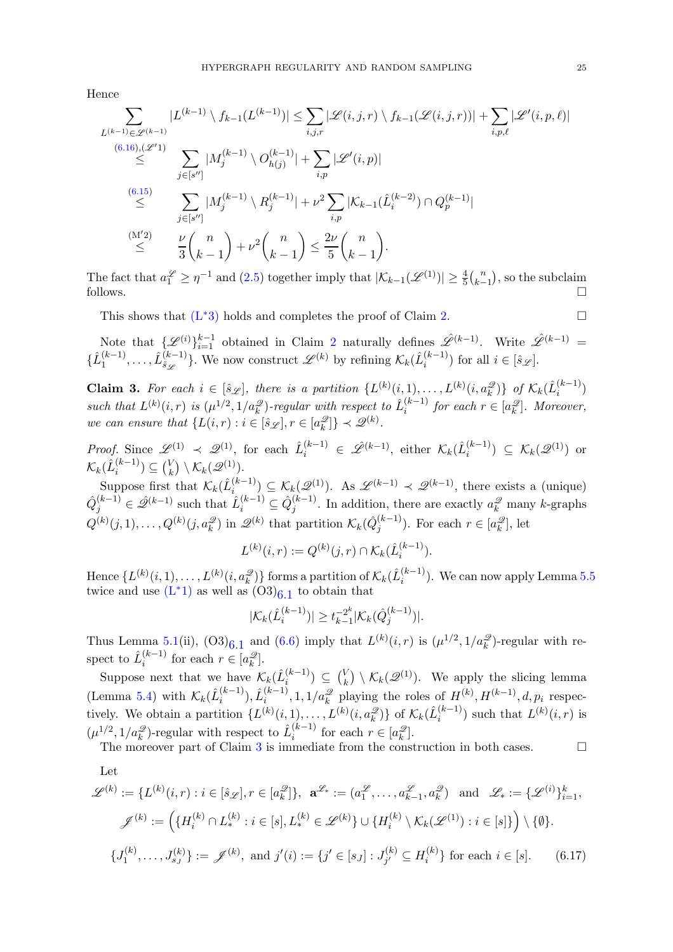Hence

$$
\sum_{L^{(k-1)} \in \mathcal{L}^{(k-1)}} |L^{(k-1)} \setminus f_{k-1}(L^{(k-1)})| \leq \sum_{i,j,r} |\mathcal{L}(i,j,r) \setminus f_{k-1}(\mathcal{L}(i,j,r))| + \sum_{i,p,\ell} |\mathcal{L}'(i,p,\ell)|
$$
  
\n
$$
\leq \sum_{j \in [s'']} |M_j^{(k-1)} \setminus O_{h(j)}^{(k-1)}| + \sum_{i,p} |\mathcal{L}'(i,p)|
$$
  
\n
$$
\leq \sum_{j \in [s'']} |M_j^{(k-1)} \setminus R_j^{(k-1)}| + \nu^2 \sum_{i,p} |\mathcal{K}_{k-1}(\hat{L}_i^{(k-2)}) \cap Q_p^{(k-1)}|
$$
  
\n
$$
\leq \sum_{j \in [s'']} |M_j^{(k-1)} \setminus R_j^{(k-1)}| + \nu^2 \sum_{i,p} |\mathcal{K}_{k-1}(\hat{L}_i^{(k-2)}) \cap Q_p^{(k-1)}|
$$
  
\n
$$
\leq \sum_{j \in [s'']} \frac{\nu}{3} {n \choose k-1} + \nu^2 {n \choose k-1} \leq \frac{2\nu}{5} {n \choose k-1}.
$$

The fact that  $a_1^{\mathscr{L}} \geq \eta^{-1}$  and  $(2.5)$  together imply that  $|\mathcal{K}_{k-1}(\mathscr{L}^{(1)})| \geq \frac{4}{5} {n \choose k-1}$  $\binom{n}{k-1}$ , so the subclaim follows.  $\square$ 

This shows that  $(L^*3)$  $(L^*3)$  holds and completes the proof of Claim [2.](#page-21-0)

Note that  $\{\mathscr{L}^{(i)}\}_{i=1}^{k-1}$  obtained in Claim [2](#page-21-0) naturally defines  $\mathscr{L}^{(k-1)}$ . Write  $\mathscr{L}^{(k-1)}$  =  $\{\hat{L}_{1}^{(k-1)}\}$  $\hat{L}^{(k-1)}_{\hat{3}\dots}, \hat{L}^{(k-1)}_{\hat{3}\mathscr{L}}$  $\{\xi_k^{(k-1)}\}$ . We now construct  $\mathscr{L}^{(k)}$  by refining  $\mathcal{K}_k(\hat{L}_i^{(k-1)})$  $\binom{k-1}{i}$  for all  $i \in [\hat{s}_{\mathscr{L}}]$ .

**Claim 3.** For each  $i \in [\hat{s}_{\mathscr{L}}]$ , there is a partition  $\{L^{(k)}(i,1),\ldots,L^{(k)}(i,a_k^{\mathscr{Q}})\}\$  of  $\mathcal{K}_k(\hat{L}_i^{(k-1)})$  $\binom{\kappa-1}{i}$ such that  $L^{(k)}(i,r)$  is  $(\mu^{1/2}, 1/a_k^{\mathscr{Q}})$ -regular with respect to  $\hat{L}_i^{(k-1)}$  $i^{(k-1)}$  for each  $r \in [a_k^{\mathscr{Q}}]$ . Moreover, we can ensure that  $\{L(i,r): i \in [\hat{s}_{\mathscr{L}}], r \in [a_k^{\mathscr{L}}]\} \prec \mathscr{Q}^{(k)}$ .

*Proof.* Since  $\mathscr{L}^{(1)} \prec \mathscr{Q}^{(1)}$ , for each  $\hat{L}_i^{(k-1)} \in \hat{\mathscr{L}}^{(k-1)}$ , either  $\mathcal{K}_k(\hat{L}_i^{(k-1)})$  $\binom{(k-1)}{i} \subseteq \mathcal{K}_k(\mathscr{Q}^{(1)})$  or  $\mathcal{K}_k(\hat{L}^{(k-1)}_i) \subseteq \binom{V}{k} \setminus \mathcal{K}_k(\mathscr{Q}^{(1)}).$ 

suppose first that  $\mathcal{K}_k(\hat{L}_i^{(k-1)})$ .<br>Suppose first that  $\mathcal{K}_k(\hat{L}_i^{(k-1)})$  $\mathcal{L}_{i}^{(k-1)} \subseteq \mathcal{K}_{k}(\mathcal{Q}^{(1)})$ . As  $\mathcal{L}^{(k-1)} \prec \mathcal{Q}^{(k-1)}$ , there exists a (unique)  $\hat{Q}_j^{(k-1)} \in \hat{\mathscr{Q}}^{(k-1)}$  such that  $\hat{L}_i^{(k-1)} \subseteq \hat{Q}_j^{(k-1)}$  $j_j^{(k-1)}$ . In addition, there are exactly  $a_k^{\mathscr{Q}}$  many k-graphs  $Q^{(k)}(j,1), \ldots, Q^{(k)}(j, a_k^{\mathscr{Q}})$  in  $\mathscr{Q}^{(k)}$  that partition  $\mathcal{K}_k(\hat{Q}_j^{(k-1)})$  $j^{(k-1)}$ ). For each  $r \in [a_k^{\mathcal{Q}}]$ , let

$$
L^{(k)}(i,r) := Q^{(k)}(j,r) \cap \mathcal{K}_k(\hat{L}_i^{(k-1)}).
$$

Hence  $\{L^{(k)}(i,1),\ldots,L^{(k)}(i,a_k^{\mathscr{Q}})\}$  forms a partition of  $\mathcal{K}_k(\hat{L}^{(k-1)}_i)$  $\binom{k-1}{i}$ . We can now apply Lemma [5.5](#page-12-0) twice and use  $(L^*1)$  $(L^*1)$  as well as  $(O3)_{6.1}$  to obtain that

<span id="page-24-0"></span>
$$
|\mathcal{K}_k(\hat{L}_i^{(k-1)})| \geq t_{k-1}^{-2^k} |\mathcal{K}_k(\hat{Q}_j^{(k-1)})|.
$$

Thus Lemma [5.1\(](#page-12-4)ii),  $(O3)_{6.1}$  and  $(6.6)$  imply that  $L^{(k)}(i,r)$  is  $(\mu^{1/2}, 1/a_k^2)$ -regular with respect to  $\hat{L}_i^{(k-1)}$  $i^{(k-1)}$  for each  $r \in [a_k^{\mathscr{Q}}]$ .

Suppose next that we have  $\mathcal{K}_k(\hat{L}_i^{(k-1)})$  $\binom{k-1}{i}$   $\subseteq$   $\binom{V}{k}$  $\mathcal{K}_k(\mathcal{Q}^{(1)})$ . We apply the slicing lemma (Lemma [5.4\)](#page-12-3) with  $\mathcal{K}_k(\hat{L}_i^{(k-1)})$  $\hat{L}^{(k-1)}_i$ ,  $\hat{L}^{(k-1)}_i$  $\sum_{i=1}^{(k-1)}$ , 1,  $1/a_k^2$  playing the roles of  $H^{(k)}$ ,  $H^{(k-1)}$ , d,  $p_i$  respectively. We obtain a partition  $\{L^{(k)}(i,1),\ldots,L^{(k)}(i,a_k^{\mathscr{Q}})\}\$  of  $\mathcal{K}_k(\hat{L}_i^{(k-1)})$  $\binom{k-1}{i}$  such that  $L^{(k)}(i,r)$  is  $(\mu^{1/2}, 1/a_k^{\mathcal{Q}})$ -regular with respect to  $\hat{L}_i^{(k-1)}$  $i^{(k-1)}$  for each  $r \in [a_k^{\mathcal{Q}}]$ .

The moreover part of Claim [3](#page-39-0) is immediate from the construction in both cases.  $\square$ 

Let

$$
\mathcal{L}^{(k)} := \{ L^{(k)}(i,r) : i \in [\hat{s}_{\mathcal{L}}], r \in [a_k^{\mathcal{L}}] \}, \ \mathbf{a}^{\mathcal{L}_*} := (a_1^{\mathcal{L}}, \dots, a_{k-1}^{\mathcal{L}}, a_k^{\mathcal{L}}) \ \text{ and } \ \mathcal{L}_* := \{ \mathcal{L}^{(i)} \}_{i=1}^k,
$$
\n
$$
\mathcal{J}^{(k)} := \left( \{ H_i^{(k)} \cap L_*^{(k)} : i \in [s], L_*^{(k)} \in \mathcal{L}^{(k)} \} \cup \{ H_i^{(k)} \setminus \mathcal{K}_k(\mathcal{L}^{(1)}) : i \in [s] \} \right) \setminus \{ \emptyset \}.
$$
\n
$$
\{ J_1^{(k)}, \dots, J_{s_J}^{(k)} \} := \mathcal{J}^{(k)}, \text{ and } j'(i) := \{ j' \in [s_J] : J_{j'}^{(k)} \subseteq H_i^{(k)} \} \text{ for each } i \in [s]. \tag{6.17}
$$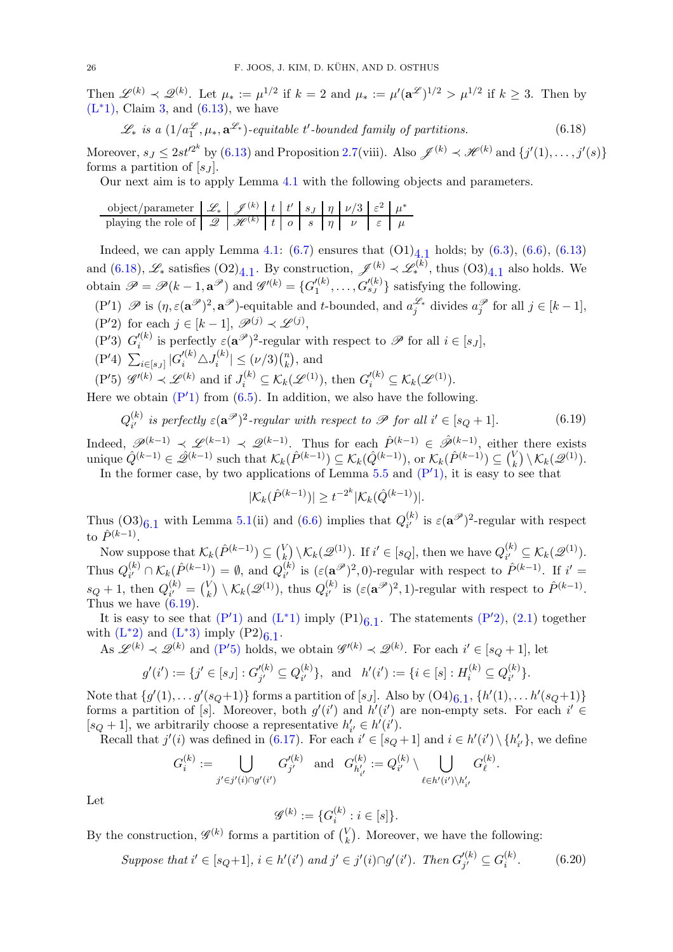Then  $\mathscr{L}^{(k)} \prec \mathscr{Q}^{(k)}$ . Let  $\mu_* := \mu^{1/2}$  if  $k = 2$  and  $\mu_* := \mu'(\mathbf{a}^{\mathscr{L}})^{1/2} > \mu^{1/2}$  if  $k \geq 3$ . Then by  $(L^*1)$  $(L^*1)$ , Claim [3,](#page-39-0) and  $(6.13)$ , we have

<span id="page-25-0"></span>
$$
\mathcal{L}_* \text{ is a } (1/a_1^{\mathcal{L}}, \mu_*, \mathbf{a}^{\mathcal{L}_*})\text{-equitable } t'\text{-bounded family of partitions.} \tag{6.18}
$$

Moreover,  $s_J \leq 2st'^{2^k}$  by  $(6.13)$  and Proposition [2.7\(](#page-7-1)viii). Also  $\mathscr{J}^{(k)} \prec \mathscr{H}^{(k)}$  and  $\{j'(1), \ldots, j'(s)\}$ forms a partition of  $[s_J]$ .

Our next aim is to apply Lemma [4.1](#page-10-1) with the following objects and parameters.

| object/parameter $\mathscr{L}_*$ $\mathscr{J}^{(k)}$ $\mathscr{L}$ $\mathscr{L}^{(k)}$ $\mathscr{L}$ $\mathscr{L}$ $\mathscr{L}$ $\mathscr{L}$ $\mathscr{L}$ $\mathscr{L}$ $\mathscr{L}$ $\mathscr{L}$ $\mathscr{L}$ $\mathscr{L}$ $\mathscr{L}$ $\mathscr{L}$ $\mathscr{L}$ $\mathscr{L}$ $\mathscr{L}$ $\mathscr{L}$ $\mathscr{L}$ $\mathscr{L$ |  |  |  |  |  |
|---------------------------------------------------------------------------------------------------------------------------------------------------------------------------------------------------------------------------------------------------------------------------------------------------------------------------------------------------|--|--|--|--|--|
| playing the role of $\mathscr{Q}$ $\mathscr{H}^{(k)}$ $\mid t \mid o \mid s \mid \eta \mid \nu \mid \varepsilon \mid \mu$                                                                                                                                                                                                                         |  |  |  |  |  |

Indeed, we can apply Lemma [4.1:](#page-10-1)  $(6.7)$  ensures that  $(O1)_{\frac{4}{3},\frac{1}{4}}$  holds; by  $(6.3)$ ,  $(6.6)$ ,  $(6.13)$ and  $(6.18)$ ,  $\mathscr{L}_{*}$  satisfies  $(O2)_{4.1}$ . By construction,  $\mathscr{J}_{*}^{(k)} \prec \mathscr{L}_{*}^{(k)}$ , thus  $(O3)_{4.1}$  also holds. We obtain  $\mathscr{P} = \mathscr{P}(k-1, \mathbf{a}^{\mathscr{P}})$  and  $\mathscr{G}'^{(k)} = \{G'^{(k)}_1\}$  $l_1^{(k)}, \ldots, G_{s_J}^{\prime (k)}\}$  satisfying the following.

- <span id="page-25-3"></span><span id="page-25-1"></span> $(P'1)$   $\mathscr P$  is  $(\eta, \varepsilon(\mathbf{a}^{\mathscr P})^2, \mathbf{a}^{\mathscr P})$ -equitable and t-bounded, and  $a_j^{\mathscr L_\ast}$  divides  $a_j^{\mathscr P}$  for all  $j \in [k-1]$ ,  $(P'2)$  for each  $j \in [k-1], \mathscr{P}^{(j)} \prec \mathscr{L}^{(j)},$
- <span id="page-25-5"></span> $(P'3) G'_{i}^{(k)}$
- <span id="page-25-7"></span><sup> $\ell^{(k)}$ </sup> is perfectly  $\varepsilon(\mathbf{a}^{\mathscr{P}})^2$ -regular with respect to  $\mathscr{P}$  for all  $i \in [s_J]$ ,
- <span id="page-25-4"></span> $(P'4)$   $\sum_{i \in [s_J]} |G'^{(k)}_i \triangle J_i^{(k)}$  $|n_k^{(k)}| \leq (\nu/3) \binom{n}{k}$  $\binom{n}{k}$ , and
- $(P'5)$   $\mathscr{G}'^{(k)} \prec \mathscr{L}^{(k)}$  and if  $J_i^{(k)} \subseteq \mathcal{K}_k(\mathscr{L}^{(1)})$ , then  $G_i'^{(k)} \subseteq \mathcal{K}_k(\mathscr{L}^{(1)})$ .

Here we obtain  $(P'1)$  $(P'1)$  from  $(6.5)$ . In addition, we also have the following.

<span id="page-25-2"></span>
$$
Q_{i'}^{(k)}
$$
 is perfectly  $\varepsilon(\mathbf{a}^{\mathcal{P}})^2$ -regular with respect to  $\mathcal{P}$  for all  $i' \in [s_Q + 1]$ . (6.19)

Indeed,  $\mathscr{P}^{(k-1)} \prec \mathscr{Q}^{(k-1)} \prec \mathscr{Q}^{(k-1)}$ . Thus for each  $\hat{P}^{(k-1)} \in \hat{\mathscr{P}}^{(k-1)}$ , either there exists unique  $\hat{Q}^{(k-1)} \in \hat{\mathscr{Q}}^{(k-1)}$  such that  $\mathcal{K}_k(\hat{P}^{(k-1)}) \subseteq \mathcal{K}_k(\hat{Q}^{(k-1)}),$  or  $\mathcal{K}_k(\hat{P}^{(k-1)}) \subseteq \binom{V_k}{k}$  $\mathcal{K}_k(\mathscr{Q}^{(1)}).$ 

In the former case, by two applications of Lemma  $5.5$  and  $(P'1)$  $(P'1)$ , it is easy to see that

$$
|\mathcal{K}_k(\hat{P}^{(k-1)})| \ge t^{-2^k} |\mathcal{K}_k(\hat{Q}^{(k-1)})|.
$$

Thus  $(0.03)_{6.1}$  with Lemma [5.1\(](#page-12-4)ii) and [\(6.6\)](#page-20-2) implies that  $Q_{i'}^{(k)}$  $\epsilon_i^{(k)}$  is  $\varepsilon(\mathbf{a}^{\mathscr{P}})^2$ -regular with respect to  $\hat{P}^{(k-1)}$ .

Now suppose that  $\mathcal{K}_k(\hat{P}^{(k-1)}) \subseteq \binom{V_k}{k}$  $\mathcal{K}_k(\mathcal{Q}^{(1)})$ . If  $i' \in [s_Q]$ , then we have  $Q_{i'}^{(k)}$  $\mathcal{E}_{i'}^{(k)} \subseteq \mathcal{K}_k(\mathcal{Q}^{(1)}).$ Thus  $Q_{i'}^{(k)}$  $\ell_{i'}^{(k)} \cap \mathcal{K}_k(\hat{P}^{(k-1)}) = \emptyset$ , and  $Q_{i'}^{(k)}$  $\hat{P}_{i'}^{(k)}$  is  $(\varepsilon(\mathbf{a}^{\mathcal{P}})^2,0)$ -regular with respect to  $\hat{P}^{(k-1)}$ . If  $i' =$  $s_Q+1$ , then  $Q_{i'}^{(k)}$  $\binom{k}{i'}=\binom{V}{k}$  $\mathcal{K}_k(\mathscr{Q}^{(1)}),$  thus  $Q_{i'}^{(k)}$  $\hat{P}_{i'}^{(k)}$  is  $(\varepsilon(\mathbf{a}^{\mathscr{P}})^2, 1)$ -regular with respect to  $\hat{P}^{(k-1)}$ . Thus we have  $(6.19)$ .

It is easy to see that  $(P'1)$  $(P'1)$  and  $(L^*1)$  $(L^*1)$  imply  $(P1)_{6.1}$ . The statements  $(P'2)$ ,  $(2.1)$  together with  $(L^*2)$  $(L^*2)$  and  $(L^*3)$  imply  $(P2)_{6.1}$ .

As  $\mathscr{L}^{(k)} \prec \mathscr{Q}^{(k)}$  and  $(P'5)$  $(P'5)$  holds, we obtain  $\mathscr{G}'^{(k)} \prec \mathscr{Q}^{(k)}$ . For each  $i' \in [s_Q+1]$ , let

$$
g'(i') := \{j' \in [s_J] : G'^{(k)}_{j'} \subseteq Q^{(k)}_{i'}\}, \text{ and } h'(i') := \{i \in [s] : H^{(k)}_i \subseteq Q^{(k)}_{i'}\}.
$$

Note that  $\{g'(1),...,g'(s_Q+1)\}\)$  forms a partition of  $[s_J]$ . Also by  $(O4)_{6,1}, \{h'(1),...,h'(s_Q+1)\}\$ forms a partition of [s]. Moreover, both  $g'(i')$  and  $h'(i')$  are non-empty sets. For each  $i' \in$  $[s_Q + 1]$ , we arbitrarily choose a representative  $h'_{i'} \in h'(i')$ .

Recall that  $j'(i)$  was defined in [\(6.17\)](#page-24-0). For each  $i' \in [s_Q+1]$  and  $i \in h'(i') \setminus \{h'_{i'}\}$ , we define

.

$$
G_i^{(k)} := \bigcup_{j' \in j'(i) \cap g'(i')} G_{j'}'^{(k)} \text{ and } G_{h'_{i'}}^{(k)} := Q_{i'}^{(k)} \setminus \bigcup_{\ell \in h'(i') \setminus h'_{i'}} G_{\ell}^{(k)}
$$

Let

$$
\mathscr{G}^{(k)} := \{G_i^{(k)} : i \in [s]\}.
$$

By the construction,  $\mathscr{G}^{(k)}$  forms a partition of  $\binom{V_k}{k}$  $\binom{V}{k}$ . Moreover, we have the following:

<span id="page-25-6"></span>Suppose that 
$$
i' \in [s_Q+1]
$$
,  $i \in h'(i')$  and  $j' \in j'(i) \cap g'(i')$ . Then  $G'_{j'}^{(k)} \subseteq G_i^{(k)}$ . (6.20)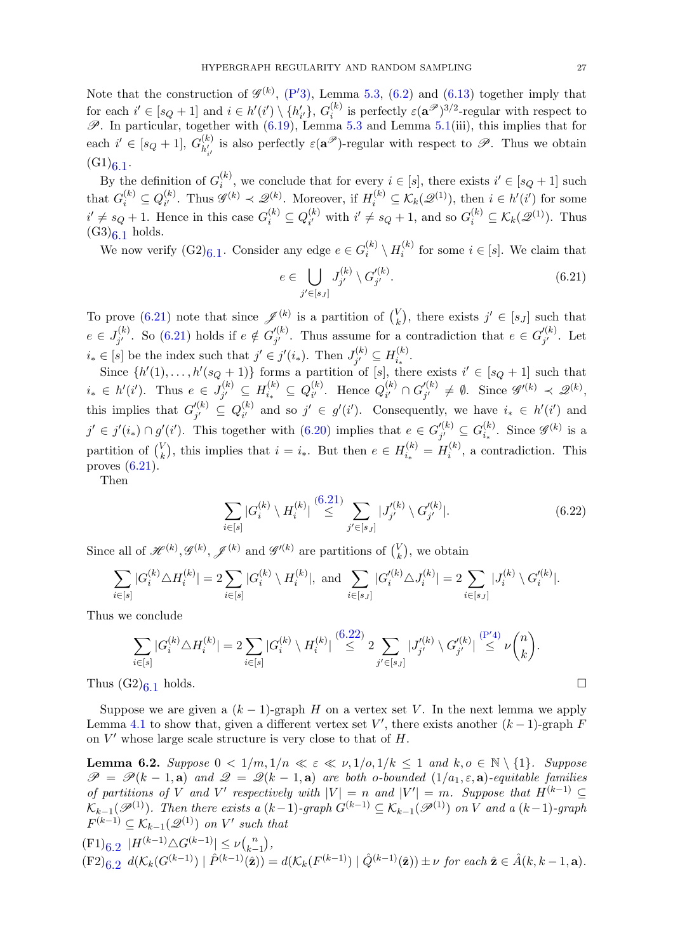Note that the construction of  $\mathscr{G}^{(k)}$ , [\(P](#page-25-5)'3), Lemma [5.3,](#page-12-5) [\(6.2\)](#page-20-7) and [\(6.13\)](#page-22-5) together imply that for each  $i' \in [s_Q + 1]$  and  $i \in h'(i') \setminus \{h'_{i'}\}, G_i^{(k)}$ <sup>(k)</sup> is perfectly  $\varepsilon(\mathbf{a}^{\mathcal{P}})^{3/2}$ -regular with respect to  $\mathscr{P}$ . In particular, together with  $(6.19)$ , Lemma [5.3](#page-12-5) and Lemma [5.1\(](#page-12-4)iii), this implies that for each  $i' \in [s_Q + 1], G_{h'}^{(k)}$  $\mathcal{L}^{(k)}_{l'_{l'}}$  is also perfectly  $\varepsilon(\mathbf{a}^{\mathscr{P}})$ -regular with respect to  $\mathscr{P}$ . Thus we obtain i  $(G1)_{6.1}$ .

By the definition of  $G_i^{(k)}$  $i^{(k)}$ , we conclude that for every  $i \in [s]$ , there exists  $i' \in [s_Q + 1]$  such that  $G_i^{(k)} \subseteq Q_{i'}^{(k)}$  $\mathcal{L}_{i'}^{(k)}$ . Thus  $\mathscr{G}^{(k)} \prec \mathscr{Q}_{i'}^{(k)}$ . Moreover, if  $H_i^{(k)} \subseteq \mathcal{K}_k(\mathscr{Q}^{(1)})$ , then  $i \in h'(i')$  for some  $i' \neq s_Q + 1$ . Hence in this case  $G_i^{(k)} \subseteq Q_{i'}^{(k)}$  $i^{(k)}_{i'}$  with  $i' \neq s_Q + 1$ , and so  $G_i^{(k)} \subseteq \mathcal{K}_k(\mathcal{Q}^{(1)})$ . Thus  $(G3)<sub>6.1</sub>$  holds.

We now verify  $(G2)_{6.1}$ . Consider any edge  $e \in G_i^{(k)}$  $\binom{(k)}{i}\setminus H_i^{(k)}$  $i^{(k)}$  for some  $i \in [s]$ . We claim that

<span id="page-26-1"></span>
$$
e \in \bigcup_{j' \in [s_J]} J_{j'}^{(k)} \setminus G_{j'}'^{(k)}.
$$
\n
$$
(6.21)
$$

To prove [\(6.21\)](#page-26-1) note that since  $\mathscr{J}^{(k)}$  is a partition of  $\binom{V_k}{k}$  $\mathbf{k}^{V}$ , there exists  $j' \in [s_J]$  such that  $e \in J^{(k)}_{i'}$  $j'$ . So [\(6.21\)](#page-26-1) holds if  $e \notin G_{j'}^{(k)}$  $j'$ . Thus assume for a contradiction that  $e \in G'_{j'}^{(k)}$ .  $j^{\prime\,\kappa}_{j'}$ . Let  $i_* \in [s]$  be the index such that  $j' \in j'(i_*)$ . Then  $J_{i'}^{(k)}$  $j' \subseteq H_{i_*}^{(k)}$  $\frac{1}{i_*}$ .

Since  $\{h'(1),\ldots,h'(s_Q+1)\}\)$  forms a partition of [s], there exists  $i' \in [s_Q+1]$  such that  $i_* \in h'(i')$ . Thus  $e \in J_{i'}^{(k)}$  $g_j^{(k)}\,\subseteq\, H_{i_*}^{(k)}\,\subseteq\, Q_{i'}^{(k)}$  $_{i'}^{(k)}$ . Hence  $Q_{i'}^{(k)}$  $_{i^{\prime }}^{(k)}\cap G_{j^{\prime }}^{\prime (k)}$  $j'_{j'}^{(k)} \neq \emptyset$ . Since  $\mathscr{G}'^{(k)} \prec \mathscr{Q}^{(k)}$ , this implies that  $G_{i'}^{(k)}$  $j'^{(k)}_{j'} \,\subseteq\, Q_{i'}^{(k)}$  $i_j^{(k)}$  and so  $j' \in g'(i')$ . Consequently, we have  $i_* \in h'(i')$  and  $j' \in j'(i_*) \cap g'(i')$ . This together with  $(6.20)$  implies that  $e \in G'_{i'}^{(k)}$  $j' \choose j' \subseteq G_{i_*}^{(k)}$  $\binom{k}{i_*}$ . Since  $\mathscr{G}^{(k)}$  is a partition of  $\binom{V}{k}$  $\mathbf{E}_{k}^{V}$ , this implies that  $i = i_*$ . But then  $e \in H_{i_*}^{(k)} = H_i^{(k)}$  $i^{(k)}$ , a contradiction. This proves [\(6.21\)](#page-26-1).

Then

<span id="page-26-2"></span>
$$
\sum_{i \in [s]} |G_i^{(k)} \setminus H_i^{(k)}| \stackrel{(6.21)}{\leq} \sum_{j' \in [s_J]} |J_{j'}^{(k)} \setminus G_{j'}^{(k)}|.
$$
\n(6.22)

Since all of  $\mathscr{H}^{(k)}, \mathscr{G}^{(k)}, \mathscr{J}^{(k)}$  and  $\mathscr{G}'^{(k)}$  are partitions of  $\binom{V_k}{k}$  $\binom{V}{k}$ , we obtain

$$
\sum_{i \in [s]} |G_i^{(k)} \triangle H_i^{(k)}| = 2 \sum_{i \in [s]} |G_i^{(k)} \setminus H_i^{(k)}|, \text{ and } \sum_{i \in [s_J]} |G_i'^{(k)} \triangle J_i^{(k)}| = 2 \sum_{i \in [s_J]} |J_i^{(k)} \setminus G_i'^{(k)}|.
$$

Thus we conclude

$$
\sum_{i \in [s]} |G_i^{(k)} \triangle H_i^{(k)}| = 2 \sum_{i \in [s]} |G_i^{(k)} \setminus H_i^{(k)}| \stackrel{(6.22)}{\leq} 2 \sum_{j' \in [s_J]} |J_{j'}^{(k)} \setminus G_{j'}^{(k)}| \stackrel{(P'4)}{\leq} \nu \binom{n}{k}.
$$
  
2)6.1 holds.

Thus  $(G2)_{6,1}$  holds.

Suppose we are given a  $(k-1)$ -graph H on a vertex set V. In the next lemma we apply Lemma [4.1](#page-10-1) to show that, given a different vertex set V', there exists another  $(k-1)$ -graph F on  $V'$  whose large scale structure is very close to that of  $H$ .

<span id="page-26-0"></span>**Lemma 6.2.** Suppose  $0 < 1/m, 1/n \ll \varepsilon \ll \nu, 1/\nu, 1/k \leq 1$  and  $k, \nu \in \mathbb{N} \setminus \{1\}$ . Suppose  $\mathscr{P} = \mathscr{P}(k-1, a)$  and  $\mathscr{Q} = \mathscr{Q}(k-1, a)$  are both o-bounded  $(1/a_1, \varepsilon, a)$ -equitable families of partitions of V and V' respectively with  $|V| = n$  and  $|V'| = m$ . Suppose that  $H^{(k-1)} \subseteq$  $\mathcal{K}_{k-1}(\mathscr{P}^{(1)})$ . Then there exists a  $(k-1)$ -graph  $G^{(k-1)} \subseteq \mathcal{K}_{k-1}(\mathscr{P}^{(1)})$  on V and a  $(k-1)$ -graph  $F^{(k-1)} \subseteq \mathcal{K}_{k-1}(\mathscr{Q}^{(1)})$  on V' such that

$$
\begin{aligned} &(\mathbf{F1})_{\mathbf{6.2}} \ |H^{(k-1)} \triangle G^{(k-1)}| \le \nu {n \choose k-1}, \\ &(\mathbf{F2})_{\mathbf{6.2}} \ d(\mathcal{K}_k(G^{(k-1)}) \ | \ \hat{P}^{(k-1)}(\hat{\mathbf{z}})) = d(\mathcal{K}_k(F^{(k-1)}) \ | \ \hat{Q}^{(k-1)}(\hat{\mathbf{z}})) \pm \nu \ \text{for each } \hat{\mathbf{z}} \in \hat{A}(k, k-1, \mathbf{a}). \end{aligned}
$$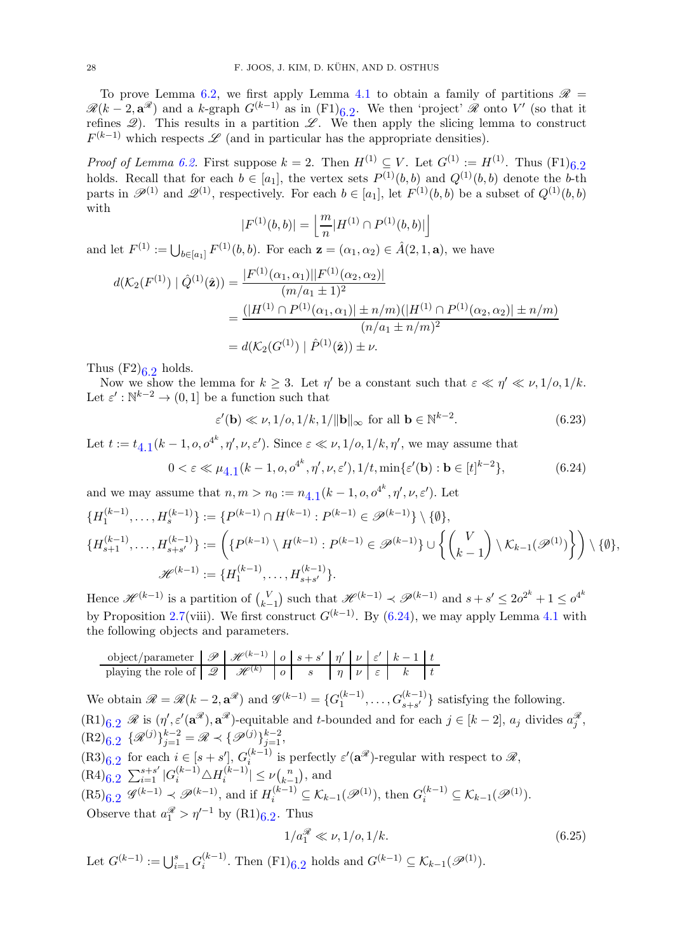To prove Lemma [6.2,](#page-26-0) we first apply Lemma [4.1](#page-10-1) to obtain a family of partitions  $\mathscr{R}$  =  $\mathscr{R}(k-2, \mathbf{a}^{\mathscr{R}})$  and a k-graph  $G^{(k-1)}$  as in  $(F1)_{6,2}$ . We then 'project'  $\mathscr{R}$  onto  $V'$  (so that it refines  $\mathscr{Q}$ ). This results in a partition  $\mathscr{L}$ . We then apply the slicing lemma to construct  $F^{(k-1)}$  which respects  $\mathscr L$  (and in particular has the appropriate densities).

*Proof of Lemma [6.2.](#page-26-0)* First suppose  $k = 2$ . Then  $H^{(1)} \subseteq V$ . Let  $G^{(1)} := H^{(1)}$ . Thus  $(F1)_{6,2}$ holds. Recall that for each  $b \in [a_1]$ , the vertex sets  $P^{(1)}(b, b)$  and  $Q^{(1)}(b, b)$  denote the b-th parts in  $\mathscr{P}^{(1)}$  and  $\mathscr{Q}^{(1)}$ , respectively. For each  $b \in [a_1]$ , let  $F^{(1)}(b, b)$  be a subset of  $Q^{(1)}(b, b)$ with

$$
|F^{(1)}(b,b)| = \left\lfloor \frac{m}{n} |H^{(1)} \cap P^{(1)}(b,b)| \right\rfloor
$$

and let  $F^{(1)} := \bigcup_{b \in [a_1]} F^{(1)}(b, b)$ . For each  $\mathbf{z} = (\alpha_1, \alpha_2) \in \hat{A}(2, 1, \mathbf{a})$ , we have

$$
d(\mathcal{K}_2(F^{(1)}) \mid \hat{Q}^{(1)}(\hat{\mathbf{z}})) = \frac{|F^{(1)}(\alpha_1, \alpha_1)||F^{(1)}(\alpha_2, \alpha_2)|}{(m/a_1 \pm 1)^2}
$$
  
= 
$$
\frac{(|H^{(1)} \cap P^{(1)}(\alpha_1, \alpha_1)| \pm n/m)(|H^{(1)} \cap P^{(1)}(\alpha_2, \alpha_2)| \pm n/m)}{(n/a_1 \pm n/m)^2}
$$
  
= 
$$
d(\mathcal{K}_2(G^{(1)}) \mid \hat{P}^{(1)}(\hat{\mathbf{z}})) \pm \nu.
$$

Thus  $(F2)_{6.2}$  holds.

Now we show the lemma for  $k \geq 3$ . Let  $\eta'$  be a constant such that  $\varepsilon \ll \eta' \ll \nu, 1/\rho, 1/k$ . Let  $\varepsilon' : \mathbb{N}^{k-2} \to (0,1]$  be a function such that

<span id="page-27-1"></span><span id="page-27-0"></span>
$$
\varepsilon'(\mathbf{b}) \ll \nu, 1/\nu, 1/k, 1/\|\mathbf{b}\|_{\infty} \text{ for all } \mathbf{b} \in \mathbb{N}^{k-2}.
$$
 (6.23)

Let  $t := t_{4,1}(k-1, o, o^{4^k}, \eta', \nu, \varepsilon')$  $t := t_{4,1}(k-1, o, o^{4^k}, \eta', \nu, \varepsilon')$  $t := t_{4,1}(k-1, o, o^{4^k}, \eta', \nu, \varepsilon')$ . Since  $\varepsilon \ll \nu, 1/o, 1/k, \eta'$ , we may assume that

$$
0 < \varepsilon \ll \mu_{4,1}(k-1, o, o^{4^k}, \eta', \nu, \varepsilon'), 1/t, \min\{\varepsilon'(\mathbf{b}) : \mathbf{b} \in [t]^{k-2}\},\tag{6.24}
$$

and we may assume that  $n, m > n_0 := n_{4,1}(k-1, o, o^{4^k}, \eta', \nu, \varepsilon')$  $n, m > n_0 := n_{4,1}(k-1, o, o^{4^k}, \eta', \nu, \varepsilon')$  $n, m > n_0 := n_{4,1}(k-1, o, o^{4^k}, \eta', \nu, \varepsilon')$ . Let

$$
\{H_1^{(k-1)}, \ldots, H_s^{(k-1)}\} := \{P^{(k-1)} \cap H^{(k-1)} : P^{(k-1)} \in \mathcal{P}^{(k-1)}\} \setminus \{\emptyset\},
$$
  

$$
\{H_{s+1}^{(k-1)}, \ldots, H_{s+s'}^{(k-1)}\} := \left(\{P^{(k-1)} \setminus H^{(k-1)} : P^{(k-1)} \in \mathcal{P}^{(k-1)}\} \cup \left\{\binom{V}{k-1} \setminus \mathcal{K}_{k-1}(\mathcal{P}^{(1)})\right\}\right) \setminus \{\emptyset\},
$$
  

$$
\mathcal{H}^{(k-1)} := \{H_1^{(k-1)}, \ldots, H_{s+s'}^{(k-1)}\}.
$$

Hence  $\mathscr{H}^{(k-1)}$  is a partition of  $\binom{V}{k}$  $\binom{V}{k-1}$  such that  $\mathscr{H}^{(k-1)}$  ≺  $\mathscr{P}^{(k-1)}$  and  $s+s' \leq 2o^{2^k}+1 \leq o^{4^k}$ by Proposition [2.7\(](#page-7-1)viii). We first construct  $G^{(k-1)}$ . By [\(6.24\)](#page-27-0), we may apply Lemma [4.1](#page-10-1) with the following objects and parameters.

| object/parameter    | $\mathcal{P}$ | $\mathcal{H}^{(k-1)}$ | $o$ | $s + s'$ | $\eta'$ | $\nu$ | $\varepsilon'$ | $k - 1$ | $t$ |
|---------------------|---------------|-----------------------|-----|----------|---------|-------|----------------|---------|-----|
| playing the role of | $\mathcal{Q}$ | $\mathcal{H}^{(k)}$   | $o$ | $s$      | $\eta$  | $\nu$ | $\varepsilon$  | $k - 1$ | $t$ |

We obtain  $\mathscr{R} = \mathscr{R}(k-2, \mathbf{a}^{\mathscr{R}})$  and  $\mathscr{G}^{(k-1)} = \{G_1^{(k-1)}\}$  $\{G_{s+s'}^{(k-1)}, \ldots, G_{s+s'}^{(k-1)}\}$  satisfying the following.  $(R1)_{6,2}$   $\mathscr R$  is  $(\eta', \varepsilon'(\mathbf{a}^{\mathscr R}), \mathbf{a}^{\mathscr R})$ -equitable and t-bounded and for each  $j \in [k-2]$ ,  $a_j$  divides  $a_j^{\mathscr R}$ ,  $(R2)_{6.2} \ \{\mathcal{R}^{(j)}\}_{j=1}^{k-2} = \mathcal{R} \prec \{\mathcal{P}^{(j)}\}_{j=1}^{k-2},$  $(R3)_{6.2}$  for each  $i \in [s+s']$ ,  $G_i^{(k-1)}$  $\binom{(k-1)}{i}$  is perfectly  $\varepsilon'(\mathbf{a}^{\mathscr{R}})$ -regular with respect to  $\mathscr{R},$  $(R4)_{6.2} \sum_{i=1}^{s+s'} |G_i^{(k-1)} \triangle H_i^{(k-1)}$  $|k-1| \leq \nu \binom{n}{k-1}$  $_{k-1}^{n}$ ), and  $(R5)_{6.2}$   $\mathscr{G}^{(k-1)} \prec \mathscr{P}^{(k-1)}$ , and if  $H_i^{(k-1)} \subseteq \mathcal{K}_{k-1}(\mathscr{P}^{(1)})$ , then  $G_i^{(k-1)} \subseteq \mathcal{K}_{k-1}(\mathscr{P}^{(1)})$ . Observe that  $a_1^{\mathcal{R}} > \eta'^{-1}$  by  $(R1)_{6.2}$ . Thus

<span id="page-27-2"></span>
$$
1/a_1^{\mathcal{R}} \ll \nu, 1/o, 1/k. \tag{6.25}
$$

Let  $G^{(k-1)} := \bigcup_{i=1}^s G_i^{(k-1)}$  $i^{(k-1)}$ . Then  $(F1)_{6.2}$  holds and  $G^{(k-1)} \subseteq \mathcal{K}_{k-1}(\mathscr{P}^{(1)})$ .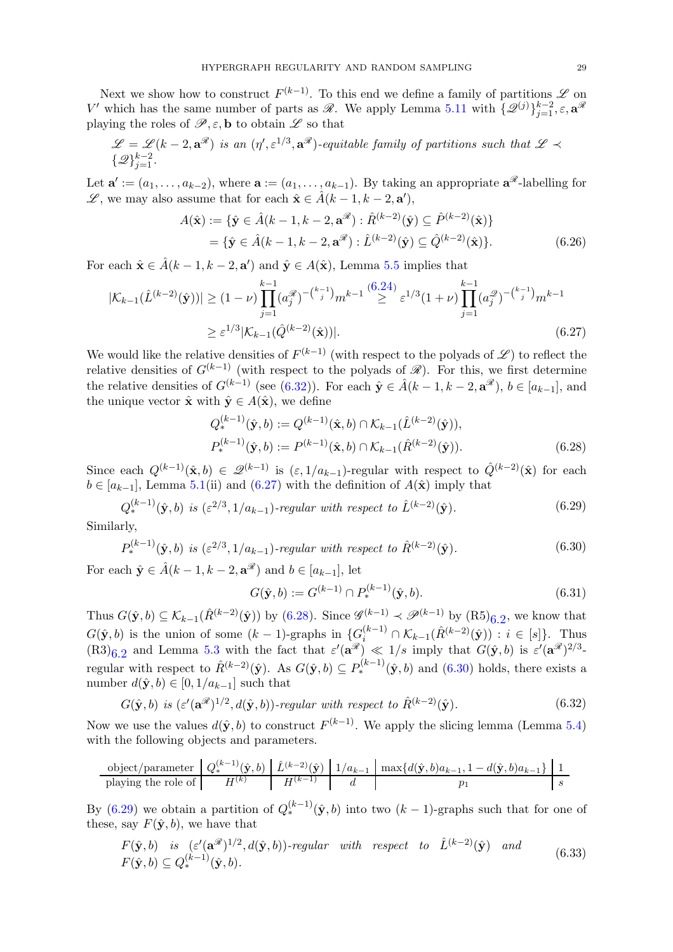Next we show how to construct  $F^{(k-1)}$ . To this end we define a family of partitions  $\mathscr L$  on V' which has the same number of parts as  $\mathscr{R}$ . We apply Lemma [5.11](#page-16-4) with  $\{\mathscr{Q}^{(j)}\}_{j=1}^{k-2}, \varepsilon, \mathbf{a}^{\mathscr{R}}$ playing the roles of  $\mathscr{P}, \varepsilon$ , **b** to obtain  $\mathscr{L}$  so that

$$
\mathscr{L} = \mathscr{L}(k-2, \mathbf{a}^{\mathscr{R}})
$$
 is an  $(\eta', \varepsilon^{1/3}, \mathbf{a}^{\mathscr{R}})$ -equitable family of partitions such that  $\mathscr{L} \prec \{\mathscr{Q}\}_{j=1}^{k-2}$ .

Let  $\mathbf{a}' := (a_1, \ldots, a_{k-2})$ , where  $\mathbf{a} := (a_1, \ldots, a_{k-1})$ . By taking an appropriate  $\mathbf{a}^{\mathscr{R}}$ -labelling for  $\mathscr{L}$ , we may also assume that for each  $\hat{\mathbf{x}} \in \hat{A}(k-1, k-2, \mathbf{a}')$ ,

<span id="page-28-5"></span>
$$
A(\hat{\mathbf{x}}) := \{ \hat{\mathbf{y}} \in \hat{A}(k-1, k-2, \mathbf{a}^{\mathcal{R}}) : \hat{R}^{(k-2)}(\hat{\mathbf{y}}) \subseteq \hat{P}^{(k-2)}(\hat{\mathbf{x}}) \}
$$
  
= \{ \hat{\mathbf{y}} \in \hat{A}(k-1, k-2, \mathbf{a}^{\mathcal{R}}) : \hat{L}^{(k-2)}(\hat{\mathbf{y}}) \subseteq \hat{Q}^{(k-2)}(\hat{\mathbf{x}}) \}. (6.26)

For each  $\hat{\mathbf{x}} \in \hat{A}(k-1, k-2, \mathbf{a}')$  and  $\hat{\mathbf{y}} \in A(\hat{\mathbf{x}})$ , Lemma [5.5](#page-12-0) implies that

$$
|\mathcal{K}_{k-1}(\hat{L}^{(k-2)}(\hat{\mathbf{y}}))| \ge (1-\nu) \prod_{j=1}^{k-1} (a_j^{\mathscr{R}})^{-\binom{k-1}{j}} m^{k-1} \stackrel{(6.24)}{\ge} \varepsilon^{1/3} (1+\nu) \prod_{j=1}^{k-1} (a_j^{\mathscr{Q}})^{-\binom{k-1}{j}} m^{k-1}
$$
  

$$
\ge \varepsilon^{1/3} |\mathcal{K}_{k-1}(\hat{Q}^{(k-2)}(\hat{\mathbf{x}}))|.
$$
 (6.27)

We would like the relative densities of  $F^{(k-1)}$  (with respect to the polyads of  $\mathscr{L}$ ) to reflect the relative densities of  $G^{(k-1)}$  (with respect to the polyads of  $\mathscr{R}$ ). For this, we first determine the relative densities of  $G^{(k-1)}$  (see [\(6.32\)](#page-28-0)). For each  $\hat{\mathbf{y}} \in \hat{A}(k-1, k-2, \mathbf{a}^{\mathscr{R}}), b \in [a_{k-1}],$  and the unique vector  $\hat{\mathbf{x}}$  with  $\hat{\mathbf{y}} \in A(\hat{\mathbf{x}})$ , we define

<span id="page-28-1"></span>
$$
Q_{*}^{(k-1)}(\hat{\mathbf{y}},b) := Q^{(k-1)}(\hat{\mathbf{x}},b) \cap \mathcal{K}_{k-1}(\hat{L}^{(k-2)}(\hat{\mathbf{y}})),
$$
  
\n
$$
P_{*}^{(k-1)}(\hat{\mathbf{y}},b) := P^{(k-1)}(\hat{\mathbf{x}},b) \cap \mathcal{K}_{k-1}(\hat{R}^{(k-2)}(\hat{\mathbf{y}})).
$$
\n(6.28)

Since each  $Q^{(k-1)}(\hat{\mathbf{x}},b) \in \mathscr{Q}^{(k-1)}$  is  $(\varepsilon,1/a_{k-1})$ -regular with respect to  $\hat{Q}^{(k-2)}(\hat{\mathbf{x}})$  for each  $b \in [a_{k-1}]$ , Lemma [5.1\(](#page-12-4)ii) and [\(6.27\)](#page-28-1) with the definition of  $A(\hat{\mathbf{x}})$  imply that

<span id="page-28-4"></span>
$$
Q_*^{(k-1)}(\hat{\mathbf{y}},b) \text{ is } (\varepsilon^{2/3}, 1/a_{k-1})\text{-regular with respect to } \hat{L}^{(k-2)}(\hat{\mathbf{y}}). \tag{6.29}
$$

Similarly,

<span id="page-28-3"></span>
$$
P_*^{(k-1)}(\hat{\mathbf{y}},b) \text{ is } (\varepsilon^{2/3}, 1/a_{k-1})\text{-regular with respect to } \hat{R}^{(k-2)}(\hat{\mathbf{y}}). \tag{6.30}
$$

For each  $\hat{\mathbf{y}} \in \hat{A}(k-1, k-2, \mathbf{a}^{\mathscr{R}})$  and  $b \in [a_{k-1}]$ , let

<span id="page-28-6"></span><span id="page-28-2"></span>
$$
G(\hat{\mathbf{y}}, b) := G^{(k-1)} \cap P_{*}^{(k-1)}(\hat{\mathbf{y}}, b).
$$
\n(6.31)

Thus  $G(\hat{\mathbf{y}}, b) \subseteq \mathcal{K}_{k-1}(\hat{R}^{(k-2)}(\hat{\mathbf{y}}))$  by [\(6.28\)](#page-28-2). Since  $\mathscr{G}^{(k-1)} \prec \mathscr{P}^{(k-1)}$  by  $(R5)_{6.2}$ , we know that  $G(\hat{\mathbf{y}},b)$  is the union of some  $(k-1)$ -graphs in  $\{G_i^{(k-1)} \cap \mathcal{K}_{k-1}(\hat{R}^{(k-2)}(\hat{\mathbf{y}})): i \in [s]\}$ . Thus  $(R3)_{6.2}$  and Lemma [5.3](#page-12-5) with the fact that  $\varepsilon'(\mathbf{a}^{\mathscr{R}}) \ll 1/s$  imply that  $G(\hat{\mathbf{y}},b)$  is  $\varepsilon'(\mathbf{a}^{\mathscr{R}})^{2/3}$ . regular with respect to  $\hat{R}^{(k-2)}(\hat{\mathbf{y}})$ . As  $G(\hat{\mathbf{y}},b) \subseteq P_{*}^{(k-1)}(\hat{\mathbf{y}},b)$  and  $(6.30)$  holds, there exists a number  $d(\hat{\mathbf{y}}, b) \in [0, 1/a_{k-1}]$  such that

<span id="page-28-0"></span>
$$
G(\hat{\mathbf{y}}, b) \text{ is } (\varepsilon'(\mathbf{a}^{\mathcal{R}})^{1/2}, d(\hat{\mathbf{y}}, b))\text{-}regular with respect to } \hat{R}^{(k-2)}(\hat{\mathbf{y}}). \tag{6.32}
$$

Now we use the values  $d(\hat{y}, b)$  to construct  $F^{(k-1)}$ . We apply the slicing lemma (Lemma [5.4\)](#page-12-3) with the following objects and parameters.

$$
\begin{array}{c|c|c|c|c|c} \text{object/parameter} & Q^{(k-1)}_*(\hat{\mathbf{y}},b) & \hat{L}^{(k-2)}(\hat{\mathbf{y}}) & 1/a_{k-1} & \max\{d(\hat{\mathbf{y}},b)a_{k-1},1-d(\hat{\mathbf{y}},b)a_{k-1}\} & 1\\ \hline \text{ playing the role of} & H^{(k)} & H^{(k-1)} & d & p_1 & s \end{array}
$$

By [\(6.29\)](#page-28-4) we obtain a partition of  $Q_*^{(k-1)}(\hat{\mathbf{y}},b)$  into two  $(k-1)$ -graphs such that for one of these, say  $F(\hat{\mathbf{y}}, b)$ , we have that

<span id="page-28-7"></span>
$$
F(\hat{\mathbf{y}},b) \text{ is } (\varepsilon'(\mathbf{a}^{\mathcal{R}})^{1/2}, d(\hat{\mathbf{y}},b))\text{-}regular with respect to } \hat{L}^{(k-2)}(\hat{\mathbf{y}}) \text{ and } F(\hat{\mathbf{y}},b) \subseteq Q_*^{(k-1)}(\hat{\mathbf{y}},b). \tag{6.33}
$$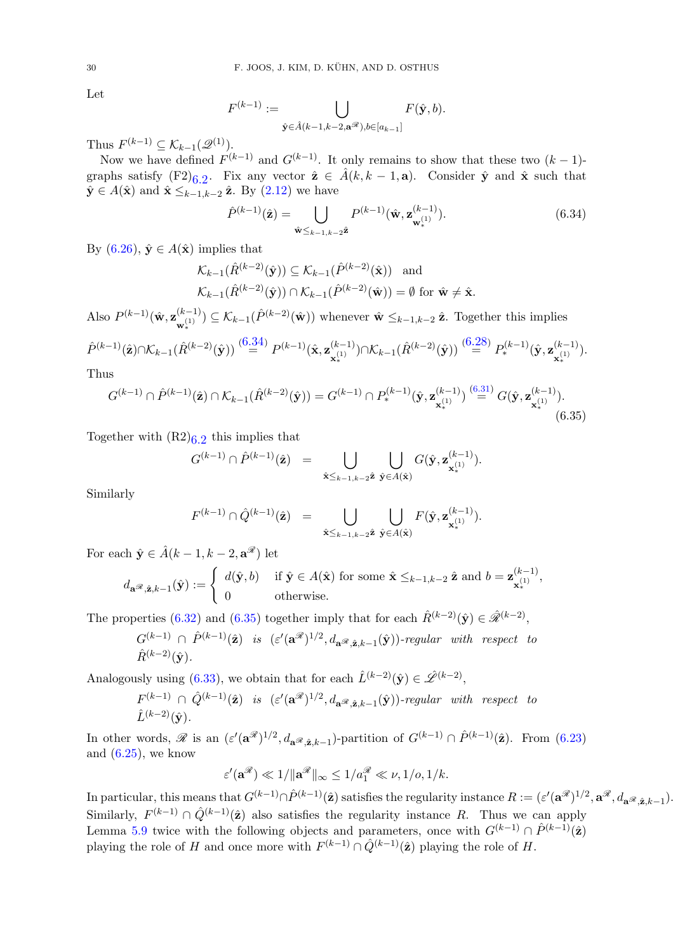Let

$$
F^{(k-1)} := \bigcup_{\hat{\mathbf{y}} \in \hat{A}(k-1,k-2,\mathbf{a}^{\mathscr{R}}), b \in [a_{k-1}]} F(\hat{\mathbf{y}},b).
$$

Thus  $F^{(k-1)} \subseteq \mathcal{K}_{k-1}(\mathcal{Q}^{(1)})$ .

Now we have defined  $F^{(k-1)}$  and  $G^{(k-1)}$ . It only remains to show that these two  $(k-1)$ graphs satisfy  $(F2)_{6,2}$ . Fix any vector  $\hat{z} \in \hat{A}(k, k-1, a)$ . Consider  $\hat{y}$  and  $\hat{x}$  such that  $\hat{\mathbf{y}} \in A(\hat{\mathbf{x}})$  and  $\hat{\mathbf{x}} \leq_{k-1,k-2} \hat{\mathbf{z}}$ . By  $(2.12)$  we have

<span id="page-29-0"></span>
$$
\hat{P}^{(k-1)}(\hat{\mathbf{z}}) = \bigcup_{\hat{\mathbf{w}} \leq k-1, k-2\hat{\mathbf{z}}} P^{(k-1)}(\hat{\mathbf{w}}, \mathbf{z}_{\mathbf{w}_*}^{(k-1)}).
$$
(6.34)

By  $(6.26)$ ,  $\hat{\mathbf{y}} \in A(\hat{\mathbf{x}})$  implies that

$$
\mathcal{K}_{k-1}(\hat{R}^{(k-2)}(\hat{\mathbf{y}})) \subseteq \mathcal{K}_{k-1}(\hat{P}^{(k-2)}(\hat{\mathbf{x}})) \text{ and}
$$
  

$$
\mathcal{K}_{k-1}(\hat{R}^{(k-2)}(\hat{\mathbf{y}})) \cap \mathcal{K}_{k-1}(\hat{P}^{(k-2)}(\hat{\mathbf{w}})) = \emptyset \text{ for } \hat{\mathbf{w}} \neq \hat{\mathbf{x}}.
$$

Also  $P^{(k-1)}(\hat{\mathbf{w}}, {\mathbf{z}}_{(1)}^{(k-1)})$  $(\mathbf{k}^{(k-1)}) \subseteq \mathcal{K}_{k-1}(\hat{P}^{(k-2)}(\hat{\mathbf{w}}))$  whenever  $\hat{\mathbf{w}} \leq_{k-1,k-2} \hat{\mathbf{z}}$ . Together this implies

$$
\hat{P}^{(k-1)}(\hat{\mathbf{z}}) \cap \mathcal{K}_{k-1}(\hat{R}^{(k-2)}(\hat{\mathbf{y}})) \stackrel{(6.34)}{=} P^{(k-1)}(\hat{\mathbf{x}}, \mathbf{z}_{\mathbf{x}_*}^{(k-1)}) \cap \mathcal{K}_{k-1}(\hat{R}^{(k-2)}(\hat{\mathbf{y}})) \stackrel{(6.28)}{=} P_*^{(k-1)}(\hat{\mathbf{y}}, \mathbf{z}_{\mathbf{x}_*}^{(k-1)}).
$$

Thus

$$
G^{(k-1)} \cap \hat{P}^{(k-1)}(\hat{\mathbf{z}}) \cap \mathcal{K}_{k-1}(\hat{R}^{(k-2)}(\hat{\mathbf{y}})) = G^{(k-1)} \cap P_{*}^{(k-1)}(\hat{\mathbf{y}}, \mathbf{z}_{\mathbf{x}_{*}}^{(k-1)}) \stackrel{(6.31)}{=} G(\hat{\mathbf{y}}, \mathbf{z}_{\mathbf{x}_{*}}^{(k-1)}).
$$
\n(6.35)

Together with  $(R2)_{6,2}$  this implies that

<span id="page-29-1"></span>
$$
G^{(k-1)} \cap \hat{P}^{(k-1)}(\hat{\mathbf{z}}) = \bigcup_{\hat{\mathbf{x}} \leq_{k-1,k-2} \hat{\mathbf{z}}} \bigcup_{\hat{\mathbf{y}} \in A(\hat{\mathbf{x}})} G(\hat{\mathbf{y}}, \mathbf{z}_{\mathbf{x}_*}^{(k-1)}).
$$

Similarly

$$
F^{(k-1)} \cap \hat{Q}^{(k-1)}(\hat{\mathbf{z}}) = \bigcup_{\hat{\mathbf{x}} \leq_{k-1,k-2} \hat{\mathbf{z}}} \bigcup_{\hat{\mathbf{y}} \in A(\hat{\mathbf{x}})} F(\hat{\mathbf{y}}, \mathbf{z}_{\mathbf{x}_*}^{(k-1)}).
$$

For each  $\hat{\mathbf{y}} \in \hat{A}(k-1, k-2, \mathbf{a}^{\mathscr{R}})$  let

$$
d_{\mathbf{a}}\mathscr{R}_{\hat{\mathbf{a}}}\mathscr{R}_{\hat{\mathbf{a}}k-1}(\hat{\mathbf{y}}) := \begin{cases} d(\hat{\mathbf{y}},b) & \text{if } \hat{\mathbf{y}} \in A(\hat{\mathbf{x}}) \text{ for some } \hat{\mathbf{x}} \leq_{k-1,k-2} \hat{\mathbf{z}} \text{ and } b = \mathbf{z}_{\mathbf{x}_*^{(1)}}^{(k-1)}, \\ 0 & \text{otherwise.} \end{cases}
$$

The properties [\(6.32\)](#page-28-0) and [\(6.35\)](#page-29-1) together imply that for each  $\hat{R}^{(k-2)}(\hat{y}) \in \hat{\mathscr{R}}^{(k-2)}$ ,

$$
G^{(k-1)} \cap \hat{P}^{(k-1)}(\hat{\mathbf{z}})
$$
 is  $(\varepsilon'(\mathbf{a}^{\mathcal{R}})^{1/2}, d_{\mathbf{a}^{\mathcal{R}}, \hat{\mathbf{z}}, k-1}(\hat{\mathbf{y}}))$ -regular with respect to  $\hat{R}^{(k-2)}(\hat{\mathbf{y}}).$ 

Analogously using [\(6.33\)](#page-28-7), we obtain that for each  $\hat{L}^{(k-2)}(\hat{y}) \in \hat{\mathscr{L}}^{(k-2)}$ ,

$$
F^{(k-1)} \cap \hat{Q}^{(k-1)}(\hat{\mathbf{z}}) \text{ is } (\varepsilon'(\mathbf{a}^{\mathcal{R}})^{1/2}, d_{\mathbf{a}^{\mathcal{R}}, \hat{\mathbf{z}}, k-1}(\hat{\mathbf{y}}))\text{-}regular with respect to
$$
  
 $\hat{L}^{(k-2)}(\hat{\mathbf{y}}).$ 

In other words,  $\mathscr R$  is an  $(\varepsilon'(\mathbf{a}^{\mathscr R})^{1/2}, d_{\mathbf{a}^{\mathscr R},\hat{\mathbf{z}},k-1})$ -partition of  $G^{(k-1)} \cap \hat P^{(k-1)}(\hat{\mathbf{z}})$ . From  $(6.23)$ and  $(6.25)$ , we know

$$
\varepsilon'(\mathbf{a}^{\mathscr{R}}) \ll 1/\|\mathbf{a}^{\mathscr{R}}\|_{\infty} \le 1/a_1^{\mathscr{R}} \ll \nu, 1/o, 1/k.
$$

In particular, this means that  $G^{(k-1)} \cap \hat{P}^{(k-1)}(\hat{\mathbf{z}})$  satisfies the regularity instance  $R := (\varepsilon'(\mathbf{a}^{\mathscr{R}})^{1/2}, \mathbf{a}^{\mathscr{R}}, d_{\mathbf{a}^{\mathscr{R}}, \hat{\mathbf{z}}, k-1}).$ Similarly,  $F^{(k-1)} \cap \hat{Q}^{(k-1)}(\hat{\mathbf{z}})$  also satisfies the regularity instance R. Thus we can apply Lemma [5.9](#page-14-0) twice with the following objects and parameters, once with  $G^{(k-1)} \cap \hat{P}^{(k-1)}(\hat{\mathbf{z}})$ playing the role of H and once more with  $F^{(k-1)} \cap \hat{Q}^{(k-1)}(\hat{z})$  playing the role of H.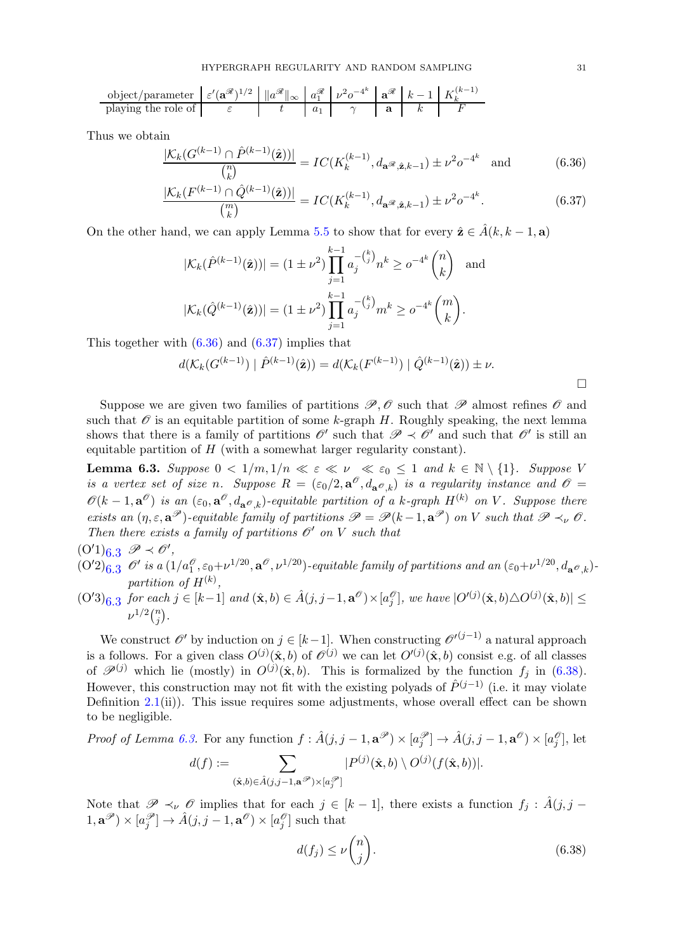$$
\text{object/parameter } \varepsilon'(\mathbf{a}^{\mathscr{R}})^{1/2} \|\|\mathbf{a}^{\mathscr{R}}\|_{\infty} \|a_{1}^{\mathscr{R}} \varepsilon'^{1/2-\frac{1}{2}} \|\mathbf{a}^{\mathscr{R}}\|_{\infty} \|\mathbf{a}^{\mathscr{R}}_{1} \| \nu^{2} \sigma^{-4^{k}} \|\mathbf{a}^{\mathscr{R}} \| k-1 \| K_{k}^{(k-1)}
$$
\nplaying the role of

\n
$$
\varepsilon \|\mathbf{a}^{\mathscr{R}}\|_{\infty} \|\mathbf{a}^{\mathscr{R}}\|_{\infty} \|\mathbf{a}^{\mathscr{R}}\|_{\infty} \|\mathbf{a}^{\mathscr{R}}\|_{\infty}
$$

Thus we obtain

$$
\frac{|\mathcal{K}_k(G^{(k-1)} \cap \hat{P}^{(k-1)}(\hat{\mathbf{z}}))|}{\binom{n}{k}} = IC(K_k^{(k-1)}, d_{\mathbf{a}^{\mathscr{R}}, \hat{\mathbf{z}}, k-1}) \pm \nu^2 o^{-4^k} \text{ and } (6.36)
$$

$$
\frac{|\mathcal{K}_k(F^{(k-1)} \cap \hat{Q}^{(k-1)}(\hat{\mathbf{z}}))|}{\binom{m}{k}} = IC(K_k^{(k-1)}, d_{\mathbf{a}^{\mathscr{R}}, \hat{\mathbf{z}}, k-1}) \pm \nu^2 o^{-4^k}.
$$
 (6.37)

On the other hand, we can apply Lemma [5.5](#page-12-0) to show that for every  $\hat{\mathbf{z}} \in \hat{A}(k, k-1, \mathbf{a})$ 

$$
|\mathcal{K}_k(\hat{P}^{(k-1)}(\hat{\mathbf{z}}))| = (1 \pm \nu^2) \prod_{j=1}^{k-1} a_j^{-(\binom{k}{j}} n^k \ge o^{-4^k} \binom{n}{k} \text{ and}
$$
  

$$
|\mathcal{K}_k(\hat{Q}^{(k-1)}(\hat{\mathbf{z}}))| = (1 \pm \nu^2) \prod_{j=1}^{k-1} a_j^{-(\binom{k}{j}} m^k \ge o^{-4^k} \binom{m}{k}.
$$

This together with  $(6.36)$  and  $(6.37)$  implies that

$$
d(\mathcal{K}_k(G^{(k-1)}) \mid \hat{P}^{(k-1)}(\hat{\mathbf{z}})) = d(\mathcal{K}_k(F^{(k-1)}) \mid \hat{Q}^{(k-1)}(\hat{\mathbf{z}})) \pm \nu.
$$

Suppose we are given two families of partitions  $\mathscr{P}, \mathscr{O}$  such that  $\mathscr{P}$  almost refines  $\mathscr{O}$  and such that  $\mathscr O$  is an equitable partition of some k-graph H. Roughly speaking, the next lemma shows that there is a family of partitions  $\mathscr{O}'$  such that  $\mathscr{P} \prec \mathscr{O}'$  and such that  $\mathscr{O}'$  is still an equitable partition of H (with a somewhat larger regularity constant).

<span id="page-30-0"></span>**Lemma 6.3.** Suppose  $0 < 1/m, 1/n \ll \varepsilon \ll \nu \ll \varepsilon_0 \leq 1$  and  $k \in \mathbb{N} \setminus \{1\}$ . Suppose V is a vertex set of size n. Suppose  $R = (\epsilon_0/2, \mathbf{a}^\mathcal{O}, d_{\mathbf{a}^\mathcal{O}, k})$  is a regularity instance and  $\mathcal{O} =$  $\mathscr{O}(k-1,\mathbf{a}^{\mathscr{O}})$  is an  $(\varepsilon_0,\mathbf{a}^{\mathscr{O}},d_{\mathbf{a}^{\mathscr{O}},k})$ -equitable partition of a k-graph  $H^{(k)}$  on V. Suppose there exists an  $(\eta, \varepsilon, \mathbf{a}^{\mathscr{P}})$ -equitable family of partitions  $\mathscr{P} = \mathscr{P}(k-1, \mathbf{a}^{\mathscr{P}})$  on V such that  $\mathscr{P} \prec_{\nu} \mathscr{O}$ . Then there exists a family of partitions  $\mathcal{O}'$  on V such that

- $(O'1)_{6.3} \mathscr{P} \prec \mathscr{O}'$ ,
- $(O'2)_{6.3}$  O' is a  $(1/a_1^{\mathcal{O}}, \varepsilon_0+\nu^{1/20}, \mathbf{a}^{\mathcal{O}}, \nu^{1/20})$ -equitable family of partitions and an  $(\varepsilon_0+\nu^{1/20}, d_{\mathbf{a}^{\mathcal{O}},k})$ partition of  $H^{(k)}$ ,
- $(O'3)_{6.3}$  for each  $j \in [k-1]$  and  $(\hat{\mathbf{x}},b) \in \hat{A}(j,j-1,\mathbf{a}^{\mathscr{O}}) \times [a_j^{\mathscr{O}}]$ , we have  $|O'^{(j)}(\hat{\mathbf{x}},b) \triangle O^{(j)}(\hat{\mathbf{x}},b)| \leq$  $\nu^{1/2} \binom{n}{i}$  $\binom{n}{j}$  .

We construct  $\mathscr{O}'$  by induction on  $j \in [k-1]$ . When constructing  $\mathscr{O}'^{(j-1)}$  a natural approach is a follows. For a given class  $O^{(j)}(\hat{\mathbf{x}},b)$  of  $\mathscr{O}^{(j)}$  we can let  $O'^{(j)}(\hat{\mathbf{x}},b)$  consist e.g. of all classes of  $\mathscr{P}^{(j)}$  which lie (mostly) in  $O^{(j)}(\hat{\mathbf{x}},b)$ . This is formalized by the function  $f_j$  in [\(6.38\)](#page-30-3). However, this construction may not fit with the existing polyads of  $\hat{P}^{(j-1)}$  (i.e. it may violate Definition  $2.1(ii)$  $2.1(ii)$ ). This issue requires some adjustments, whose overall effect can be shown to be negligible.

Proof of Lemma 6.3. For any function 
$$
f : \hat{A}(j, j-1, \mathbf{a}^{\mathscr{P}}) \times [a_j^{\mathscr{P}}] \to \hat{A}(j, j-1, \mathbf{a}^{\mathscr{O}}) \times [a_j^{\mathscr{O}}],
$$
 let  
\n
$$
d(f) := \sum_{(\hat{\mathbf{x}}, b) \in \hat{A}(j, j-1, \mathbf{a}^{\mathscr{P}}) \times [a_j^{\mathscr{P}}]} |P^{(j)}(\hat{\mathbf{x}}, b) \setminus O^{(j)}(f(\hat{\mathbf{x}}, b))|.
$$

Note that  $\mathscr{P} \prec_{\nu} \mathscr{O}$  implies that for each  $j \in [k-1]$ , there exists a function  $f_j : \hat{A}(j, j -1)$  $(1, \mathbf{a}^{\mathscr{P}}) \times [a_j^{\mathscr{P}}] \to \hat{A}(j, j-1, \mathbf{a}^{\mathscr{O}}) \times [a_j^{\mathscr{O}}]$  such that

<span id="page-30-3"></span>
$$
d(f_j) \le \nu \binom{n}{j}.\tag{6.38}
$$

<span id="page-30-2"></span><span id="page-30-1"></span> $\Box$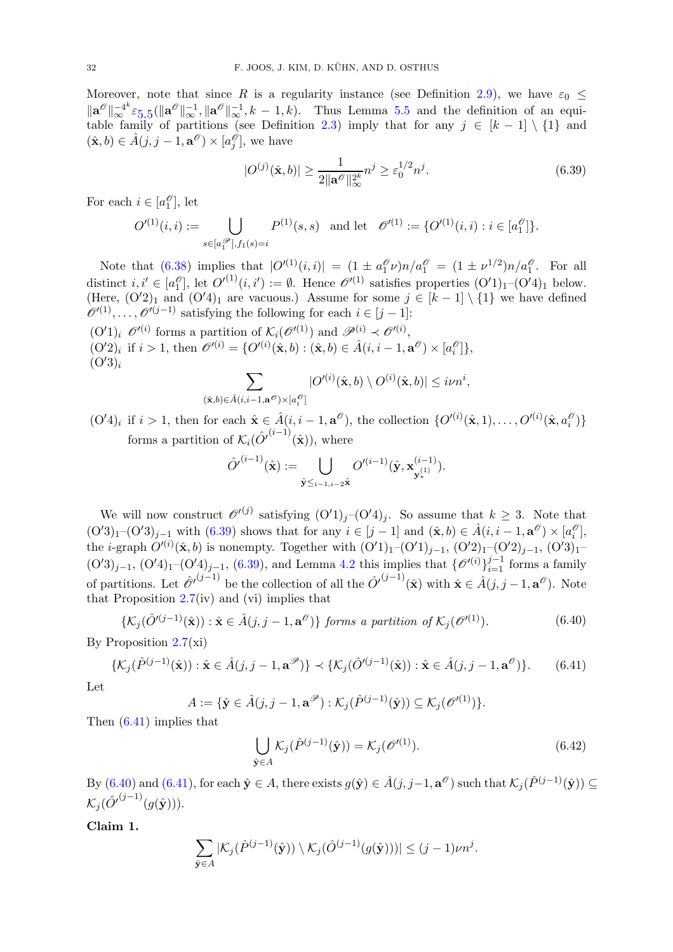Moreover, note that since R is a regularity instance (see Definition [2.9\)](#page-8-0), we have  $\varepsilon_0 \leq$  $\|\mathbf{a}^{\mathcal{O}}\|_{\infty}^{-4^k} \varepsilon_{5.5} (\|\mathbf{a}^{\mathcal{O}}\|_{\infty}^{-1}, \|\mathbf{a}^{\mathcal{O}}\|_{\infty}^{-1}, k-1, k).$  $\|\mathbf{a}^{\mathcal{O}}\|_{\infty}^{-4^k} \varepsilon_{5.5} (\|\mathbf{a}^{\mathcal{O}}\|_{\infty}^{-1}, \|\mathbf{a}^{\mathcal{O}}\|_{\infty}^{-1}, k-1, k).$  $\|\mathbf{a}^{\mathcal{O}}\|_{\infty}^{-4^k} \varepsilon_{5.5} (\|\mathbf{a}^{\mathcal{O}}\|_{\infty}^{-1}, \|\mathbf{a}^{\mathcal{O}}\|_{\infty}^{-1}, k-1, k).$  Thus Lemma [5.5](#page-12-0) and the definition of an equi-table family of partitions (see Definition [2.3\)](#page-4-1) imply that for any  $j \in [k-1] \setminus \{1\}$  and  $(\hat{\mathbf{x}},b) \in \hat{A}(j,j-1,\mathbf{a}^{\mathscr{O}}) \times [a_j^{\mathscr{O}}]$ , we have

<span id="page-31-0"></span>
$$
|O^{(j)}(\hat{\mathbf{x}},b)| \ge \frac{1}{2\|\mathbf{a}^{\theta}\|_{\infty}^{2k}} n^j \ge \varepsilon_0^{1/2} n^j. \tag{6.39}
$$

For each  $i \in [a_1^\mathcal{O}],$  let

$$
O'^{(1)}(i,i) := \bigcup_{s \in [a_1^\mathcal{P}], f_1(s) = i} P^{(1)}(s,s) \text{ and let } \mathcal{O}'^{(1)} := \{O'^{(1)}(i,i) : i \in [a_1^\mathcal{P}]\}.
$$

Note that [\(6.38\)](#page-30-3) implies that  $|O'(1)(i,i)| = (1 \pm a_1^{\mathcal{O}} \nu) n/a_1^{\mathcal{O}} = (1 \pm \nu^{1/2}) n/a_1^{\mathcal{O}}$ . For all distinct  $i, i' \in [a_1^\mathcal{O}],$  let  $O'^{(1)}(i, i') := \emptyset$ . Hence  $\mathcal{O}'^{(1)}$  satisfies properties  $(O'1)_1$ - $(O'4)_1$  below. (Here,  $(O'2)_1$  and  $(O'4)_1$  are vacuous.) Assume for some  $j \in [k-1] \setminus \{1\}$  we have defined  $\mathscr{O}'^{(1)}, \ldots, \mathscr{O}'^{(j-1)}$  satisfying the following for each  $i \in [j-1]$ :  $(O'1)_i \, \mathscr{O}'^{(i)}$  forms a partition of  $\mathcal{K}_i(\mathscr{O}'^{(1)})$  and  $\mathscr{P}^{(i)} \prec \mathscr{O}'^{(i)}$ ,

 $(O'2)_i$  if  $i > 1$ , then  $\mathscr{O}'^{(i)} = \{O'^{(i)}(\hat{\mathbf{x}}, b) : (\hat{\mathbf{x}}, b) \in \hat{A}(i, i - 1, \mathbf{a}^\mathscr{O}) \times [a_i^\mathscr{O}] \},$  $(O'3)_i$ 

$$
\sum_{(\hat{\mathbf{x}},b)\in \hat{A}(i,i-1,\mathbf{a}^{\mathcal{O}})\times [a_i^{\mathcal{O}}]}|O'^{(i)}(\hat{\mathbf{x}},b)\setminus O^{(i)}(\hat{\mathbf{x}},b)|\leq i\nu n^i,
$$

 $(O'4)_i$  if  $i > 1$ , then for each  $\hat{\mathbf{x}} \in \hat{A}(i, i - 1, \mathbf{a}^\mathcal{O})$ , the collection  $\{O'^{(i)}(\hat{\mathbf{x}}, 1), \ldots, O'^{(i)}(\hat{\mathbf{x}}, a_i^\mathcal{O})\}$ forms a partition of  $\mathcal{K}_i(\hat{O}^{i^{(i-1)}}(\hat{\mathbf{x}}))$ , where

$$
\hat{O'}^{(i-1)}(\hat{\mathbf{x}}) := \bigcup_{\hat{\mathbf{y}} \leq i-1, i-2} \hat{\mathbf{x}}^{O'^{(i-1)}(\hat{\mathbf{y}}, \mathbf{x}_{\mathbf{y}_{*}^{(1)}}^{(i-1)})}.
$$

We will now construct  $\mathcal{O}'^{(j)}$  satisfying  $(O'1)_j-(O'4)_j$ . So assume that  $k\geq 3$ . Note that  $(O'3)_1-(O'3)_{j-1}$  with  $(6.39)$  shows that for any  $i \in [j-1]$  and  $(\hat{\mathbf{x}},b) \in \hat{A}(i,i-1,\mathbf{a}^{\mathscr{O}}) \times [a_i^{\mathscr{O}}]$ , the *i*-graph  $O^{(i)}(\hat{\mathbf{x}},b)$  is nonempty. Together with  $(O'1)_1-(O'1)_{j-1}$ ,  $(O'2)_1-(O'2)_{j-1}$ ,  $(O'3)_1$  $(O'3)_{j-1}, (O'4)_1 - (O'4)_{j-1}, (6.39)$  $(O'3)_{j-1}, (O'4)_1 - (O'4)_{j-1}, (6.39)$ , and Lemma [4.2](#page-11-0) this implies that  $\{O^{(i)}\}_{i=1}^{j-1}$  forms a family of partitions. Let  $\hat{\mathscr{O}}^{(j-1)}$  be the collection of all the  $\hat{O}^{(j-1)}(\hat{\mathbf{x}})$  with  $\hat{\mathbf{x}} \in \hat{A}(j, j-1, \mathbf{a}^{\mathscr{O}})$ . Note that Proposition  $2.7(iv)$  $2.7(iv)$  and (vi) implies that

<span id="page-31-2"></span>
$$
\{\mathcal{K}_j(\hat{O}^{\prime(j-1)}(\hat{\mathbf{x}})) : \hat{\mathbf{x}} \in \hat{A}(j, j-1, \mathbf{a}^{\mathcal{O}})\} \text{ forms a partition of } \mathcal{K}_j(\mathcal{O}^{\prime(1)}). \tag{6.40}
$$

By Proposition  $2.7(xi)$  $2.7(xi)$ 

$$
\{\mathcal{K}_j(\hat{P}^{(j-1)}(\hat{\mathbf{x}})) : \hat{\mathbf{x}} \in \hat{A}(j, j-1, \mathbf{a}^{\mathcal{P}})\} \prec \{\mathcal{K}_j(\hat{O}^{\prime(j-1)}(\hat{\mathbf{x}})) : \hat{\mathbf{x}} \in \hat{A}(j, j-1, \mathbf{a}^{\mathcal{P}})\}.
$$
 (6.41)

Let

$$
A := \{ \hat{\mathbf{y}} \in \hat{A}(j, j-1, \mathbf{a}^{\mathcal{P}}) : \mathcal{K}_j(\hat{P}^{(j-1)}(\hat{\mathbf{y}})) \subseteq \mathcal{K}_j(\mathcal{O}^{\prime(1)}) \}.
$$

Then [\(6.41\)](#page-31-1) implies that

<span id="page-31-3"></span><span id="page-31-1"></span>
$$
\bigcup_{\hat{\mathbf{y}} \in A} \mathcal{K}_j(\hat{P}^{(j-1)}(\hat{\mathbf{y}})) = \mathcal{K}_j(\mathscr{O}^{\prime(1)}).
$$
\n(6.42)

By  $(6.40)$  and  $(6.41)$ , for each  $\hat{\mathbf{y}} \in A$ , there exists  $g(\hat{\mathbf{y}}) \in \hat{A}(j, j-1, \mathbf{a}^{\mathscr{O}})$  such that  $\mathcal{K}_j(\hat{P}^{(j-1)}(\hat{\mathbf{y}})) \subseteq$  $\mathcal{K}_{j}(\hat{O'}^{(j-1)}(g(\hat{\textbf{y}}))).$ 

Claim 1.

$$
\sum_{\hat{\mathbf{y}}\in A} |\mathcal{K}_j(\hat{P}^{(j-1)}(\hat{\mathbf{y}})) \setminus \mathcal{K}_j(\hat{O}^{(j-1)}(g(\hat{\mathbf{y}})))| \leq (j-1)\nu n^j.
$$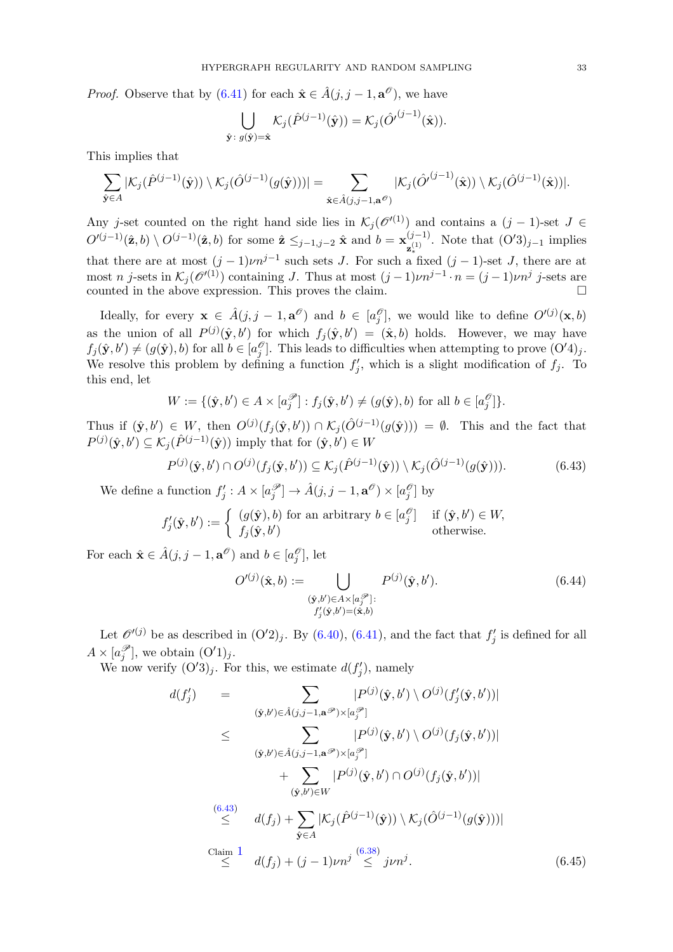*Proof.* Observe that by  $(6.41)$  for each  $\hat{\mathbf{x}} \in \hat{A}(j, j - 1, \mathbf{a}^{\mathcal{O}})$ , we have

$$
\bigcup_{\hat{\mathbf{y}}:\;g(\hat{\mathbf{y}})=\hat{\mathbf{x}}} \mathcal{K}_j(\hat{P}^{(j-1)}(\hat{\mathbf{y}})) = \mathcal{K}_j(\hat{O}^{(j-1)}(\hat{\mathbf{x}})).
$$

This implies that

$$
\sum_{\hat{\mathbf{y}}\in A}|\mathcal{K}_j(\hat{P}^{(j-1)}(\hat{\mathbf{y}}))\setminus \mathcal{K}_j(\hat{O}^{(j-1)}(g(\hat{\mathbf{y}})))|=\sum_{\hat{\mathbf{x}}\in \hat{A}(j,j-1,\mathbf{a}^{\mathcal{O}})}|\mathcal{K}_j(\hat{O}^{(j-1)}(\hat{\mathbf{x}}))\setminus \mathcal{K}_j(\hat{O}^{(j-1)}(\hat{\mathbf{x}}))|.
$$

Any j-set counted on the right hand side lies in  $\mathcal{K}_j (\mathcal{O}^{(1)})$  and contains a  $(j-1)$ -set  $J \in$  $O^{(j-1)}(\hat{\mathbf{z}},b) \setminus O^{(j-1)}(\hat{\mathbf{z}},b)$  for some  $\hat{\mathbf{z}} \leq_{j-1,j-2} \hat{\mathbf{x}}$  and  $b = \mathbf{x}_{(1)}^{(j-1)}$  $\mathbf{z}_{*}^{(j-1)}$ . Note that  $(\mathbf{O}'3)_{j-1}$  implies that there are at most  $(j-1)\nu n^{j-1}$  such sets J. For such a fixed  $(j-1)$ -set J, there are at most n j-sets in  $\mathcal{K}_j(\mathcal{O}^{(1)})$  containing J. Thus at most  $(j-1)\nu n^{j-1} \cdot n = (j-1)\nu n^j$  j-sets are counted in the above expression. This proves the claim.

Ideally, for every  $\mathbf{x} \in \hat{A}(j, j - 1, \mathbf{a}^{\mathcal{O}})$  and  $b \in [a_j^{\mathcal{O}}]$ , we would like to define  $O^{(j)}(\mathbf{x}, b)$ as the union of all  $P^{(j)}(\hat{\mathbf{y}},b')$  for which  $f_j(\hat{\mathbf{y}},b') = (\hat{\mathbf{x}},b)$  holds. However, we may have  $f_j(\hat{\mathbf{y}}, b') \neq (g(\hat{\mathbf{y}}), b)$  for all  $b \in [a_j^{\mathcal{O}}]$ . This leads to difficulties when attempting to prove  $(\mathcal{O}'4)_j$ . We resolve this problem by defining a function  $f'_j$ , which is a slight modification of  $f_j$ . To this end, let

$$
W := \{ (\hat{\mathbf{y}}, b') \in A \times [a_j^{\mathscr{P}}] : f_j(\hat{\mathbf{y}}, b') \neq (g(\hat{\mathbf{y}}), b) \text{ for all } b \in [a_j^{\mathscr{O}}] \}.
$$

Thus if  $(\hat{\mathbf{y}}, b') \in W$ , then  $O^{(j)}(f_j(\hat{\mathbf{y}}, b')) \cap \mathcal{K}_j(\hat{O}^{(j-1)}(g(\hat{\mathbf{y}}))) = \emptyset$ . This and the fact that  $P^{(j)}(\hat{\mathbf{y}},b') \subseteq \mathcal{K}_j(\hat{P}^{(j-1)}(\hat{\mathbf{y}}))$  imply that for  $(\hat{\mathbf{y}},b') \in W$ 

$$
P^{(j)}(\hat{\mathbf{y}},b') \cap O^{(j)}(f_j(\hat{\mathbf{y}},b')) \subseteq \mathcal{K}_j(\hat{P}^{(j-1)}(\hat{\mathbf{y}})) \setminus \mathcal{K}_j(\hat{O}^{(j-1)}(g(\hat{\mathbf{y}}))).
$$
\n(6.43)

We define a function  $f'_j : A \times [a_j^{\mathcal{P}}] \to \hat{A}(j, j-1, \mathbf{a}^{\mathcal{O}}) \times [a_j^{\mathcal{O}}]$  by

$$
f'_j(\hat{\mathbf{y}}, b') := \begin{cases} (g(\hat{\mathbf{y}}), b) \text{ for an arbitrary } b \in [a_j^{\mathscr{O}}] & \text{if } (\hat{\mathbf{y}}, b') \in W, \\ f_j(\hat{\mathbf{y}}, b') & \text{otherwise.} \end{cases}
$$

For each  $\hat{\mathbf{x}} \in \hat{A}(j, j - 1, \mathbf{a}^{\mathcal{O}})$  and  $b \in [a_j^{\mathcal{O}}]$ , let

<span id="page-32-1"></span><span id="page-32-0"></span>
$$
O^{\prime(j)}(\hat{\mathbf{x}},b) := \bigcup_{\substack{(\hat{\mathbf{y}},b') \in A \times [a_j^{\mathscr{P}}] : \\f'_j(\hat{\mathbf{y}},b') = (\hat{\mathbf{x}},b)}} P^{(j)}(\hat{\mathbf{y}},b').
$$
\n(6.44)

Let  $\mathcal{O}'^{(j)}$  be as described in  $(O'2)_j$ . By  $(6.40)$ ,  $(6.41)$ , and the fact that  $f'_j$  is defined for all  $A \times [a_j^{\mathscr{P}}]$ , we obtain  $(O'1)_j$ .

We now verify  $(O'3)_j$ . For this, we estimate  $d(f'_j)$ , namely

<span id="page-32-2"></span>
$$
d(f'_j) = \sum_{(\hat{\mathbf{y}},b') \in \hat{A}(j,j-1,\mathbf{a}^{\mathcal{P}}) \times [a_j^{\mathcal{P}}]} |P^{(j)}(\hat{\mathbf{y}},b') \setminus O^{(j)}(f'_j(\hat{\mathbf{y}},b'))|
$$
  
\n
$$
\leq \sum_{(\hat{\mathbf{y}},b') \in \hat{A}(j,j-1,\mathbf{a}^{\mathcal{P}}) \times [a_j^{\mathcal{P}}]} |P^{(j)}(\hat{\mathbf{y}},b') \setminus O^{(j)}(f_j(\hat{\mathbf{y}},b'))|
$$
  
\n
$$
+ \sum_{(\hat{\mathbf{y}},b') \in W} |P^{(j)}(\hat{\mathbf{y}},b') \cap O^{(j)}(f_j(\hat{\mathbf{y}},b'))|
$$
  
\n(6.43)  
\n
$$
\leq d(f_j) + \sum_{\hat{\mathbf{y}} \in A} |\mathcal{K}_j(P^{(j-1)}(\hat{\mathbf{y}})) \setminus \mathcal{K}_j(\hat{O}^{(j-1)}(g(\hat{\mathbf{y}})))|
$$
  
\nClaim 1  
\n
$$
\leq d(f_j) + (j-1)\nu n^j \stackrel{(6.38)}{\leq} j\nu n^j.
$$
 (6.45)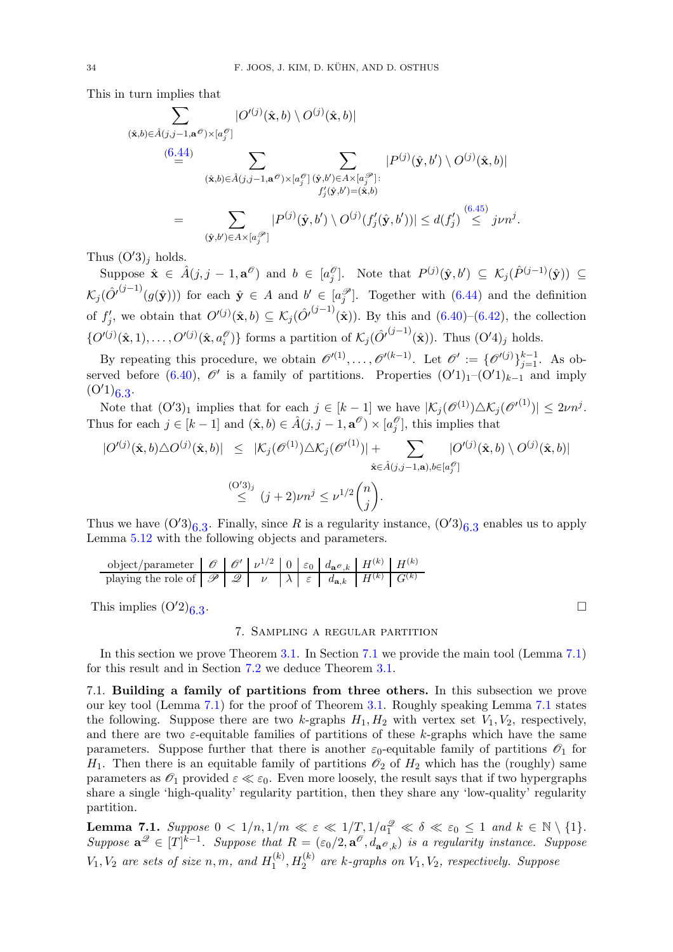This in turn implies that

$$
\sum_{(\hat{\mathbf{x}},b)\in\hat{A}(j,j-1,\mathbf{a}^{\mathcal{O}})\times[a_j^{\mathcal{O}}]} |\mathit{O}'^{(j)}(\hat{\mathbf{x}},b)\setminus\mathit{O}^{(j)}(\hat{\mathbf{x}},b)|
$$
\n
$$
\stackrel{(6.44)}{=} \sum_{(\hat{\mathbf{x}},b)\in\hat{A}(j,j-1,\mathbf{a}^{\mathcal{O}})\times[a_j^{\mathcal{O}}]} \sum_{\substack{(\hat{\mathbf{y}},b')\in A\times[a_j^{\mathcal{O}}] \\ f'_j(\hat{\mathbf{y}},b')=(\hat{\mathbf{x}},b)}} |P^{(j)}(\hat{\mathbf{y}},b')\setminus\mathit{O}^{(j)}(\hat{\mathbf{x}},b)|
$$
\n
$$
= \sum_{(\hat{\mathbf{y}},b')\in A\times[a_j^{\mathcal{O}}]} |P^{(j)}(\hat{\mathbf{y}},b')\setminus\mathit{O}^{(j)}(f'_j(\hat{\mathbf{y}},b'))| \leq d(f'_j) \stackrel{(6.45)}{\leq} j\nu n^j.
$$

Thus  $(O'3)_i$  holds.

Suppose  $\hat{\mathbf{x}} \in \hat{A}(j, j-1, \mathbf{a}^{\mathcal{O}})$  and  $b \in [a_j^{\mathcal{O}}]$ . Note that  $P^{(j)}(\hat{\mathbf{y}}, b') \subseteq \mathcal{K}_j(\hat{P}^{(j-1)}(\hat{\mathbf{y}})) \subseteq$  $\mathcal{K}_j(\hat{O}^{(j-1)}(g(\hat{\mathbf{y}})))$  for each  $\hat{\mathbf{y}} \in A$  and  $b' \in [a_j^{\mathscr{P}}]$ . Together with  $(6.44)$  and the definition of  $f'_j$ , we obtain that  $O^{(j)}(\hat{\mathbf{x}},b) \subseteq \mathcal{K}_j(\hat{O}^{(j-1)}(\hat{\mathbf{x}}))$ . By this and  $(6.40)-(6.42)$  $(6.40)-(6.42)$ , the collection  $\{O^{(j)}(\hat{\mathbf{x}},1),\ldots,O^{(j)}(\hat{\mathbf{x}},a_i^{\hat{\theta}})\}\)$  forms a partition of  $\mathcal{K}_j(\hat{O}^{(j-1)}(\hat{\mathbf{x}}))$ . Thus  $(O'4)_j$  holds.

By repeating this procedure, we obtain  $\mathscr{O}'^{(1)}, \ldots, \mathscr{O}'^{(k-1)}$ . Let  $\mathscr{O}' := {\mathscr{O}'^{(j)}}_{j=1}^{k-1}$ . As ob-served before [\(6.40\)](#page-31-2),  $\mathcal{O}'$  is a family of partitions. Properties  $(O'1)<sub>1</sub>-(O'1)<sub>k-1</sub>$  and imply  $(O'1)_{6.3}.$ 

Note that  $(O'3)_1$  implies that for each  $j \in [k-1]$  we have  $|\mathcal{K}_j(\mathcal{O}^{(1)}) \triangle \mathcal{K}_j(\mathcal{O}^{(1)})| \leq 2\nu n^j$ . Thus for each  $j \in [k-1]$  and  $(\hat{\mathbf{x}}, b) \in \hat{A}(j, j-1, \mathbf{a}^{\mathcal{O}}) \times [a_j^{\mathcal{O}}]$ , this implies that

$$
\begin{array}{rcl} |O^{\prime(j)}(\hat{\mathbf{x}},b)\triangle O^{(j)}(\hat{\mathbf{x}},b)|&\leq&|\mathcal{K}_j(\mathscr{O}^{(1)})\triangle\mathcal{K}_j(\mathscr{O}^{\prime(1)})|+\sum\limits_{\hat{\mathbf{x}}\in\hat{A}(j,j-1,\mathbf{a}),b\in[a_j^\mathscr{O}]}\vert O^{\prime(j)}(\hat{\mathbf{x}},b)\setminus O^{(j)}(\hat{\mathbf{x}},b)\vert\\ &\stackrel{(\mathrm{O}'3)_j}{\leq}&(j+2)\nu n^j\leq\nu^{1/2}\binom{n}{j}.\end{array}
$$

Thus we have  $(O'3)_{6.3}$ . Finally, since R is a regularity instance,  $(O'3)_{6.3}$  enables us to apply Lemma [5.12](#page-16-3) with the following objects and parameters.

$$
\begin{array}{c|c|c|c|c|c|c|c|c} \hline \text{object/parameter} & \mathscr{O} & \mathscr{O}' & \nu^{1/2} & 0 & \varepsilon_0 & d_{\mathbf{a}^{\mathscr{O}},k} & H^{(k)} & H^{(k)} \\ \hline \text{playing the role of} & \mathscr{P} & \mathscr{Q} & \nu & \lambda & \varepsilon & d_{\mathbf{a},k} & H^{(k)} & G^{(k)} \\ \hline \end{array}
$$

<span id="page-33-1"></span>This implies  $(O'2)_{6,3}$ .

 $\overline{a}$ 

### 7. Sampling a regular partition

In this section we prove Theorem [3.1.](#page-9-0) In Section [7.1](#page-33-2) we provide the main tool (Lemma [7.1\)](#page-33-0) for this result and in Section [7.2](#page-44-0) we deduce Theorem [3.1.](#page-9-0)

<span id="page-33-2"></span>7.1. Building a family of partitions from three others. In this subsection we prove our key tool (Lemma [7.1\)](#page-33-0) for the proof of Theorem [3.1.](#page-9-0) Roughly speaking Lemma [7.1](#page-33-0) states the following. Suppose there are two k-graphs  $H_1, H_2$  with vertex set  $V_1, V_2$ , respectively, and there are two  $\varepsilon$ -equitable families of partitions of these k-graphs which have the same parameters. Suppose further that there is another  $\varepsilon_0$ -equitable family of partitions  $\mathscr{O}_1$  for  $H_1$ . Then there is an equitable family of partitions  $\mathcal{O}_2$  of  $H_2$  which has the (roughly) same parameters as  $\mathcal{O}_1$  provided  $\varepsilon \ll \varepsilon_0$ . Even more loosely, the result says that if two hypergraphs share a single 'high-quality' regularity partition, then they share any 'low-quality' regularity partition.

<span id="page-33-0"></span>**Lemma 7.1.** Suppose  $0 < 1/n, 1/m \ll \varepsilon \ll 1/T, 1/a_1^2 \ll \delta \ll \varepsilon_0 \leq 1$  and  $k \in \mathbb{N} \setminus \{1\}.$ Suppose  $\mathbf{a}^{\mathcal{Q}} \in [T]^{k-1}$ . Suppose that  $R = (\varepsilon_0/2, \mathbf{a}^{\mathcal{O}}, d_{\mathbf{a}^{\mathcal{O}}, k})$  is a regularity instance. Suppose  $V_1, V_2$  are sets of size  $n, m,$  and  $H_1^{(k)}$  $I_1^{(k)}$ ,  $H_2^{(k)}$  are k-graphs on  $V_1, V_2$ , respectively. Suppose

. In the contract of the contract of the contract of the contract of the contract of the contract of the contract of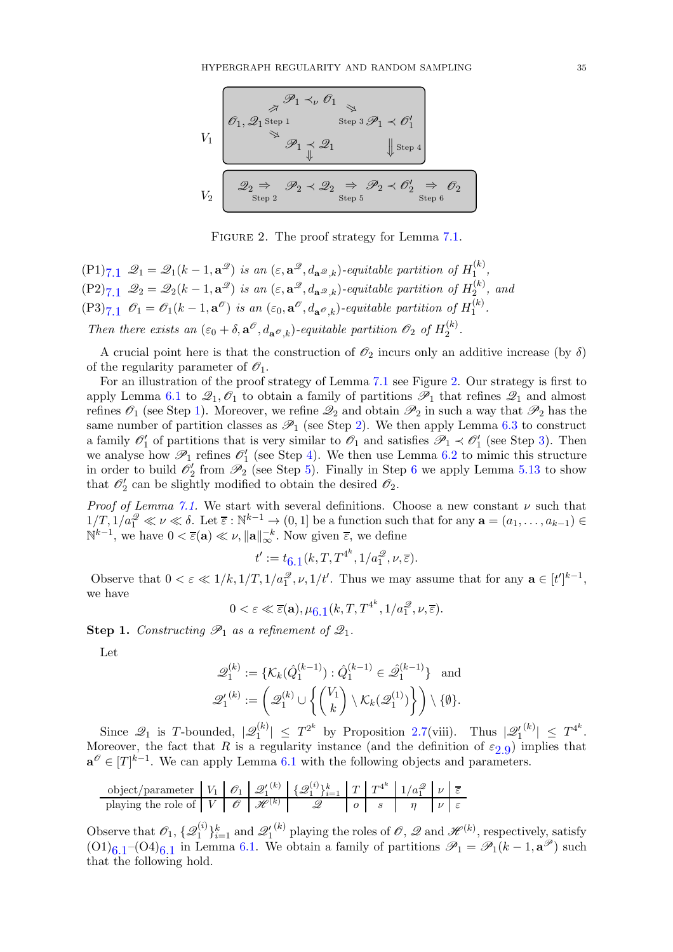

<span id="page-34-0"></span>FIGURE 2. The proof strategy for Lemma [7.1.](#page-33-0)

 $(P1)_{7,1}$   $\mathscr{Q}_1 = \mathscr{Q}_1(k-1,\mathbf{a}^{\mathscr{Q}})$  is an  $(\varepsilon,\mathbf{a}^{\mathscr{Q}},d_{\mathbf{a}^{\mathscr{Q}},k})$ -equitable partition of  $H_1^{(k)}$  $\frac{1}{1}$ ,  $(P2)_{7.1}$   $\mathscr{Q}_2 = \mathscr{Q}_2(k-1, \mathbf{a}^{\mathscr{Q}})$  is an  $(\varepsilon, \mathbf{a}^{\mathscr{Q}}, d_{\mathbf{a}^{\mathscr{Q}}, k})$ -equitable partition of  $H_2^{(k)}$  $a_2^{(\kappa)}$ , and  $(P3)_{7,1}$   $\mathscr{O}_1 = \mathscr{O}_1(k-1, \mathbf{a}^{\mathscr{O}})$  is an  $(\varepsilon_0, \mathbf{a}^{\mathscr{O}}, d_{\mathbf{a}^{\mathscr{O}}, k})$ -equitable partition of  $H_1^{(k)}$  $\frac{1}{1}$ . Then there exists an  $(\varepsilon_0 + \delta, \mathbf{a}^\mathcal{O}, d_{\mathbf{a}^\mathcal{O}, k})$ -equitable partition  $\mathcal{O}_2$  of  $H_2^{(k)}$  $\frac{1}{2}$ .

A crucial point here is that the construction of  $\mathcal{O}_2$  incurs only an additive increase (by  $\delta$ ) of the regularity parameter of  $\mathscr{O}_1$ .

For an illustration of the proof strategy of Lemma [7.1](#page-33-0) see Figure [2.](#page-34-0) Our strategy is first to apply Lemma [6.1](#page-18-0) to  $\mathcal{Q}_1, \mathcal{O}_1$  to obtain a family of partitions  $\mathcal{P}_1$  that refines  $\mathcal{Q}_1$  and almost refines  $\mathcal{O}_1$  (see Step [1\)](#page-34-1). Moreover, we refine  $\mathcal{Q}_2$  and obtain  $\mathcal{P}_2$  in such a way that  $\mathcal{P}_2$  has the same number of partition classes as  $\mathscr{P}_1$  (see Step [2\)](#page-36-0). We then apply Lemma [6.3](#page-30-0) to construct a family  $\mathcal{O}'_1$  of partitions that is very similar to  $\mathcal{O}_1$  and satisfies  $\mathcal{P}_1 \prec \mathcal{O}'_1$  (see Step [3\)](#page-36-1). Then we analyse how  $\mathscr{P}_1$  refines  $\mathscr{O}'_1$  (see Step [4\)](#page-37-0). We then use Lemma [6.2](#page-26-0) to mimic this structure in order to build  $\mathcal{O}'_2$  from  $\mathcal{P}_2$  (see Step [5\)](#page-38-0). Finally in Step [6](#page-44-1) we apply Lemma [5.13](#page-17-0) to show that  $\mathcal{O}'_2$  can be slightly modified to obtain the desired  $\mathcal{O}_2$ .

Proof of Lemma [7.1.](#page-33-0) We start with several definitions. Choose a new constant  $\nu$  such that  $1/T, 1/a_1^2 \ll \nu \ll \delta$ . Let  $\overline{\varepsilon}: \mathbb{N}^{k-1} \to (0,1]$  be a function such that for any  $\mathbf{a} = (a_1, \ldots, a_{k-1}) \in$  $\mathbb{N}^{k-1}$ , we have  $0 < \overline{\varepsilon}(\mathbf{a}) \ll \nu$ ,  $\|\mathbf{a}\|_{\infty}^{-k}$ . Now given  $\overline{\varepsilon}$ , we define

$$
t' := t_{6.1}(k, T, T^{4^k}, 1/a_1^{\mathcal{Q}}, \nu, \overline{\varepsilon}).
$$

Observe that  $0 < \varepsilon \ll 1/k, 1/T, 1/a_1^2, \nu, 1/t'$ . Thus we may assume that for any  $\mathbf{a} \in [t']^{k-1}$ , we have

$$
0 < \varepsilon \ll \overline{\varepsilon}(\mathbf{a}), \mu_{\overline{0},1}(k, T, T^{4^k}, 1/a_1^2, \nu, \overline{\varepsilon}).
$$

<span id="page-34-1"></span>**Step 1.** Constructing  $\mathscr{P}_1$  as a refinement of  $\mathscr{Q}_1$ .

Let

$$
\mathcal{Q}_1^{(k)} := \{ \mathcal{K}_k(\hat{Q}_1^{(k-1)}): \hat{Q}_1^{(k-1)} \in \hat{\mathcal{Q}}_1^{(k-1)} \} \text{ and }
$$
  

$$
\mathcal{Q}_1^{\prime (k)} := \left( \mathcal{Q}_1^{(k)} \cup \left\{ \binom{V_1}{k} \setminus \mathcal{K}_k(\mathcal{Q}_1^{(1)}) \right\} \right) \setminus \{\emptyset\}.
$$

Since  $\mathscr{Q}_1$  is T-bounded,  $|\mathscr{Q}_1^{(k)}|$  $\left|\frac{1}{1}\right| \leq T^{2^k}$  by Proposition [2.7\(](#page-7-1)viii). Thus  $|\mathscr{Q}_1|$  $\vert^{(k)}\vert ~\leq~ T^{4^k}.$ Moreover, the fact that R is a regularity instance (and the definition of  $\varepsilon_{2,9}$  $\varepsilon_{2,9}$  $\varepsilon_{2,9}$ ) implies that  $\mathbf{a}^{\mathcal{O}} \in [T]^{k-1}$ . We can apply Lemma [6.1](#page-18-0) with the following objects and parameters.

object/parameter 
$$
V_1
$$
  $\mathcal{O}_1$   $\mathcal{Q}_1^{(k)}$   $\{\mathcal{Q}_1^{(i)}\}_{i=1}^k$   $T$   $T^{4^k}$   $1/a_1^2$   $\nu$   $\overline{\varepsilon}$  playing the role of  $V$   $\mathcal{O}$   $\mathcal{H}^{(k)}$   $\mathcal{Q}$   $\mathcal{Q}$   $\mathcal{Q}$   $\mathcal{Q}$   $\mathcal{Q}$   $\mathcal{Q}$   $\mathcal{Q}$   $\mathcal{Q}$   $\mathcal{Q}$   $\mathcal{Q}$   $\mathcal{Q}$   $\mathcal{Q}$   $\mathcal{Q}$   $\mathcal{Q}$   $\mathcal{Q}$   $\mathcal{Q}$   $\mathcal{Q}$   $\mathcal{Q}$   $\mathcal{Q}$   $\mathcal{Q}$   $\mathcal{Q}$   $\mathcal{Q}$   $\mathcal{Q}$   $\mathcal{Q}$   $\mathcal{Q}$   $\mathcal{Q}$   $\mathcal{Q}$   $\mathcal{Q}$   $\mathcal{Q}$   $\mathcal{Q}$   $\mathcal{Q}$   $\mathcal{Q}$   $\mathcal{Q}$   $\mathcal{Q}$   $\mathcal{Q}$   $\mathcal{Q}$   $\mathcal{Q}$   $\mathcal{Q}$   $\mathcal{Q}$   $\mathcal{Q}$   $\mathcal{Q}$   $\mathcal{Q}$   $\mathcal{Q}$   $\mathcal{Q}$   $\mathcal{$ 

Observe that  $\mathscr{O}_1$ , { $\mathscr{Q}_1^{(i)}$  $\{a^{(i)}\}_{i=1}^k$  and  $\mathscr{Q}'_1$ <sup>(k)</sup> playing the roles of  $\mathscr{O}, \mathscr{Q}$  and  $\mathscr{H}^{(k)}$ , respectively, satisfy  $(0,1)_{6,1}$  – $(0,4)_{6,1}$  in Lemma [6.1.](#page-18-0) We obtain a family of partitions  $\mathscr{P}_1 = \mathscr{P}_1(k-1,\mathbf{a}^{\mathscr{P}})$  such that the following hold.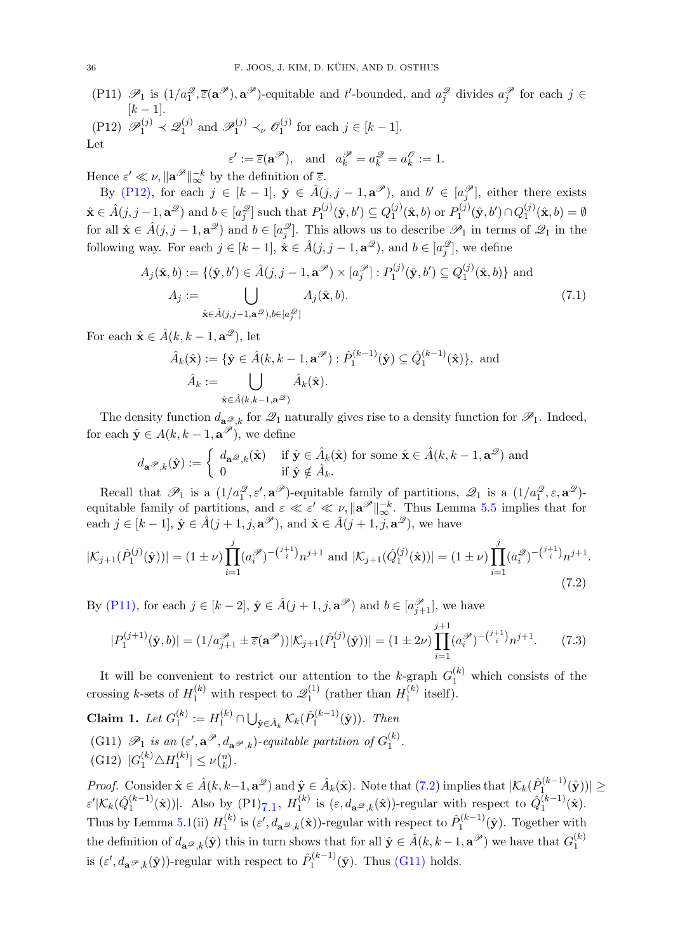<span id="page-35-2"></span><span id="page-35-1"></span>(P11)  $\mathscr{P}_1$  is  $(1/a_1^2, \overline{\epsilon}(\mathbf{a}^{\mathscr{P}}), \mathbf{a}^{\mathscr{P}})$ -equitable and t'-bounded, and  $a_j^2$  divides  $a_j^{\mathscr{P}}$  for each  $j \in$  $[k-1]$ .  $( \text{P12}) \ \mathscr{P}_1^{(j)} \prec \mathscr{Q}_1^{(j)}$  $\mathcal{P}_1^{(j)}$  and  $\mathcal{P}_1^{(j)} \prec_{\nu} \mathcal{O}_1^{(j)}$  $j^{(j)}$  for each  $j \in [k-1]$ .

Let

<span id="page-35-6"></span>
$$
\varepsilon' := \overline{\varepsilon}(\mathbf{a}^{\mathscr{P}}),
$$
 and  $a_k^{\mathscr{P}} = a_k^{\mathscr{Q}} = a_k^{\mathscr{O}} := 1.$   

Hence  $\varepsilon' \ll \nu$ ,  $\|\mathbf{a}^{\mathscr{P}}\|_{\infty}^{-k}$  by the definition of  $\overline{\varepsilon}$ . By [\(P12\),](#page-35-1) for each  $j \in [k-1]$ ,  $\hat{\mathbf{y}} \in \hat{A}(j, j-1, \mathbf{a}^{\mathscr{P}})$ , and  $b' \in [a_j^{\mathscr{P}}]$ , either there exists  $\hat{\mathbf{x}} \in \hat{A}(j, j-1, \mathbf{a}^{\mathcal{D}})$  and  $b \in [a_j^{\mathcal{D}}]$  such that  $P_1^{(j)}$  $Q_1^{(j)}(\hat{\textbf{y}},b')\subseteq Q_1^{(j)}$  $I_1^{(j)}(\hat{\mathbf{x}},b)$  or  $P_1^{(j)}$  $Q_1^{(j)}(\hat{\textbf{y}},b') \cap Q_1^{(j)}$  $\mathcal{L}_1^{(J)}(\hat{\mathbf{x}},b) = \emptyset$ for all  $\hat{\mathbf{x}} \in \hat{A}(j, j-1, \mathbf{a}^{\mathcal{D}})$  and  $b \in [a_j^{\mathcal{D}}]$ . This allows us to describe  $\mathcal{P}_1$  in terms of  $\mathcal{Q}_1$  in the following way. For each  $j \in [k-1]$ ,  $\hat{\mathbf{x}} \in \hat{A}(j, j-1, \mathbf{a}^{\mathcal{D}})$ , and  $b \in [a_j^{\mathcal{D}}]$ , we define

$$
A_j(\hat{\mathbf{x}}, b) := \{(\hat{\mathbf{y}}, b') \in \hat{A}(j, j - 1, \mathbf{a}^{\mathcal{P}}) \times [a_j^{\mathcal{P}}] : P_1^{(j)}(\hat{\mathbf{y}}, b') \subseteq Q_1^{(j)}(\hat{\mathbf{x}}, b)\} \text{ and}
$$
  
\n
$$
A_j := \bigcup_{\hat{\mathbf{x}} \in \hat{A}(j, j - 1, \mathbf{a}^{\mathcal{P}}), b \in [a_j^{\mathcal{P}}]} A_j(\hat{\mathbf{x}}, b).
$$
\n(7.1)

For each  $\hat{\mathbf{x}} \in \hat{A}(k, k-1, \mathbf{a}^{\mathcal{D}})$ , let

$$
\hat{A}_k(\hat{\mathbf{x}}) := \{ \hat{\mathbf{y}} \in \hat{A}(k, k-1, \mathbf{a}^{\mathcal{P}}) : \hat{P}_1^{(k-1)}(\hat{\mathbf{y}}) \subseteq \hat{Q}_1^{(k-1)}(\hat{\mathbf{x}}) \}, \text{ and}
$$

$$
\hat{A}_k := \bigcup_{\hat{\mathbf{x}} \in \hat{A}(k, k-1, \mathbf{a}^{\mathcal{P}})} \hat{A}_k(\hat{\mathbf{x}}).
$$

The density function  $d_{\mathbf{a}^{\mathcal{Q}};k}$  for  $\mathcal{Q}_1$  naturally gives rise to a density function for  $\mathcal{P}_1$ . Indeed, for each  $\hat{\mathbf{y}} \in A(k, k-1, \mathbf{a}^{\mathcal{P}})$ , we define

<span id="page-35-3"></span>
$$
d_{\mathbf{a}}\mathcal{P}_{,k}(\hat{\mathbf{y}}):=\left\{\begin{array}{ll} d_{\mathbf{a}}\mathcal{Q}_{,k}(\hat{\mathbf{x}}) & \text{if } \hat{\mathbf{y}}\in\hat{A}_k(\hat{\mathbf{x}}) \text{ for some } \hat{\mathbf{x}}\in\hat{A}(k,k-1,\mathbf{a}^{\mathcal{Q}}) \text{ and} \\ 0 & \text{if } \hat{\mathbf{y}}\notin\hat{A}_k. \end{array}\right.
$$

Recall that  $\mathscr{P}_1$  is a  $(1/a_1^{\mathscr{Q}}, \varepsilon', \mathbf{a}^{\mathscr{P}})$ -equitable family of partitions,  $\mathscr{Q}_1$  is a  $(1/a_1^{\mathscr{Q}}, \varepsilon, \mathbf{a}^{\mathscr{Q}})$ equitable family of partitions, and  $\varepsilon \ll \varepsilon' \ll \nu$ ,  $\|\mathbf{a}^{\mathcal{P}}\|_{\infty}^{-k}$ . Thus Lemma [5.5](#page-12-0) implies that for each  $j \in [k-1], \hat{\mathbf{y}} \in \hat{A}(j+1, j, \mathbf{a}^{\mathscr{P}})$ , and  $\hat{\mathbf{x}} \in \hat{A}(j+1, j, \mathbf{a}^{\mathscr{Q}})$ , we have

$$
|\mathcal{K}_{j+1}(\hat{P}_1^{(j)}(\hat{\mathbf{y}}))| = (1 \pm \nu) \prod_{i=1}^j (a_i^{\mathscr{P}})^{-\binom{j+1}{i}} n^{j+1} \text{ and } |\mathcal{K}_{j+1}(\hat{Q}_1^{(j)}(\hat{\mathbf{x}}))| = (1 \pm \nu) \prod_{i=1}^j (a_i^{\mathscr{Q}})^{-\binom{j+1}{i}} n^{j+1}.
$$
\n(7.2)

By [\(P11\),](#page-35-2) for each  $j \in [k-2]$ ,  $\hat{\mathbf{y}} \in \hat{A}(j+1, j, \mathbf{a}^{\mathscr{P}})$  and  $b \in [a_{j+1}^{\mathscr{P}}]$ , we have

<span id="page-35-7"></span>
$$
|P_1^{(j+1)}(\hat{\mathbf{y}},b)| = (1/a_{j+1}^{\mathcal{P}} \pm \overline{\varepsilon}(\mathbf{a}^{\mathcal{P}}))|\mathcal{K}_{j+1}(\hat{P}_1^{(j)}(\hat{\mathbf{y}}))| = (1 \pm 2\nu)\prod_{i=1}^{j+1} (a_i^{\mathcal{P}})^{-\binom{j+1}{i}}n^{j+1}.
$$
 (7.3)

It will be convenient to restrict our attention to the k-graph  $G_1^{(k)}$  which consists of the crossing *k*-sets of  $H_1^{(k)}$  with respect to  $\mathscr{Q}_1^{(1)}$  $I_1^{(1)}$  (rather than  $H_1^{(k)}$  $i^{\kappa}$  itself).

<span id="page-35-5"></span><span id="page-35-4"></span><span id="page-35-0"></span>Claim 1. Let  $G_1^{(k)}$  $\mathcal{L}_1^{(k)} := H_1^{(k)} \cap \bigcup_{\hat{\mathbf{y}} \in \hat{A}_k} \mathcal{K}_k(\hat{P}_1^{(k-1)})$  $\prod_{1}^{(\kappa-1)}(\hat{\mathbf{y}})$ . Then (G11)  $\mathscr{P}_1$  is an  $(\varepsilon', \mathbf{a}^{\mathscr{P}}, d_{\mathbf{a}^{\mathscr{P}}, k})$ -equitable partition of  $G_1^{(k)}$  $\frac{1}{1}$ . (G12)  $|G_1^{(k)} \triangle H_1^{(k)}$  $\vert x_1^{(k)}\vert \leq \nu \binom{n}{k}$  $\binom{n}{k}$ .

*Proof.* Consider  $\hat{\mathbf{x}} \in \hat{A}(k, k-1, \mathbf{a}^{\mathcal{D}})$  and  $\hat{\mathbf{y}} \in \hat{A}_k(\hat{\mathbf{x}})$ . Note that  $(7.2)$  implies that  $|\mathcal{K}_k(\hat{P}_1^{(k-1)})|$  $\|\hat{\mathbf{y}}^{(k-1)}(\hat{\mathbf{y}}))\| \geq 1$  $\varepsilon'|\mathcal{K}_k(\hat{Q}_1^{(k-1)}% ,Q_2^{(k-1)}% ,Q_3^{(k)}(\hat{Q}_1^{(k-1)}))|<\varepsilon'|\mathcal{K}_k(\hat{Q}_1^{(k-1)}% ,Q_2^{(k)}(\hat{Q}_2^{(k-1)}))|<\varepsilon'|\mathcal{K}_k(\hat{Q}_1^{(k-1)}% ^\fvee,Q_2^{(k-1)}(\hat{Q}_2^{(k-1)}))|<\varepsilon'|\mathcal{K}_k(\hat{Q}_1^{(k-1)}% ^\fvee,Q_2^{(k-1)}(\hat{Q}_2^{(k-1)}))|<\varepsilon$  $\binom{(k-1)}{1}$  ( $\hat{\mathbf{x}}$ ))|. Also by (P1) $_{7.1}$ ,  $H_1^{(k)}$  $\hat{Q}_1^{(k)}$  is  $(\varepsilon, d_{\mathbf{a}}\mathcal{Q}_{,k}(\hat{\mathbf{x}}))$ -regular with respect to  $\hat{Q}_1^{(k-1)}$  $1^{(\kappa-1)}(\hat{\mathbf{x}}).$ Thus by Lemma [5.1\(](#page-12-4)ii)  $H_1^{(k)}$  $\hat{P}_1^{(k)}$  is  $(\varepsilon', d_{\mathbf{a}}\omega_{,k}(\hat{\mathbf{x}}))$ -regular with respect to  $\hat{P}_1^{(k-1)}$  $I_1^{(\kappa-1)}(\hat{\mathbf{y}})$ . Together with the definition of  $d_{\mathbf{a}^{\mathcal{D}},k}(\hat{\mathbf{y}})$  this in turn shows that for all  $\hat{\mathbf{y}} \in \hat{A}(k, k-1, \mathbf{a}^{\mathcal{P}})$  we have that  $G_1^{(k)}$ 1 is  $(\varepsilon', d_{\mathbf{a}}\mathcal{P}_{,k}(\hat{\mathbf{y}}))$ -regular with respect to  $\hat{P}_{1}^{(k-1)}$  $j_1^{(k-1)}(\hat{y})$ . Thus [\(G11\)](#page-35-4) holds.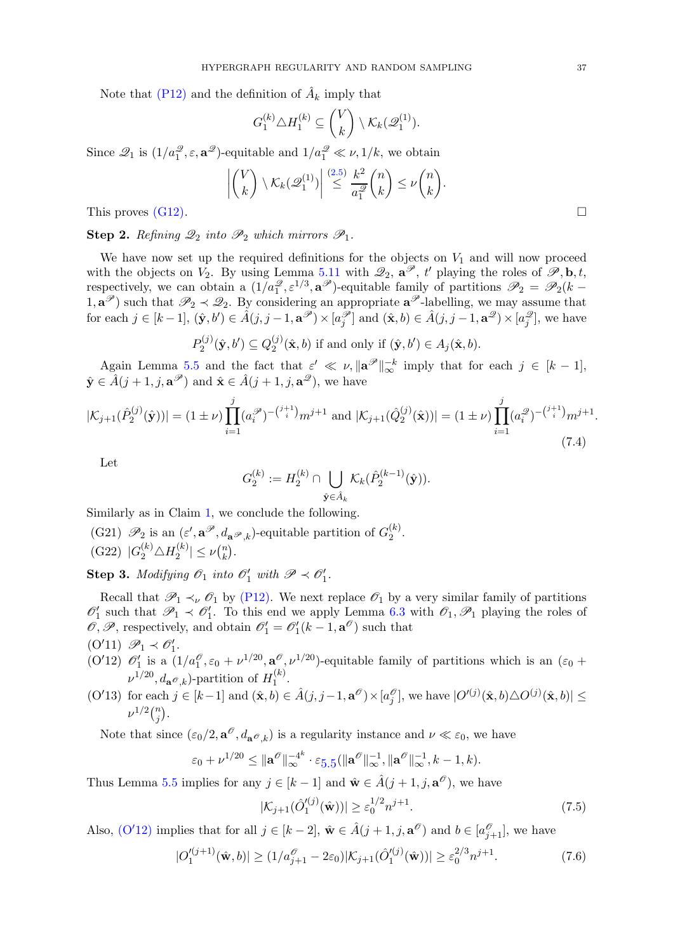Note that [\(P12\)](#page-35-1) and the definition of  $\hat{A}_k$  imply that

$$
G_1^{(k)} \triangle H_1^{(k)} \subseteq {V \choose k} \setminus \mathcal{K}_k(\mathscr{Q}_1^{(1)}).
$$

Since  $\mathcal{Q}_1$  is  $(1/a_1^{\mathcal{Q}}, \varepsilon, \mathbf{a}^{\mathcal{Q}})$ -equitable and  $1/a_1^{\mathcal{Q}} \ll \nu, 1/k$ , we obtain

$$
\left| {V \choose k} \setminus \mathcal{K}_k(\mathscr{Q}_1^{(1)}) \right| \stackrel{(2.5)}{\leq} \frac{k^2}{a_1^{\mathscr{Q}}} {n \choose k} \leq \nu {n \choose k}.
$$

This proves  $(G12)$ .

<span id="page-36-0"></span>Step 2. Refining  $\mathscr{Q}_2$  into  $\mathscr{P}_2$  which mirrors  $\mathscr{P}_1$ .

We have now set up the required definitions for the objects on  $V_1$  and will now proceed with the objects on  $V_2$ . By using Lemma [5.11](#page-16-4) with  $\mathcal{Q}_2$ ,  $\mathbf{a}^{\mathcal{P}}, t'$  playing the roles of  $\mathcal{P}, \mathbf{b}, t$ , respectively, we can obtain a  $(1/a_1^2, \varepsilon^{1/3}, \mathbf{a}^{\mathcal{P}})$ -equitable family of partitions  $\mathcal{P}_2 = \mathcal{P}_2(k (1, \mathbf{a}^{\mathscr{P}})$  such that  $\mathscr{P}_2 \prec \mathscr{Q}_2$ . By considering an appropriate  $\mathbf{a}^{\mathscr{P}}$ -labelling, we may assume that for each  $j \in [k-1]$ ,  $(\hat{\mathbf{y}}, b') \in \hat{A}(j, j-1, \mathbf{a}^{\mathscr{P}}) \times [a_j^{\mathscr{P}}]$  and  $(\hat{\mathbf{x}}, b) \in \hat{A}(j, j-1, \mathbf{a}^{\mathscr{Q}}) \times [a_j^{\mathscr{Q}}]$ , we have

> $P_2^{(j)}$  $Q_2^{(j)}(\hat{\mathbf{y}},b')\subseteq Q_2^{(j)}$  $2^{(j)}(\hat{\mathbf{x}},b)$  if and only if  $(\hat{\mathbf{y}},b') \in A_j(\hat{\mathbf{x}},b)$ .

Again Lemma [5.5](#page-12-0) and the fact that  $\varepsilon' \ll \nu$ ,  $\|\mathbf{a}^{\mathscr{P}}\|_{\infty}^{-k}$  imply that for each  $j \in [k-1]$ ,  $\hat{\mathbf{y}} \in \hat{A}(j+1, j, \mathbf{a}^{\mathscr{P}})$  and  $\hat{\mathbf{x}} \in \hat{A}(j+1, j, \mathbf{a}^{\mathscr{Q}})$ , we have

$$
|\mathcal{K}_{j+1}(\hat{P}_2^{(j)}(\hat{\mathbf{y}}))| = (1 \pm \nu) \prod_{i=1}^j (a_i^{\mathscr{P}})^{-\binom{j+1}{i}} m^{j+1} \text{ and } |\mathcal{K}_{j+1}(\hat{Q}_2^{(j)}(\hat{\mathbf{x}}))| = (1 \pm \nu) \prod_{i=1}^j (a_i^{\mathscr{Q}})^{-\binom{j+1}{i}} m^{j+1}.
$$
\n(7.4)

Let

$$
G_2^{(k)} := H_2^{(k)} \cap \bigcup_{\hat{\mathbf{y}} \in \hat{A}_k} \mathcal{K}_k(\hat{P}_2^{(k-1)}(\hat{\mathbf{y}})).
$$

<span id="page-36-7"></span>Similarly as in Claim [1,](#page-35-0) we conclude the following.

<span id="page-36-8"></span>(G21)  $\mathscr{P}_2$  is an  $(\varepsilon', \mathbf{a}^{\mathscr{P}}, d_{\mathbf{a}^{\mathscr{P}}, k})$ -equitable partition of  $G_2^{(k)}$  $\frac{1}{2}$ . (G22)  $|G_2^{(k)} \triangle H_2^{(k)}$  $\vert2^{(k)}\vert\leq \nu\binom nk$  $\binom{n}{k}$ .

<span id="page-36-1"></span>**Step 3.** Modifying  $\mathscr{O}_1$  into  $\mathscr{O}'_1$  with  $\mathscr{P} \prec \mathscr{O}'_1$ .

Recall that  $\mathscr{P}_1 \prec_{\nu} \mathscr{O}_1$  by [\(P12\).](#page-35-1) We next replace  $\mathscr{O}_1$  by a very similar family of partitions  $\mathscr{O}'_1$  such that  $\mathscr{P}_1 \prec \mathscr{O}'_1$ . To this end we apply Lemma [6.3](#page-30-0) with  $\mathscr{O}_1$ ,  $\mathscr{P}_1$  playing the roles of  $\mathscr{O}, \mathscr{P}$ , respectively, and obtain  $\mathscr{O}'_1 = \mathscr{O}'_1(k-1, \mathbf{a}^{\mathscr{O}})$  such that

- <span id="page-36-3"></span><span id="page-36-2"></span> $(O'11) \mathcal{P}_1 \prec \mathcal{O}'_1.$
- (O'12)  $\mathcal{O}'_1$  is a  $(1/a_1^{\mathcal{O}}, \varepsilon_0 + \nu^{1/20}, \mathbf{a}^{\mathcal{O}}, \nu^{1/20})$ -equitable family of partitions which is an  $(\varepsilon_0 +$  $\nu^{1/20}, d_{\mathbf{a}^{\mathscr{O}},k}$ )-partition of  $H_1^{(k)}$  $\frac{1}{1}$ .
- $(0'13)$  for each  $j \in [k-1]$  and  $(\hat{\mathbf{x}}, b) \in \hat{A}(j, j-1, \mathbf{a}^{\mathcal{O}}) \times [a_j^{\mathcal{O}}]$ , we have  $|O'(j)(\hat{\mathbf{x}}, b) \triangle O^{(j)}(\hat{\mathbf{x}}, b)| \leq$  $\nu^{1/2} \binom{n}{i}$  $\binom{n}{j}$  .

Note that since  $(\epsilon_0/2, \mathbf{a}^\mathcal{O}, d_{\mathbf{a}^\mathcal{O}, k})$  is a regularity instance and  $\nu \ll \epsilon_0$ , we have

$$
\varepsilon_0 + \nu^{1/20} \leq ||\mathbf{a}^{\mathcal{O}}||_{\infty}^{-4k} \cdot \varepsilon_{5.5} (||\mathbf{a}^{\mathcal{O}}||_{\infty}^{-1}, ||\mathbf{a}^{\mathcal{O}}||_{\infty}^{-1}, k-1, k).
$$

Thus Lemma [5.5](#page-12-0) implies for any  $j \in [k-1]$  and  $\hat{\mathbf{w}} \in \hat{A}(j+1, j, \mathbf{a}^{\mathscr{O}})$ , we have

<span id="page-36-5"></span><span id="page-36-4"></span>
$$
|\mathcal{K}_{j+1}(\hat{O}'^{(j)}_1(\hat{\mathbf{w}}))| \ge \varepsilon_0^{1/2} n^{j+1}.
$$
 (7.5)

Also,  $(O'12)$  $(O'12)$  implies that for all  $j \in [k-2]$ ,  $\hat{\mathbf{w}} \in \hat{A}(j+1, j, \mathbf{a}^{\mathcal{O}})$  and  $b \in [a^{\mathcal{O}}_{j+1}]$ , we have

$$
|O_1'^{(j+1)}(\hat{\mathbf{w}},b)| \ge (1/a_{j+1}^{\mathcal{O}} - 2\varepsilon_0)|\mathcal{K}_{j+1}(\hat{O}_1'^{(j)}(\hat{\mathbf{w}}))| \ge \varepsilon_0^{2/3}n^{j+1}.
$$
 (7.6)

<span id="page-36-6"></span>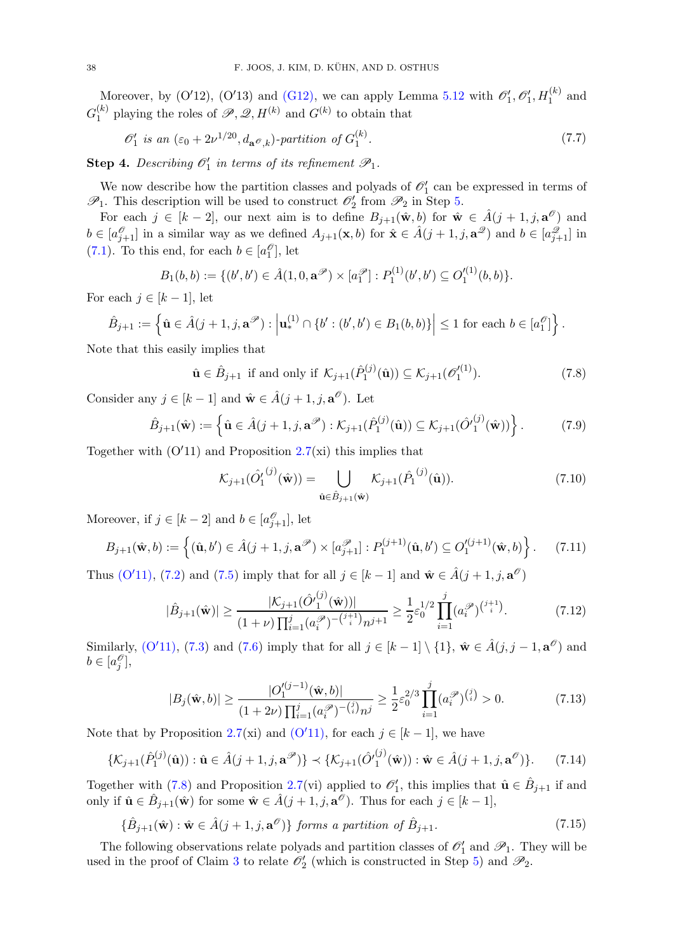Moreover, by (O'12), (O'13) and [\(G12\),](#page-35-5) we can apply Lemma [5.12](#page-16-3) with  $\mathscr{O}'_1$ ,  $\mathscr{O}'_1$ ,  $H_1^{(k)}$  and  $G_1^{(k)}$  $1 \choose 1$  playing the roles of  $\mathscr{P}, \mathscr{Q}, H^{(k)}$  and  $G^{(k)}$  to obtain that

<span id="page-37-9"></span>
$$
\mathcal{O}'_1 \text{ is an } (\varepsilon_0 + 2\nu^{1/20}, d_{\mathbf{a}}\mathcal{O}_{k})\text{-partition of } G_1^{(k)}.
$$
 (7.7)

<span id="page-37-0"></span>**Step 4.** Describing  $\mathcal{O}'_1$  in terms of its refinement  $\mathcal{P}_1$ .

We now describe how the partition classes and polyads of  $\mathcal{O}'_1$  can be expressed in terms of  $\mathscr{P}_1$ . This description will be used to construct  $\mathscr{O}'_2$  from  $\mathscr{P}_2$  in Step [5.](#page-38-0)

For each  $j \in [k-2]$ , our next aim is to define  $B_{j+1}(\hat{\mathbf{w}},b)$  for  $\hat{\mathbf{w}} \in \hat{A}(j+1,j,\mathbf{a}^{\mathscr{O}})$  and  $b \in [a_{j+1}^{\mathscr{O}}]$  in a similar way as we defined  $A_{j+1}(\mathbf{x},b)$  for  $\hat{\mathbf{x}} \in \hat{A}(j+1,j,\mathbf{a}^{\mathscr{Q}})$  and  $b \in [a_{j+1}^{\mathscr{Q}}]$  in [\(7.1\)](#page-35-6). To this end, for each  $b \in [a_1^\mathcal{O}],$  let

$$
B_1(b, b) := \{ (b', b') \in \hat{A}(1, 0, \mathbf{a}^{\mathscr{P}}) \times [a_1^{\mathscr{P}}] : P_1^{(1)}(b', b') \subseteq O_1'^{(1)}(b, b) \}.
$$

For each  $j \in [k-1]$ , let

$$
\hat{B}_{j+1} := \left\{ \hat{\mathbf{u}} \in \hat{A}(j+1,j,\mathbf{a}^{\mathscr{P}}) : \left| \mathbf{u}_{*}^{(1)} \cap \{b': (b',b') \in B_{1}(b,b)\} \right| \leq 1 \text{ for each } b \in [a_{1}^{\mathscr{O}}] \right\}.
$$

Note that this easily implies that

$$
\hat{\mathbf{u}} \in \hat{B}_{j+1} \text{ if and only if } \mathcal{K}_{j+1}(\hat{P}_1^{(j)}(\hat{\mathbf{u}})) \subseteq \mathcal{K}_{j+1}(\mathscr{O}_1'^{(1)}). \tag{7.8}
$$

Consider any  $j \in [k-1]$  and  $\hat{\mathbf{w}} \in \hat{A}(j+1, j, \mathbf{a}^{\mathcal{O}})$ . Let

$$
\hat{B}_{j+1}(\hat{\mathbf{w}}) := \left\{ \hat{\mathbf{u}} \in \hat{A}(j+1, j, \mathbf{a}^{\mathscr{P}}) : \mathcal{K}_{j+1}(\hat{P}_1^{(j)}(\hat{\mathbf{u}})) \subseteq \mathcal{K}_{j+1}(\hat{O}_1^{(j)}(\hat{\mathbf{w}})) \right\}.
$$
 (7.9)

Together with  $(O'11)$  and Proposition [2.7\(](#page-7-1)xi) this implies that

<span id="page-37-8"></span><span id="page-37-7"></span><span id="page-37-4"></span><span id="page-37-3"></span><span id="page-37-1"></span>
$$
\mathcal{K}_{j+1}(\hat{O}'_1^{(j)}(\hat{\mathbf{w}})) = \bigcup_{\hat{\mathbf{u}} \in \hat{B}_{j+1}(\hat{\mathbf{w}})} \mathcal{K}_{j+1}(\hat{P}_1^{(j)}(\hat{\mathbf{u}})).
$$
\n(7.10)

Moreover, if  $j \in [k-2]$  and  $b \in [a_{j+1}^{\mathcal{O}}]$ , let

$$
B_{j+1}(\hat{\mathbf{w}},b) := \left\{ (\hat{\mathbf{u}},b') \in \hat{A}(j+1,j,\mathbf{a}^{\mathscr{P}}) \times [a_{j+1}^{\mathscr{P}}] : P_1^{(j+1)}(\hat{\mathbf{u}},b') \subseteq O_1'^{(j+1)}(\hat{\mathbf{w}},b) \right\}.
$$
 (7.11)

Thus  $(O'11)$ ,  $(7.2)$  and  $(7.5)$  imply that for all  $j \in [k-1]$  and  $\hat{\mathbf{w}} \in \hat{A}(j+1, j, \mathbf{a}^{\mathcal{O}})$ 

$$
|\hat{B}_{j+1}(\hat{\mathbf{w}})| \ge \frac{|\mathcal{K}_{j+1}(\hat{O}'_{1}^{(j)}(\hat{\mathbf{w}}))|}{(1+\nu)\prod_{i=1}^{j}(a_{i}^{\mathcal{P}})^{-(j+1)}n^{j+1}} \ge \frac{1}{2}\varepsilon_{0}^{1/2}\prod_{i=1}^{j}(a_{i}^{\mathcal{P}})^{(j+1)}.
$$
 (7.12)

Similarly,  $(O'11)$ ,  $(7.3)$  and  $(7.6)$  imply that for all  $j \in [k-1] \setminus \{1\}$ ,  $\hat{\mathbf{w}} \in \hat{A}(j, j-1, \mathbf{a}^{\mathcal{O}})$  and  $b \in [a_j^{\mathscr O}],$ 

<span id="page-37-5"></span><span id="page-37-2"></span>
$$
|B_j(\hat{\mathbf{w}}, b)| \ge \frac{|O_1'^{(j-1)}(\hat{\mathbf{w}}, b)|}{(1 + 2\nu)\prod_{i=1}^j (a_i^{\mathcal{P}})^{-(i)} n^j} \ge \frac{1}{2} \varepsilon_0^{2/3} \prod_{i=1}^j (a_i^{\mathcal{P}})^{(i)} > 0.
$$
 (7.13)

Note that by Proposition [2.7\(](#page-7-1)xi) and  $(O'11)$ , for each  $j \in [k-1]$ , we have

$$
\{\mathcal{K}_{j+1}(\hat{P}_1^{(j)}(\hat{\mathbf{u}})): \hat{\mathbf{u}} \in \hat{A}(j+1,j,\mathbf{a}^{\mathscr{P}})\} \prec \{\mathcal{K}_{j+1}(\hat{O'}_1^{(j)}(\hat{\mathbf{w}})): \hat{\mathbf{w}} \in \hat{A}(j+1,j,\mathbf{a}^{\mathscr{O}})\}.
$$
 (7.14)

Together with [\(7.8\)](#page-37-1) and Proposition [2.7\(](#page-7-1)vi) applied to  $\mathcal{O}'_1$ , this implies that  $\hat{\mathbf{u}} \in \hat{B}_{j+1}$  if and only if  $\hat{\mathbf{u}} \in \hat{B}_{j+1}(\hat{\mathbf{w}})$  for some  $\hat{\mathbf{w}} \in \hat{A}(j+1, j, \mathbf{a}^{\mathcal{O}})$ . Thus for each  $j \in [k-1]$ ,

<span id="page-37-6"></span>
$$
\{\hat{B}_{j+1}(\hat{\mathbf{w}}) : \hat{\mathbf{w}} \in \hat{A}(j+1, j, \mathbf{a}^{\mathcal{O}})\} \text{ forms a partition of } \hat{B}_{j+1}.
$$
\n(7.15)

The following observations relate polyads and partition classes of  $\mathcal{O}'_1$  and  $\mathcal{P}_1$ . They will be used in the proof of Claim [3](#page-39-0) to relate  $\mathcal{O}'_2$  (which is constructed in Step [5\)](#page-38-0) and  $\mathcal{P}_2$ .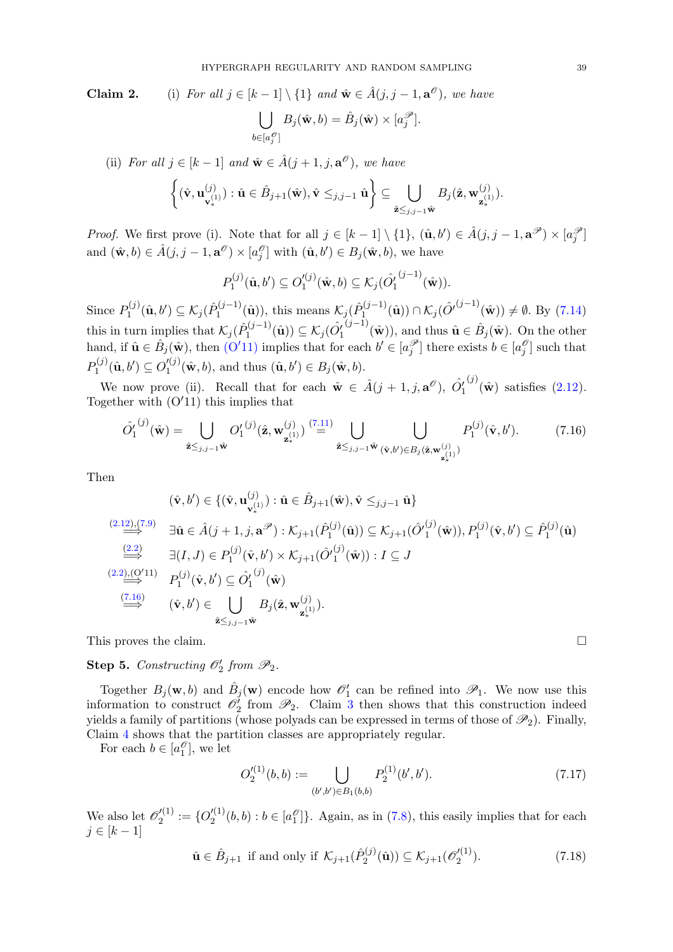**Claim 2.** (i) For all  $j \in [k-1] \setminus \{1\}$  and  $\hat{\mathbf{w}} \in \hat{A}(j, j-1, \mathbf{a}^{\mathcal{O}})$ , we have  $\vert \ \ \vert$  $b \in [a_j^{\mathcal{O}}]$  $B_j(\hat{\mathbf{w}}, b) = \hat{B}_j(\hat{\mathbf{w}}) \times [a_j^{\mathscr{P}}].$ 

(ii) For all  $j \in [k-1]$  and  $\hat{\mathbf{w}} \in \hat{A}(j+1, j, \mathbf{a}^{\mathcal{O}})$ , we have  $\left\{ \left( \hat{\mathbf{v}},\mathbf{u}^{\left( j\right) }\right)$  $\left\{\begin{matrix} (j)\ \mathbf{v}_{*}^{(1)} \end{matrix} \right\}:\hat{\mathbf{u}}\in\hat{B}_{j+1}(\hat{\mathbf{w}}),\hat{\mathbf{v}}\leq_{j,j-1}\hat{\mathbf{u}} \Bigg\}\subseteq\ \bigcup\limits_{i,j\in\mathbb{N}}% \left\{\begin{matrix} (j)\ \mathbf{v}_{*}^{(i)}\ \mathbf{v}_{*}^{(j)}\ \mathbf{v}_{*}^{(j)}\ \mathbf{v}_{*}^{(j)}\ \mathbf{v}_{*}^{(j)}\ \mathbf{v}_{*}^{(j)}\ \mathbf{v}_{*}^{(j)}\ \mathbf{v}_{*}^{($  $\hat{\mathbf{z}}{\leq}_{j,j-1}\hat{\mathbf{w}}$  $B_j(\hat{\mathbf{z}},\mathbf{w}_{\_1}^{(j)})$ 

*Proof.* We first prove (i). Note that for all  $j \in [k-1] \setminus \{1\}$ ,  $(\hat{\mathbf{u}}, b') \in \hat{A}(j, j-1, \mathbf{a}^{\mathscr{P}}) \times [a_j^{\mathscr{P}}]$ and  $(\hat{\mathbf{w}},b) \in \hat{A}(j, j-1, \mathbf{a}^{\mathscr{O}}) \times [a_j^{\mathscr{O}}]$  with  $(\hat{\mathbf{u}},b') \in B_j(\hat{\mathbf{w}},b)$ , we have

$$
P_1^{(j)}(\hat{\mathbf{u}},b') \subseteq O_1'^{(j)}(\hat{\mathbf{w}},b) \subseteq \mathcal{K}_j(\hat{O}_1'^{(j-1)}(\hat{\mathbf{w}})).
$$

Since  $P_1^{(j)}$  $\mathcal{N}_1^{(j)}(\hat{\mathbf{u}},b')\subseteq \mathcal{K}_j(\hat{P}_1^{(j-1)})$  $\mathcal{N}_1^{(j-1)}(\hat{\mathbf{u}})$ , this means  $\mathcal{K}_j(\hat{P}_1^{(j-1)})$  $\mathcal{L}_1^{(j-1)}(\hat{\mathbf{u}})) \cap \mathcal{K}_j(\hat{O}^{(j-1)}(\hat{\mathbf{w}})) \neq \emptyset$ . By [\(7.14\)](#page-37-2) this in turn implies that  $\mathcal{K}_j(\hat{P}_1^{(j-1)})$  $\hat{\mathbf{u}}_1^{(j-1)}(\hat{\mathbf{u}})\supseteq \mathcal{K}_j(\hat{O}'_1^{(j-1)}(\hat{\mathbf{w}}))$ , and thus  $\hat{\mathbf{u}} \in \hat{B}_j(\hat{\mathbf{w}})$ . On the other hand, if  $\hat{\mathbf{u}} \in \hat{B}_j(\hat{\mathbf{w}})$ , then  $(O'11)$  $(O'11)$  implies that for each  $b' \in [a_j^{\mathscr{P}}]$  there exists  $b \in [a_j^{\mathscr{P}}]$  such that  $P_1^{(j)}$  $O_1^{(j)}(\hat{\bf u},b')\subseteq O_1'^{(j)}$  $\mathcal{L}_{1}^{(j)}(\hat{\mathbf{w}},b)$ , and thus  $(\hat{\mathbf{u}},b') \in B_j(\hat{\mathbf{w}},b)$ .

We now prove (ii). Recall that for each  $\hat{\mathbf{w}} \in \hat{A}(j+1, j, \mathbf{a}^{\mathcal{O}}), \hat{O}_1^{\prime}$  $^{(j)}(\hat{\mathbf{w}})$  satisfies  $(2.12)$ . Together with  $(O'11)$  this implies that

$$
\hat{O}'_1^{(j)}(\hat{\mathbf{w}}) = \bigcup_{\hat{\mathbf{z}} \leq j, j-1 \hat{\mathbf{w}}} O'_1^{(j)}(\hat{\mathbf{z}}, \mathbf{w}_{\mathbf{z}_{*}}^{(j)}) \stackrel{(7.11)}{=} \bigcup_{\hat{\mathbf{z}} \leq j, j-1 \hat{\mathbf{w}} \, (\hat{\mathbf{v}}, b') \in B_j(\hat{\mathbf{z}}, \mathbf{w}_{\mathbf{z}_{*}}^{(j)})} P_1^{(j)}(\hat{\mathbf{v}}, b'). \tag{7.16}
$$

Then

$$
(\hat{\mathbf{v}}, b') \in \{(\hat{\mathbf{v}}, \mathbf{u}_{\mathbf{v}_*}^{(j)}): \hat{\mathbf{u}} \in \hat{B}_{j+1}(\hat{\mathbf{w}}), \hat{\mathbf{v}} \leq_{j,j-1} \hat{\mathbf{u}}\}
$$
\n
$$
\stackrel{(2.12),(7.9)}{\Longrightarrow} \exists \hat{\mathbf{u}} \in \hat{A}(j+1, j, \mathbf{a}^{\mathscr{P}}): \mathcal{K}_{j+1}(\hat{P}_1^{(j)}(\hat{\mathbf{u}})) \subseteq \mathcal{K}_{j+1}(\hat{O}_1^{(j)}(\hat{\mathbf{w}})), P_1^{(j)}(\hat{\mathbf{v}}, b') \subseteq \hat{P}_1^{(j)}(\hat{\mathbf{u}})
$$
\n
$$
\stackrel{(2.2)}{\Longrightarrow} \exists (I, J) \in P_1^{(j)}(\hat{\mathbf{v}}, b') \times \mathcal{K}_{j+1}(\hat{O}_1^{(j)}(\hat{\mathbf{w}})): I \subseteq J
$$
\n
$$
\stackrel{(2.2),(O'11)}{\Longrightarrow} P_1^{(j)}(\hat{\mathbf{v}}, b') \subseteq \hat{O}_1^{(j)}(\hat{\mathbf{w}})
$$
\n
$$
\stackrel{(\overline{7.16})}{\Longrightarrow} (\hat{\mathbf{v}}, b') \in \bigcup_{\hat{\mathbf{z}} \leq_{j,j-1} \hat{\mathbf{w}}} B_j(\hat{\mathbf{z}}, \mathbf{w}_{\mathbf{z}_*}^{(j)}).
$$

This proves the claim.

<span id="page-38-0"></span>**Step 5.** Constructing  $\mathcal{O}'_2$  from  $\mathcal{P}_2$ .

Together  $B_j(\mathbf{w},b)$  and  $\hat{B}_j(\mathbf{w})$  encode how  $\mathscr{O}'_1$  can be refined into  $\mathscr{P}_1$ . We now use this information to construct  $\mathscr{O}'_2$  from  $\mathscr{P}_2$ . Claim [3](#page-39-0) then shows that this construction indeed yields a family of partitions (whose polyads can be expressed in terms of those of  $\mathscr{P}_2$ ). Finally, Claim [4](#page-41-0) shows that the partition classes are appropriately regular.

For each  $b \in [a_1^\mathcal{O}],$  we let

$$
O_2'^{(1)}(b,b) := \bigcup_{(b',b') \in B_1(b,b)} P_2^{(1)}(b',b').
$$
\n(7.17)

We also let  $\mathscr{O}'^{(1)}_2$  $Q_2^{(1)}:=\{O_2'^{(1)}% \lambda^{(1)}\}$  $\binom{1}{2}(b, b) : b \in [a_1^{\mathcal{O}}]$ . Again, as in  $(7.8)$ , this easily implies that for each  $j \in [k-1]$ 

$$
\hat{\mathbf{u}} \in \hat{B}_{j+1} \text{ if and only if } \mathcal{K}_{j+1}(\hat{P}_2^{(j)}(\hat{\mathbf{u}})) \subseteq \mathcal{K}_{j+1}(\mathscr{O}_2'^{(1)}). \tag{7.18}
$$

 $\binom{(J)}{\mathbf{z}^{(1)}}$ .

<span id="page-38-3"></span><span id="page-38-2"></span><span id="page-38-1"></span>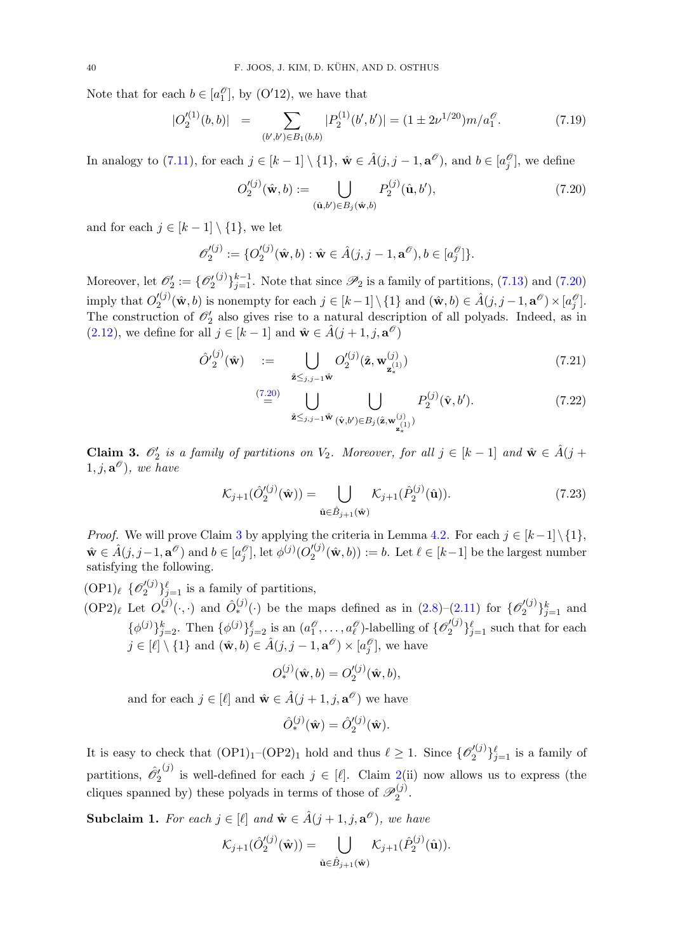Note that for each  $b \in [a_1^\mathcal{O}],$  by  $(O'12)$ , we have that

<span id="page-39-5"></span>
$$
|O_2'^{(1)}(b,b)| = \sum_{(b',b') \in B_1(b,b)} |P_2^{(1)}(b',b')| = (1 \pm 2\nu^{1/20})m/a_1^{\mathcal{O}}.
$$
 (7.19)

In analogy to  $(7.11)$ , for each  $j \in [k-1] \setminus \{1\}$ ,  $\hat{\mathbf{w}} \in \hat{A}(j, j-1, \mathbf{a}^{\mathscr{O}})$ , and  $b \in [a_j^{\mathscr{O}}]$ , we define

<span id="page-39-2"></span>
$$
O_2'^{(j)}(\hat{\mathbf{w}},b) := \bigcup_{(\hat{\mathbf{u}},b') \in B_j(\hat{\mathbf{w}},b)} P_2^{(j)}(\hat{\mathbf{u}},b'),\tag{7.20}
$$

and for each  $j \in [k-1] \setminus \{1\}$ , we let

$$
\mathscr{O}'_2^{(j)} := \{ O'_2^{(j)}(\hat{\mathbf{w}}, b) : \hat{\mathbf{w}} \in \hat{A}(j, j-1, \mathbf{a}^{\mathscr{O}}), b \in [a_j^{\mathscr{O}}] \}.
$$

Moreover, let  $\mathcal{O}'_2 := \{ \mathcal{O}'_2$  $(j)$ <sub>j<sup>k-1</sup></sub>. Note that since  $\mathscr{P}_2$  is a family of partitions, [\(7.13\)](#page-37-5) and [\(7.20\)](#page-39-2) imply that  $O_2^{\prime(j)}$  $Z_2^{(j)}(\hat{\mathbf{w}},b)$  is nonempty for each  $j \in [k-1] \setminus \{1\}$  and  $(\hat{\mathbf{w}},b) \in \hat{A}(j,j-1,\mathbf{a}^{\mathscr{O}}) \times [a_j^{\mathscr{O}}]$ . The construction of  $\mathcal{O}'_2$  also gives rise to a natural description of all polyads. Indeed, as in [\(2.12\)](#page-7-0), we define for all  $j \in [k-1]$  and  $\hat{\mathbf{w}} \in \hat{A}(j+1, j, \mathbf{a}^{\mathcal{O}})$ 

<span id="page-39-3"></span>
$$
\hat{O}'_2^{(j)}(\hat{\mathbf{w}}) \quad := \quad \bigcup_{\hat{\mathbf{z}} \leq j, j-1} O_2^{(j)}(\hat{\mathbf{z}}, \mathbf{w}_{\mathbf{z}_*}^{(j)}) \tag{7.21}
$$

<span id="page-39-4"></span>
$$
\stackrel{(7.20)}{=} \bigcup_{\hat{\mathbf{z}} \leq j, j-1 \hat{\mathbf{w}} (\hat{\mathbf{v}}, b') \in B_j(\hat{\mathbf{z}}, \mathbf{w}_{\mathbf{z}_{\ast}}^{(j)})} P_2^{(j)}(\hat{\mathbf{v}}, b'). \tag{7.22}
$$

<span id="page-39-0"></span>Claim 3.  $\mathcal{O}'_2$  is a family of partitions on  $V_2$ . Moreover, for all  $j \in [k-1]$  and  $\hat{\mathbf{w}} \in \hat{A}(j +$  $(1, j, \mathbf{a}^{\mathscr{O}}),$  we have

$$
\mathcal{K}_{j+1}(\hat{O}_{2}^{\prime(j)}(\hat{\mathbf{w}})) = \bigcup_{\hat{\mathbf{u}} \in \hat{B}_{j+1}(\hat{\mathbf{w}})} \mathcal{K}_{j+1}(\hat{P}_{2}^{(j)}(\hat{\mathbf{u}})).
$$
\n(7.23)

*Proof.* We will prove Claim [3](#page-39-0) by applying the criteria in Lemma [4.2.](#page-11-0) For each  $j \in [k-1] \setminus \{1\}$ ,  $\hat{\mathbf{w}} \in \hat{A}(j, j-1, \mathbf{a}^{\mathscr{O}})$  and  $b \in [a_j^{\mathscr{O}}]$ , let  $\phi^{(j)}(O_2'^{(j)})$  $\mathcal{L}^{(J)}_2(\hat{\mathbf{w}}, b)) := b.$  Let  $\ell \in [k-1]$  be the largest number satisfying the following.

 $(\text{OP1})_{\ell}$  { $\mathscr{O}'^{(j)}_2$  $\binom{J(1)}{2}$ <sub>j<sup> $\ell$ </sup> is a family of partitions,</sub>  $(\text{OP2})_\ell$  Let  $O_*^{(j)}(\cdot, \cdot)$  and  $\hat{O}_*^{(j)}(\cdot)$  be the maps defined as in  $(2.8)-(2.11)$  $(2.8)-(2.11)$  for  $\{O_2^{(j)}\}$  $_{2}^{\prime(j)}\}_{j=1}^{k}$  and  $\{\phi^{(j)}\}_{j=2}^k$ . Then  $\{\phi^{(j)}\}_{j=2}^{\ell}$  is an  $(a_1^{\mathcal{O}}, \ldots, a_{\ell}^{\mathcal{O}})$ -labelling of  $\{\mathcal{O}_2^{(j)}\}$  $\{2^{(j)}\}_{j=1}^{\ell}$  such that for each  $j \in [\ell] \setminus \{1\}$  and  $(\hat{\mathbf{w}}, b) \in \hat{A}(j, j - 1, \mathbf{a}^{\mathscr{O}}) \times [a_j^{\mathscr{O}}]$ , we have

$$
O_*^{(j)}(\hat{\mathbf{w}},b) = O_2'^{(j)}(\hat{\mathbf{w}},b),
$$

and for each  $j \in [\ell]$  and  $\hat{\mathbf{w}} \in \hat{A}(j + 1, j, \mathbf{a}^{\mathcal{O}})$  we have

$$
\hat{O}_{*}^{(j)}(\hat{\mathbf{w}}) = \hat{O}_{2}^{\prime (j)}(\hat{\mathbf{w}}).
$$

It is easy to check that  $(OP1)<sub>1</sub>-(OP2)<sub>1</sub>$  hold and thus  $\ell \geq 1$ . Since  $\{O_2^{(j)}\}$  $\{2^{(j)}\}_{j=1}^{\ell}$  is a family of partitions,  $\hat{\mathscr{O}}_2'$ (j) is well-defined for each  $j \in [\ell]$ . Claim [2\(](#page-21-0)ii) now allows us to express (the cliques spanned by) these polyads in terms of those of  $\mathscr{P}_2^{(j)}$  $2^{(J)}$ .

<span id="page-39-1"></span>**Subclaim 1.** For each  $j \in [\ell]$  and  $\hat{\mathbf{w}} \in \hat{A}(j + 1, j, \mathbf{a}^{\mathcal{O}})$ , we have

$$
\mathcal{K}_{j+1}(\hat{O}_{2}^{\prime(j)}(\hat{\mathbf{w}})) = \bigcup_{\hat{\mathbf{u}} \in \hat{B}_{j+1}(\hat{\mathbf{w}})} \mathcal{K}_{j+1}(\hat{P}_{2}^{(j)}(\hat{\mathbf{u}})).
$$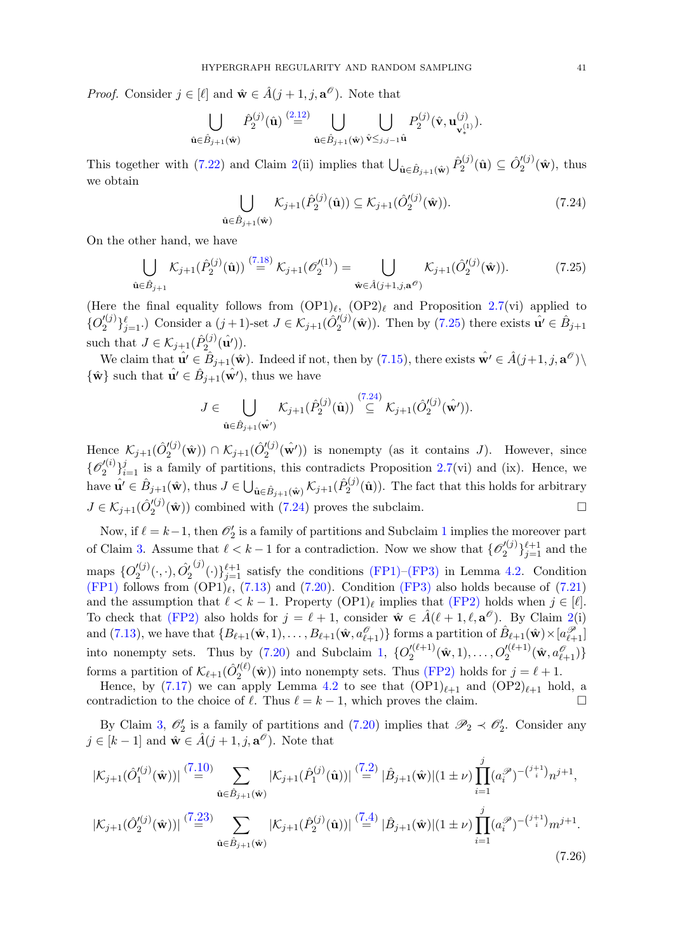*Proof.* Consider  $j \in [\ell]$  and  $\hat{\mathbf{w}} \in \hat{A}(j + 1, j, \mathbf{a}^{\mathcal{O}})$ . Note that

$$
\bigcup_{\hat{\mathbf{u}} \in \hat{B}_{j+1}(\hat{\mathbf{w}})} \hat{P}_2^{(j)}(\hat{\mathbf{u}}) \stackrel{(2.12)}{=} \bigcup_{\hat{\mathbf{u}} \in \hat{B}_{j+1}(\hat{\mathbf{w}})} \bigcup_{\hat{\mathbf{v}} \leq j, j-1} P_2^{(j)}(\hat{\mathbf{v}}, \mathbf{u}_{\mathbf{v}_*}^{(j)}).
$$

This together with [\(7.22\)](#page-39-3) and Claim [2\(](#page-21-0)ii) implies that  $\bigcup_{\hat{\mathbf{u}} \in \hat{B}_{j+1}(\hat{\mathbf{w}})} \hat{P}_2^{(j)}$  $\hat{O}^{(j)}_2(\hat{\bf u})\subseteq \hat{O}^{\prime (j)}_2$  $\binom{2^{(1)}}{2}(\hat{\mathbf{w}}),$  thus we obtain

<span id="page-40-1"></span><span id="page-40-0"></span>
$$
\bigcup_{\hat{\mathbf{u}} \in \hat{B}_{j+1}(\hat{\mathbf{w}})} \mathcal{K}_{j+1}(\hat{P}_2^{(j)}(\hat{\mathbf{u}})) \subseteq \mathcal{K}_{j+1}(\hat{O}_2'^{(j)}(\hat{\mathbf{w}})).
$$
\n(7.24)

On the other hand, we have

$$
\bigcup_{\hat{\mathbf{u}} \in \hat{B}_{j+1}} \mathcal{K}_{j+1}(\hat{P}_2^{(j)}(\hat{\mathbf{u}})) \stackrel{(7.18)}{=} \mathcal{K}_{j+1}(\mathscr{O}_2'^{(1)}) = \bigcup_{\hat{\mathbf{w}} \in \hat{A}(j+1,j,\mathbf{a}^{\mathscr{O}})} \mathcal{K}_{j+1}(\hat{O}_2'^{(j)}(\hat{\mathbf{w}})).
$$
 (7.25)

(Here the final equality follows from  $(OP1)_\ell$ ,  $(OP2)_\ell$  and Proposition [2.7\(](#page-7-1)vi) applied to  $\{O'^{(j)}_{2}$  $\{\mathcal{L}_{2}^{(j)}\}_{j=1}^{\ell}$ .) Consider a  $(j+1)$ -set  $J \in \mathcal{K}_{j+1}(\hat{O}_{2}^{\prime (j)})$  $2^{(j)}(w)$ ). Then by [\(7.25\)](#page-40-0) there exists  $\hat{\mathbf{u}}' \in \hat{B}_{j+1}$ such that  $J \in \mathcal{K}_{j+1}(\hat{P}_2^{(j)})$  $\mathbf{q}_2^{(j)}(\hat{\mathbf{u}'})).$ 

We claim that  $\hat{\mathbf{u'}} \in \hat{B}_{j+1}(\hat{\mathbf{w}})$ . Indeed if not, then by  $(7.15)$ , there exists  $\hat{\mathbf{w'}} \in \hat{A}(j+1, j, \mathbf{a}^{\mathscr{O}}) \setminus$  $\{\hat{\mathbf{w}}\}$  such that  $\hat{\mathbf{u'}} \in \hat{B}_{j+1}(\hat{\mathbf{w'}})$ , thus we have

$$
J\in \bigcup_{\hat{\mathbf{u}}\in \hat{B}_{j+1}(\hat{\mathbf{w}}')}\mathcal{K}_{j+1}(\hat{P}_2^{(j)}(\hat{\mathbf{u}}))\stackrel{(7.24)}{\subseteq}\mathcal{K}_{j+1}(\hat{O}_2'^{(j)}(\hat{\mathbf{w}}')).
$$

Hence  $\mathcal{K}_{j+1}(\hat{O}'^{(j)}_2)$  $\mathcal{K}_{2}^{\prime(j)}(\hat{\mathbf{w}}))\cap\mathcal{K}_{j+1}(\hat{O}_{2}^{\prime(j)})$  $2^{l(j)}(\hat{\mathbf{w}}')$  is nonempty (as it contains J). However, since  $\{{\mathscr{O}'}_{2}^{(i)}$  $\mathcal{L}^{(i)}_{2}$  is a family of partitions, this contradicts Proposition [2.7\(](#page-7-1)vi) and (ix). Hence, we have  $\hat{\mathbf{u'}} \in \hat{B}_{j+1}(\hat{\mathbf{w}})$ , thus  $J \in \bigcup_{\hat{\mathbf{u}} \in \hat{B}_{j+1}(\hat{\mathbf{w}})} \mathcal{K}_{j+1}(\hat{P}_2^{(j)})$  $2^{(1)}(u)$ ). The fact that this holds for arbitrary  $J\in \mathcal{K}_{j+1}(\hat{O}^{\prime (j)}_2)$  $\mathcal{L}_2^{(j)}(\hat{\mathbf{w}})$  combined with [\(7.24\)](#page-40-1) proves the subclaim.

Now, if  $\ell = k-1$  $\ell = k-1$ , then  $\mathcal{O}'_2$  is a family of partitions and Subclaim 1 implies the moreover part of Claim [3.](#page-39-0) Assume that  $\ell < k-1$  for a contradiction. Now we show that  $\{ \mathcal{O}_2^{(j)} \}$  $\binom{y(j)}{2}$   $\binom{\ell+1}{j=1}$  and the maps  $\{O'^{(j)}_2\}$  $\mathit{Z}\vphantom{\mathcal{L}(\gamma)}\smash{\hat{\mathcal{L}}}_2^{\prime\left(\cdot,\cdot\right)}, \hat{O}_2^{\prime}$  $^{(j)}(\cdot)\}_{j=1}^{\ell+1}$  satisfy the conditions [\(FP1\)–](#page-11-1)[\(FP3\)](#page-11-2) in Lemma [4.2.](#page-11-0) Condition  $(FP1)$  follows from  $(OP1)_\ell$ , [\(7.13\)](#page-37-5) and [\(7.20\)](#page-39-2). Condition  $(FP3)$  also holds because of [\(7.21\)](#page-39-3) and the assumption that  $\ell < k - 1$ . Property  $(OP1)_\ell$  implies that  $(FP2)$  holds when  $j \in [\ell]$ . To check that [\(FP2\)](#page-11-3) also holds for  $j = \ell + 1$ , consider  $\mathbf{\hat{w}} \in \hat{A}(\ell + 1, \ell, \mathbf{a}^{\mathcal{O}})$ . By Claim [2\(](#page-21-0)i) and  $(7.13)$ , we have that  $\{B_{\ell+1}(\hat{\mathbf{w}},1),\ldots,B_{\ell+1}(\hat{\mathbf{w}},a^{\mathcal{O}}_{\ell+1})\}$  forms a partition of  $\hat{B}_{\ell+1}(\hat{\mathbf{w}})\times [a^{\mathcal{P}}_{\ell+1}]$ into nonempty sets. Thus by  $(7.20)$  and Subclaim [1,](#page-39-1)  ${O'_2}^{(\ell+1)}$  $\mathcal{Q}^{\prime(\ell+1)}_2(\hat{\mathbf{w}},1), \ldots, O^{\prime(\ell+1)}_2(\hat{\mathbf{w}},a^{\mathscr{O}}_{\ell+1})\}$ forms a partition of  $\mathcal{K}_{\ell+1}(\hat{O}'^{(\ell)}_2)$  $\binom{n}{2}$  ( $\hat{\mathbf{w}}$ )) into nonempty sets. Thus [\(FP2\)](#page-11-3) holds for  $j = \ell + 1$ .

Hence, by [\(7.17\)](#page-38-3) we can apply Lemma [4.2](#page-11-0) to see that  $(OP1)_{\ell+1}$  and  $(OP2)_{\ell+1}$  hold, a contradiction to the choice of  $\ell$ . Thus  $\ell = k - 1$ , which proves the claim.

By Claim [3,](#page-39-0)  $\mathcal{O}'_2$  is a family of partitions and [\(7.20\)](#page-39-2) implies that  $\mathcal{P}_2 \prec \mathcal{O}'_2$ . Consider any  $j \in [k-1]$  and  $\hat{\mathbf{w}} \in \hat{A}(j+1, j, \mathbf{a}^{\mathscr{O}})$ . Note that

<span id="page-40-2"></span>
$$
|\mathcal{K}_{j+1}(\hat{O}'_{1}^{(j)}(\hat{\mathbf{w}}))| \stackrel{(7.10)}{=} \sum_{\hat{\mathbf{u}} \in \hat{B}_{j+1}(\hat{\mathbf{w}})} |\mathcal{K}_{j+1}(\hat{P}_{1}^{(j)}(\hat{\mathbf{u}}))| \stackrel{(7.2)}{=} |\hat{B}_{j+1}(\hat{\mathbf{w}})| (1 \pm \nu) \prod_{i=1}^{j} (a_i^{\mathscr{P}})^{-(j+1)} n^{j+1},
$$
  

$$
|\mathcal{K}_{j+1}(\hat{O}'_{2}^{(j)}(\hat{\mathbf{w}}))| \stackrel{(7.23)}{=} \sum_{\hat{\mathbf{u}} \in \hat{B}_{j+1}(\hat{\mathbf{w}})} |\mathcal{K}_{j+1}(\hat{P}_{2}^{(j)}(\hat{\mathbf{u}}))| \stackrel{(7.4)}{=} |\hat{B}_{j+1}(\hat{\mathbf{w}})| (1 \pm \nu) \prod_{i=1}^{j} (a_i^{\mathscr{P}})^{-(j+1)} m^{j+1}.
$$
  
(7.26)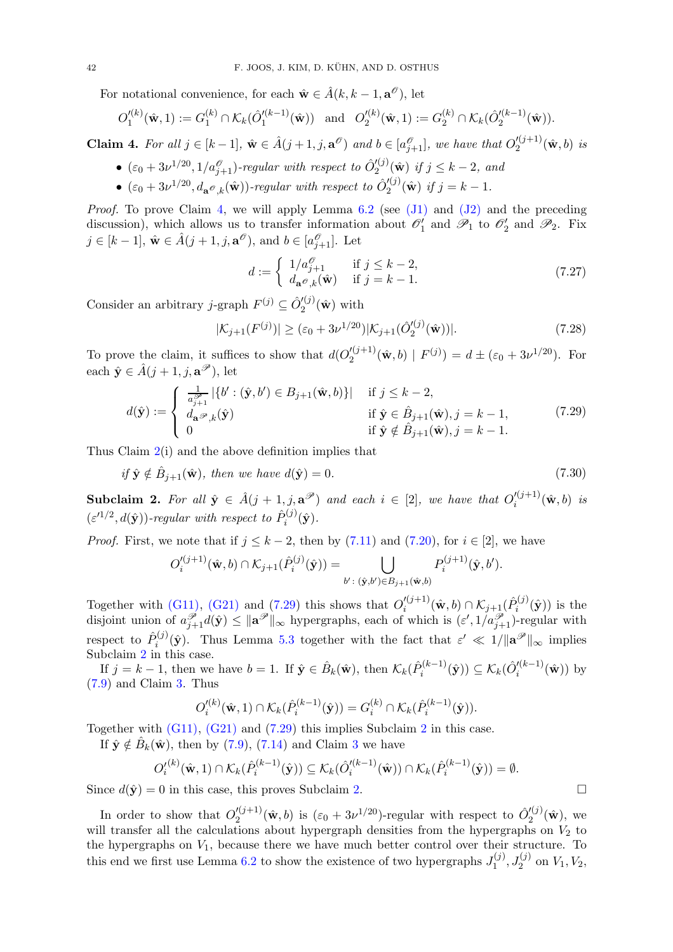For notational convenience, for each  $\hat{\mathbf{w}} \in \hat{A}(k, k-1, \mathbf{a}^{\mathscr{O}})$ , let

$$
O_1'^{(k)}(\hat{\mathbf{w}}, 1) := G_1^{(k)} \cap \mathcal{K}_k(\hat{O}_1'^{(k-1)}(\hat{\mathbf{w}})) \text{ and } O_2'^{(k)}(\hat{\mathbf{w}}, 1) := G_2^{(k)} \cap \mathcal{K}_k(\hat{O}_2'^{(k-1)}(\hat{\mathbf{w}})).
$$

<span id="page-41-0"></span>**Claim 4.** For all  $j \in [k-1]$ ,  $\hat{\mathbf{w}} \in \hat{A}(j+1, j, \mathbf{a}^{\mathcal{O}})$  and  $b \in [a_{j+1}^{\mathcal{O}}]$ , we have that  $O_2'^{(j+1)}$  $\binom{a}{2}^{(j+1)}(\hat{\mathbf{w}},b)$  is

- $(\varepsilon_0 + 3\nu^{1/20}, 1/a_{j+1}^{\mathcal{O}})$ -regular with respect to  $\hat{O}_2^{(j)}$  $\binom{N}{2}$   $(\hat{\mathbf{w}})$  if  $j \leq k-2$ , and
- $(\varepsilon_0 + 3\nu^{1/20}, d_{\mathbf{a}^{\mathcal{O}},k}(\hat{\mathbf{w}}))$ -regular with respect to  $\hat{O}_2^{(j)}$  $j_{2}^{\prime(j)}(\hat{\mathbf{w}})$  if  $j=k-1$ .

*Proof.* To prove Claim [4,](#page-41-0) we will apply Lemma  $6.2$  (see  $(J1)$  and  $(J2)$  and the preceding discussion), which allows us to transfer information about  $\mathcal{O}'_1$  and  $\mathcal{P}_1$  to  $\mathcal{O}'_2$  and  $\mathcal{P}_2$ . Fix  $j \in [k-1], \hat{\mathbf{w}} \in \hat{A}(j+1, j, \mathbf{a}^{\mathscr{O}}), \text{ and } b \in [a_{j+1}^{\mathscr{O}}]$ . Let

<span id="page-41-5"></span><span id="page-41-4"></span><span id="page-41-1"></span>
$$
d := \begin{cases} 1/a_{j+1}^{\mathcal{O}} & \text{if } j \le k-2, \\ d_{\mathbf{a}^{\mathcal{O}},k}(\hat{\mathbf{w}}) & \text{if } j = k-1. \end{cases}
$$
(7.27)

Consider an arbitrary *j*-graph  $F^{(j)} \subseteq \hat{O}'^{(j)}_2$  $\binom{2}{2}(\hat{\mathbf{w}})$  with

$$
|\mathcal{K}_{j+1}(F^{(j)})| \ge (\varepsilon_0 + 3\nu^{1/20})|\mathcal{K}_{j+1}(\hat{O}_2'^{(j)}(\hat{\mathbf{w}}))|.
$$
 (7.28)

To prove the claim, it suffices to show that  $d(O_2^{\prime(j+1)})$  $\chi_2^{(j+1)}(\hat{\mathbf{w}},b) | F^{(j)}) = d \pm (\varepsilon_0 + 3\nu^{1/20}).$  For each  $\hat{\mathbf{y}} \in \hat{A}(j+1, j, \mathbf{a}^{\mathscr{P}})$ , let

$$
d(\hat{\mathbf{y}}) := \begin{cases} \frac{1}{a_{j+1}^{\mathcal{P}}} \left| \{ b' : (\hat{\mathbf{y}}, b') \in B_{j+1}(\hat{\mathbf{w}}, b) \} \right| & \text{if } j \le k - 2, \\ d_{\mathbf{a}}\mathcal{P}_{,k}(\hat{\mathbf{y}}) & \text{if } \hat{\mathbf{y}} \in \hat{B}_{j+1}(\hat{\mathbf{w}}), j = k - 1, \\ 0 & \text{if } \hat{\mathbf{y}} \notin \hat{B}_{j+1}(\hat{\mathbf{w}}), j = k - 1. \end{cases} \tag{7.29}
$$

Thus Claim  $2(i)$  $2(i)$  and the above definition implies that

<span id="page-41-3"></span>
$$
if \hat{\mathbf{y}} \notin \hat{B}_{j+1}(\hat{\mathbf{w}}), then we have d(\hat{\mathbf{y}}) = 0.
$$
\n
$$
(7.30)
$$

<span id="page-41-2"></span>**Subclaim 2.** For all  $\hat{\mathbf{y}} \in \hat{A}(j+1,j,\mathbf{a}^{\mathcal{P}})$  and each  $i \in [2]$ , we have that  $O_i'^{(j+1)}$  $i^{(j+1)}(\hat{\mathbf{w}},b)$  is  $(\varepsilon'^{1/2}, d(\hat{\mathbf{y}}))$ -regular with respect to  $\hat{P}_i^{(j)}$  $\hat{y}^{(J)}(y).$ 

*Proof.* First, we note that if  $j \leq k-2$ , then by [\(7.11\)](#page-37-3) and [\(7.20\)](#page-39-2), for  $i \in [2]$ , we have

$$
O_i'^{(j+1)}(\hat{\mathbf{w}},b) \cap \mathcal{K}_{j+1}(\hat{P}_i^{(j)}(\hat{\mathbf{y}})) = \bigcup_{b': (\hat{\mathbf{y}},b') \in B_{j+1}(\hat{\mathbf{w}},b)} P_i^{(j+1)}(\hat{\mathbf{y}},b').
$$

Together with [\(G11\),](#page-35-4) [\(G21\)](#page-36-7) and [\(7.29\)](#page-41-1) this shows that  $O_i^{(j+1)}$  $\mathcal{K}_{i}^{(j+1)}(\hat{\mathbf{w}},b) \cap \mathcal{K}_{j+1}(\hat{P}_i^{(j)})$  $\hat{y}_i^{(J)}(\hat{\mathbf{y}})$  is the disjoint union of  $a_{j+1}^{\mathscr{P}}d(\hat{\mathbf{y}}) \leq ||\mathbf{a}^{\mathscr{P}}||_{\infty}$  hypergraphs, each of which is  $(\varepsilon', 1/a_{j+1}^{\mathscr{P}})$ -regular with respect to  $\hat{P}_i^{(j)}$  $\hat{\mathbf{y}}_i^{(j)}(\hat{\mathbf{y}})$ . Thus Lemma [5.3](#page-12-5) together with the fact that  $\varepsilon' \ll 1/||\mathbf{a}^{\mathscr{P}}||_{\infty}$  implies Subclaim [2](#page-41-2) in this case.

If  $j = k - 1$ , then we have  $b = 1$ . If  $\hat{\mathbf{y}} \in \hat{B}_k(\hat{\mathbf{w}})$ , then  $\mathcal{K}_k(\hat{P}_i^{(k-1)})$  $\mathcal{P}_i^{(k-1)}(\hat{\mathbf{y}})) \subseteq \mathcal{K}_k(\hat{O}_i'^{(k-1)})$  $\int_{i}^{\prime(\kappa-1)}(\hat{\mathbf{w}})\,dy$ [\(7.9\)](#page-37-4) and Claim [3.](#page-39-0) Thus

$$
O_i'^{(k)}(\hat{\mathbf{w}}, 1) \cap \mathcal{K}_k(\hat{P}_i^{(k-1)}(\hat{\mathbf{y}})) = G_i^{(k)} \cap \mathcal{K}_k(\hat{P}_i^{(k-1)}(\hat{\mathbf{y}})).
$$

Together with [\(G11\),](#page-35-4) [\(G21\)](#page-36-7) and [\(7.29\)](#page-41-1) this implies Subclaim [2](#page-41-2) in this case.

If  $\hat{\mathbf{y}} \notin \hat{B}_k(\hat{\mathbf{w}})$ , then by [\(7.9\)](#page-37-4), [\(7.14\)](#page-37-2) and Claim [3](#page-39-0) we have

$$
O_i'^{(k)}(\hat{\mathbf{w}},1) \cap \mathcal{K}_k(\hat{P}_i^{(k-1)}(\hat{\mathbf{y}})) \subseteq \mathcal{K}_k(\hat{O}_i'^{(k-1)}(\hat{\mathbf{w}})) \cap \mathcal{K}_k(\hat{P}_i^{(k-1)}(\hat{\mathbf{y}})) = \emptyset.
$$

Since  $d(\hat{y}) = 0$  in this case, this proves Subclaim [2.](#page-41-2)

In order to show that  $O_2^{\prime(j+1)}$  $\mathcal{L}_2^{(j+1)}(\hat{\mathbf{w}},b)$  is  $(\varepsilon_0+3\nu^{1/20})$ -regular with respect to  $\hat{O}_2^{(j)}$  $\binom{1}{2}$   $(\hat{\mathbf{w}})$ , we will transfer all the calculations about hypergraph densities from the hypergraphs on  $V_2$  to the hypergraphs on  $V_1$ , because there we have much better control over their structure. To this end we first use Lemma [6.2](#page-26-0) to show the existence of two hypergraphs  $J_1^{(j)}$  $J_1^{(j)}$ ,  $J_2^{(j)}$  on  $V_1$ ,  $V_2$ ,

$$
\Box
$$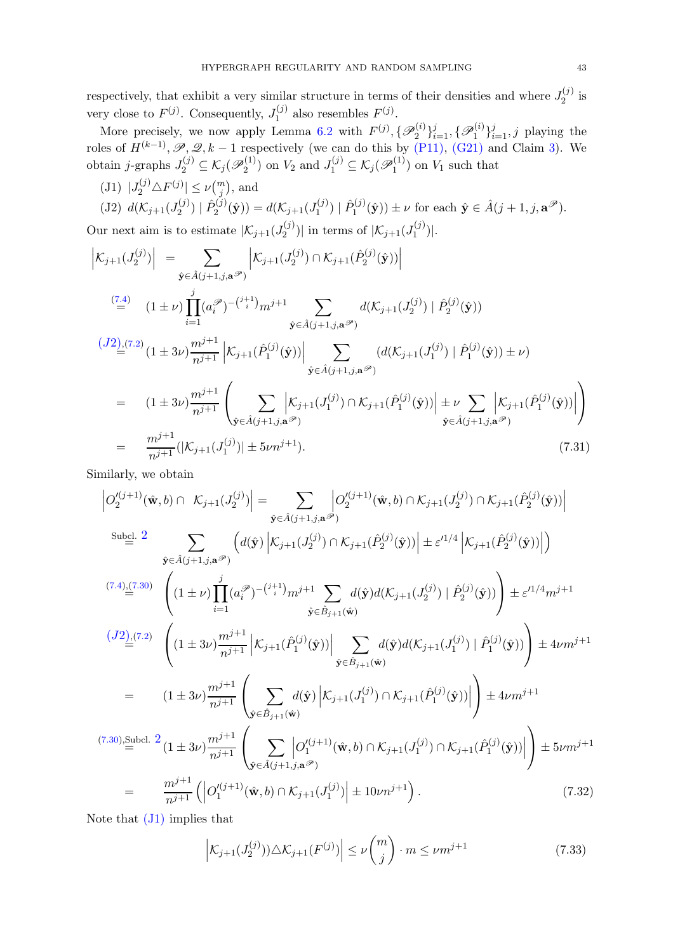respectively, that exhibit a very similar structure in terms of their densities and where  $J_2^{(j)}$  $2^{(J)}$  is very close to  $F^{(j)}$ . Consequently,  $J_1^{(j)}$  $I_1^{(j)}$  also resembles  $F^{(j)}$ .

More precisely, we now apply Lemma [6.2](#page-26-0) with  $F^{(j)}$ ,  $\{\mathscr{P}_2^{(i)}\}$  $\{\mathscr{P}_1^{(i)}\}_{i=1}^j, \{\mathscr{P}_1^{(i)}\}$  $\{a_i^{(i)}\}_{i=1}^j, j$  playing the roles of  $H^{(k-1)}$ ,  $\mathscr{P}, \mathscr{Q}, k-1$  respectively (we can do this by [\(P11\),](#page-35-2) [\(G21\)](#page-36-7) and Claim [3\)](#page-39-0). We obtain *j*-graphs  $J_2^{(j)} \subseteq \mathcal{K}_j(\mathcal{P}_2^{(1)})$  $J_2^{(1)}$ ) on  $V_2$  and  $J_1^{(j)} \subseteq \mathcal{K}_j(\mathcal{P}_1^{(1)})$  $\binom{1}{1}$  on  $V_1$  such that

<span id="page-42-0"></span>(J1)  $|J_2^{(j)} \triangle F^{(j)}| \le \nu {m \choose j}$ , and

<span id="page-42-1"></span>
$$
(J2) d(\mathcal{K}_{j+1}(J_2^{(j)}) | \hat{P}_2^{(j)}(\hat{\mathbf{y}})) = d(\mathcal{K}_{j+1}(J_1^{(j)}) | \hat{P}_1^{(j)}(\hat{\mathbf{y}})) \pm \nu \text{ for each } \hat{\mathbf{y}} \in \hat{A}(j+1, j, \mathbf{a}^{\mathcal{P}}).
$$
  
Our next aim is to estimate  $|\mathcal{K}_{j+1}(J_2^{(j)})|$  in terms of  $|\mathcal{K}_{j+1}(J_1^{(j)})|$ .

<span id="page-42-3"></span> $\Big| \mathcal{K}_{j+1}(J_2^{(j)})$  $\left|\sum_{2}^{(j)}\right| = \sum_{\hat{i} \in \hat{j} \text{ is odd}}$  $\hat{\mathbf{y}}{\in}\hat{A}(j{+}1{,}j{,}\mathbf{a}^{\mathscr{P}})$  $\Big| \mathcal{K}_{j+1}(J_2^{(j)} %Mathcal{I}_{j+1}(J_1^{(j)} %Mathcal{I}_{j+1}(J_2^{(j)} %Mathcal{I}_{j+1}(J_2^{(j)} %Mathcal{I}_{j+1}(J_2^{(j)} %Mathcal{I}_{j+1}(J_2^{(j)} %Mathcal{I}_{j+1}(J_2^{(j)} %Mathcal{I}_{j+1}(J_2^{(j)} %Mathcal{I}_{j+1}(J_2^{(j)} %Mathcal{I}_{j+1}(J_2^{(j)} %Mathcal{I}_{j+1}(J_2^{(j)} %Mathcal{I}_{j+1}(J_2^{(j)} %Mathcal{I}_{j+1}(J_2$  $\mathcal{K}_{j+1}(\hat{P}_{2}^{(j)}) \cap \mathcal{K}_{j+1}(\hat{P}_{2}^{(j)})$  $2^{(j)}(\hat{\mathbf{y}}))\bigg|$  $\left( \frac{7.4}{2}\right)$   $(1 \pm \nu) \prod$ j  $i=1$ (a P i ) −( j+1 i )mj+1 X  $\hat{\mathbf{y}}{\in}\hat{A}(j{+}1{,}j{,}\mathbf{a}^{\mathscr{P}})$  $d(\mathcal{K}_{j+1}(J_2^{(j)}% ,M_{2n-1}^{(j)}(J_1^{(j)}% ,M_{2n-1}^{(j)}(J_2^{(j)}% ,M_{2n-1}^{(j)}(J_1^{(j)}% ,M_1^{(j)}(J_2^{(j)}% ,M_2^{(j)}% ,M_1^{(j)}(J_2^{(j)}% ,M_1^{(j)}(J_2^{(j)}% ,M_2^{(j)}% ,M_1^{(j)}(J_2^{(j)}% ,M_1^{(j)}(J_2^{(j)}% ,M_1^{(j)}(J_2^{(j)}% ,M_1^{(j)}(J_2^{(j)}% ,$  $\hat{P}^{(j)}_2\, \mid \hat{P}^{(j)}_2$  $\hat{Q}^{(J)}_2(\hat{\textbf{y}}))$  $\frac{(J2),(7.2)}{2}(1\pm 3\nu)\frac{m^{j+1}}{n+1}$  $\frac{(J2),(7.2)}{2}(1\pm 3\nu)\frac{m^{j+1}}{n+1}$  $\frac{(J2),(7.2)}{2}(1\pm 3\nu)\frac{m^{j+1}}{n+1}$  $\frac{(J2),(7.2)}{2}(1\pm 3\nu)\frac{m^{j+1}}{n+1}$  $\frac{(J2),(7.2)}{2}(1\pm 3\nu)\frac{m^{j+1}}{n+1}$  $n^{j+1}$  $\Big| \mathcal{K}_{j+1}(\hat{P}_1^{(j)})$  $\left| \mathbf{y}_{1}^{\left( j\right) }(\hat{\mathbf{y}}))\right|$  $\sum$  $\hat{\mathbf{y}} \in \hat{A}(j+1,j,\mathbf{a}^{\mathscr{P}})$  $(d({\mathcal K}_{j+1}(J_1^{(j)})$  $\hat{P}^{(j)}_1$  |  $\hat{P}^{(j)}_1$  $\mathbf{y}_1^{(J)}(\hat{\mathbf{y}})) \pm \nu$  $=$   $(1 \pm 3\nu)\frac{m^{j+1}}{n+1}$  $\sqrt{ }$  $\mathcal{K}_{j+1}(\hat{P}_{1}^{(j)}) \cap \mathcal{K}_{j+1}(\hat{P}_{1}^{(j)})$ 

$$
= (1 \pm 3\nu) \frac{m^{j+1}}{n^{j+1}} \left( \sum_{\hat{\mathbf{y}} \in \hat{A}(j+1,j,\mathbf{a}^{j\circ})} \left| \mathcal{K}_{j+1}(J_1^{(j)}) \cap \mathcal{K}_{j+1}(\hat{P}_1^{(j)}(\hat{\mathbf{y}})) \right| \pm \nu \sum_{\hat{\mathbf{y}} \in \hat{A}(j+1,j,\mathbf{a}^{j\circ})} \left| \mathcal{K}_{j+1}(\hat{P}_1^{(j)}(\hat{\mathbf{y}})) \right| \right)
$$
  
\n
$$
= \frac{m^{j+1}}{n^{j+1}} (|\mathcal{K}_{j+1}(J_1^{(j)})| \pm 5\nu n^{j+1}). \tag{7.31}
$$

Similarly, we obtain

<span id="page-42-4"></span>
$$
\begin{split}\n&\left|O_{2}^{\prime(j+1)}(\hat{\mathbf{w}},b) \cap K_{j+1}(J_{2}^{(j)})\right| = \sum_{\hat{\mathbf{y}} \in \hat{A}(j+1,j,\mathbf{a}^{(j)})} \left|O_{2}^{\prime(j+1)}(\hat{\mathbf{w}},b) \cap K_{j+1}(J_{2}^{(j)}) \cap K_{j+1}(\hat{P}_{2}^{(j)}(\hat{\mathbf{y}}))\right| \\
&\stackrel{\text{Subel. } 2}{=} 2 \sum_{\hat{\mathbf{y}} \in \hat{A}(j+1,j,\mathbf{a}^{(j)})} \left(d(\hat{\mathbf{y}}) \left|K_{j+1}(J_{2}^{(j)}) \cap K_{j+1}(\hat{P}_{2}^{(j)}(\hat{\mathbf{y}}))\right| \pm \varepsilon^{I1/4} \left|K_{j+1}(\hat{P}_{2}^{(j)}(\hat{\mathbf{y}}))\right|\right) \\
&\stackrel{(7.4)}{=} \left((1 \pm \nu) \prod_{i=1}^{j} (a_i^{\mathscr{D}})^{-(j+1)} m^{j+1} \sum_{\hat{\mathbf{y}} \in \hat{B}_{j+1}(\hat{\mathbf{w}})} d(\hat{\mathbf{y}}) d(K_{j+1}(J_{2}^{(j)}) \mid \hat{P}_{2}^{(j)}(\hat{\mathbf{y}}))\right) \pm \varepsilon^{I1/4} m^{j+1} \\
&\stackrel{(J2)_{\cdot}([7.2)}{=} \left((1 \pm 3\nu) \frac{m^{j+1}}{n^{j+1}} \left|K_{j+1}(\hat{P}_{1}^{(j)}(\hat{\mathbf{y}}))\right| \sum_{\hat{\mathbf{y}} \in \hat{B}_{j+1}(\hat{\mathbf{w}})} d(\hat{\mathbf{y}}) d(K_{j+1}(J_{1}^{(j)}) \mid \hat{P}_{1}^{(j)}(\hat{\mathbf{y}}))\right) \pm 4\nu m^{j+1} \\
&= (1 \pm 3\nu) \frac{m^{j+1}}{n^{j+1}} \left(\sum_{\hat{\mathbf{y}} \in \hat{B}_{j+1}(\hat{\mathbf{w}})} d(\hat{\mathbf{y}}) \left|K_{j+1}(J_{1}^{(j)}) \cap K_{j+1}(\hat{P}_{1}^{(j)}(\hat{\mathbf{y}}))\right|\right) \pm
$$

Note that [\(J1\)](#page-42-0) implies that

<span id="page-42-2"></span>
$$
\left| \mathcal{K}_{j+1}(J_2^{(j)}) \right| \triangle \mathcal{K}_{j+1}(F^{(j)}) \right| \le \nu \binom{m}{j} \cdot m \le \nu m^{j+1} \tag{7.33}
$$

 $\setminus$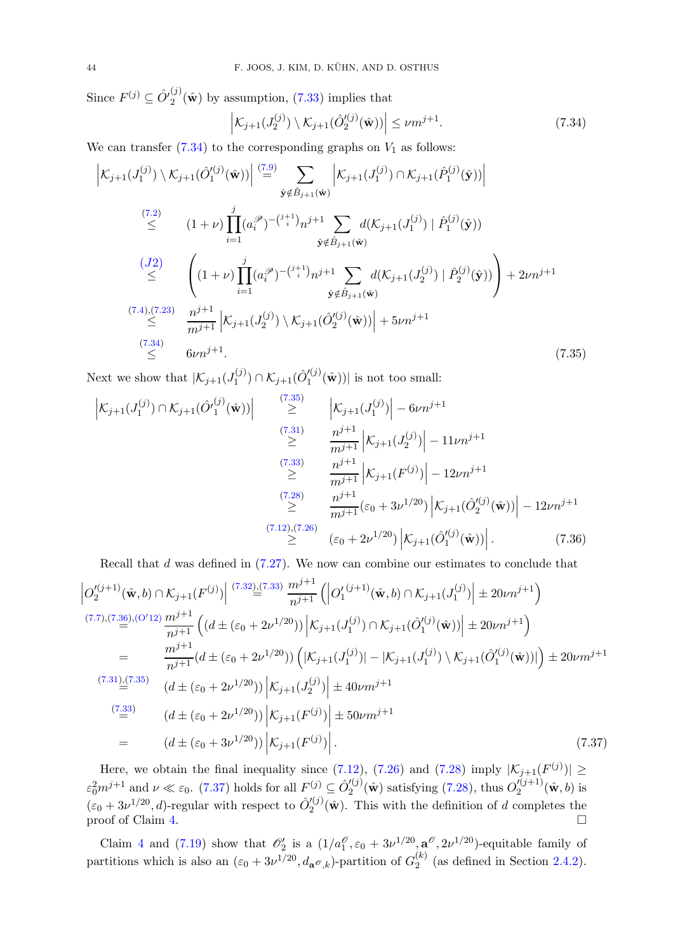Since  $F^{(j)} \subseteq \hat{O'}_2^{(j)}$  $2^{\prime\prime}(\hat{\mathbf{w}})$  by assumption, [\(7.33\)](#page-42-2) implies that

<span id="page-43-0"></span>
$$
\left| \mathcal{K}_{j+1}(J_2^{(j)}) \setminus \mathcal{K}_{j+1}(\hat{O}_2'^{(j)}(\hat{\mathbf{w}})) \right| \le \nu m^{j+1}.\tag{7.34}
$$

We can transfer  $(7.34)$  to the corresponding graphs on  $V_1$  as follows:

<span id="page-43-1"></span>
$$
\begin{split}\n\left| \mathcal{K}_{j+1}(J_1^{(j)}) \setminus \mathcal{K}_{j+1}(\hat{O}_1'^{(j)}(\hat{\mathbf{w}})) \right| & \stackrel{(7.9)}{=} \sum_{\hat{\mathbf{y}} \notin \hat{B}_{j+1}(\hat{\mathbf{w}})} \left| \mathcal{K}_{j+1}(J_1^{(j)}) \cap \mathcal{K}_{j+1}(\hat{P}_1^{(j)}(\hat{\mathbf{y}})) \right| \\
& \stackrel{(7.2)}{\leq} \left( 1 + \nu \right) \prod_{i=1}^{j} (a_i^{\mathscr{P}})^{-\binom{j+1}{i}} n^{j+1} \sum_{\hat{\mathbf{y}} \notin \hat{B}_{j+1}(\hat{\mathbf{w}})} d(\mathcal{K}_{j+1}(J_1^{(j)}) \mid \hat{P}_1^{(j)}(\hat{\mathbf{y}})) \\
& \stackrel{(J2)}{\leq} \left( (1 + \nu) \prod_{i=1}^{j} (a_i^{\mathscr{P}})^{-\binom{j+1}{i}} n^{j+1} \sum_{\hat{\mathbf{y}} \notin \hat{B}_{j+1}(\hat{\mathbf{w}})} d(\mathcal{K}_{j+1}(J_2^{(j)}) \mid \hat{P}_2^{(j)}(\hat{\mathbf{y}})) \right) + 2\nu n^{j+1} \\
& \stackrel{(7.4),(7.23)}{\leq} \frac{n^{j+1}}{m^{j+1}} \left| \mathcal{K}_{j+1}(J_2^{(j)}) \setminus \mathcal{K}_{j+1}(\hat{O}_2'^{(j)}(\hat{\mathbf{w}})) \right| + 5\nu n^{j+1} \\
& \stackrel{(7.34)}{\leq} 6\nu n^{j+1}.\n\end{split} \tag{7.35}
$$

Next we show that  $|\mathcal{K}_{j+1}(J_1^{(j)})|$  $\mathcal{K}_{j+1}^{(j)}(\hat{O}'^{(j)}_{1})$  $\binom{1}{1}$   $(\hat{\mathbf{w}}))$  is not too small:

<span id="page-43-2"></span>
$$
\begin{aligned}\n\left| \mathcal{K}_{j+1}(J_1^{(j)}) \cap \mathcal{K}_{j+1}(\hat{O'}_1^{(j)}(\hat{\mathbf{w}})) \right| &\stackrel{(7.35)}{\geq} \left| \mathcal{K}_{j+1}(J_1^{(j)}) \right| - 6\nu n^{j+1} \\
&\stackrel{(7.31)}{\geq} \frac{n^{j+1}}{m^{j+1}} \left| \mathcal{K}_{j+1}(J_2^{(j)}) \right| - 11\nu n^{j+1} \\
&\stackrel{(7.33)}{\geq} \frac{n^{j+1}}{m^{j+1}} \left| \mathcal{K}_{j+1}(F^{(j)}) \right| - 12\nu n^{j+1} \\
&\stackrel{(7.28)}{\geq} \frac{n^{j+1}}{m^{j+1}} (\varepsilon_0 + 3\nu^{1/20}) \left| \mathcal{K}_{j+1}(\hat{O}'_2^{(j)}(\hat{\mathbf{w}})) \right| - 12\nu n^{j+1} \\
&\stackrel{(7.12),(7.26)}{\geq} (\varepsilon_0 + 2\nu^{1/20}) \left| \mathcal{K}_{j+1}(\hat{O}'_1^{(j)}(\hat{\mathbf{w}})) \right|.\n\end{aligned}
$$

<span id="page-43-3"></span>Recall that *d* was defined in (7.27). We now can combine our estimates to conclude that\n
$$
\left| O_{2}^{(j+1)}(\hat{\mathbf{w}},b) \cap \mathcal{K}_{j+1}(F^{(j)}) \right| \stackrel{(7.32),(7.33)}{\equiv} \frac{m^{j+1}}{n^{j+1}} \left( \left| O_{1}^{(j+1)}(\hat{\mathbf{w}},b) \cap \mathcal{K}_{j+1}(J_{1}^{(j)}) \right| \pm 20\nu n^{j+1} \right)
$$
\n
$$
\stackrel{(7.7),(7.36),(O'12)}{\equiv} \frac{m^{j+1}}{n^{j+1}} \left( (d \pm (\varepsilon_0 + 2\nu^{1/20})) \left| \mathcal{K}_{j+1}(J_{1}^{(j)}) \cap \mathcal{K}_{j+1}(\hat{O}_{1}^{(j)}(\hat{\mathbf{w}})) \right| \pm 20\nu n^{j+1} \right)
$$
\n
$$
= \frac{m^{j+1}}{n^{j+1}} (d \pm (\varepsilon_0 + 2\nu^{1/20})) \left( |\mathcal{K}_{j+1}(J_{1}^{(j)})| - |\mathcal{K}_{j+1}(J_{1}^{(j)}) \setminus \mathcal{K}_{j+1}(\hat{O}_{1}^{(j)}(\hat{\mathbf{w}}))| \right) \pm 20\nu m^{j+1}
$$
\n
$$
\stackrel{(7.31)}{\equiv} \left( d \pm (\varepsilon_0 + 2\nu^{1/20})) \left| \mathcal{K}_{j+1}(J_{2}^{(j)}) \right| \pm 40\nu m^{j+1}
$$
\n
$$
\stackrel{(7.33)}{\equiv} \left( d \pm (\varepsilon_0 + 2\nu^{1/20})) \left| \mathcal{K}_{j+1}(F^{(j)}) \right| \pm 50\nu m^{j+1}
$$
\n
$$
= \left( d \pm (\varepsilon_0 + 3\nu^{1/20})) \left| \mathcal{K}_{j+1}(F^{(j)}) \right| \right. \tag{7.37}
$$

Here, we obtain the final inequality since [\(7.12\)](#page-37-8), [\(7.26\)](#page-40-2) and [\(7.28\)](#page-41-4) imply  $|\mathcal{K}_{j+1}(F^{(j)})| \geq$  $\varepsilon_0^2 m^{j+1}$  and  $\nu \ll \varepsilon_0$ . [\(7.37\)](#page-43-3) holds for all  $F^{(j)} \subseteq \hat{O}'^{(j)}_2$  $2'^{(j)}_{2}(\hat{\mathbf{w}})$  satisfying [\(7.28\)](#page-41-4), thus  $O'_{2}^{(j+1)}$  $2^{(j+1)}(\hat{\mathbf{w}},b)$  is  $(\varepsilon_0 + 3\nu^{1/20}, d)$ -regular with respect to  $\hat{O}'^{(j)}_2$  $2^{(J)}(\hat{\mathbf{w}})$ . This with the definition of d completes the proof of Claim [4.](#page-41-0)  $\Box$ 

Claim [4](#page-41-0) and [\(7.19\)](#page-39-5) show that  $\mathcal{O}'_2$  is a  $(1/a_1^{\mathcal{O}}, \varepsilon_0 + 3\nu^{1/20}, \mathbf{a}^{\mathcal{O}}, 2\nu^{1/20})$ -equitable family of partitions which is also an  $(\varepsilon_0 + 3\nu^{1/20}, d_{\mathbf{a}}\mathbf{\mathscr{O}}_{,k})$ -partition of  $G_2^{(k)}$  $2^{k}$  (as defined in Section [2.4.2\)](#page-8-1).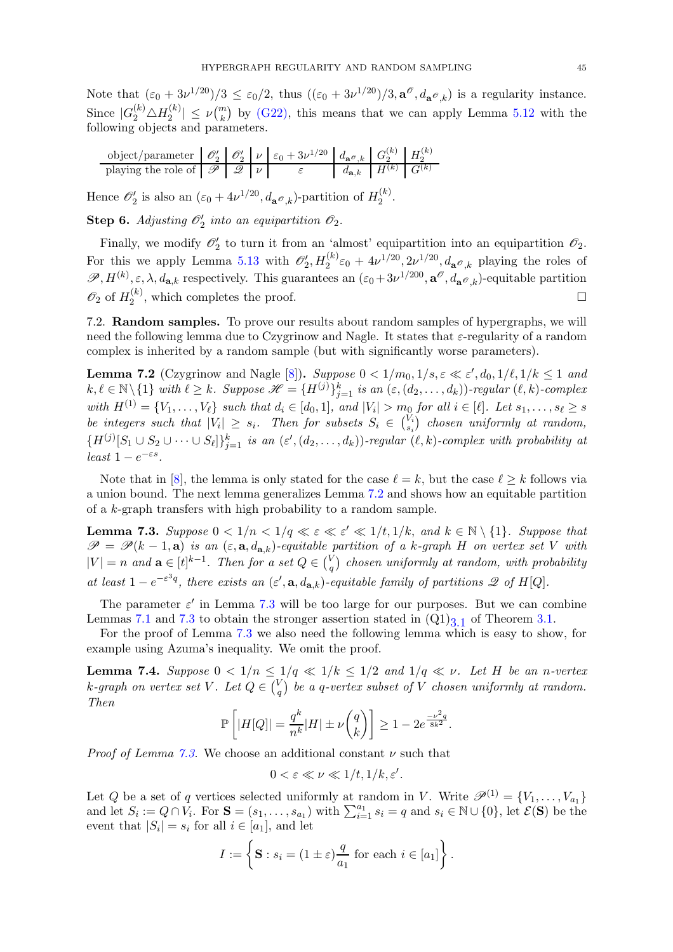Note that  $(\varepsilon_0 + 3\nu^{1/20})/3 \leq \varepsilon_0/2$ , thus  $((\varepsilon_0 + 3\nu^{1/20})/3, \mathbf{a}^\mathcal{O}, d_{\mathbf{a}^\mathcal{O}, k})$  is a regularity instance. Since  $|G_2^{(k)} \triangle H_2^{(k)}$  $|\mathcal{L}^{(k)}| \leq \nu \binom{m}{k}$  by [\(G22\),](#page-36-8) this means that we can apply Lemma [5.12](#page-16-3) with the following objects and parameters.

object/parameter O′ <sup>2</sup> <sup>O</sup>′ 2 ν ε<sup>0</sup> + 3ν <sup>1</sup>/<sup>20</sup> daO,k G (k) <sup>2</sup> H (k) 2 playing the role of P Q ν ε da,k H(k) G(k)

Hence  $\mathscr{O}'_2$  is also an  $(\varepsilon_0 + 4\nu^{1/20}, d_{\mathbf{a} \mathscr{O},k})$ -partition of  $H_2^{(k)}$  $\frac{1}{2}$ .

<span id="page-44-1"></span>**Step 6.** Adjusting  $\mathcal{O}'_2$  into an equipartition  $\mathcal{O}_2$ .

Finally, we modify  $\mathcal{O}'_2$  to turn it from an 'almost' equipartition into an equipartition  $\mathcal{O}_2$ . For this we apply Lemma [5.13](#page-17-0) with  $\mathcal{O}'_2$ ,  $H_2^{(k)}\varepsilon_0 + 4\nu^{1/20}$ ,  $2\nu^{1/20}$ ,  $d_{\mathbf{a}}\mathcal{O}_{,k}$  playing the roles of  $\mathscr{P}, H^{(k)}, \varepsilon, \lambda, d_{\mathbf{a},k}$  respectively. This guarantees an  $(\varepsilon_0+3\nu^{1/200}, \mathbf{a}^\mathcal{O}, d_{\mathbf{a}^\mathcal{O},k})$ -equitable partition  $\mathscr{O}_2$  of  $H_2^{(k)}$  $\mathcal{L}_2^{(k)}$ , which completes the proof.

<span id="page-44-0"></span>7.2. Random samples. To prove our results about random samples of hypergraphs, we will need the following lemma due to Czygrinow and Nagle. It states that ε-regularity of a random complex is inherited by a random sample (but with significantly worse parameters).

<span id="page-44-2"></span>**Lemma 7.2** (Czygrinow and Nagle [\[8\]](#page-47-10)). Suppose  $0 < 1/m_0, 1/s, \varepsilon \ll \varepsilon', d_0, 1/\ell, 1/k \le 1$  and  $k, \ell \in \mathbb{N} \setminus \{1\}$  with  $\ell \geq k$ . Suppose  $\mathscr{H} = \{H^{(j)}\}_{j=1}^k$  is an  $(\varepsilon, (d_2, \ldots, d_k))$ -regular  $(\ell, k)$ -complex with  $H^{(1)} = \{V_1, \ldots, V_\ell\}$  such that  $d_i \in [d_0, 1]$ , and  $|V_i| > m_0$  for all  $i \in [\ell]$ . Let  $s_1, \ldots, s_\ell \geq s$ be integers such that  $|V_i| \geq s_i$ . Then for subsets  $S_i \in \binom{V_i}{s_i}$  $\binom{V_i}{s_i}$  chosen uniformly at random,  ${H^{(j)}[S_1 \cup S_2 \cup \cdots \cup S_\ell]}_{j=1}^k$  is an  $(\varepsilon', (d_2, \ldots, d_k))$ -regular  $(\ell, k)$ -complex with probability at least  $1-e^{-\varepsilon s}$ .

Note that in [\[8\]](#page-47-10), the lemma is only stated for the case  $\ell = k$ , but the case  $\ell \geq k$  follows via a union bound. The next lemma generalizes Lemma [7.2](#page-44-2) and shows how an equitable partition of a k-graph transfers with high probability to a random sample.

<span id="page-44-3"></span>**Lemma 7.3.** Suppose  $0 < 1/n < 1/q \ll \varepsilon \ll \varepsilon' \ll 1/t, 1/k$ , and  $k \in \mathbb{N} \setminus \{1\}$ . Suppose that  $\mathscr{P} = \mathscr{P}(k-1, \mathbf{a})$  is an  $(\varepsilon, \mathbf{a}, d_{\mathbf{a},k})$ -equitable partition of a k-graph H on vertex set V with  $|V| = n$  and  $\mathbf{a} \in [t]^{k-1}$ . Then for a set  $Q \in {V \choose q}$  $\binom{V}{q}$  chosen uniformly at random, with probability at least  $1 - e^{-\varepsilon^3 q}$ , there exists an  $(\varepsilon', \mathbf{a}, d_{\mathbf{a},k})$ -equitable family of partitions  $\mathscr Q$  of  $H[Q]$ .

The parameter  $\varepsilon'$  in Lemma [7.3](#page-44-3) will be too large for our purposes. But we can combine Lemmas [7.1](#page-33-0) and [7.3](#page-44-3) to obtain the stronger assertion stated in  $(Q1)_{3,1}$  of Theorem [3.1.](#page-9-0)

For the proof of Lemma [7.3](#page-44-3) we also need the following lemma which is easy to show, for example using Azuma's inequality. We omit the proof.

<span id="page-44-4"></span>**Lemma 7.4.** Suppose  $0 < 1/n \leq 1/q \ll 1/k \leq 1/2$  and  $1/q \ll \nu$ . Let H be an n-vertex k-graph on vertex set V. Let  $Q \in {V \choose q}$  $\binom{V}{q}$  be a q-vertex subset of V chosen uniformly at random. Then

$$
\mathbb{P}\left[|H[Q]| = \frac{q^k}{n^k}|H| \pm \nu \binom{q}{k}\right] \ge 1 - 2e^{\frac{-\nu^2 q}{8k^2}}.
$$

*Proof of Lemma [7.3.](#page-44-3)* We choose an additional constant  $\nu$  such that

$$
0 < \varepsilon \ll \nu \ll 1/t, \frac{1}{k}, \varepsilon'.
$$

Let Q be a set of q vertices selected uniformly at random in V. Write  $\mathscr{P}^{(1)} = \{V_1, \ldots, V_{a_1}\}\$ and let  $S_i := Q \cap V_i$ . For  $S = (s_1, \ldots, s_{a_1})$  with  $\sum_{i=1}^{a_1} s_i = q$  and  $s_i \in \mathbb{N} \cup \{0\}$ , let  $\mathcal{E}(S)$  be the event that  $|S_i| = s_i$  for all  $i \in [a_1]$ , and let

$$
I := \left\{ \mathbf{S} : s_i = (1 \pm \varepsilon) \frac{q}{a_1} \text{ for each } i \in [a_1] \right\}.
$$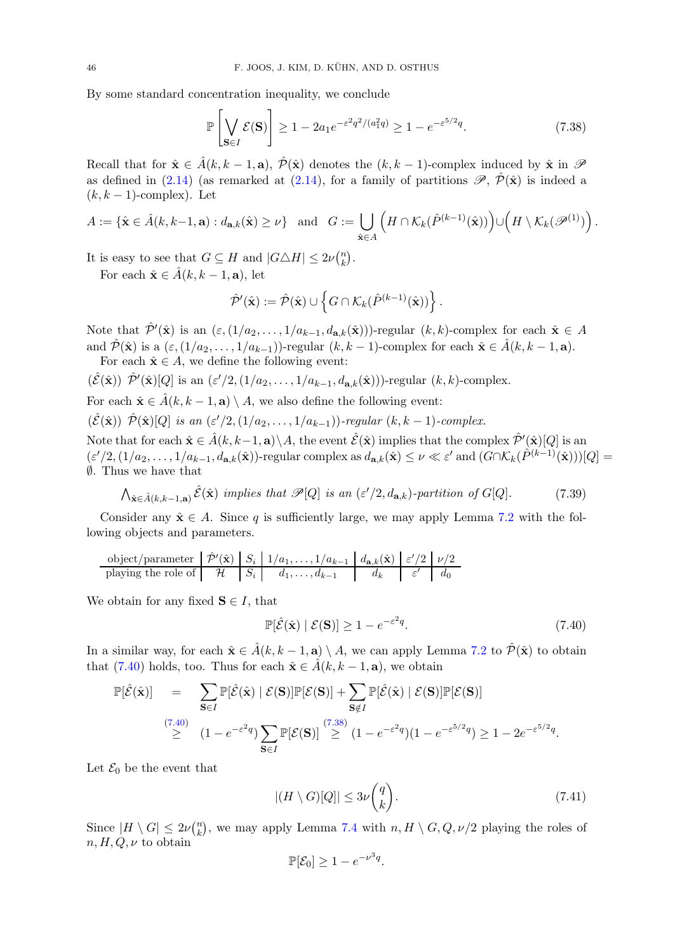By some standard concentration inequality, we conclude

<span id="page-45-1"></span>
$$
\mathbb{P}\left[\bigvee_{\mathbf{S}\in I} \mathcal{E}(\mathbf{S})\right] \ge 1 - 2a_1 e^{-\varepsilon^2 q^2/(a_1^2 q)} \ge 1 - e^{-\varepsilon^{5/2} q}.\tag{7.38}
$$

Recall that for  $\hat{\mathbf{x}} \in \hat{A}(k, k-1, \mathbf{a}), \hat{\mathcal{P}}(\hat{\mathbf{x}})$  denotes the  $(k, k-1)$ -complex induced by  $\hat{\mathbf{x}}$  in  $\mathcal{P}$ as defined in [\(2.14\)](#page-8-3) (as remarked at (2.14), for a family of partitions  $\mathscr{P}, \hat{\mathcal{P}}(\hat{\mathbf{x}})$  is indeed a  $(k, k - 1)$ -complex). Let

$$
A := \{\hat{\mathbf{x}} \in \hat{A}(k,k-1,\mathbf{a}) : d_{\mathbf{a},k}(\hat{\mathbf{x}}) \geq \nu\} \text{ and } G := \bigcup_{\hat{\mathbf{x}} \in A} \left( H \cap \mathcal{K}_k(\hat{P}^{(k-1)}(\hat{\mathbf{x}})) \right) \cup \left( H \setminus \mathcal{K}_k(\mathcal{P}^{(1)}) \right).
$$

It is easy to see that  $G \subseteq H$  and  $|G \triangle H| \leq 2\nu \binom{n}{k}$  $\binom{n}{k}$ .

For each  $\hat{\mathbf{x}} \in \hat{A}(k, k-1, \mathbf{a})$ , let

$$
\hat{\mathcal{P}}'(\hat{\mathbf{x}}) := \hat{\mathcal{P}}(\hat{\mathbf{x}}) \cup \left\{ G \cap \mathcal{K}_k(\hat{P}^{(k-1)}(\hat{\mathbf{x}})) \right\}.
$$

Note that  $\hat{\mathcal{P}}'(\hat{\mathbf{x}})$  is an  $(\varepsilon,(1/a_2,\ldots,1/a_{k-1},d_{\mathbf{a},k}(\hat{\mathbf{x}})))$ -regular  $(k,k)$ -complex for each  $\hat{\mathbf{x}} \in A$ and  $\hat{\mathcal{P}}(\hat{\mathbf{x}})$  is a  $(\varepsilon,(1/a_2,\ldots,1/a_{k-1}))$ -regular  $(k, k-1)$ -complex for each  $\hat{\mathbf{x}} \in \hat{A}(k, k-1, \mathbf{a})$ . For each  $\hat{\mathbf{x}} \in A$ , we define the following event:

$$
(\hat{\mathcal{E}}(\hat{\mathbf{x}})) \hat{\mathcal{P}}'(\hat{\mathbf{x}})[Q]
$$
 is an  $(\varepsilon'/2, (1/a_2, \ldots, 1/a_{k-1}, d_{\mathbf{a},k}(\hat{\mathbf{x}})))$ -regular  $(k, k)$ -complex.

For each  $\hat{\mathbf{x}} \in \hat{A}(k, k-1, \mathbf{a}) \setminus A$ , we also define the following event:

 $(\hat{\mathcal{E}}(\hat{\mathbf{x}})) \hat{\mathcal{P}}(\hat{\mathbf{x}})[Q]$  is an  $(\varepsilon'/2, (1/a_2, \ldots, 1/a_{k-1}))$ -regular  $(k, k-1)$ -complex.

Note that for each  $\hat{\mathbf{x}} \in \hat{A}(k, k-1, \mathbf{a}) \setminus A$ , the event  $\hat{\mathcal{E}}(\hat{\mathbf{x}})$  implies that the complex  $\hat{\mathcal{P}}'(\hat{\mathbf{x}})[Q]$  is an  $(\varepsilon'/2, (1/a_2, \ldots, 1/a_{k-1}, d_{\mathbf{a},k}(\hat{\mathbf{x}}))$ -regular complex as  $d_{\mathbf{a},k}(\hat{\mathbf{x}}) \leq \nu \ll \varepsilon'$  and  $(G \cap \mathcal{K}_k(\hat{P}^{(k-1)}(\hat{\mathbf{x}})))[Q] =$ ∅. Thus we have that

<span id="page-45-2"></span>
$$
\bigwedge_{\hat{\mathbf{x}} \in \hat{A}(k,k-1,\mathbf{a})} \hat{\mathcal{E}}(\hat{\mathbf{x}}) \implies \text{implies that } \mathscr{P}[Q] \text{ is an } (\varepsilon'/2, d_{\mathbf{a},k}) \text{-partition of } G[Q]. \tag{7.39}
$$

Consider any  $\hat{\mathbf{x}} \in A$ . Since q is sufficiently large, we may apply Lemma [7.2](#page-44-2) with the following objects and parameters.

object/parameter 
$$
\hat{\mathcal{P}}'(\hat{\mathbf{x}})
$$
 |  $S_i$  |  $1/a_1, ..., 1/a_{k-1}$  |  $d_{\mathbf{a},k}(\hat{\mathbf{x}})$  |  $\varepsilon'/2$  |  $\nu/2$   
 playing the role of  $\mathcal{H}$  |  $S_i$  |  $d_1, ..., d_{k-1}$  |  $d_k$  |  $\varepsilon'$  |  $d_0$ 

We obtain for any fixed  $S \in I$ , that

<span id="page-45-0"></span>
$$
\mathbb{P}[\hat{\mathcal{E}}(\hat{\mathbf{x}}) \mid \mathcal{E}(\mathbf{S})] \ge 1 - e^{-\varepsilon^2 q}.
$$
\n(7.40)

In a similar way, for each  $\hat{\mathbf{x}} \in \hat{A}(k, k-1, \mathbf{a}) \setminus A$ , we can apply Lemma [7.2](#page-44-2) to  $\hat{\mathcal{P}}(\hat{\mathbf{x}})$  to obtain that [\(7.40\)](#page-45-0) holds, too. Thus for each  $\hat{\mathbf{x}} \in \hat{A}(k, k-1, \mathbf{a})$ , we obtain

$$
\mathbb{P}[\hat{\mathcal{E}}(\hat{\mathbf{x}})] = \sum_{\mathbf{S}\in I} \mathbb{P}[\hat{\mathcal{E}}(\hat{\mathbf{x}}) | \mathcal{E}(\mathbf{S})] \mathbb{P}[\mathcal{E}(\mathbf{S})] + \sum_{\mathbf{S}\notin I} \mathbb{P}[\hat{\mathcal{E}}(\hat{\mathbf{x}}) | \mathcal{E}(\mathbf{S})] \mathbb{P}[\mathcal{E}(\mathbf{S})]
$$
  
\n
$$
\geq (1 - e^{-\varepsilon^2 q}) \sum_{\mathbf{S}\in I} \mathbb{P}[\mathcal{E}(\mathbf{S})] \geq (1 - e^{-\varepsilon^2 q})(1 - e^{-\varepsilon^{5/2} q}) \geq 1 - 2e^{-\varepsilon^{5/2} q}.
$$

Let  $\mathcal{E}_0$  be the event that

$$
|(H \setminus G)[Q]| \le 3\nu \binom{q}{k}.\tag{7.41}
$$

Since  $|H \setminus G| \leq 2\nu\binom{n}{k}$  $\binom{n}{k}$ , we may apply Lemma [7.4](#page-44-4) with  $n, H \setminus G, Q, \nu/2$  playing the roles of  $n, H, Q, \nu$  to obtain

$$
\mathbb{P}[\mathcal{E}_0] \ge 1 - e^{-\nu^3 q}.
$$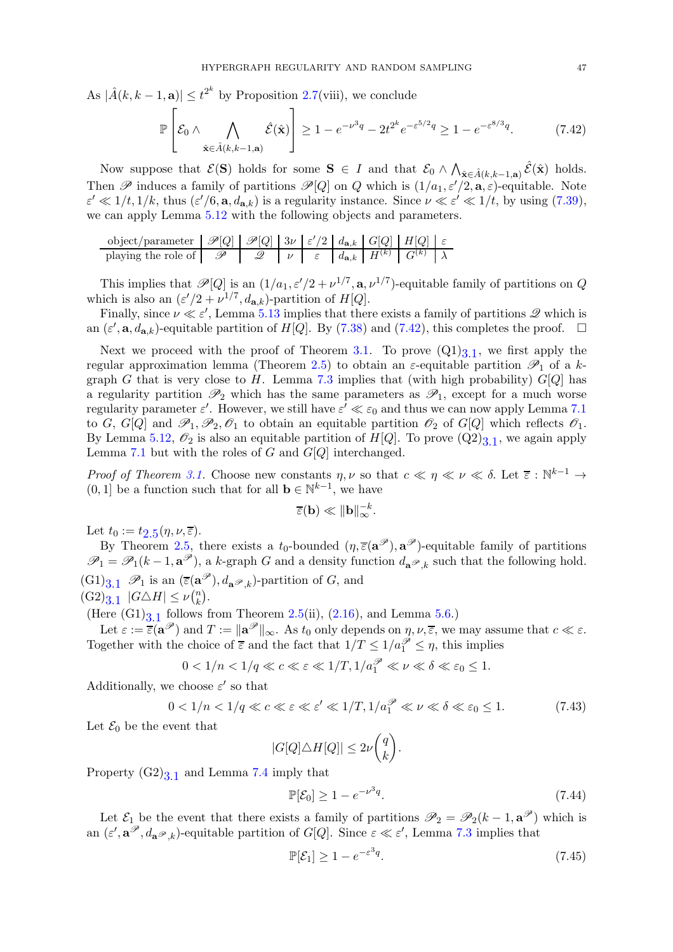As  $|\hat{A}(k, k-1, a)| \leq t^{2^k}$  by Proposition [2.7\(](#page-7-1)viii), we conclude

<span id="page-46-0"></span>
$$
\mathbb{P}\left[\mathcal{E}_0 \wedge \bigwedge_{\hat{\mathbf{x}} \in \hat{A}(k,k-1,\mathbf{a})} \hat{\mathcal{E}}(\hat{\mathbf{x}})\right] \ge 1 - e^{-\nu^3 q} - 2t^{2^k} e^{-\varepsilon^{5/2} q} \ge 1 - e^{-\varepsilon^{8/3} q}.\tag{7.42}
$$

Now suppose that  $\mathcal{E}(\mathbf{S})$  holds for some  $\mathbf{S} \in I$  and that  $\mathcal{E}_0 \wedge \bigwedge_{\hat{\mathbf{x}} \in \hat{A}(k,k-1,\mathbf{a})} \hat{\mathcal{E}}(\hat{\mathbf{x}})$  holds. Then  $\mathscr P$  induces a family of partitions  $\mathscr P[Q]$  on Q which is  $(1/a_1, \varepsilon'/2, \mathbf{a}, \varepsilon)$ -equitable. Note  $\varepsilon' \ll 1/t, 1/k$ , thus  $(\varepsilon'/6, \mathbf{a}, d_{\mathbf{a},k})$  is a regularity instance. Since  $\nu \ll \varepsilon' \ll 1/t$ , by using  $(7.39)$ , we can apply Lemma [5.12](#page-16-3) with the following objects and parameters.

object/parameter  $\mathcal{P}[Q] | \mathcal{P}[Q] | 3\nu |\varepsilon'/2 | d_{\mathbf{a},k} | G[Q] | H[Q] | \varepsilon$ playing the role of  $\mathscr{P}$  |  $\mathscr{Q}$  |  $\nu$  |  $\varepsilon$  |  $d_{\mathbf{a},k}$  |  $H^{(k)}$  |  $G^{(k)}$  |  $\lambda$ 

This implies that  $\mathscr{P}[Q]$  is an  $(1/a_1, \varepsilon'/2 + \nu^{1/7}, \mathbf{a}, \nu^{1/7})$ -equitable family of partitions on Q which is also an  $(\varepsilon'/2 + \nu^{1/7}, d_{\mathbf{a},k})$ -partition of  $H[Q]$ .

Finally, since  $\nu \ll \varepsilon'$ , Lemma [5.13](#page-17-0) implies that there exists a family of partitions  $\mathscr{Q}$  which is an  $(\varepsilon', \mathbf{a}, d_{\mathbf{a},k})$ -equitable partition of  $H[Q]$ . By [\(7.38\)](#page-45-1) and [\(7.42\)](#page-46-0), this completes the proof.  $\Box$ 

Next we proceed with the proof of Theorem [3.1.](#page-9-0) To prove  $(Q1)_{3,1}$ , we first apply the regular approximation lemma (Theorem [2.5\)](#page-5-0) to obtain an  $\varepsilon$ -equitable partition  $\mathscr{P}_1$  of a k-graph G that is very close to H. Lemma [7.3](#page-44-3) implies that (with high probability)  $G[Q]$  has a regularity partition  $\mathscr{P}_2$  which has the same parameters as  $\mathscr{P}_1$ , except for a much worse regularity parameter  $\varepsilon'$ . However, we still have  $\varepsilon' \ll \varepsilon_0$  and thus we can now apply Lemma [7.1](#page-33-0) to G, G[Q] and  $\mathscr{P}_1, \mathscr{P}_2, \mathscr{O}_1$  to obtain an equitable partition  $\mathscr{O}_2$  of G[Q] which reflects  $\mathscr{O}_1$ . By Lemma [5.12,](#page-16-3)  $\mathcal{O}_2$  is also an equitable partition of  $H[Q]$ . To prove  $(Q2)_{3,1}$ , we again apply Lemma [7.1](#page-33-0) but with the roles of  $G$  and  $G[Q]$  interchanged.

Proof of Theorem [3.1.](#page-9-0) Choose new constants  $\eta, \nu$  so that  $c \ll \eta \ll \nu \ll \delta$ . Let  $\overline{\varepsilon}: \mathbb{N}^{k-1} \to$  $(0, 1]$  be a function such that for all  $\mathbf{b} \in \mathbb{N}^{k-1}$ , we have

$$
\overline{\varepsilon}(\mathbf{b}) \ll \|\mathbf{b}\|_{\infty}^{-k}.
$$

Let  $t_0 := t_{2.5}(\eta, \nu, \overline{\varepsilon}).$  $t_0 := t_{2.5}(\eta, \nu, \overline{\varepsilon}).$  $t_0 := t_{2.5}(\eta, \nu, \overline{\varepsilon}).$ 

By Theorem [2.5,](#page-5-0) there exists a  $t_0$ -bounded  $(\eta, \overline{\varepsilon}(\mathbf{a}^{\mathscr{P}}), \mathbf{a}^{\mathscr{P}})$ -equitable family of partitions  $\mathscr{P}_1 = \mathscr{P}_1(k-1, \mathbf{a}^{\mathscr{P}})$ , a k-graph G and a density function  $d_{\mathbf{a}^{\mathscr{P}},k}$  such that the following hold.  $(G1)_{3,1}$   $\mathscr{P}_1$  is an  $(\overline{\varepsilon}(\mathbf{a}^{\mathscr{P}}), d_{\mathbf{a}^{\mathscr{P}},k})$ -partition of G, and  $(G2)_{3.1}$   $|G \triangle H| \leq \nu {n \choose k}$  $\binom{n}{k}$ .

(Here  $(G1)_{3,1}$  follows from Theorem [2.5\(](#page-5-0)ii), [\(2.16\)](#page-8-4), and Lemma [5.6.](#page-12-1))

Let  $\varepsilon := \overline{\varepsilon}(\mathbf{a}^{\mathscr{P}})$  and  $T := \|\mathbf{a}^{\mathscr{P}}\|_{\infty}$ . As  $t_0$  only depends on  $\eta, \nu, \overline{\varepsilon}$ , we may assume that  $c \ll \varepsilon$ . Together with the choice of  $\overline{\varepsilon}$  and the fact that  $1/T \leq 1/a_1^{\mathcal{P}} \leq \eta$ , this implies

$$
0 < 1/n < 1/q \ll c \ll \varepsilon \ll 1/T, 1/a_1^{\mathcal{P}} \ll \nu \ll \delta \ll \varepsilon_0 \le 1.
$$

Additionally, we choose  $\varepsilon'$  so that

$$
0 < 1/n < 1/q \ll c \ll \varepsilon \ll \varepsilon' \ll 1/T, \, 1/a_1^{\mathcal{P}} \ll \nu \ll \delta \ll \varepsilon_0 \le 1. \tag{7.43}
$$

Let  $\mathcal{E}_0$  be the event that

$$
|G[Q]\triangle H[Q]| \leq 2\nu \binom{q}{k}.
$$

Property  $(G2)_{3.1}$  and Lemma [7.4](#page-44-4) imply that

<span id="page-46-3"></span><span id="page-46-1"></span>
$$
\mathbb{P}[\mathcal{E}_0] \ge 1 - e^{-\nu^3 q}.\tag{7.44}
$$

Let  $\mathcal{E}_1$  be the event that there exists a family of partitions  $\mathscr{P}_2 = \mathscr{P}_2(k-1, \mathbf{a}^{\mathscr{P}})$  which is an  $(\varepsilon', \mathbf{a}^{\mathscr{P}}, d_{\mathbf{a}^{\mathscr{P}},k})$ -equitable partition of  $G[Q]$ . Since  $\varepsilon \ll \varepsilon'$ , Lemma [7.3](#page-44-3) implies that

<span id="page-46-2"></span>
$$
\mathbb{P}[\mathcal{E}_1] \ge 1 - e^{-\varepsilon^3 q}.\tag{7.45}
$$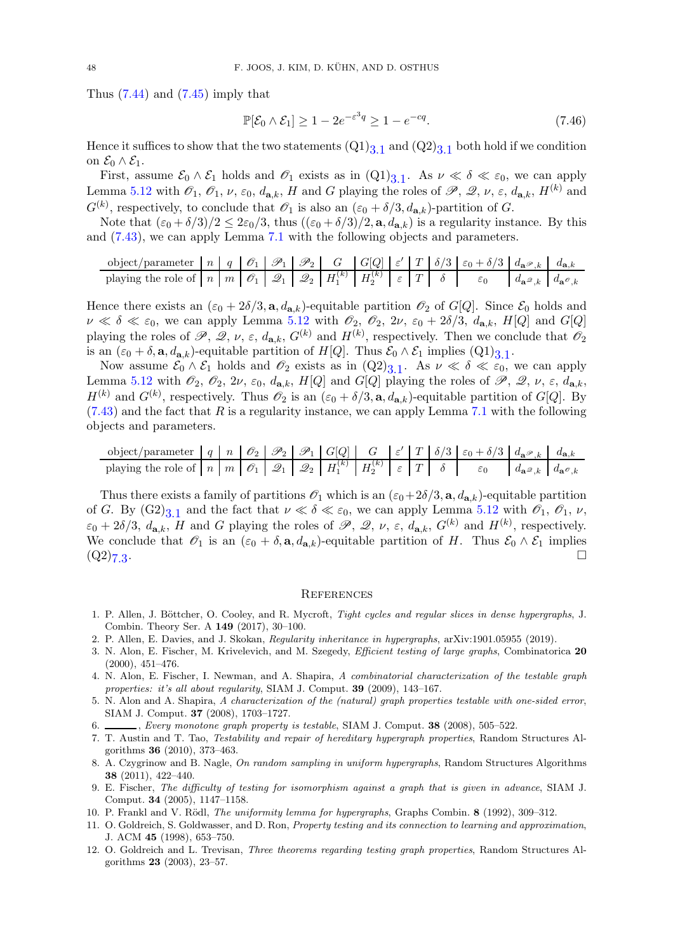Thus  $(7.44)$  and  $(7.45)$  imply that

$$
\mathbb{P}[\mathcal{E}_0 \wedge \mathcal{E}_1] \ge 1 - 2e^{-\varepsilon^3 q} \ge 1 - e^{-cq}.\tag{7.46}
$$

Hence it suffices to show that the two statements  $(Q1)_{3.1}$  and  $(Q2)_{3.1}$  both hold if we condition on  $\mathcal{E}_0 \wedge \mathcal{E}_1$ .

First, assume  $\mathcal{E}_0 \wedge \mathcal{E}_1$  holds and  $\mathcal{O}_1$  exists as in  $(\mathrm{Q1})_{3,1}$ . As  $\nu \ll \delta \ll \varepsilon_0$ , we can apply Lemma [5.12](#page-16-3) with  $\mathscr{O}_1$ ,  $\mathscr{O}_1$ ,  $\nu$ ,  $\varepsilon_0$ ,  $d_{\mathbf{a},k}$ , H and G playing the roles of  $\mathscr{P}$ ,  $\mathscr{Q}$ ,  $\nu$ ,  $\varepsilon$ ,  $d_{\mathbf{a},k}$ ,  $H^{(k)}$  and  $G^{(k)}$ , respectively, to conclude that  $\mathscr{O}_1$  is also an  $(\varepsilon_0 + \delta/3, d_{\mathbf{a},k})$ -partition of G.

Note that  $(\epsilon_0 + \delta/3)/2 \leq 2\epsilon_0/3$ , thus  $((\epsilon_0 + \delta/3)/2, \mathbf{a}, d_{\mathbf{a},k})$  is a regularity instance. By this and [\(7.43\)](#page-46-3), we can apply Lemma [7.1](#page-33-0) with the following objects and parameters.

object/parameter n q O<sup>1</sup> P<sup>1</sup> P<sup>2</sup> G G[Q] ε ′ <sup>T</sup> δ/<sup>3</sup> <sup>ε</sup><sup>0</sup> <sup>+</sup> δ/<sup>3</sup> <sup>d</sup>aP,k <sup>d</sup>a,k playing the role of n m O<sup>1</sup> Q<sup>1</sup> Q<sup>2</sup> H (k) <sup>1</sup> H (k) 2 ε T δ ε<sup>0</sup> daQ,k daO,k

Hence there exists an  $(\epsilon_0 + 2\delta/3, \mathbf{a}, d_{\mathbf{a},k})$ -equitable partition  $\mathcal{O}_2$  of G[Q]. Since  $\mathcal{E}_0$  holds and  $\nu \ll \delta \ll \varepsilon_0$ , we can apply Lemma [5.12](#page-16-3) with  $\mathscr{O}_2$ ,  $\mathscr{O}_2$ ,  $2\nu$ ,  $\varepsilon_0 + 2\delta/3$ ,  $d_{\mathbf{a},k}$ ,  $H[Q]$  and  $G[Q]$ playing the roles of  $\mathscr{P}, \mathscr{Q}, \nu, \varepsilon, d_{\mathbf{a},k}, G^{(k)}$  and  $H^{(k)}$ , respectively. Then we conclude that  $\mathscr{O}_2$ is an  $(\varepsilon_0 + \delta, \mathbf{a}, d_{\mathbf{a},k})$ -equitable partition of  $H[Q]$ . Thus  $\mathcal{E}_0 \wedge \mathcal{E}_1$  implies  $(Q1)_{3,1}$ .

Now assume  $\mathcal{E}_0 \wedge \mathcal{E}_1$  holds and  $\mathcal{O}_2$  exists as in  $(Q2)_{3,1}$ . As  $\nu \ll \delta \ll \varepsilon_0$ , we can apply Lemma [5.12](#page-16-3) with  $\mathcal{O}_2$ ,  $\mathcal{O}_2$ ,  $2\nu$ ,  $\varepsilon_0$ ,  $d_{\mathbf{a},k}$ ,  $H[Q]$  and  $G[Q]$  playing the roles of  $\mathscr{P}$ ,  $\mathscr{Q}$ ,  $\nu$ ,  $\varepsilon$ ,  $d_{\mathbf{a},k}$ ,  $H^{(k)}$  and  $G^{(k)}$ , respectively. Thus  $\mathscr{O}_2$  is an  $(\varepsilon_0 + \delta/3, \mathbf{a}, d_{\mathbf{a},k})$ -equitable partition of  $G[Q]$ . By  $(7.43)$  and the fact that R is a regularity instance, we can apply Lemma [7.1](#page-33-0) with the following objects and parameters.

$$
\text{object/parameter} \quad q \quad n \quad \mathcal{O}_2 \quad \mathcal{P}_2 \quad \mathcal{P}_1 \quad G[Q] \quad G \quad \varepsilon' \quad T \quad \delta/3 \quad \varepsilon_0 + \delta/3 \quad d_{\mathbf{a}} \mathcal{P}_k \quad d_{\mathbf{a},k}
$$
\n
$$
\text{playing the role of} \quad n \quad m \quad \mathcal{O}_1 \quad \mathcal{Q}_1 \quad \mathcal{Q}_2 \quad H_1^{(k)} \quad H_2^{(k)} \quad \varepsilon \quad T \quad \delta \quad \varepsilon_0 \qquad d_{\mathbf{a}} \mathcal{P}_k \quad d_{\mathbf{a}} \mathcal{P}_k
$$

Thus there exists a family of partitions  $\mathscr{O}_1$  which is an  $(\epsilon_0+2\delta/3, \mathbf{a}, d_{\mathbf{a},k})$ -equitable partition of G. By  $(G2)_{3,1}$  and the fact that  $\nu \ll \delta \ll \varepsilon_0$ , we can apply Lemma [5.12](#page-16-3) with  $\mathscr{O}_1$ ,  $\mathscr{O}_1$ ,  $\nu$ ,  $\varepsilon_0 + 2\delta/3$ ,  $d_{\mathbf{a},k}$ , H and G playing the roles of  $\mathscr{P}, \mathscr{Q}, \nu, \varepsilon, d_{\mathbf{a},k}$ ,  $G^{(k)}$  and  $H^{(k)}$ , respectively. We conclude that  $\mathscr{O}_1$  is an  $(\varepsilon_0 + \delta, \mathbf{a}, d_{\mathbf{a},k})$ -equitable partition of H. Thus  $\mathscr{E}_0 \wedge \mathscr{E}_1$  implies  $(Q2)_{7,3}$ . The contract of the contract of the contract of the contract of  $\Box$ 

### **REFERENCES**

- <span id="page-47-1"></span>1. P. Allen, J. Böttcher, O. Cooley, and R. Mycroft, Tight cycles and regular slices in dense hypergraphs, J. Combin. Theory Ser. A 149 (2017), 30–100.
- <span id="page-47-4"></span><span id="page-47-2"></span>2. P. Allen, E. Davies, and J. Skokan, Regularity inheritance in hypergraphs, arXiv:1901.05955 (2019).
- 3. N. Alon, E. Fischer, M. Krivelevich, and M. Szegedy, Efficient testing of large graphs, Combinatorica 20 (2000), 451–476.
- <span id="page-47-5"></span>4. N. Alon, E. Fischer, I. Newman, and A. Shapira, A combinatorial characterization of the testable graph properties: it's all about regularity, SIAM J. Comput. 39 (2009), 143–167.
- <span id="page-47-6"></span>5. N. Alon and A. Shapira, A characterization of the (natural) graph properties testable with one-sided error, SIAM J. Comput. 37 (2008), 1703–1727.
- <span id="page-47-11"></span><span id="page-47-7"></span>6. , Every monotone graph property is testable, SIAM J. Comput. 38 (2008), 505–522.
- 7. T. Austin and T. Tao, Testability and repair of hereditary hypergraph properties, Random Structures Algorithms 36 (2010), 373–463.
- <span id="page-47-10"></span>8. A. Czygrinow and B. Nagle, On random sampling in uniform hypergraphs, Random Structures Algorithms 38 (2011), 422–440.
- <span id="page-47-8"></span>9. E. Fischer, The difficulty of testing for isomorphism against a graph that is given in advance, SIAM J. Comput. 34 (2005), 1147–1158.
- <span id="page-47-3"></span><span id="page-47-0"></span>10. P. Frankl and V. Rödl, *The uniformity lemma for hypergraphs*, Graphs Combin. 8 (1992), 309–312.
- 11. O. Goldreich, S. Goldwasser, and D. Ron, Property testing and its connection to learning and approximation, J. ACM 45 (1998), 653–750.
- <span id="page-47-9"></span>12. O. Goldreich and L. Trevisan, Three theorems regarding testing graph properties, Random Structures Algorithms 23 (2003), 23–57.